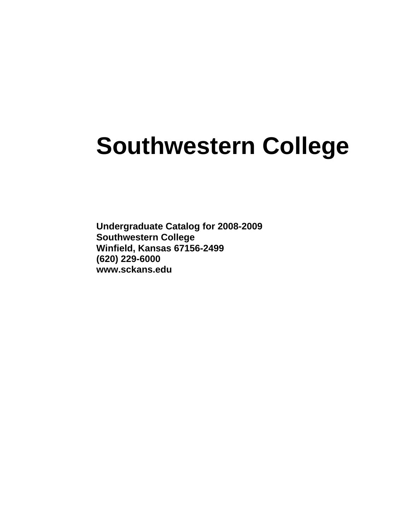# **Southwestern College**

**Undergraduate Catalog for 2008-2009 Southwestern College Winfield, Kansas 67156-2499 (620) 229-6000 www.sckans.edu**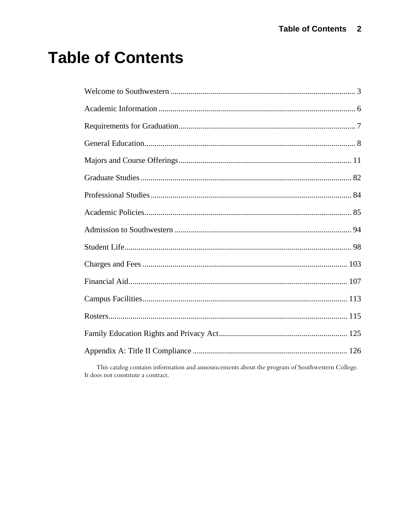# **Table of Contents**

This catalog contains information and announcements about the program of Southwestern College. It does not constitute a contract.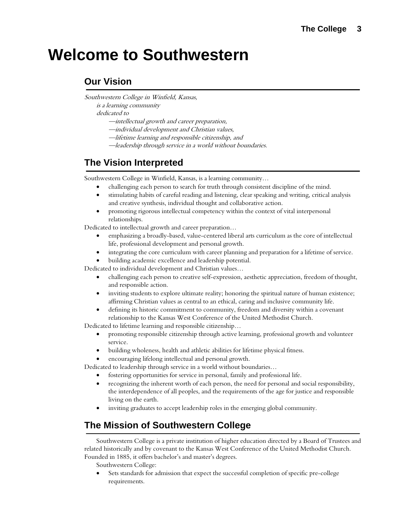# <span id="page-2-1"></span><span id="page-2-0"></span>**Welcome to Southwestern**

# **Our Vision**

Southwestern College in Winfield, Kansas,

is a learning community

dedicated to

- —intellectual growth and career preparation,
- —individual development and Christian values,
- —lifetime learning and responsible citizenship, and
- —leadership through service in a world without boundaries.

# **The Vision Interpreted**

Southwestern College in Winfield, Kansas, is a learning community…

- challenging each person to search for truth through consistent discipline of the mind.
- stimulating habits of careful reading and listening, clear speaking and writing, critical analysis and creative synthesis, individual thought and collaborative action.
- promoting rigorous intellectual competency within the context of vital interpersonal relationships.

Dedicated to intellectual growth and career preparation…

- emphasizing a broadly-based, value-centered liberal arts curriculum as the core of intellectual life, professional development and personal growth.
- integrating the core curriculum with career planning and preparation for a lifetime of service.
- building academic excellence and leadership potential.

Dedicated to individual development and Christian values…

- challenging each person to creative self-expression, aesthetic appreciation, freedom of thought, and responsible action.
- inviting students to explore ultimate reality; honoring the spiritual nature of human existence; affirming Christian values as central to an ethical, caring and inclusive community life.
- defining its historic commitment to community, freedom and diversity within a covenant relationship to the Kansas West Conference of the United Methodist Church.

Dedicated to lifetime learning and responsible citizenship…

- promoting responsible citizenship through active learning, professional growth and volunteer service.
- building wholeness, health and athletic abilities for lifetime physical fitness.
- encouraging lifelong intellectual and personal growth.

Dedicated to leadership through service in a world without boundaries…

- fostering opportunities for service in personal, family and professional life.
- recognizing the inherent worth of each person, the need for personal and social responsibility, the interdependence of all peoples, and the requirements of the age for justice and responsible living on the earth.
- inviting graduates to accept leadership roles in the emerging global community.

# **The Mission of Southwestern College**

Southwestern College is a private institution of higher education directed by a Board of Trustees and related historically and by covenant to the Kansas West Conference of the United Methodist Church. Founded in 1885, it offers bachelor's and master's degrees.

Southwestern College:

• Sets standards for admission that expect the successful completion of specific pre-college requirements.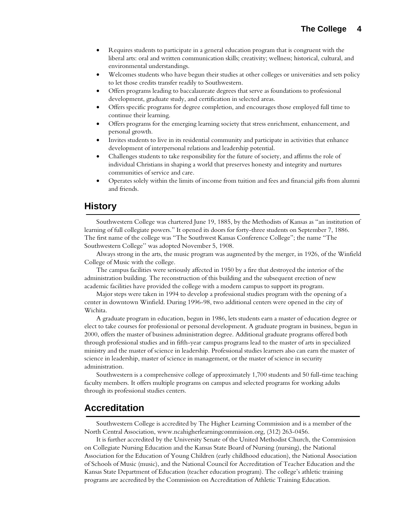- Requires students to participate in a general education program that is congruent with the liberal arts: oral and written communication skills; creativity; wellness; historical, cultural, and environmental understandings.
- Welcomes students who have begun their studies at other colleges or universities and sets policy to let those credits transfer readily to Southwestern.
- Offers programs leading to baccalaureate degrees that serve as foundations to professional development, graduate study, and certification in selected areas.
- Offers specific programs for degree completion, and encourages those employed full time to continue their learning.
- Offers programs for the emerging learning society that stress enrichment, enhancement, and personal growth.
- Invites students to live in its residential community and participate in activities that enhance development of interpersonal relations and leadership potential.
- Challenges students to take responsibility for the future of society, and affirms the role of individual Christians in shaping a world that preserves honesty and integrity and nurtures communities of service and care.
- Operates solely within the limits of income from tuition and fees and financial gifts from alumni and friends.

# **History**

Southwestern College was chartered June 19, 1885, by the Methodists of Kansas as "an institution of learning of full collegiate powers." It opened its doors for forty-three students on September 7, 1886. The first name of the college was "The Southwest Kansas Conference College"; the name "The Southwestern College'' was adopted November 5, 1908.

Always strong in the arts, the music program was augmented by the merger, in 1926, of the Winfield College of Music with the college.

The campus facilities were seriously affected in 1950 by a fire that destroyed the interior of the administration building. The reconstruction of this building and the subsequent erection of new academic facilities have provided the college with a modern campus to support its program.

Major steps were taken in 1994 to develop a professional studies program with the opening of a center in downtown Winfield. During 1996-98, two additional centers were opened in the city of Wichita.

A graduate program in education, begun in 1986, lets students earn a master of education degree or elect to take courses for professional or personal development. A graduate program in business, begun in 2000, offers the master of business administration degree. Additional graduate programs offered both through professional studies and in fifth-year campus programs lead to the master of arts in specialized ministry and the master of science in leadership. Professional studies learners also can earn the master of science in leadership, master of science in management, or the master of science in security administration.

Southwestern is a comprehensive college of approximately 1,700 students and 50 full-time teaching faculty members. It offers multiple programs on campus and selected programs for working adults through its professional studies centers.

# **Accreditation**

Southwestern College is accredited by The Higher Learning Commission and is a member of the North Central Association, www.ncahigherlearningcommission.org, (312) 263-0456.

It is further accredited by the University Senate of the United Methodist Church, the Commission on Collegiate Nursing Education and the Kansas State Board of Nursing (nursing), the National Association for the Education of Young Children (early childhood education), the National Association of Schools of Music (music), and the National Council for Accreditation of Teacher Education and the Kansas State Department of Education (teacher education program). The college's athletic training programs are accredited by the Commission on Accreditation of Athletic Training Education.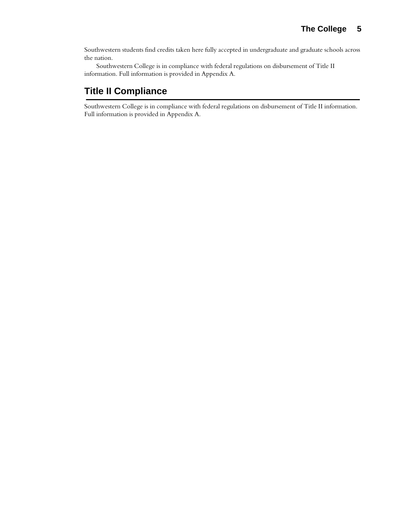Southwestern students find credits taken here fully accepted in undergraduate and graduate schools across the nation.

Southwestern College is in compliance with federal regulations on disbursement of Title II information. Full information is provided in Appendix A.

# **Title II Compliance**

Southwestern College is in compliance with federal regulations on disbursement of Title II information. Full information is provided in Appendix A.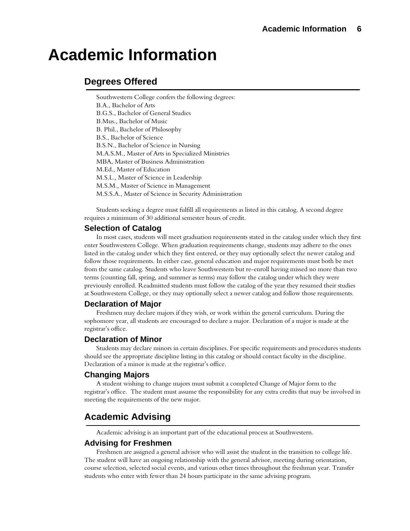# <span id="page-5-1"></span><span id="page-5-0"></span>**Academic Information**

# **Degrees Offered**

Southwestern College confers the following degrees: B.A., Bachelor of Arts B.G.S., Bachelor of General Studies B.Mus., Bachelor of Music B. Phil., Bachelor of Philosophy B.S., Bachelor of Science B.S.N., Bachelor of Science in Nursing M.A.S.M., Master of Arts in Specialized Ministries MBA, Master of Business Administration M.Ed., Master of Education M.S.L., Master of Science in Leadership M.S.M., Master of Science in Management M.S.S.A., Master of Science in Security Administration

Students seeking a degree must fulfill all requirements as listed in this catalog. A second degree requires a minimum of 30 additional semester hours of credit.

# **Selection of Catalog**

In most cases, students will meet graduation requirements stated in the catalog under which they first enter Southwestern College. When graduation requirements change, students may adhere to the ones listed in the catalog under which they first entered, or they may optionally select the newer catalog and follow those requirements. In either case, general education and major requirements must both be met from the same catalog. Students who leave Southwestern but re-enroll having missed no more than two terms (counting fall, spring, and summer as terms) may follow the catalog under which they were previously enrolled. Readmitted students must follow the catalog of the year they resumed their studies at Southwestern College, or they may optionally select a newer catalog and follow those requirements.

# **Declaration of Major**

Freshmen may declare majors if they wish, or work within the general curriculum. During the sophomore year, all students are encouraged to declare a major. Declaration of a major is made at the registrar's office.

# **Declaration of Minor**

Students may declare minors in certain disciplines. For specific requirements and procedures students should see the appropriate discipline listing in this catalog or should contact faculty in the discipline. Declaration of a minor is made at the registrar's office.

# **Changing Majors**

A student wishing to change majors must submit a completed Change of Major form to the registrar's office. The student must assume the responsibility for any extra credits that may be involved in meeting the requirements of the new major.

# **Academic Advising**

Academic advising is an important part of the educational process at Southwestern.

# **Advising for Freshmen**

Freshmen are assigned a general advisor who will assist the student in the transition to college life. The student will have an ongoing relationship with the general advisor, meeting during orientation, course selection, selected social events, and various other times throughout the freshman year. Transfer students who enter with fewer than 24 hours participate in the same advising program.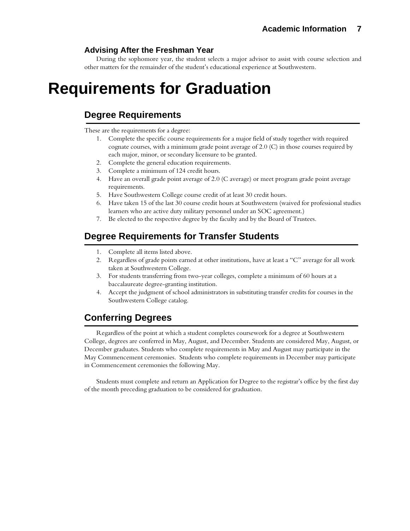# **Advising After the Freshman Year**

During the sophomore year, the student selects a major advisor to assist with course selection and other matters for the remainder of the student's educational experience at Southwestern.

# <span id="page-6-1"></span><span id="page-6-0"></span>**Requirements for Graduation**

# **Degree Requirements**

These are the requirements for a degree:

- 1. Complete the specific course requirements for a major field of study together with required cognate courses, with a minimum grade point average of 2.0 (C) in those courses required by each major, minor, or secondary licensure to be granted.
- 2. Complete the general education requirements.
- 3. Complete a minimum of 124 credit hours.
- 4. Have an overall grade point average of 2.0 (C average) or meet program grade point average requirements.
- 5. Have Southwestern College course credit of at least 30 credit hours.
- 6. Have taken 15 of the last 30 course credit hours at Southwestern (waived for professional studies learners who are active duty military personnel under an SOC agreement.)
- 7. Be elected to the respective degree by the faculty and by the Board of Trustees.

# **Degree Requirements for Transfer Students**

- 1. Complete all items listed above.
- 2. Regardless of grade points earned at other institutions, have at least a "C" average for all work taken at Southwestern College.
- 3. For students transferring from two-year colleges, complete a minimum of 60 hours at a baccalaureate degree-granting institution.
- 4. Accept the judgment of school administrators in substituting transfer credits for courses in the Southwestern College catalog.

# **Conferring Degrees**

Regardless of the point at which a student completes coursework for a degree at Southwestern College, degrees are conferred in May, August, and December. Students are considered May, August, or December graduates. Students who complete requirements in May and August may participate in the May Commencement ceremonies. Students who complete requirements in December may participate in Commencement ceremonies the following May.

Students must complete and return an Application for Degree to the registrar's office by the first day of the month preceding graduation to be considered for graduation.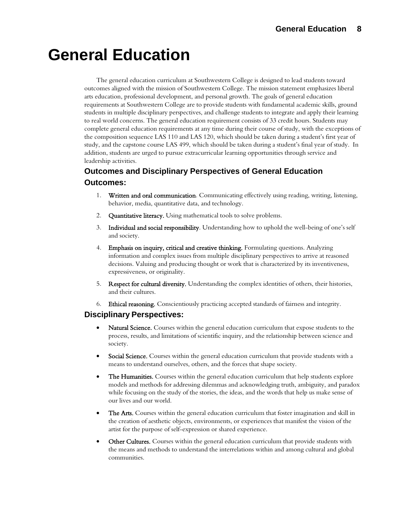# <span id="page-7-1"></span><span id="page-7-0"></span>**General Education**

The general education curriculum at Southwestern College is designed to lead students toward outcomes aligned with the mission of Southwestern College. The mission statement emphasizes liberal arts education, professional development, and personal growth. The goals of general education requirements at Southwestern College are to provide students with fundamental academic skills, ground students in multiple disciplinary perspectives, and challenge students to integrate and apply their learning to real world concerns. The general education requirement consists of 33 credit hours. Students may complete general education requirements at any time during their course of study, with the exceptions of the composition sequence LAS 110 and LAS 120, which should be taken during a student's first year of study, and the capstone course LAS 499, which should be taken during a student's final year of study. In addition, students are urged to pursue extracurricular learning opportunities through service and leadership activities.

# **Outcomes and Disciplinary Perspectives of General Education Outcomes:**

- 1. Written and oral communication. Communicating effectively using reading, writing, listening, behavior, media, quantitative data, and technology.
- 2. **Quantitative literacy.** Using mathematical tools to solve problems.
- 3. Individual and social responsibility. Understanding how to uphold the well-being of one's self and society.
- 4. Emphasis on inquiry, critical and creative thinking. Formulating questions. Analyzing information and complex issues from multiple disciplinary perspectives to arrive at reasoned decisions. Valuing and producing thought or work that is characterized by its inventiveness, expressiveness, or originality.
- 5. Respect for cultural diversity. Understanding the complex identities of others, their histories, and their cultures.
- 6. Ethical reasoning. Conscientiously practicing accepted standards of fairness and integrity.

# **Disciplinary Perspectives:**

- Natural Science. Courses within the general education curriculum that expose students to the process, results, and limitations of scientific inquiry, and the relationship between science and society.
- Social Science. Courses within the general education curriculum that provide students with a means to understand ourselves, others, and the forces that shape society.
- The Humanities. Courses within the general education curriculum that help students explore models and methods for addressing dilemmas and acknowledging truth, ambiguity, and paradox while focusing on the study of the stories, the ideas, and the words that help us make sense of our lives and our world.
- The Arts. Courses within the general education curriculum that foster imagination and skill in the creation of aesthetic objects, environments, or experiences that manifest the vision of the artist for the purpose of self-expression or shared experience.
- Other Cultures. Courses within the general education curriculum that provide students with the means and methods to understand the interrelations within and among cultural and global communities.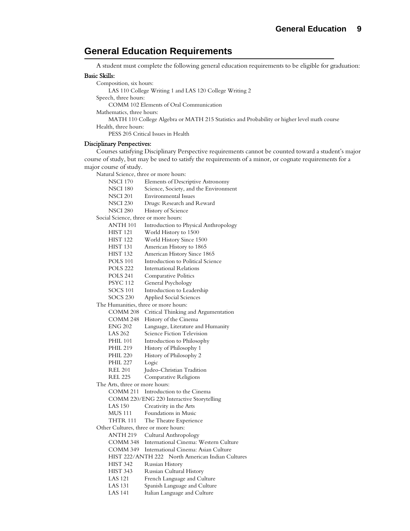# **General Education Requirements**

A student must complete the following general education requirements to be eligible for graduation:

#### Basic Skills:

Composition, six hours: LAS 110 College Writing 1 and LAS 120 College Writing 2 Speech, three hours: COMM 102 Elements of Oral Communication Mathematics, three hours: MATH 110 College Algebra or MATH 215 Statistics and Probability or higher level math course Health, three hours: PESS 205 Critical Issues in Health

#### Disciplinary Perspectives:

Courses satisfying Disciplinary Perspective requirements cannot be counted toward a student's major course of study, but may be used to satisfy the requirements of a minor, or cognate requirements for a major course of study.

Natural Science, three or more hours:

- NSCI 170 Elements of Descriptive Astronomy
- NSCI 180 Science, Society, and the Environment
- NSCI 201 Environmental Issues
- NSCI 230 Drugs: Research and Reward
- NSCI 280 History of Science

Social Science, three or more hours:

- ANTH 101 Introduction to Physical Anthropology
- HIST 121 World History to 1500
- HIST 122 World History Since 1500
- HIST 131 American History to 1865
- HIST 132 American History Since 1865
- POLS 101 Introduction to Political Science
- POLS 222 International Relations
- POLS 241 Comparative Politics
- PSYC 112 General Psychology
- SOCS 101 Introduction to Leadership
- SOCS 230 Applied Social Sciences

The Humanities, three or more hours:

COMM 208 Critical Thinking and Argumentation

COMM 248 History of the Cinema

- ENG 202 Language, Literature and Humanity
- LAS 262 Science Fiction Television
- PHIL 101 Introduction to Philosophy
- PHIL 219 History of Philosophy 1
- PHIL 220 History of Philosophy 2
- PHIL 227 Logic
- REL 201 Judeo-Christian Tradition
- REL 225 Comparative Religions
- The Arts, three or more hours:

COMM 211 Introduction to the Cinema

- COMM 220/ENG 220 Interactive Storytelling
- LAS 150 Creativity in the Arts
- MUS 111 Foundations in Music
- THTR 111 The Theatre Experience

Other Cultures, three or more hours:

- ANTH 219 Cultural Anthropology
- COMM 348 International Cinema: Western Culture
- COMM 349 International Cinema: Asian Culture
- HIST 222/ANTH 222 North American Indian Cultures
- HIST 342 Russian History
- HIST 343 Russian Cultural History
- LAS 121 French Language and Culture
- LAS 131 Spanish Language and Culture
- LAS 141 Italian Language and Culture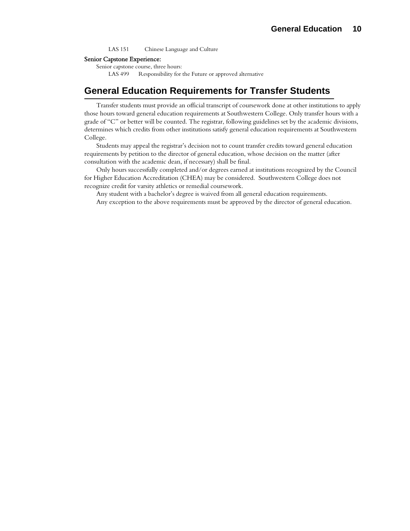LAS 151 Chinese Language and Culture

#### Senior Capstone Experience:

Senior capstone course, three hours:

LAS 499 Responsibility for the Future or approved alternative

# **General Education Requirements for Transfer Students**

Transfer students must provide an official transcript of coursework done at other institutions to apply those hours toward general education requirements at Southwestern College. Only transfer hours with a grade of "C" or better will be counted. The registrar, following guidelines set by the academic divisions, determines which credits from other institutions satisfy general education requirements at Southwestern College.

Students may appeal the registrar's decision not to count transfer credits toward general education requirements by petition to the director of general education, whose decision on the matter (after consultation with the academic dean, if necessary) shall be final.

Only hours successfully completed and/or degrees earned at institutions recognized by the Council for Higher Education Accreditation (CHEA) may be considered. Southwestern College does not recognize credit for varsity athletics or remedial coursework.

Any student with a bachelor's degree is waived from all general education requirements.

Any exception to the above requirements must be approved by the director of general education.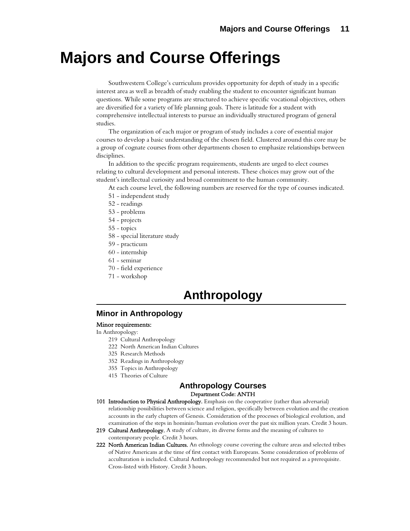# <span id="page-10-1"></span><span id="page-10-0"></span>**Majors and Course Offerings**

Southwestern College's curriculum provides opportunity for depth of study in a specific interest area as well as breadth of study enabling the student to encounter significant human questions. While some programs are structured to achieve specific vocational objectives, others are diversified for a variety of life planning goals. There is latitude for a student with comprehensive intellectual interests to pursue an individually structured program of general studies.

The organization of each major or program of study includes a core of essential major courses to develop a basic understanding of the chosen field. Clustered around this core may be a group of cognate courses from other departments chosen to emphasize relationships between disciplines.

In addition to the specific program requirements, students are urged to elect courses relating to cultural development and personal interests. These choices may grow out of the student's intellectual curiosity and broad commitment to the human community.

At each course level, the following numbers are reserved for the type of courses indicated.

- 51 independent study
- 52 readings
- 53 problems
- 54 projects
- 55 topics
- 58 special literature study
- 59 practicum
- 60 internship
- 61 seminar
- 70 field experience
- 71 workshop

# **Anthropology**

## **Minor in Anthropology**

#### Minor requirements:

In Anthropology:

- 219 Cultural Anthropology
- 222 North American Indian Cultures
- 325 Research Methods
- 352 Readings in Anthropology
- 355 Topics in Anthropology
- 415 Theories of Culture

#### **Anthropology Courses**  Department Code: ANTH

- 101 Introduction to Physical Anthropology. Emphasis on the cooperative (rather than adversarial) relationship possibilities between science and religion, specifically between evolution and the creation accounts in the early chapters of Genesis. Consideration of the processes of biological evolution, and examination of the steps in hominin/human evolution over the past six million years. Credit 3 hours.
- 219 Cultural Anthropology. A study of culture, its diverse forms and the meaning of cultures to contemporary people. Credit 3 hours.
- 222 North American Indian Cultures. An ethnology course covering the culture areas and selected tribes of Native Americans at the time of first contact with Europeans. Some consideration of problems of acculturation is included. Cultural Anthropology recommended but not required as a prerequisite. Cross-listed with History. Credit 3 hours.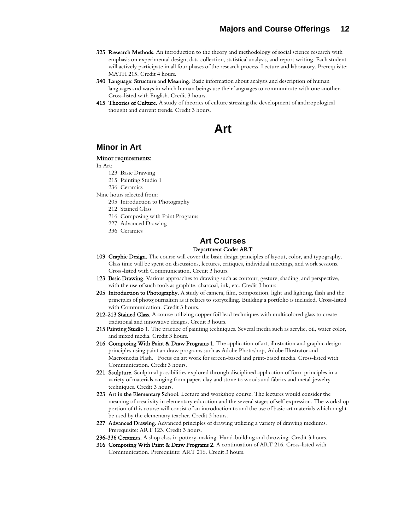- 325 Research Methods. An introduction to the theory and methodology of social science research with emphasis on experimental design, data collection, statistical analysis, and report writing. Each student will actively participate in all four phases of the research process. Lecture and laboratory. Prerequisite: MATH 215. Credit 4 hours.
- 340 Language: Structure and Meaning. Basic information about analysis and description of human languages and ways in which human beings use their languages to communicate with one another. Cross-listed with English. Credit 3 hours.
- 415 Theories of Culture. A study of theories of culture stressing the development of anthropological thought and current trends. Credit 3 hours.

**Art**

## **Minor in Art**

#### Minor requirements:

In Art:

- 123 Basic Drawing
- 215 Painting Studio 1
- 236 Ceramics
- Nine hours selected from:
	- 205 Introduction to Photography
	- 212 Stained Glass
	- 216 Composing with Paint Programs
	- 227 Advanced Drawing
	- 336 Ceramics

# **Art Courses**

#### Department Code: ART

- 103 Graphic Design. The course will cover the basic design principles of layout, color, and typography. Class time will be spent on discussions, lectures, critiques, individual meetings, and work sessions. Cross-listed with Communication. Credit 3 hours.
- 123 Basic Drawing. Various approaches to drawing such as contour, gesture, shading, and perspective, with the use of such tools as graphite, charcoal, ink, etc. Credit 3 hours.
- 205 Introduction to Photography. A study of camera, film, composition, light and lighting, flash and the principles of photojournalism as it relates to storytelling. Building a portfolio is included. Cross-listed with Communication. Credit 3 hours.
- 212-213 Stained Glass. A course utilizing copper foil lead techniques with multicolored glass to create traditional and innovative designs. Credit 3 hours.
- 215 Painting Studio 1. The practice of painting techniques. Several media such as acrylic, oil, water color, and mixed media. Credit 3 hours.
- 216 Composing With Paint & Draw Programs 1. The application of art, illustration and graphic design principles using paint an draw programs such as Adobe Photoshop, Adobe Illustrator and Macromedia Flash. Focus on art work for screen-based and print-based media. Cross-listed with Communication. Credit 3 hours.
- 221 Sculpture. Sculptural possibilities explored through disciplined application of form principles in a variety of materials ranging from paper, clay and stone to woods and fabrics and metal-jewelry techniques. Credit 3 hours.
- 223 Art in the Elementary School. Lecture and workshop course. The lectures would consider the meaning of creativity in elementary education and the several stages of self-expression. The workshop portion of this course will consist of an introduction to and the use of basic art materials which might be used by the elementary teacher. Credit 3 hours.
- 227 Advanced Drawing. Advanced principles of drawing utilizing a variety of drawing mediums. Prerequisite: ART 123. Credit 3 hours.
- 236-336 Ceramics. A shop class in pottery-making. Hand-building and throwing. Credit 3 hours.
- 316 Composing With Paint & Draw Programs 2. A continuation of ART 216. Cross-listed with Communication. Prerequisite: ART 216. Credit 3 hours.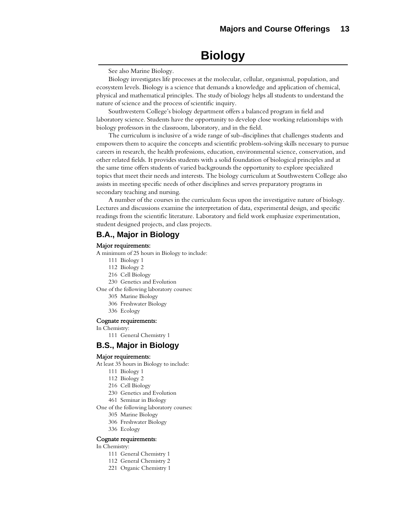# **Biology**

See also Marine Biology.

Biology investigates life processes at the molecular, cellular, organismal, population, and ecosystem levels. Biology is a science that demands a knowledge and application of chemical, physical and mathematical principles. The study of biology helps all students to understand the nature of science and the process of scientific inquiry.

Southwestern College's biology department offers a balanced program in field and laboratory science. Students have the opportunity to develop close working relationships with biology professors in the classroom, laboratory, and in the field.

The curriculum is inclusive of a wide range of sub-disciplines that challenges students and empowers them to acquire the concepts and scientific problem-solving skills necessary to pursue careers in research, the health professions, education, environmental science, conservation, and other related fields. It provides students with a solid foundation of biological principles and at the same time offers students of varied backgrounds the opportunity to explore specialized topics that meet their needs and interests. The biology curriculum at Southwestern College also assists in meeting specific needs of other disciplines and serves preparatory programs in secondary teaching and nursing.

A number of the courses in the curriculum focus upon the investigative nature of biology. Lectures and discussions examine the interpretation of data, experimental design, and specific readings from the scientific literature. Laboratory and field work emphasize experimentation, student designed projects, and class projects.

# **B.A., Major in Biology**

#### Major requirements:

A minimum of 25 hours in Biology to include:

- 111 Biology 1
- 112 Biology 2
- 216 Cell Biology
- 230 Genetics and Evolution

One of the following laboratory courses:

- 305 Marine Biology
- 306 Freshwater Biology
- 336 Ecology

#### Cognate requirements:

- In Chemistry:
	- 111 General Chemistry 1

# **B.S., Major in Biology**

#### Major requirements:

At least 35 hours in Biology to include:

- 111 Biology 1
- 112 Biology 2
- 216 Cell Biology
- 230 Genetics and Evolution
- 461 Seminar in Biology
- One of the following laboratory courses:
	- 305 Marine Biology
	- 306 Freshwater Biology
	- 336 Ecology

#### Cognate requirements:

In Chemistry:

- 111 General Chemistry 1
- 112 General Chemistry 2
- 221 Organic Chemistry 1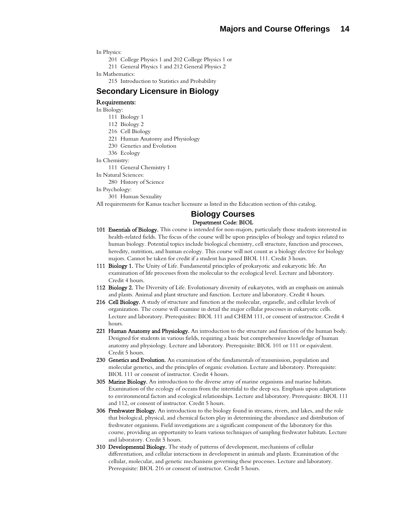In Physics:

201 College Physics 1 and 202 College Physics 1 or 211 General Physics 1 and 212 General Physics 2

In Mathematics:

215 Introduction to Statistics and Probability

# **Secondary Licensure in Biology**

#### Requirements:

In Biology:

- 111 Biology 1
- 112 Biology 2
- 216 Cell Biology
- 221 Human Anatomy and Physiology
- 230 Genetics and Evolution
- 336 Ecology

In Chemistry:

111 General Chemistry 1

In Natural Sciences:

280 History of Science

In Psychology:

301 Human Sexuality

All requirements for Kansas teacher licensure as listed in the Education section of this catalog.

#### **Biology Courses**  Department Code: BIOL

- 101 Essentials of Biology. This course is intended for non-majors, particularly those students interested in health-related fields. The focus of the course will be upon principles of biology and topics related to human biology. Potential topics include biological chemistry, cell structure, function and processes, heredity, nutrition, and human ecology. This course will not count as a biology elective for biology majors. Cannot be taken for credit if a student has passed BIOL 111. Credit 3 hours.
- 111 Biology 1. The Unity of Life. Fundamental principles of prokaryotic and eukaryotic life. An examination of life processes from the molecular to the ecological level. Lecture and laboratory. Credit 4 hours.
- 112 Biology 2. The Diversity of Life. Evolutionary diversity of eukaryotes, with an emphasis on animals and plants. Animal and plant structure and function. Lecture and laboratory. Credit 4 hours.
- 216 Cell Biology. A study of structure and function at the molecular, organelle, and cellular levels of organization. The course will examine in detail the major cellular processes in eukaryotic cells. Lecture and laboratory. Prerequisites: BIOL 111 and CHEM 111, or consent of instructor. Credit 4 hours.
- 221 Human Anatomy and Physiology. An introduction to the structure and function of the human body. Designed for students in various fields, requiring a basic but comprehensive knowledge of human anatomy and physiology. Lecture and laboratory. Prerequisite: BIOL 101 or 111 or equivalent. Credit 5 hours.
- 230 Genetics and Evolution. An examination of the fundamentals of transmission, population and molecular genetics, and the principles of organic evolution. Lecture and laboratory. Prerequisite: BIOL 111 or consent of instructor. Credit 4 hours.
- 305 Marine Biology. An introduction to the diverse array of marine organisms and marine habitats. Examination of the ecology of oceans from the intertidal to the deep sea. Emphasis upon adaptations to environmental factors and ecological relationships. Lecture and laboratory. Prerequisite: BIOL 111 and 112, or consent of instructor. Credit 5 hours.
- **306 Freshwater Biology.** An introduction to the biology found in streams, rivers, and lakes, and the role that biological, physical, and chemical factors play in determining the abundance and distribution of freshwater organisms. Field investigations are a significant component of the laboratory for this course, providing an opportunity to learn various techniques of sampling freshwater habitats. Lecture and laboratory. Credit 5 hours.
- 310 Developmental Biology. The study of patterns of development, mechanisms of cellular differentiation, and cellular interactions in development in animals and plants. Examination of the cellular, molecular, and genetic mechanisms governing these processes. Lecture and laboratory. Prerequisite: BIOL 216 or consent of instructor. Credit 5 hours.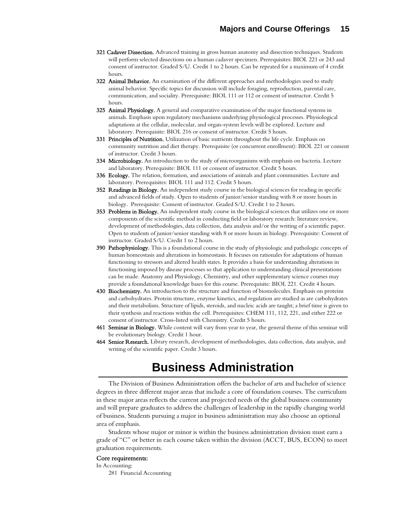- 321 Cadaver Dissection. Advanced training in gross human anatomy and dissection techniques. Students will perform selected dissections on a human cadaver specimen. Prerequisites: BIOL 221 or 243 and consent of instructor. Graded S/U. Credit 1 to 2 hours. Can be repeated for a maximum of 4 credit hours.
- 322 Animal Behavior. An examination of the different approaches and methodologies used to study animal behavior. Specific topics for discussion will include foraging, reproduction, parental care, communication, and sociality. Prerequisite: BIOL 111 or 112 or consent of instructor. Credit 5 hours.
- 325 Animal Physiology. A general and comparative examination of the major functional systems in animals. Emphasis upon regulatory mechanisms underlying physiological processes. Physiological adaptations at the cellular, molecular, and organ-system levels will be explored. Lecture and laboratory. Prerequisite: BIOL 216 or consent of instructor. Credit 5 hours.
- 331 Principles of Nutrition. Utilization of basic nutrients throughout the life cycle. Emphasis on community nutrition and diet therapy. Prerequisite (or concurrent enrollment): BIOL 221 or consent of instructor. Credit 3 hours.
- 334 Microbiology. An introduction to the study of microorganisms with emphasis on bacteria. Lecture and laboratory. Prerequisite: BIOL 111 or consent of instructor. Credit 5 hours.
- 336 Ecology. The relation, formation, and associations of animals and plant communities. Lecture and laboratory. Prerequisites: BIOL 111 and 112. Credit 5 hours.
- 352 Readings in Biology. An independent study course in the biological sciences for reading in specific and advanced fields of study. Open to students of junior/senior standing with 8 or more hours in biology. Prerequisite: Consent of instructor. Graded S/U. Credit 1 to 2 hours.
- **353 Problems in Biology.** An independent study course in the biological sciences that utilizes one or more components of the scientific method in conducting field or laboratory research: literature review, development of methodologies, data collection, data analysis and/or the writing of a scientific paper. Open to students of junior/senior standing with 8 or more hours in biology. Prerequisite: Consent of instructor. Graded S/U. Credit 1 to 2 hours.
- 390 Pathophysiology. This is a foundational course in the study of physiologic and pathologic concepts of human homeostasis and alterations in homeostasis. It focuses on rationales for adaptations of human functioning to stressors and altered health states. It provides a basis for understanding alterations in functioning imposed by disease processes so that application to understanding clinical presentations can be made. Anatomy and Physiology, Chemistry, and other supplementary science courses may provide a foundational knowledge bases for this course. Prerequisite: BIOL 221. Credit 4 hours.
- 430 Biochemistry. An introduction to the structure and function of biomolecules. Emphasis on proteins and carbohydrates. Protein structure, enzyme kinetics, and regulation are studied as are carbohydrates and their metabolism. Structure of lipids, steroids, and nucleic acids are taught; a brief time is given to their synthesis and reactions within the cell. Prerequisites: CHEM 111, 112, 221, and either 222 or consent of instructor. Cross-listed with Chemistry. Credit 5 hours.
- 461 Seminar in Biology. While content will vary from year to year, the general theme of this seminar will be evolutionary biology. Credit 1 hour.
- 464 Senior Research. Library research, development of methodologies, data collection, data analysis, and writing of the scientific paper. Credit 3 hours.

# **Business Administration**

The Division of Business Administration offers the bachelor of arts and bachelor of science degrees in three different major areas that include a core of foundation courses. The curriculum in these major areas reflects the current and projected needs of the global business community and will prepare graduates to address the challenges of leadership in the rapidly changing world of business. Students pursuing a major in business administration may also choose an optional area of emphasis.

Students whose major or minor is within the business administration division must earn a grade of "C" or better in each course taken within the division (ACCT, BUS, ECON) to meet graduation requirements.

#### Core requirements:

In Accounting: 281 Financial Accounting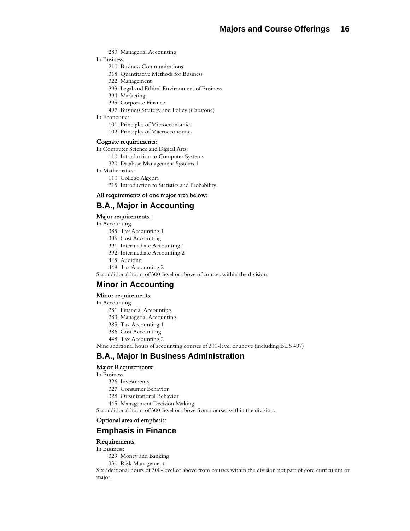283 Managerial Accounting

In Business:

- 210 Business Communications
- 318 Quantitative Methods for Business
- 322 Management
- 393 Legal and Ethical Environment of Business
- 394 Marketing
- 395 Corporate Finance
- 497 Business Strategy and Policy (Capstone)
- In Economics:
	- 101 Principles of Microeconomics
	- 102 Principles of Macroeconomics

#### Cognate requirements:

In Computer Science and Digital Arts:

- 110 Introduction to Computer Systems
- 320 Database Management Systems 1
- In Mathematics:
	- 110 College Algebra
	- 215 Introduction to Statistics and Probability

#### All requirements of one major area below:

#### **B.A., Major in Accounting**

#### Major requirements:

In Accounting

- 385 Tax Accounting 1
- 386 Cost Accounting
- 391 Intermediate Accounting 1
- 392 Intermediate Accounting 2
- 445 Auditing

448 Tax Accounting 2

Six additional hours of 300-level or above of courses within the division.

## **Minor in Accounting**

#### Minor requirements:

In Accounting

- 281 Financial Accounting
- 283 Managerial Accounting
- 385 Tax Accounting 1
- 386 Cost Accounting
- 448 Tax Accounting 2

Nine additional hours of accounting courses of 300-level or above (including BUS 497)

## **B.A., Major in Business Administration**

#### Major Requirements:

In Business

- 326 Investments
- 327 Consumer Behavior
- 328 Organizational Behavior
- 445 Management Decision Making

Six additional hours of 300-level or above from courses within the division.

#### Optional area of emphasis:

## **Emphasis in Finance**

Requirements:

#### In Business:

- 329 Money and Banking
- 331 Risk Management

Six additional hours of 300-level or above from courses within the division not part of core curriculum or major.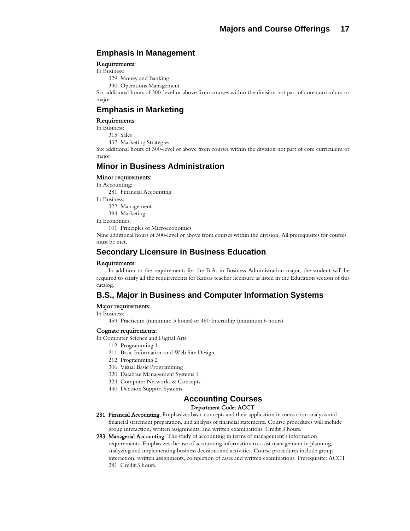# **Emphasis in Management**

#### Requirements:

In Business:

329 Money and Banking

390 Operations Management

Six additional hours of 300-level or above from courses within the division not part of core curriculum or major.

# **Emphasis in Marketing**

#### Requirements:

In Business:

315 Sales

432 Marketing Strategies

Six additional hours of 300-level or above from courses within the division not part of core curriculum or major.

## **Minor in Business Administration**

#### Minor requirements:

In Accounting: 281 Financial Accounting

In Business: 322 Management 394 Marketing

In Economics:

101 Principles of Microeconomics

Nine additional hours of 300-level or above from courses within the division. All prerequisites for courses must be met.

## **Secondary Licensure in Business Education**

#### Requirements:

 In addition to the requirements for the B.A. in Business Administration major, the student will be required to satisfy all the requirements for Kansas teacher licensure as listed in the Education section of this catalog.

# **B.S., Major in Business and Computer Information Systems**

#### Major requirements:

In Business:

459 Practicum (minimum 3 hours) or 460 Internship (minimum 6 hours)

#### Cognate requirements:

In Computer Science and Digital Arts:

- 112 Programming 1
- 211 Basic Information and Web Site Design
- 212 Programming 2
- 306 Visual Basic Programming
- 320 Database Management Systems 1
- 324 Computer Networks & Concepts
- 440 Decision Support Systems

## **Accounting Courses**

#### Department Code: ACCT

- 281 Financial Accounting. Emphasizes basic concepts and their application in transaction analysis and financial statement preparation, and analysis of financial statements. Course procedures will include group interaction, written assignments, and written examinations. Credit 3 hours.
- 283 Managerial Accounting. The study of accounting in terms of management's information requirements. Emphasizes the use of accounting information to assist management in planning, analyzing and implementing business decisions and activities. Course procedures include group interaction, written assignments, completion of cases and written examinations. Prerequisite: ACCT 281. Credit 3 hours.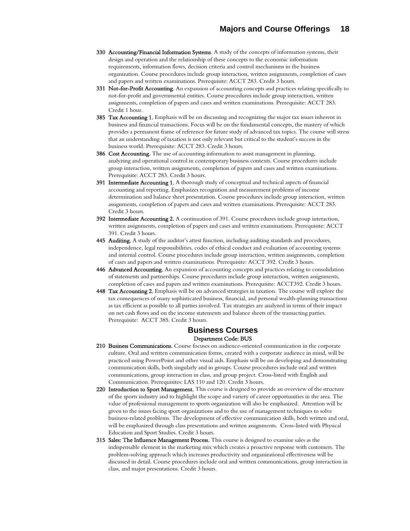- 330 Accounting/Financial Information Systems. A study of the concepts of information systems, their design and operation and the relationship of these concepts to the economic information requirements, information flows, decision criteria and control mechanisms in the business organization. Course procedures include group interaction, written assignments, completion of cases and papers and written examinations. Prerequisite: ACCT 283. Credit 3 hours.
- 331 Not-for-Profit Accounting. An expansion of accounting concepts and practices relating specifically to not-for-profit and governmental entities. Course procedures include group interaction, written assignments, completion of papers and cases and written examinations. Prerequisite: ACCT 283. Credit 1 hour.
- 385 Tax Accounting 1. Emphasis will be on discussing and recognizing the major tax issues inherent in business and financial transactions. Focus will be on the fundamental concepts, the mastery of which provides a permanent frame of reference for future study of advanced tax topics. The course will stress that an understanding of taxation is not only relevant but critical to the student's success in the business world. Prerequisite: ACCT 283. Credit 3 hours.
- 386 Cost Accounting. The use of accounting information to assist management in planning, analyzing and operational control in contemporary business contexts. Course procedures include group interaction, written assignments, completion of papers and cases and written examinations. Prerequisite: ACCT 283. Credit 3 hours.
- 391 Intermediate Accounting 1. A thorough study of conceptual and technical aspects of financial accounting and reporting. Emphasizes recognition and measurement problems of income determination and balance sheet presentation. Course procedures include group interaction, written assignments, completion of papers and cases and written examinations. Prerequisite: ACCT 283. Credit 3 hours.
- 392 Intermediate Accounting 2. A continuation of 391. Course procedures include group interaction, written assignments, completion of papers and cases and written examinations. Prerequisite: ACCT 391. Credit 3 hours.
- 445 Auditing. A study of the auditor's attest function, including auditing standards and procedures, independence, legal responsibilities, codes of ethical conduct and evaluation of accounting systems and internal control. Course procedures include group interaction, written assignments, completion of cases and papers and written examinations. Prerequisite: ACCT 392. Credit 3 hours.
- 446 Advanced Accounting. An expansion of accounting concepts and practices relating to consolidation of statements and partnerships. Course procedures include group interaction, written assignments, completion of cases and papers and written examinations. Prerequisite: ACCT392. Credit 3 hours.
- 448 Tax Accounting 2. Emphasis will be on advanced strategies in taxation. The course will explore the tax consequences of many sophisticated business, financial, and personal wealth-planning transactions as tax efficient as possible to all parties involved. Tax strategies are analyzed in terms of their impact on net cash flows and on the income statements and balance sheets of the transacting parties. Prerequisite: ACCT 385. Credit 3 hours.

#### **Business Courses**  Department Code: BUS

- 210 Business Communications. Course focuses on audience-oriented communication in the corporate culture. Oral and written communication forms, created with a corporate audience in mind, will be practiced using PowerPoint and other visual aids. Emphasis will be on developing and demonstrating communication skills, both singularly and in groups. Course procedures include oral and written communications, group interaction in class, and group project. Cross-listed with English and Communication. Prerequisites: LAS 110 and 120. Credit 3 hours.
- 220 Introduction to Sport Management. This course is designed to provide an overview of the structure of the sports industry and to highlight the scope and variety of career opportunities in the area. The value of professional management to sports organization will also be emphasized. Attention will be given to the issues facing sport organizations and to the use of management techniques to solve business-related problems. The development of effective communication skills, both written and oral, will be emphasized through class presentations and written assignments. Cross-listed with Physical Education and Sport Studies. Credit 3 hours.
- 315 Sales: The Influence Management Process. This course is designed to examine sales as the indispensable element in the marketing mix which creates a proactive response with customers. The problem-solving approach which increases productivity and organizational effectiveness will be discussed in detail. Course procedures include oral and written communications, group interaction in class, and major presentations. Credit 3 hours.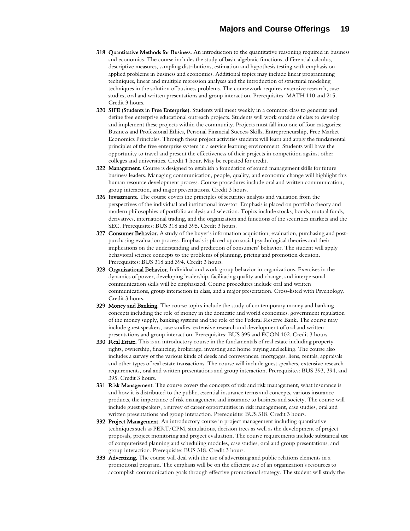- 318 Quantitative Methods for Business. An introduction to the quantitative reasoning required in business and economics. The course includes the study of basic algebraic functions, differential calculus, descriptive measures, sampling distributions, estimation and hypothesis testing with emphasis on applied problems in business and economics. Additional topics may include linear programming techniques, linear and multiple regression analyses and the introduction of structural modeling techniques in the solution of business problems. The coursework requires extensive research, case studies, oral and written presentations and group interaction. Prerequisites: MATH 110 and 215. Credit 3 hours.
- 320 SIFE (Students in Free Enterprise). Students will meet weekly in a common class to generate and define free enterprise educational outreach projects. Students will work outside of class to develop and implement these projects within the community. Projects must fall into one of four categories: Business and Professional Ethics, Personal Financial Success Skills, Entrepreneurship, Free Market Economics Principles. Through these project activities students will learn and apply the fundamental principles of the free enterprise system in a service learning environment. Students will have the opportunity to travel and present the effectiveness of their projects in competition against other colleges and universities. Credit 1 hour. May be repeated for credit.
- **322 Management.** Course is designed to establish a foundation of sound management skills for future business leaders. Managing communication, people, quality, and economic change will highlight this human resource development process. Course procedures include oral and written communication, group interaction, and major presentations. Credit 3 hours.
- 326 Investments. The course covers the principles of securities analysis and valuation from the perspectives of the individual and institutional investor. Emphasis is placed on portfolio theory and modern philosophies of portfolio analysis and selection. Topics include stocks, bonds, mutual funds, derivatives, international trading, and the organization and functions of the securities markets and the SEC. Prerequisites: BUS 318 and 395. Credit 3 hours.
- 327 Consumer Behavior. A study of the buyer's information acquisition, evaluation, purchasing and postpurchasing evaluation process. Emphasis is placed upon social psychological theories and their implications on the understanding and prediction of consumers' behavior. The student will apply behavioral science concepts to the problems of planning, pricing and promotion decision. Prerequisites: BUS 318 and 394. Credit 3 hours.
- 328 Organizational Behavior. Individual and work group behavior in organizations. Exercises in the dynamics of power, developing leadership, facilitating quality and change, and interpersonal communication skills will be emphasized. Course procedures include oral and written communications, group interaction in class, and a major presentation. Cross-listed with Psychology. Credit 3 hours.
- 329 Money and Banking. The course topics include the study of contemporary money and banking concepts including the role of money in the domestic and world economies, government regulation of the money supply, banking systems and the role of the Federal Reserve Bank. The course may include guest speakers, case studies, extensive research and development of oral and written presentations and group interaction. Prerequisites: BUS 395 and ECON 102. Credit 3 hours.
- 330 Real Estate. This is an introductory course in the fundamentals of real estate including property rights, ownership, financing, brokerage, investing and home buying and selling. The course also includes a survey of the various kinds of deeds and conveyances, mortgages, liens, rentals, appraisals and other types of real estate transactions. The course will include guest speakers, extensive research requirements, oral and written presentations and group interaction. Prerequisites: BUS 393, 394, and 395. Credit 3 hours.
- **331 Risk Management.** The course covers the concepts of risk and risk management, what insurance is and how it is distributed to the public, essential insurance terms and concepts, various insurance products, the importance of risk management and insurance to business and society. The course will include guest speakers, a survey of career opportunities in risk management, case studies, oral and written presentations and group interaction. Prerequisite: BUS 318. Credit 3 hours.
- 332 Project Management. An introductory course in project management including quantitative techniques such as PERT/CPM, simulations, decision trees as well as the development of project proposals, project monitoring and project evaluation. The course requirements include substantial use of computerized planning and scheduling modules, case studies, oral and group presentations, and group interaction. Prerequisite: BUS 318. Credit 3 hours.
- 333 Advertising. The course will deal with the use of advertising and public relations elements in a promotional program. The emphasis will be on the efficient use of an organization's resources to accomplish communication goals through effective promotional strategy. The student will study the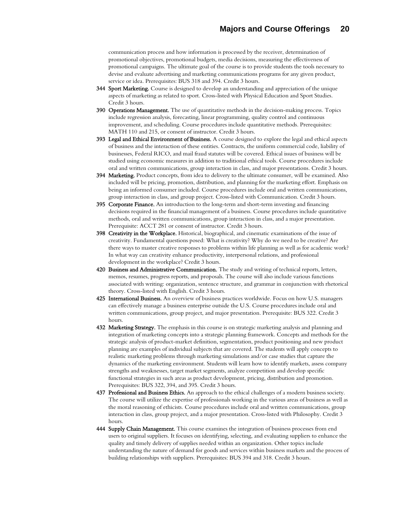communication process and how information is processed by the receiver, determination of promotional objectives, promotional budgets, media decisions, measuring the effectiveness of promotional campaigns. The ultimate goal of the course is to provide students the tools necessary to devise and evaluate advertising and marketing communications programs for any given product, service or idea. Prerequisites: BUS 318 and 394. Credit 3 hours.

- **344 Sport Marketing.** Course is designed to develop an understanding and appreciation of the unique aspects of marketing as related to sport. Cross-listed with Physical Education and Sport Studies. Credit 3 hours.
- 390 Operations Management. The use of quantitative methods in the decision-making process. Topics include regression analysis, forecasting, linear programming, quality control and continuous improvement, and scheduling. Course procedures include quantitative methods. Prerequisites: MATH 110 and 215, or consent of instructor. Credit 3 hours.
- 393 Legal and Ethical Environment of Business. A course designed to explore the legal and ethical aspects of business and the interaction of these entities. Contracts, the uniform commercial code, liability of businesses, Federal RICO, and mail fraud statutes will be covered. Ethical issues of business will be studied using economic measures in addition to traditional ethical tools. Course procedures include oral and written communications, group interaction in class, and major presentations. Credit 3 hours.
- **394 Marketing.** Product concepts, from idea to delivery to the ultimate consumer, will be examined. Also included will be pricing, promotion, distribution, and planning for the marketing effort. Emphasis on being an informed consumer included. Course procedures include oral and written communications, group interaction in class, and group project. Cross-listed with Communication. Credit 3 hours.
- 395 Corporate Finance. An introduction to the long-term and short-term investing and financing decisions required in the financial management of a business. Course procedures include quantitative methods, oral and written communications, group interaction in class, and a major presentation. Prerequisite: ACCT 281 or consent of instructor. Credit 3 hours.
- 398 Creativity in the Workplace. Historical, biographical, and cinematic examinations of the issue of creativity. Fundamental questions posed: What is creativity? Why do we need to be creative? Are there ways to master creative responses to problems within life planning as well as for academic work? In what way can creativity enhance productivity, interpersonal relations, and professional development in the workplace? Credit 3 hours.
- 420 Business and Administrative Communication. The study and writing of technical reports, letters, memos, resumes, progress reports, and proposals. The course will also include various functions associated with writing: organization, sentence structure, and grammar in conjunction with rhetorical theory. Cross-listed with English. Credit 3 hours.
- 425 International Business. An overview of business practices worldwide. Focus on how U.S. managers can effectively manage a business enterprise outside the U.S. Course procedures include oral and written communications, group project, and major presentation. Prerequisite: BUS 322. Credit 3 hours.
- 432 Marketing Strategy. The emphasis in this course is on strategic marketing analysis and planning and integration of marketing concepts into a strategic planning framework. Concepts and methods for the strategic analysis of product-market definition, segmentation, product positioning and new product planning are examples of individual subjects that are covered. The students will apply concepts to realistic marketing problems through marketing simulations and/or case studies that capture the dynamics of the marketing environment. Students will learn how to identify markets, assess company strengths and weaknesses, target market segments, analyze competition and develop specific functional strategies in such areas as product development, pricing, distribution and promotion. Prerequisites: BUS 322, 394, and 395. Credit 3 hours.
- 437 Professional and Business Ethics. An approach to the ethical challenges of a modern business society. The course will utilize the expertise of professionals working in the various areas of business as well as the moral reasoning of ethicists. Course procedures include oral and written communications, group interaction in class, group project, and a major presentation. Cross-listed with Philosophy. Credit 3 hours.
- 444 Supply Chain Management. This course examines the integration of business processes from end users to original suppliers. It focuses on identifying, selecting, and evaluating suppliers to enhance the quality and timely delivery of supplies needed within an organization. Other topics include understanding the nature of demand for goods and services within business markets and the process of building relationships with suppliers. Prerequisites: BUS 394 and 318. Credit 3 hours.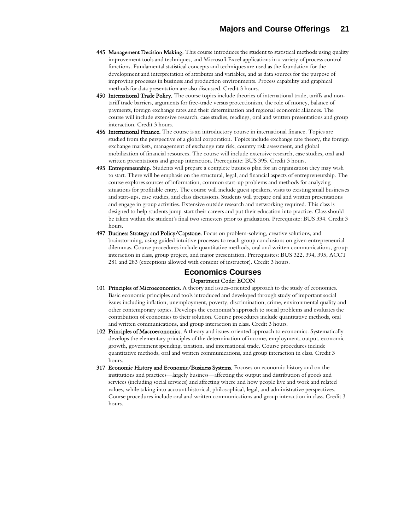- 445 Management Decision Making. This course introduces the student to statistical methods using quality improvement tools and techniques, and Microsoft Excel applications in a variety of process control functions. Fundamental statistical concepts and techniques are used as the foundation for the development and interpretation of attributes and variables, and as data sources for the purpose of improving processes in business and production environments. Process capability and graphical methods for data presentation are also discussed. Credit 3 hours.
- 450 International Trade Policy. The course topics include theories of international trade, tariffs and nontariff trade barriers, arguments for free-trade versus protectionism, the role of money, balance of payments, foreign exchange rates and their determination and regional economic alliances. The course will include extensive research, case studies, readings, oral and written presentations and group interaction. Credit 3 hours.
- 456 International Finance. The course is an introductory course in international finance. Topics are studied from the perspective of a global corporation. Topics include exchange rate theory, the foreign exchange markets, management of exchange rate risk, country risk assessment, and global mobilization of financial resources. The course will include extensive research, case studies, oral and written presentations and group interaction. Prerequisite: BUS 395. Credit 3 hours.
- **495 Entrepreneurship.** Students will prepare a complete business plan for an organization they may wish to start. There will be emphasis on the structural, legal, and financial aspects of entrepreneurship. The course explores sources of information, common start-up problems and methods for analyzing situations for profitable entry. The course will include guest speakers, visits to existing small businesses and start-ups, case studies, and class discussions. Students will prepare oral and written presentations and engage in group activities. Extensive outside research and networking required. This class is designed to help students jump-start their careers and put their education into practice. Class should be taken within the student's final two semesters prior to graduation. Prerequisite: BUS 334. Credit 3 hours.
- 497 Business Strategy and Policy/Capstone. Focus on problem-solving, creative solutions, and brainstorming, using guided intuitive processes to reach group conclusions on given entrepreneurial dilemmas. Course procedures include quantitative methods, oral and written communications, group interaction in class, group project, and major presentation. Prerequisites: BUS 322, 394, 395, ACCT 281 and 283 (exceptions allowed with consent of instructor). Credit 3 hours.

## **Economics Courses**  Department Code: ECON

- 101 Principles of Microeconomics. A theory and issues-oriented approach to the study of economics. Basic economic principles and tools introduced and developed through study of important social issues including inflation, unemployment, poverty, discrimination, crime, environmental quality and other contemporary topics. Develops the economist's approach to social problems and evaluates the contribution of economics to their solution. Course procedures include quantitative methods, oral and written communications, and group interaction in class. Credit 3 hours.
- 102 Principles of Macroeconomics. A theory and issues-oriented approach to economics. Systematically develops the elementary principles of the determination of income, employment, output, economic growth, government spending, taxation, and international trade. Course procedures include quantitative methods, oral and written communications, and group interaction in class. Credit 3 hours.
- 317 Economic History and Economic/Business Systems. Focuses on economic history and on the institutions and practices—largely business—affecting the output and distribution of goods and services (including social services) and affecting where and how people live and work and related values, while taking into account historical, philosophical, legal, and administrative perspectives. Course procedures include oral and written communications and group interaction in class. Credit 3 hours.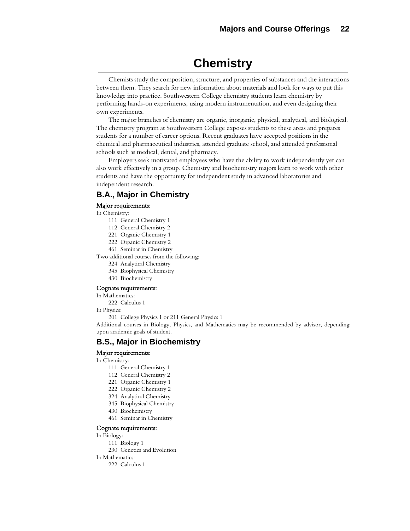# **Chemistry**

Chemists study the composition, structure, and properties of substances and the interactions between them. They search for new information about materials and look for ways to put this knowledge into practice. Southwestern College chemistry students learn chemistry by performing hands-on experiments, using modern instrumentation, and even designing their own experiments.

The major branches of chemistry are organic, inorganic, physical, analytical, and biological. The chemistry program at Southwestern College exposes students to these areas and prepares students for a number of career options. Recent graduates have accepted positions in the chemical and pharmaceutical industries, attended graduate school, and attended professional schools such as medical, dental, and pharmacy.

Employers seek motivated employees who have the ability to work independently yet can also work effectively in a group. Chemistry and biochemistry majors learn to work with other students and have the opportunity for independent study in advanced laboratories and independent research.

# **B.A., Major in Chemistry**

#### Major requirements:

In Chemistry:

- 111 General Chemistry 1
- 112 General Chemistry 2
- 221 Organic Chemistry 1
- 222 Organic Chemistry 2
- 461 Seminar in Chemistry

Two additional courses from the following:

- 324 Analytical Chemistry
- 345 Biophysical Chemistry
- 430 Biochemistry

#### Cognate requirements:

In Mathematics:

222 Calculus 1

In Physics:

201 College Physics 1 or 211 General Physics 1

Additional courses in Biology, Physics, and Mathematics may be recommended by advisor, depending upon academic goals of student.

## **B.S., Major in Biochemistry**

#### Major requirements:

In Chemistry:

- 111 General Chemistry 1
- 112 General Chemistry 2
- 221 Organic Chemistry 1
- 222 Organic Chemistry 2
- 324 Analytical Chemistry
- 345 Biophysical Chemistry
- 430 Biochemistry
- 461 Seminar in Chemistry

#### Cognate requirements:

In Biology:

- 111 Biology 1
- 230 Genetics and Evolution
- In Mathematics:

222 Calculus 1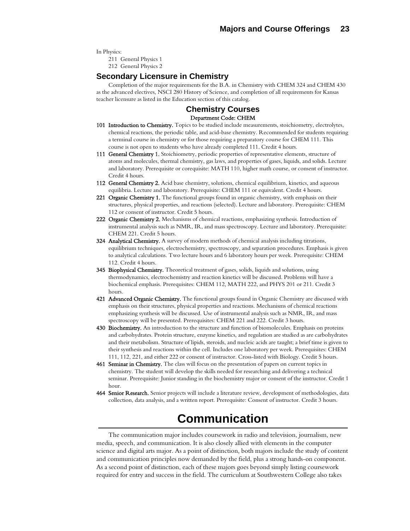In Physics:

211 General Physics 1

212 General Physics 2

### **Secondary Licensure in Chemistry**

 Completion of the major requirements for the B.A. in Chemistry with CHEM 324 and CHEM 430 as the advanced electives, NSCI 280 History of Science, and completion of all requirements for Kansas teacher licensure as listed in the Education section of this catalog.

#### **Chemistry Courses**  Department Code: CHEM

- 101 Introduction to Chemistry. Topics to be studied include measurements, stoichiometry, electrolytes, chemical reactions, the periodic table, and acid-base chemistry. Recommended for students requiring a terminal course in chemistry or for those requiring a preparatory course for CHEM 111. This course is not open to students who have already completed 111. Credit 4 hours.
- 111 General Chemistry 1. Stoichiometry, periodic properties of representative elements, structure of atoms and molecules, thermal chemistry, gas laws, and properties of gases, liquids, and solids. Lecture and laboratory. Prerequisite or corequisite: MATH 110, higher math course, or consent of instructor. Credit 4 hours.
- 112 General Chemistry 2. Acid base chemistry, solutions, chemical equilibrium, kinetics, and aqueous equilibria. Lecture and laboratory. Prerequisite: CHEM 111 or equivalent. Credit 4 hours.
- 221 Organic Chemistry 1. The functional groups found in organic chemistry, with emphasis on their structures, physical properties, and reactions (selected). Lecture and laboratory. Prerequisite: CHEM 112 or consent of instructor. Credit 5 hours.
- 222 Organic Chemistry 2. Mechanisms of chemical reactions, emphasizing synthesis. Introduction of instrumental analysis such as NMR, IR, and mass spectroscopy. Lecture and laboratory. Prerequisite: CHEM 221. Credit 5 hours.
- 324 Analytical Chemistry. A survey of modern methods of chemical analysis including titrations, equilibrium techniques, electrochemistry, spectroscopy, and separation procedures. Emphasis is given to analytical calculations. Two lecture hours and 6 laboratory hours per week. Prerequisite: CHEM 112. Credit 4 hours.
- 345 Biophysical Chemistry. Theoretical treatment of gases, solids, liquids and solutions, using thermodynamics, electrochemistry and reaction kinetics will be discussed. Problems will have a biochemical emphasis. Prerequisites: CHEM 112, MATH 222, and PHYS 201 or 211. Credit 3 hours.
- 421 Advanced Organic Chemistry. The functional groups found in Organic Chemistry are discussed with emphasis on their structures, physical properties and reactions. Mechanisms of chemical reactions emphasizing synthesis will be discussed. Use of instrumental analysis such as NMR, IR, and mass spectroscopy will be presented. Prerequisites: CHEM 221 and 222. Credit 3 hours.
- 430 Biochemistry. An introduction to the structure and function of biomolecules. Emphasis on proteins and carbohydrates. Protein structure, enzyme kinetics, and regulation are studied as are carbohydrates and their metabolism. Structure of lipids, steroids, and nucleic acids are taught; a brief time is given to their synthesis and reactions within the cell. Includes one laboratory per week. Prerequisites: CHEM 111, 112, 221, and either 222 or consent of instructor. Cross-listed with Biology. Credit 5 hours.
- 461 Seminar in Chemistry. The class will focus on the presentation of papers on current topics in chemistry. The student will develop the skills needed for researching and delivering a technical seminar. Prerequisite: Junior standing in the biochemistry major or consent of the instructor. Credit 1 hour.
- **464 Senior Research.** Senior projects will include a literature review, development of methodologies, data collection, data analysis, and a written report. Prerequisite: Consent of instructor. Credit 3 hours.

# **Communication**

The communication major includes coursework in radio and television, journalism, new media, speech, and communication. It is also closely allied with elements in the computer science and digital arts major. As a point of distinction, both majors include the study of content and communication principles now demanded by the field, plus a strong hands-on component. As a second point of distinction, each of these majors goes beyond simply listing coursework required for entry and success in the field. The curriculum at Southwestern College also takes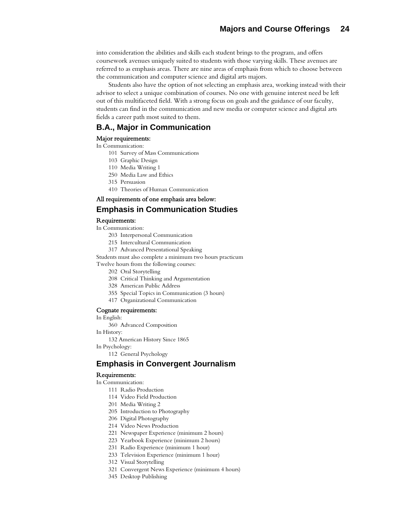into consideration the abilities and skills each student brings to the program, and offers coursework avenues uniquely suited to students with those varying skills. These avenues are referred to as emphasis areas. There are nine areas of emphasis from which to choose between the communication and computer science and digital arts majors.

Students also have the option of not selecting an emphasis area, working instead with their advisor to select a unique combination of courses. No one with genuine interest need be left out of this multifaceted field. With a strong focus on goals and the guidance of our faculty, students can find in the communication and new media or computer science and digital arts fields a career path most suited to them.

# **B.A., Major in Communication**

#### Major requirements:

#### In Communication:

- 101 Survey of Mass Communications
- 103 Graphic Design
- 110 Media Writing 1
- 250 Media Law and Ethics
- 315 Persuasion
- 410 Theories of Human Communication

# All requirements of one emphasis area below:

## **Emphasis in Communication Studies**

#### Requirements:

- In Communication:
	- 203 Interpersonal Communication
	- 215 Intercultural Communication
	- 317 Advanced Presentational Speaking

Students must also complete a minimum two hours practicum

- Twelve hours from the following courses:
	- 202 Oral Storytelling
	- 208 Critical Thinking and Argumentation
	- 328 American Public Address
	- 355 Special Topics in Communication (3 hours)
	- 417 Organizational Communication

#### Cognate requirements:

- In English:
	- 360 Advanced Composition
- In History:

132 American History Since 1865

In Psychology:

112 General Psychology

### **Emphasis in Convergent Journalism**

#### Requirements:

In Communication:

- 111 Radio Production
- 114 Video Field Production
- 201 Media Writing 2
- 205 Introduction to Photography
- 206 Digital Photography
- 214 Video News Production
- 221 Newspaper Experience (minimum 2 hours)
- 223 Yearbook Experience (minimum 2 hours)
- 231 Radio Experience (minimum 1 hour)
- 233 Television Experience (minimum 1 hour)
- 312 Visual Storytelling
- 321 Convergent News Experience (minimum 4 hours)
- 345 Desktop Publishing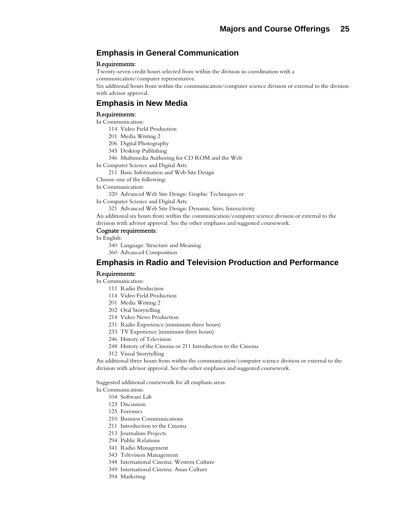# **Emphasis in General Communication**

#### Requirements:

Twenty-seven credit hours selected from within the division in coordination with a communication/computer representative.

Six additional hours from within the communication/computer science division or external to the division with advisor approval.

# **Emphasis in New Media**

#### Requirements:

- In Communication:
	- 114 Video Field Production
	- 201 Media Writing 2
	- 206 Digital Photography
	- 345 Desktop Publishing
	- 346 Multimedia Authoring for CD ROM and the Web

In Computer Science and Digital Arts:

211 Basic Information and Web Site Design

Choose one of the following:

In Communication:

320 Advanced Web Site Design: Graphic Techniques or

In Computer Science and Digital Arts:

321 Advanced Web Site Design: Dynamic Sites; Interactivity

An additional six hours from within the communication/computer science division or external to the division with advisor approval. See the other emphases and suggested coursework.

#### Cognate requirements:

In English:

- 340 Language: Structure and Meaning
- 360 Advanced Composition

# **Emphasis in Radio and Television Production and Performance**

#### Requirements:

In Communication:

- 111 Radio Production
- 114 Video Field Production
- 201 Media Writing 2
- 202 Oral Storytelling
- 214 Video News Production
- 231 Radio Experience (minimum three hours)
- 233 TV Experience (minimum three hours)
- 246 History of Television
- 248 History of the Cinema or 211 Introduction to the Cinema
- 312 Visual Storytelling

An additional three hours from within the communication/computer science division or external to the division with advisor approval. See the other emphases and suggested coursework.

Suggested additional coursework for all emphasis areas:

In Communication:

- 104 Software Lab
- 123 Discussion
- 125 Forensics
- 210 Business Communications
- 211 Introduction to the Cinema
- 213 Journalism Projects
- 294 Public Relations
- 341 Radio Management
- 343 Television Management
- 348 International Cinema: Western Culture
- 349 International Cinema: Asian Culture
- 394 Marketing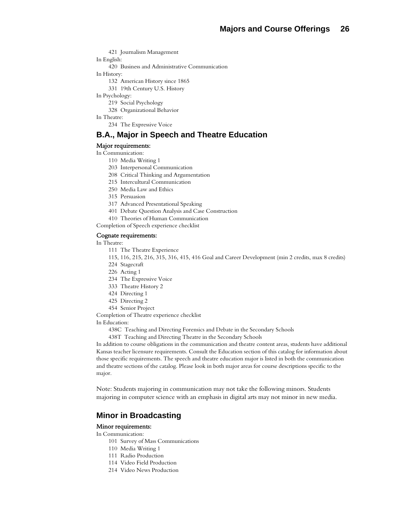421 Journalism Management In English:

420 Business and Administrative Communication

- In History:
	- 132 American History since 1865
	- 331 19th Century U.S. History
- In Psychology:
	- 219 Social Psychology
	- 328 Organizational Behavior
- In Theatre:

234 The Expressive Voice

# **B.A., Major in Speech and Theatre Education**

#### Major requirements:

- In Communication:
	- 110 Media Writing 1
	- 203 Interpersonal Communication
	- 208 Critical Thinking and Argumentation
	- 215 Intercultural Communication
	- 250 Media Law and Ethics
	- 315 Persuasion
	- 317 Advanced Presentational Speaking
	- 401 Debate Question Analysis and Case Construction
	- 410 Theories of Human Communication

Completion of Speech experience checklist

#### Cognate requirements:

In Theatre:

- 111 The Theatre Experience
- 115, 116, 215, 216, 315, 316, 415, 416 Goal and Career Development (min 2 credits, max 8 credits)
- 224 Stagecraft
- 226 Acting 1
- 234 The Expressive Voice
- 333 Theatre History 2
- 424 Directing 1
- 425 Directing 2
- 454 Senior Project

Completion of Theatre experience checklist

In Education:

438C Teaching and Directing Forensics and Debate in the Secondary Schools

438T Teaching and Directing Theatre in the Secondary Schools

In addition to course obligations in the communication and theatre content areas, students have additional Kansas teacher licensure requirements. Consult the Education section of this catalog for information about those specific requirements. The speech and theatre education major is listed in both the communication and theatre sections of the catalog. Please look in both major areas for course descriptions specific to the major.

Note: Students majoring in communication may not take the following minors. Students majoring in computer science with an emphasis in digital arts may not minor in new media.

## **Minor in Broadcasting**

#### Minor requirements:

In Communication:

- 101 Survey of Mass Communications
- 110 Media Writing 1
- 111 Radio Production
- 114 Video Field Production
- 214 Video News Production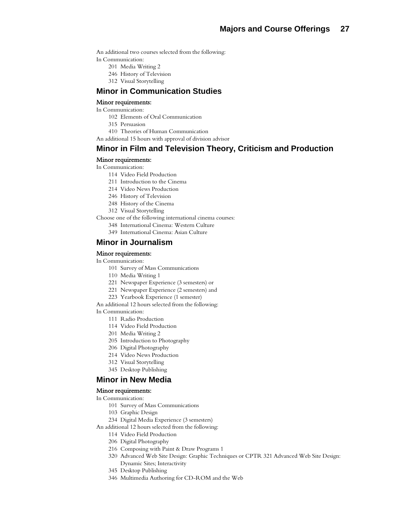An additional two courses selected from the following: In Communication:

- 201 Media Writing 2
- 246 History of Television
- 312 Visual Storytelling

# **Minor in Communication Studies**

#### Minor requirements:

In Communication:

- 102 Elements of Oral Communication
- 315 Persuasion
- 410 Theories of Human Communication
- An additional 15 hours with approval of division advisor

# **Minor in Film and Television Theory, Criticism and Production**

#### Minor requirements:

In Communication:

- 114 Video Field Production
- 211 Introduction to the Cinema
- 214 Video News Production
- 246 History of Television
- 248 History of the Cinema
- 312 Visual Storytelling
- Choose one of the following international cinema courses:
	- 348 International Cinema: Western Culture
	- 349 International Cinema: Asian Culture

## **Minor in Journalism**

#### Minor requirements:

#### In Communication:

- 101 Survey of Mass Communications
- 110 Media Writing 1
- 221 Newspaper Experience (3 semesters) or
- 221 Newspaper Experience (2 semesters) and
- 223 Yearbook Experience (1 semester)

An additional 12 hours selected from the following:

In Communication:

- 111 Radio Production
- 114 Video Field Production
- 201 Media Writing 2
- 205 Introduction to Photography
- 206 Digital Photography
- 214 Video News Production
- 312 Visual Storytelling
- 345 Desktop Publishing

### **Minor in New Media**

#### Minor requirements:

- In Communication:
	- 101 Survey of Mass Communications
	- 103 Graphic Design
	- 234 Digital Media Experience (3 semesters)
- An additional 12 hours selected from the following:
	- 114 Video Field Production
	- 206 Digital Photography
	- 216 Composing with Paint & Draw Programs 1
	- 320 Advanced Web Site Design: Graphic Techniques or CPTR 321 Advanced Web Site Design: Dynamic Sites; Interactivity
	- 345 Desktop Publishing
	- 346 Multimedia Authoring for CD-ROM and the Web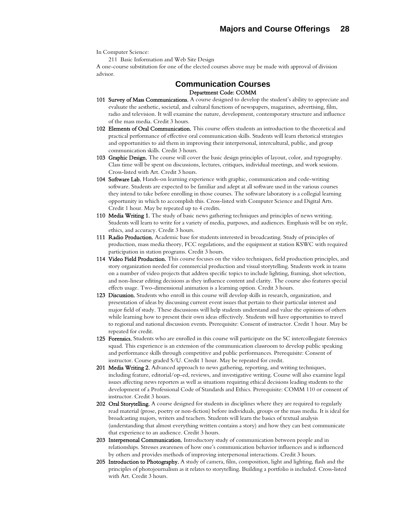In Computer Science:

211 Basic Information and Web Site Design

A one-course substitution for one of the elected courses above may be made with approval of division advisor.

# **Communication Courses**  Department Code: COMM

- 101 Survey of Mass Communications. A course designed to develop the student's ability to appreciate and evaluate the aesthetic, societal, and cultural functions of newspapers, magazines, advertising, film, radio and television. It will examine the nature, development, contemporary structure and influence of the mass media. Credit 3 hours.
- 102 Elements of Oral Communication. This course offers students an introduction to the theoretical and practical performance of effective oral communication skills. Students will learn rhetorical strategies and opportunities to aid them in improving their interpersonal, intercultural, public, and group communication skills. Credit 3 hours.
- 103 Graphic Design. The course will cover the basic design principles of layout, color, and typography. Class time will be spent on discussions, lectures, critiques, individual meetings, and work sessions. Cross-listed with Art. Credit 3 hours.
- 104 Software Lab. Hands-on learning experience with graphic, communication and code-writing software. Students are expected to be familiar and adept at all software used in the various courses they intend to take before enrolling in those courses. The software laboratory is a collegial learning opportunity in which to accomplish this. Cross-listed with Computer Science and Digital Arts. Credit 1 hour. May be repeated up to 4 credits.
- 110 Media Writing 1. The study of basic news gathering techniques and principles of news writing. Students will learn to write for a variety of media, purposes, and audiences. Emphasis will be on style, ethics, and accuracy. Credit 3 hours.
- 111 Radio Production. Academic base for students interested in broadcasting. Study of principles of production, mass media theory, FCC regulations, and the equipment at station KSWC with required participation in station programs. Credit 3 hours.
- 114 Video Field Production. This course focuses on the video techniques, field production principles, and story organization needed for commercial production and visual storytelling. Students work in teams on a number of video projects that address specific topics to include lighting, framing, shot selection, and non-linear editing decisions as they influence content and clarity. The course also features special effects usage. Two-dimensional animation is a learning option. Credit 3 hours.
- 123 Discussion. Students who enroll in this course will develop skills in research, organization, and presentation of ideas by discussing current event issues that pertain to their particular interest and major field of study. These discussions will help students understand and value the opinions of others while learning how to present their own ideas effectively. Students will have opportunities to travel to regional and national discussion events. Prerequisite: Consent of instructor. Credit 1 hour. May be repeated for credit.
- 125 Forensics. Students who are enrolled in this course will participate on the SC intercollegiate forensics squad. This experience is an extension of the communication classroom to develop public speaking and performance skills through competitive and public performances. Prerequisite: Consent of instructor. Course graded S/U. Credit 1 hour. May be repeated for credit.
- 201 Media Writing 2. Advanced approach to news gathering, reporting, and writing techniques, including feature, editorial/op-ed, reviews, and investigative writing. Course will also examine legal issues affecting news reporters as well as situations requiring ethical decisions leading students to the development of a Professional Code of Standards and Ethics. Prerequisite: COMM 110 or consent of instructor. Credit 3 hours.
- 202 Oral Storytelling. A course designed for students in disciplines where they are required to regularly read material (prose, poetry or non-fiction) before individuals, groups or the mass media. It is ideal for broadcasting majors, writers and teachers. Students will learn the basics of textual analysis (understanding that almost everything written contains a story) and how they can best communicate that experience to an audience. Credit 3 hours.
- 203 Interpersonal Communication. Introductory study of communication between people and in relationships. Stresses awareness of how one's communication behavior influences and is influenced by others and provides methods of improving interpersonal interactions. Credit 3 hours.
- 205 Introduction to Photography. A study of camera, film, composition, light and lighting, flash and the principles of photojournalism as it relates to storytelling. Building a portfolio is included. Cross-listed with Art. Credit 3 hours.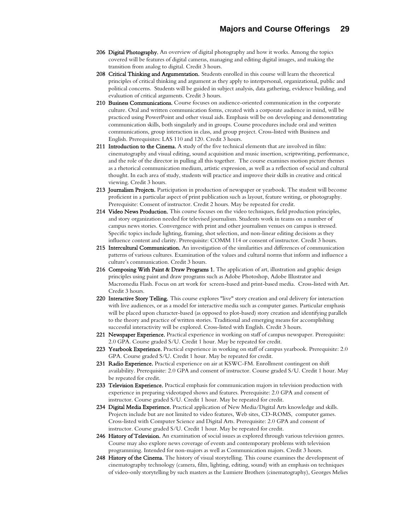- 206 Digital Photography. An overview of digital photography and how it works. Among the topics covered will be features of digital cameras, managing and editing digital images, and making the transition from analog to digital. Credit 3 hours.
- 208 Critical Thinking and Argumentation. Students enrolled in this course will learn the theoretical principles of critical thinking and argument as they apply to interpersonal, organizational, public and political concerns. Students will be guided in subject analysis, data gathering, evidence building, and evaluation of critical arguments. Credit 3 hours.
- 210 Business Communications. Course focuses on audience-oriented communication in the corporate culture. Oral and written communication forms, created with a corporate audience in mind, will be practiced using PowerPoint and other visual aids. Emphasis will be on developing and demonstrating communication skills, both singularly and in groups. Course procedures include oral and written communications, group interaction in class, and group project. Cross-listed with Business and English. Prerequisites: LAS 110 and 120. Credit 3 hours.
- 211 Introduction to the Cinema. A study of the five technical elements that are involved in film: cinematography and visual editing, sound acquisition and music insertion, scriptwriting, performance, and the role of the director in pulling all this together. The course examines motion picture themes as a rhetorical communication medium, artistic expression, as well as a reflection of social and cultural thought. In each area of study, students will practice and improve their skills in creative and critical viewing. Credit 3 hours.
- 213 Journalism Projects. Participation in production of newspaper or yearbook. The student will become proficient in a particular aspect of print publication such as layout, feature writing, or photography. Prerequisite: Consent of instructor. Credit 2 hours. May be repeated for credit.
- 214 Video News Production. This course focuses on the video techniques, field production principles, and story organization needed for televised journalism. Students work in teams on a number of campus news stories. Convergence with print and other journalism venues on campus is stressed. Specific topics include lighting, framing, shot selection, and non-linear editing decisions as they influence content and clarity. Prerequisite: COMM 114 or consent of instructor. Credit 3 hours.
- 215 Intercultural Communication. An investigation of the similarities and differences of communication patterns of various cultures. Examination of the values and cultural norms that inform and influence a culture's communication. Credit 3 hours.
- 216 Composing With Paint & Draw Programs 1. The application of art, illustration and graphic design principles using paint and draw programs such as Adobe Photoshop, Adobe Illustrator and Macromedia Flash. Focus on art work for screen-based and print-based media. Cross-listed with Art. Credit 3 hours.
- 220 Interactive Story Telling. This course explores "live" story creation and oral delivery for interaction with live audiences, or as a model for interactive media such as computer games. Particular emphasis will be placed upon character-based (as opposed to plot-based) story creation and identifying parallels to the theory and practice of written stories. Traditional and emerging means for accomplishing successful interactivity will be explored. Cross-listed with English. Credit 3 hours.
- 221 Newspaper Experience. Practical experience in working on staff of campus newspaper. Prerequisite: 2.0 GPA. Course graded S/U. Credit 1 hour. May be repeated for credit.
- 223 Yearbook Experience. Practical experience in working on staff of campus yearbook. Prerequisite: 2.0 GPA. Course graded S/U. Credit 1 hour. May be repeated for credit.
- 231 Radio Experience. Practical experience on air at KSWC-FM. Enrollment contingent on shift availability. Prerequisite: 2.0 GPA and consent of instructor. Course graded S/U. Credit 1 hour. May be repeated for credit.
- 233 Television Experience. Practical emphasis for communication majors in television production with experience in preparing videotaped shows and features. Prerequisite: 2.0 GPA and consent of instructor. Course graded S/U. Credit 1 hour. May be repeated for credit.
- 234 Digital Media Experience. Practical application of New Media/Digital Arts knowledge and skills. Projects include but are not limited to video features, Web sites, CD-ROMS, computer games. Cross-listed with Computer Science and Digital Arts. Prerequisite: 2.0 GPA and consent of instructor. Course graded S/U. Credit 1 hour. May be repeated for credit.
- 246 History of Television. An examination of social issues as explored through various television genres. Course may also explore news coverage of events and contemporary problems with television programming. Intended for non-majors as well as Communication majors. Credit 3 hours.
- 248 History of the Cinema. The history of visual storytelling. This course examines the development of cinematography technology (camera, film, lighting, editing, sound) with an emphasis on techniques of video-only storytelling by such masters as the Lumiere Brothers (cinematography), Georges Melies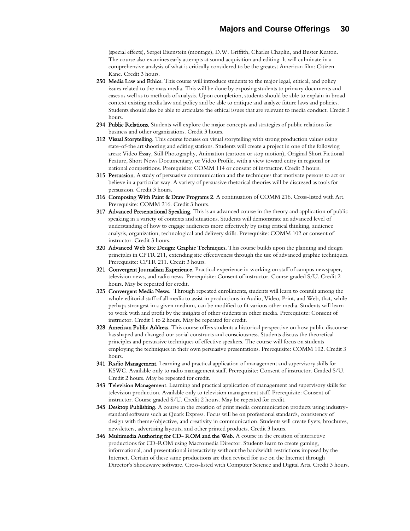(special effects), Sergei Eisenstein (montage), D.W. Griffith, Charles Chaplin, and Buster Keaton. The course also examines early attempts at sound acquisition and editing. It will culminate in a comprehensive analysis of what is critically considered to be the greatest American film: Citizen Kane. Credit 3 hours.

- 250 Media Law and Ethics. This course will introduce students to the major legal, ethical, and policy issues related to the mass media. This will be done by exposing students to primary documents and cases as well as to methods of analysis. Upon completion, students should be able to explain in broad context existing media law and policy and be able to critique and analyze future laws and policies. Students should also be able to articulate the ethical issues that are relevant to media conduct. Credit 3 hours.
- 294 Public Relations. Students will explore the major concepts and strategies of public relations for business and other organizations. Credit 3 hours.
- 312 Visual Storytelling. This course focuses on visual storytelling with strong production values using state-of-the art shooting and editing stations. Students will create a project in one of the following areas: Video Essay, Still Photography, Animation (cartoon or stop motion), Original Short Fictional Feature, Short News Documentary, or Video Profile, with a view toward entry in regional or national competitions. Prerequisite: COMM 114 or consent of instructor. Credit 3 hours.
- **315 Persuasion.** A study of persuasive communication and the techniques that motivate persons to act or believe in a particular way. A variety of persuasive rhetorical theories will be discussed as tools for persuasion. Credit 3 hours.
- 316 Composing With Paint & Draw Programs 2. A continuation of COMM 216. Cross-listed with Art. Prerequisite: COMM 216. Credit 3 hours.
- 317 Advanced Presentational Speaking. This is an advanced course in the theory and application of public speaking in a variety of contexts and situations. Students will demonstrate an advanced level of understanding of how to engage audiences more effectively by using critical thinking, audience analysis, organization, technological and delivery skills. Prerequisite: COMM 102 or consent of instructor. Credit 3 hours.
- 320 Advanced Web Site Design: Graphic Techniques. This course builds upon the planning and design principles in CPTR 211, extending site effectiveness through the use of advanced graphic techniques. Prerequisite: CPTR 211. Credit 3 hours.
- 321 Convergent Journalism Experience. Practical experience in working on staff of campus newspaper, television news, and radio news. Prerequisite: Consent of instructor. Course graded S/U. Credit 2 hours. May be repeated for credit.
- 325 Convergent Media News. Through repeated enrollments, students will learn to consult among the whole editorial staff of all media to assist in productions in Audio, Video, Print, and Web, that, while perhaps strongest in a given medium, can be modified to fit various other media. Students will learn to work with and profit by the insights of other students in other media. Prerequisite: Consent of instructor. Credit 1 to 2 hours. May be repeated for credit.
- 328 American Public Address. This course offers students a historical perspective on how public discourse has shaped and changed our social constructs and consciousness. Students discuss the theoretical principles and persuasive techniques of effective speakers. The course will focus on students employing the techniques in their own persuasive presentations. Prerequisite: COMM 102. Credit 3 hours.
- 341 Radio Management. Learning and practical application of management and supervisory skills for KSWC. Available only to radio management staff. Prerequisite: Consent of instructor. Graded S/U. Credit 2 hours. May be repeated for credit.
- 343 Television Management. Learning and practical application of management and supervisory skills for television production. Available only to television management staff. Prerequisite: Consent of instructor. Course graded S/U. Credit 2 hours. May be repeated for credit.
- **345 Desktop Publishing.** A course in the creation of print media communication products using industrystandard software such as Quark Express. Focus will be on professional standards, consistency of design with theme/objective, and creativity in communication. Students will create flyers, brochures, newsletters, advertising layouts, and other printed products. Credit 3 hours.
- 346 Multimedia Authoring for CD- ROM and the Web. A course in the creation of interactive productions for CD-ROM using Macromedia Director. Students learn to create gaming, informational, and presentational interactivity without the bandwidth restrictions imposed by the Internet. Certain of these same productions are then revised for use on the Internet through Director's Shockwave software. Cross-listed with Computer Science and Digital Arts. Credit 3 hours.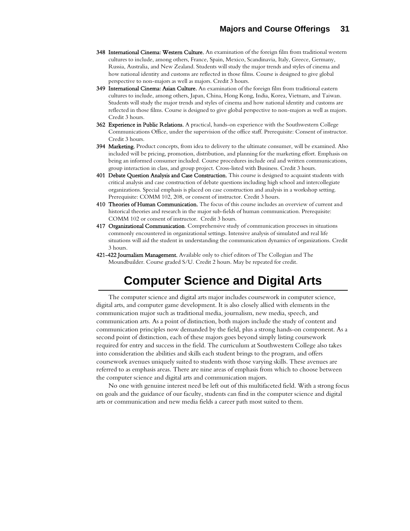- 348 International Cinema: Western Culture. An examination of the foreign film from traditional western cultures to include, among others, France, Spain, Mexico, Scandinavia, Italy, Greece, Germany, Russia, Australia, and New Zealand. Students will study the major trends and styles of cinema and how national identity and customs are reflected in those films. Course is designed to give global perspective to non-majors as well as majors. Credit 3 hours.
- 349 International Cinema: Asian Culture. An examination of the foreign film from traditional eastern cultures to include, among others, Japan, China, Hong Kong, India, Korea, Vietnam, and Taiwan. Students will study the major trends and styles of cinema and how national identity and customs are reflected in those films. Course is designed to give global perspective to non-majors as well as majors. Credit 3 hours.
- 362 Experience in Public Relations. A practical, hands-on experience with the Southwestern College Communications Office, under the supervision of the office staff. Prerequisite: Consent of instructor. Credit 3 hours.
- 394 Marketing. Product concepts, from idea to delivery to the ultimate consumer, will be examined. Also included will be pricing, promotion, distribution, and planning for the marketing effort. Emphasis on being an informed consumer included. Course procedures include oral and written communications, group interaction in class, and group project. Cross-listed with Business. Credit 3 hours.
- 401 Debate Question Analysis and Case Construction. This course is designed to acquaint students with critical analysis and case construction of debate questions including high school and intercollegiate organizations. Special emphasis is placed on case construction and analysis in a workshop setting. Prerequisite: COMM 102, 208, or consent of instructor. Credit 3 hours.
- 410 Theories of Human Communication. The focus of this course includes an overview of current and historical theories and research in the major sub-fields of human communication. Prerequisite: COMM 102 or consent of instructor. Credit 3 hours.
- 417 Organizational Communication. Comprehensive study of communication processes in situations commonly encountered in organizational settings. Intensive analysis of simulated and real life situations will aid the student in understanding the communication dynamics of organizations. Credit 3 hours.
- 421-422 Journalism Management. Available only to chief editors of The Collegian and The Moundbuilder. Course graded S/U. Credit 2 hours. May be repeated for credit.

# **Computer Science and Digital Arts**

The computer science and digital arts major includes coursework in computer science, digital arts, and computer game development. It is also closely allied with elements in the communication major such as traditional media, journalism, new media, speech, and communication arts. As a point of distinction, both majors include the study of content and communication principles now demanded by the field, plus a strong hands-on component. As a second point of distinction, each of these majors goes beyond simply listing coursework required for entry and success in the field. The curriculum at Southwestern College also takes into consideration the abilities and skills each student brings to the program, and offers coursework avenues uniquely suited to students with those varying skills. These avenues are referred to as emphasis areas. There are nine areas of emphasis from which to choose between the computer science and digital arts and communication majors.

No one with genuine interest need be left out of this multifaceted field. With a strong focus on goals and the guidance of our faculty, students can find in the computer science and digital arts or communication and new media fields a career path most suited to them.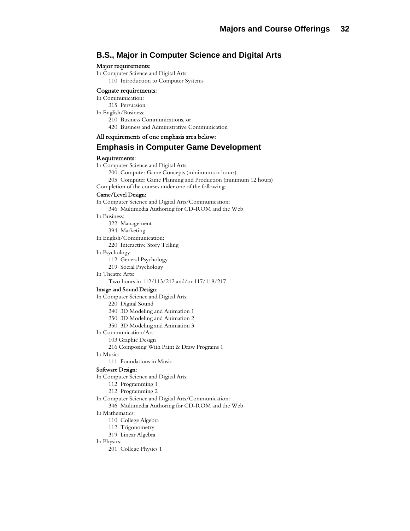# **B.S., Major in Computer Science and Digital Arts**

#### Major requirements:

In Computer Science and Digital Arts:

110 Introduction to Computer Systems

#### Cognate requirements:

#### In Communication:

315 Persuasion

- In English/Business:
	- 210 Business Communications, or
	- 420 Business and Administrative Communication

### All requirements of one emphasis area below:

# **Emphasis in Computer Game Development**

#### Requirements:

In Computer Science and Digital Arts:

- 200 Computer Game Concepts (minimum six hours)
- 205 Computer Game Planning and Production (minimum 12 hours)

Completion of the courses under one of the following:

Game/Level Design: In Computer Science and Digital Arts/Communication: 346 Multimedia Authoring for CD-ROM and the Web In Business: 322 Management 394 Marketing In English/Communication: 220 Interactive Story Telling In Psychology: 112 General Psychology 219 Social Psychology In Theatre Arts: Two hours in 112/113/212 and/or 117/118/217 Image and Sound Design: In Computer Science and Digital Arts: 220 Digital Sound 240 3D Modeling and Animation 1 250 3D Modeling and Animation 2 350 3D Modeling and Animation 3 In Communication/Art: 103 Graphic Design 216 Composing With Paint & Draw Programs 1 In Music: 111 Foundations in Music Software Design: In Computer Science and Digital Arts: 112 Programming 1

212 Programming 2

In Computer Science and Digital Arts/Communication:

346 Multimedia Authoring for CD-ROM and the Web

#### In Mathematics:

- 110 College Algebra
- 112 Trigonometry
- 319 Linear Algebra

#### In Physics:

201 College Physics 1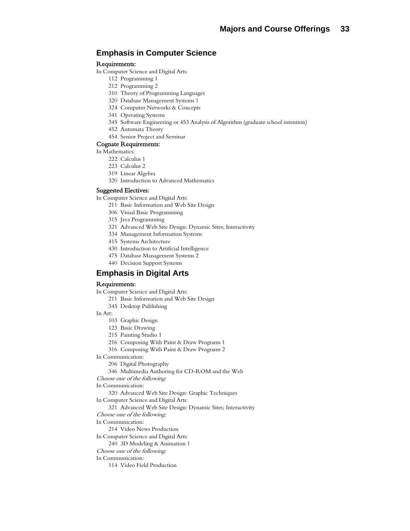# **Emphasis in Computer Science**

#### Requirements:

- In Computer Science and Digital Arts:
	- 112 Programming 1
	- 212 Programming 2
	- 310 Theory of Programming Languages
	- 320 Database Management Systems 1
	- 324 Computer Networks & Concepts
	- 341 Operating Systems
	- 345 Software Engineering or 453 Analysis of Algorithm (graduate school intention)
	- 452 Automata Theory
	- 454 Senior Project and Seminar

#### Cognate Requirements:

- In Mathematics:
	- 222 Calculus 1
	- 223 Calculus 2
	- 319 Linear Algebra
	- 320 Introduction to Advanced Mathematics

#### Suggested Electives:

In Computer Science and Digital Arts:

- 211 Basic Information and Web Site Design
- 306 Visual Basic Programming
- 315 Java Programming
- 321 Advanced Web Site Design: Dynamic Sites; Interactivity
- 334 Management Information Systems
- 415 Systems Architecture
- 430 Introduction to Artificial Intelligence
- 475 Database Management Systems 2
- 440 Decision Support Systems

# **Emphasis in Digital Arts**

#### Requirements:

- In Computer Science and Digital Arts:
	- 211 Basic Information and Web Site Design
	- 345 Desktop Publishing

#### In Art:

- 103 Graphic Design
- 123 Basic Drawing
- 215 Painting Studio 1
- 216 Composing With Paint & Draw Programs 1
- 316 Composing With Paint & Draw Programs 2
- In Communication:
	- 206 Digital Photography
	- 346 Multimedia Authoring for CD-ROM and the Web
- Choose one of the following:

In Communication:

320 Advanced Web Site Design: Graphic Techniques

In Computer Science and Digital Arts:

- 321 Advanced Web Site Design: Dynamic Sites; Interactivity
- Choose one of the following:
- In Communication:
	- 214 Video News Production
- In Computer Science and Digital Arts:
	- 240 3D Modeling & Animation 1
- Choose one of the following:

#### In Communication:

114 Video Field Production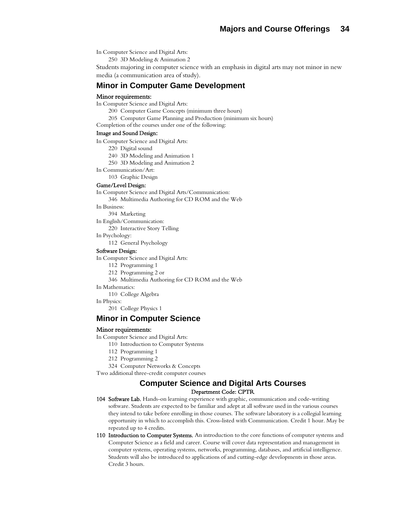In Computer Science and Digital Arts:

250 3D Modeling & Animation 2

Students majoring in computer science with an emphasis in digital arts may not minor in new media (a communication area of study).

## **Minor in Computer Game Development**

#### Minor requirements:

In Computer Science and Digital Arts:

200 Computer Game Concepts (minimum three hours)

- 205 Computer Game Planning and Production (minimum six hours)
- Completion of the courses under one of the following:

#### Image and Sound Design:

In Computer Science and Digital Arts:

220 Digital sound

- 240 3D Modeling and Animation 1
- 250 3D Modeling and Animation 2
- In Communication/Art:

103 Graphic Design

#### Game/Level Design:

In Computer Science and Digital Arts/Communication:

346 Multimedia Authoring for CD ROM and the Web

In Business:

394 Marketing

In English/Communication:

220 Interactive Story Telling

In Psychology:

112 General Psychology

#### Software Design:

In Computer Science and Digital Arts:

- 112 Programming 1
- 212 Programming 2 or
- 346 Multimedia Authoring for CD ROM and the Web
- In Mathematics:

110 College Algebra

#### In Physics:

201 College Physics 1

#### **Minor in Computer Science**

#### Minor requirements:

In Computer Science and Digital Arts:

- 110 Introduction to Computer Systems
- 112 Programming 1
- 212 Programming 2

324 Computer Networks & Concepts

Two additional three-credit computer courses

## **Computer Science and Digital Arts Courses**  Department Code: CPTR

- 104 Software Lab. Hands-on learning experience with graphic, communication and code-writing software. Students are expected to be familiar and adept at all software used in the various courses they intend to take before enrolling in those courses. The software laboratory is a collegial learning opportunity in which to accomplish this. Cross-listed with Communication. Credit 1 hour. May be repeated up to 4 credits.
- 110 Introduction to Computer Systems. An introduction to the core functions of computer systems and Computer Science as a field and career. Course will cover data representation and management in computer systems, operating systems, networks, programming, databases, and artificial intelligence. Students will also be introduced to applications of and cutting-edge developments in those areas. Credit 3 hours.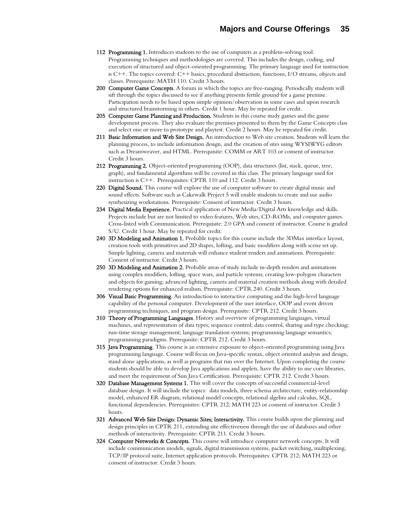- 112 Programming 1. Introduces students to the use of computers as a problem-solving tool. Programming techniques and methodologies are covered. This includes the design, coding, and execution of structured and object-oriented programming. The primary language used for instruction is C++. The topics covered: C++ basics, procedural abstraction, functions, I/O streams, objects and classes. Prerequisite: MATH 110. Credit 3 hours.
- 200 Computer Game Concepts. A forum in which the topics are free-ranging. Periodically students will sift through the topics discussed to see if anything presents fertile ground for a game premise. Participation needs to be based upon simple opinion/observation in some cases and upon research and structured brainstorming in others. Credit 1 hour. May be repeated for credit.
- 205 Computer Game Planning and Production. Students in this course study games and the game development process. They also evaluate the premises presented to them by the Game Concepts class and select one or more to prototype and playtest. Credit 2 hours. May be repeated for credit.
- 211 Basic Information and Web Site Design. An introduction to Web site creation. Students will learn the planning process, to include information design, and the creation of sites using WYSIWYG editors such as Dreamweaver, and HTML. Prerequisite: COMM or ART 103 or consent of instructor. Credit 3 hours.
- 212 Programming 2. Object-oriented programming (OOP), data structures (list, stack, queue, tree, graph), and fundamental algorithms will be covered in this class. The primary language used for instruction is C++. Prerequisites: CPTR 110 and 112. Credit 3 hours.
- 220 Digital Sound. This course will explore the use of computer software to create digital music and sound effects. Software such as Cakewalk Project 5 will enable students to create and use audio synthesizing workstations. Prerequisite: Consent of instructor. Credit 3 hours.
- 234 Digital Media Experience. Practical application of New Media/Digital Arts knowledge and skills. Projects include but are not limited to video features, Web sites, CD-ROMs, and computer games. Cross-listed with Communication. Prerequisite: 2.0 GPA and consent of instructor. Course is graded S/U. Credit 1 hour. May be repeated for credit.
- 240 3D Modeling and Animation 1. Probable topics for this course include the 3DMax interface layout, creation tools with primitives and 2D shapes, lofting, and basic modifiers along with scene set up. Simple lighting, camera and materials will enhance student renders and animations. Prerequisite: Consent of instructor. Credit 3 hours.
- 250 3D Modeling and Animation 2. Probable areas of study include in-depth renders and animations using complex modifiers, lofting, space wars, and particle systems; creating low-polygon characters and objects for gaming; advanced lighting, camera and material creation methods along with detailed rendering options for enhanced realism. Prerequisite: CPTR 240. Credit 3 hours.
- 306 Visual Basic Programming. An introduction to interactive computing and the high-level language capability of the personal computer. Development of the user interface, OOP and event driven programming techniques, and program design. Prerequisite: CPTR 212. Credit 3 hours.
- 310 Theory of Programming Languages. History and overview of programming languages, virtual machines, and representation of data types; sequence control; data control, sharing and type checking; run-time storage management; language translation systems; programming language semantics; programming paradigms. Prerequisite: CPTR 212. Credit 3 hours.
- 315 Java Programming. This course is an extensive exposure to object-oriented programming using Java programming language. Course will focus on Java-specific syntax, object oriented analysis and design, stand alone applications, as well as programs that run over the Internet. Upon completing the course students should be able to develop Java applications and applets, have the ability to use core libraries, and meet the requirement of Sun Java Certification. Prerequisite: CPTR 212. Credit 3 hours.
- 320 Database Management Systems 1. This will cover the concepts of successful commercial-level database design. It will include the topics: data models, three schema architecture, entity-relationship model, enhanced ER diagram, relational model concepts, relational algebra and calculus, SQL, functional dependencies. Prerequisites: CPTR 212; MATH 223 or consent of instructor. Credit 3 hours.
- 321 Advanced Web Site Design: Dynamic Sites; Interactivity. This course builds upon the planning and design principles in CPTR 211, extending site effectiveness through the use of databases and other methods of interactivity. Prerequisite: CPTR 211. Credit 3 hours.
- 324 Computer Networks & Concepts. This course will introduce computer network concepts. It will include communication models, signals, digital transmission systems, packet switching, multiplexing, TCP/IP protocol suite, Internet application protocols. Prerequisites: CPTR 212; MATH 223 or consent of instructor. Credit 3 hours.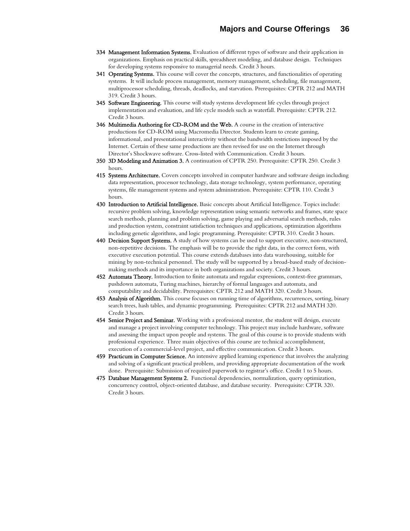- 334 Management Information Systems. Evaluation of different types of software and their application in organizations. Emphasis on practical skills, spreadsheet modeling, and database design. Techniques for developing systems responsive to managerial needs. Credit 3 hours.
- 341 Operating Systems. This course will cover the concepts, structures, and functionalities of operating systems. It will include process management, memory management, scheduling, file management, multiprocessor scheduling, threads, deadlocks, and starvation. Prerequisites: CPTR 212 and MATH 319. Credit 3 hours.
- 345 Software Engineering. This course will study systems development life cycles through project implementation and evaluation, and life cycle models such as waterfall. Prerequisite: CPTR 212. Credit 3 hours.
- 346 Multimedia Authoring for CD-ROM and the Web. A course in the creation of interactive productions for CD-ROM using Macromedia Director. Students learn to create gaming, informational, and presentational interactivity without the bandwidth restrictions imposed by the Internet. Certain of these same productions are then revised for use on the Internet through Director's Shockwave software. Cross-listed with Communication. Credit 3 hours.
- 350 3D Modeling and Animation 3. A continuation of CPTR 250. Prerequisite: CPTR 250. Credit 3 hours.
- 415 Systems Architecture. Covers concepts involved in computer hardware and software design including data representation, processor technology, data storage technology, system performance, operating systems, file management systems and system administration. Prerequisite: CPTR 110. Credit 3 hours.
- 430 Introduction to Artificial Intelligence. Basic concepts about Artificial Intelligence. Topics include: recursive problem solving, knowledge representation using semantic networks and frames, state space search methods, planning and problem solving, game playing and adversarial search methods, rules and production system, constraint satisfaction techniques and applications, optimization algorithms including genetic algorithms, and logic programming. Prerequisite: CPTR 310. Credit 3 hours.
- 440 Decision Support Systems. A study of how systems can be used to support executive, non-structured, non-repetitive decisions. The emphasis will be to provide the right data, in the correct form, with executive execution potential. This course extends databases into data warehousing, suitable for mining by non-technical personnel. The study will be supported by a broad-based study of decisionmaking methods and its importance in both organizations and society. Credit 3 hours.
- 452 Automata Theory. Introduction to finite automata and regular expressions, context-free grammars, pushdown automata, Turing machines, hierarchy of formal languages and automata, and computability and decidability. Prerequisites: CPTR 212 and MATH 320. Credit 3 hours.
- 453 Analysis of Algorithm. This course focuses on running time of algorithms, recurrences, sorting, binary search trees, hash tables, and dynamic programming. Prerequisites: CPTR 212 and MATH 320. Credit 3 hours.
- 454 Senior Project and Seminar. Working with a professional mentor, the student will design, execute and manage a project involving computer technology. This project may include hardware, software and assessing the impact upon people and systems. The goal of this course is to provide students with professional experience. Three main objectives of this course are technical accomplishment, execution of a commercial-level project, and effective communication. Credit 3 hours.
- 459 Practicum in Computer Science. An intensive applied learning experience that involves the analyzing and solving of a significant practical problem, and providing appropriate documentation of the work done. Prerequisite: Submission of required paperwork to registrar's office. Credit 1 to 5 hours.
- 475 Database Management Systems 2. Functional dependencies, normalization, query optimization, concurrency control, object-oriented database, and database security. Prerequisite: CPTR 320. Credit 3 hours.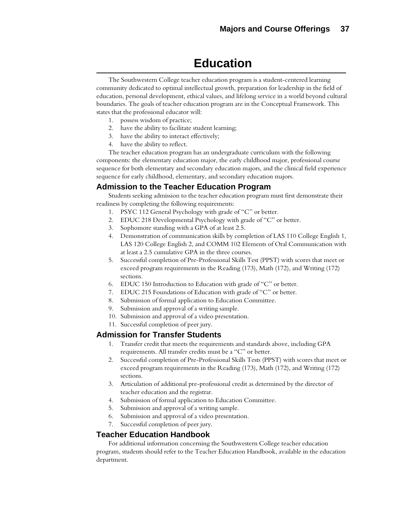# **Education**

The Southwestern College teacher education program is a student-centered learning community dedicated to optimal intellectual growth, preparation for leadership in the field of education, personal development, ethical values, and lifelong service in a world beyond cultural boundaries. The goals of teacher education program are in the Conceptual Framework. This states that the professional educator will:

- 1. possess wisdom of practice;
- 2. have the ability to facilitate student learning;
- 3. have the ability to interact effectively;
- 4. have the ability to reflect.

The teacher education program has an undergraduate curriculum with the following components: the elementary education major, the early childhood major, professional course sequence for both elementary and secondary education majors, and the clinical field experience sequence for early childhood, elementary, and secondary education majors.

## **Admission to the Teacher Education Program**

Students seeking admission to the teacher education program must first demonstrate their readiness by completing the following requirements:

- 1. PSYC 112 General Psychology with grade of "C" or better.
- 2. EDUC 218 Developmental Psychology with grade of "C" or better.
- 3. Sophomore standing with a GPA of at least 2.5.
- 4. Demonstration of communication skills by completion of LAS 110 College English 1, LAS 120 College English 2, and COMM 102 Elements of Oral Communication with at least a 2.5 cumulative GPA in the three courses.
- 5. Successful completion of Pre-Professional Skills Test (PPST) with scores that meet or exceed program requirements in the Reading (173), Math (172), and Writing (172) sections.
- 6. EDUC 150 Introduction to Education with grade of "C" or better.
- 7. EDUC 215 Foundations of Education with grade of "C" or better.
- 8. Submission of formal application to Education Committee.
- 9. Submission and approval of a writing sample.
- 10. Submission and approval of a video presentation.
- 11. Successful completion of peer jury.

## **Admission for Transfer Students**

- 1. Transfer credit that meets the requirements and standards above, including GPA requirements. All transfer credits must be a "C" or better.
- 2. Successful completion of Pre-Professional Skills Tests (PPST) with scores that meet or exceed program requirements in the Reading (173), Math (172), and Writing (172) sections.
- 3. Articulation of additional pre-professional credit as determined by the director of teacher education and the registrar.
- 4. Submission of formal application to Education Committee.
- 5. Submission and approval of a writing sample.
- 6. Submission and approval of a video presentation.
- 7. Successful completion of peer jury.

## **Teacher Education Handbook**

For additional information concerning the Southwestern College teacher education program, students should refer to the Teacher Education Handbook, available in the education department.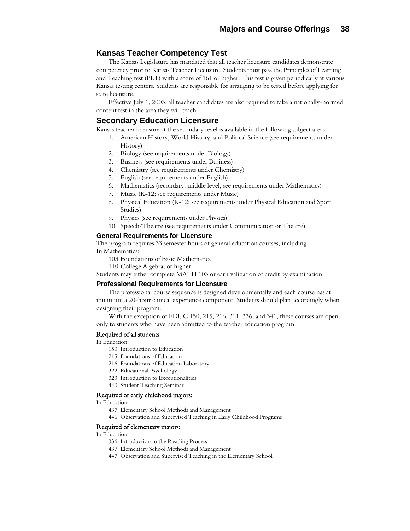## **Kansas Teacher Competency Test**

The Kansas Legislature has mandated that all teacher licensure candidates demonstrate competency prior to Kansas Teacher Licensure. Students must pass the Principles of Learning and Teaching test (PLT) with a score of 161 or higher. This test is given periodically at various Kansas testing centers. Students are responsible for arranging to be tested before applying for state licensure.

Effective July 1, 2003, all teacher candidates are also required to take a nationally-normed content test in the area they will teach.

### **Secondary Education Licensure**

Kansas teacher licensure at the secondary level is available in the following subject areas:

- 1. American History, World History, and Political Science (see requirements under History)
- 2. Biology (see requirements under Biology)
- 3. Business (see requirements under Business)
- 4. Chemistry (see requirements under Chemistry)
- 5. English (see requirements under English)
- 6. Mathematics (secondary, middle level; see requirements under Mathematics)
- 7. Music (K-12; see requirements under Music)
- 8. Physical Education (K-12; see requirements under Physical Education and Sport Studies)
- 9. Physics (see requirements under Physics)
- 10. Speech/Theatre (see requirements under Communication or Theatre)

#### **General Requirements for Licensure**

The program requires 33 semester hours of general education courses, including In Mathematics:

- 103 Foundations of Basic Mathematics
- 110 College Algebra, or higher

Students may either complete MATH 103 or earn validation of credit by examination.

### **Professional Requirements for Licensure**

The professional course sequence is designed developmentally and each course has at minimum a 20-hour clinical experience component. Students should plan accordingly when designing their program.

With the exception of EDUC 150, 215, 216, 311, 336, and 341, these courses are open only to students who have been admitted to the teacher education program.

#### Required of all students:

In Education:

- 150 Introduction to Education
- 215 Foundations of Education
- 216 Foundations of Education Laboratory
- 322 Educational Psychology
- 323 Introduction to Exceptionalities
- 440 Student Teaching Seminar

#### Required of early childhood majors:

In Education:

- 437 Elementary School Methods and Management
- 446 Observation and Supervised Teaching in Early Childhood Programs

### Required of elementary majors:

In Education:

- 336 Introduction to the Reading Process
- 437 Elementary School Methods and Management
- 447 Observation and Supervised Teaching in the Elementary School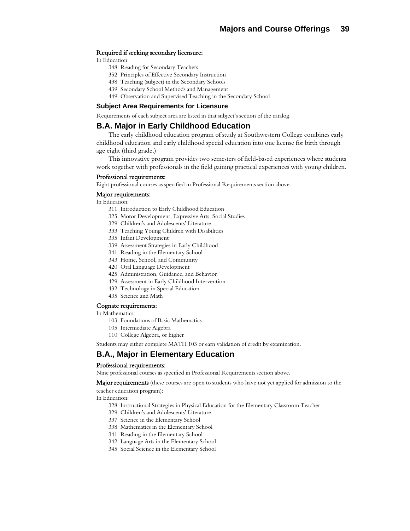#### Required if seeking secondary licensure:

In Education:

- 348 Reading for Secondary Teachers
- 352 Principles of Effective Secondary Instruction
- 438 Teaching (subject) in the Secondary Schools
- 439 Secondary School Methods and Management
- 449 Observation and Supervised Teaching in the Secondary School

#### **Subject Area Requirements for Licensure**

Requirements of each subject area are listed in that subject's section of the catalog.

## **B.A. Major in Early Childhood Education**

The early childhood education program of study at Southwestern College combines early childhood education and early childhood special education into one license for birth through age eight (third grade.)

This innovative program provides two semesters of field-based experiences where students work together with professionals in the field gaining practical experiences with young children.

#### Professional requirements:

Eight professional courses as specified in Professional Requirements section above.

#### Major requirements:

In Education:

- 311 Introduction to Early Childhood Education
- 325 Motor Development, Expressive Arts, Social Studies
- 329 Children's and Adolescents' Literature
- 333 Teaching Young Children with Disabilities
- 335 Infant Development
- 339 Assessment Strategies in Early Childhood
- 341 Reading in the Elementary School
- 343 Home, School, and Community
- 420 Oral Language Development
- 425 Administration, Guidance, and Behavior
- 429 Assessment in Early Childhood Intervention
- 432 Technology in Special Education
- 435 Science and Math

#### Cognate requirements:

In Mathematics:

- 103 Foundations of Basic Mathematics
- 105 Intermediate Algebra
- 110 College Algebra, or higher

Students may either complete MATH 103 or earn validation of credit by examination.

## **B.A., Major in Elementary Education**

#### Professional requirements:

Nine professional courses as specified in Professional Requirements section above.

Major requirements (these courses are open to students who have not yet applied for admission to the

teacher education program):

In Education:

- 328 Instructional Strategies in Physical Education for the Elementary Classroom Teacher
- 329 Children's and Adolescents' Literature
- 337 Science in the Elementary School
- 338 Mathematics in the Elementary School
- 341 Reading in the Elementary School
- 342 Language Arts in the Elementary School
- 345 Social Science in the Elementary School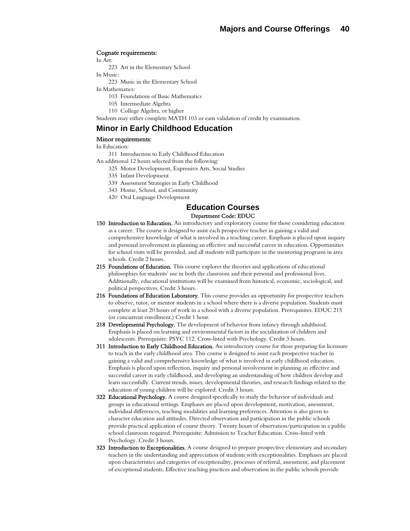#### Cognate requirements:

In Art:

- 223 Art in the Elementary School
- In Music:
	- 223 Music in the Elementary School
- In Mathematics:
	- 103 Foundations of Basic Mathematics
	- 105 Intermediate Algebra
	- 110 College Algebra, or higher

Students may either complete MATH 103 or earn validation of credit by examination.

## **Minor in Early Childhood Education**

#### Minor requirements:

In Education:

- 311 Introduction to Early Childhood Education
- An additional 12 hours selected from the following:
	- 325 Motor Development, Expressive Arts, Social Studies
	- 335 Infant Development
	- 339 Assessment Strategies in Early Childhood
	- 343 Home, School, and Community
	- 420 Oral Language Development

#### **Education Courses**  Department Code: EDUC

- 150 Introduction to Education. An introductory and exploratory course for those considering education as a career. The course is designed to assist each prospective teacher in gaining a valid and comprehensive knowledge of what is involved in a teaching career. Emphasis is placed upon inquiry and personal involvement in planning an effective and successful career in education. Opportunities for school visits will be provided, and all students will participate in the mentoring programs in area schools. Credit 2 hours.
- 215 Foundations of Education. This course explores the theories and applications of educational philosophies for students' use in both the classroom and their personal and professional lives. Additionally, educational institutions will be examined from historical, economic, sociological, and political perspectives. Credit 3 hours.
- 216 Foundations of Education Laboratory. This course provides an opportunity for prospective teachers to observe, tutor, or mentor students in a school where there is a diverse population. Students must complete at least 20 hours of work in a school with a diverse population. Prerequisites: EDUC 215 (or concurrent enrollment.) Credit 1 hour.
- 218 Developmental Psychology. The development of behavior from infancy through adulthood. Emphasis is placed on learning and environmental factors in the socialization of children and adolescents. Prerequisite: PSYC 112. Cross-listed with Psychology. Credit 3 hours.
- 311 Introduction to Early Childhood Education. An introductory course for those preparing for licensure to teach in the early childhood area. This course is designed to assist each prospective teacher in gaining a valid and comprehensive knowledge of what is involved in early childhood education. Emphasis is placed upon reflection, inquiry and personal involvement in planning an effective and successful career in early childhood, and developing an understanding of how children develop and learn successfully. Current trends, issues, developmental theories, and research findings related to the education of young children will be explored. Credit 3 hours.
- 322 Educational Psychology. A course designed specifically to study the behavior of individuals and groups in educational settings. Emphases are placed upon development, motivation, assessment, individual differences, teaching modalities and learning preferences. Attention is also given to character education and attitudes. Directed observation and participation in the public schools provide practical application of course theory. Twenty hours of observation/participation in a public school classroom required. Prerequisite: Admission to Teacher Education. Cross-listed with Psychology. Credit 3 hours.
- **323 Introduction to Exceptionalities.** A course designed to prepare prospective elementary and secondary teachers in the understanding and appreciation of students with exceptionalities. Emphases are placed upon characteristics and categories of exceptionality, processes of referral, assessment, and placement of exceptional students. Effective teaching practices and observation in the public schools provide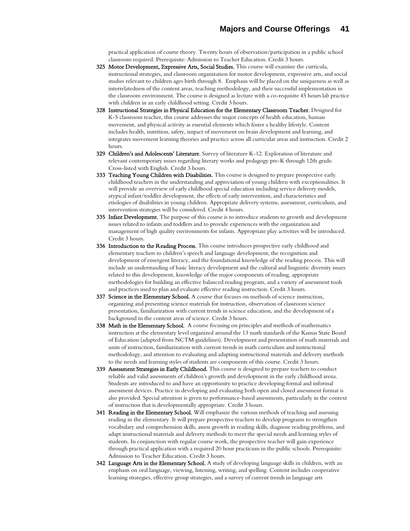practical application of course theory. Twenty hours of observation/participation in a public school classroom required. Prerequisite: Admission to Teacher Education. Credit 3 hours.

- 325 Motor Development, Expressive Arts, Social Studies. This course will examine the curricula, instructional strategies, and classroom organization for motor development, expressive arts, and social studies relevant to children ages birth through 8. Emphasis will be placed on the uniqueness as well as interrelatedness of the content areas, teaching methodology, and their successful implementation in the classroom environment. The course is designed as lecture with a co-requisite 45 hours lab practice with children in an early childhood setting. Credit 3 hours.
- 328 Instructional Strategies in Physical Education for the Elementary Classroom Teacher. Designed for K-5 classroom teacher, this course addresses the major concepts of health education, human movement, and physical activity as essential elements which foster a healthy lifestyle. Content includes health, nutrition, safety, impact of movement on brain development and learning, and integrates movement learning theories and practice across all curricular areas and instruction. Credit 2 hours.
- 329 Children's and Adolescents' Literature. Survey of literature K-12. Exploration of literature and relevant contemporary issues regarding literary works and pedagogy pre-K through 12th grade. Cross-listed with English. Credit 3 hours.
- 333 Teaching Young Children with Disabilities. This course is designed to prepare prospective early childhood teachers in the understanding and appreciation of young children with exceptionalities. It will provide an overview of early childhood special education including service delivery models, atypical infant/toddler development, the effects of early intervention, and characteristics and etiologies of disabilities in young children. Appropriate delivery systems, assessment, curriculum, and intervention strategies will be considered. Credit 4 hours.
- 335 Infant Development. The purpose of this course is to introduce students to growth and development issues related to infants and toddlers and to provide experiences with the organization and management of high quality environments for infants. Appropriate play activities will be introduced. Credit 3 hours.
- 336 Introduction to the Reading Process. This course introduces prospective early childhood and elementary teachers to children's speech and language development, the recognition and development of emergent literacy, and the foundational knowledge of the reading process. This will include an understanding of basic literacy development and the cultural and linguistic diversity issues related to this development, knowledge of the major components of reading, appropriate methodologies for building an effective balanced reading program, and a variety of assessment tools and practices used to plan and evaluate effective reading instruction. Credit 3 hours.
- 337 Science in the Elementary School. A course that focuses on methods of science instruction, organizing and presenting science materials for instruction, observation of classroom science presentation, familiarization with current trends in science education, and the development of a background in the content areas of science. Credit 3 hours.
- 338 Math in the Elementary School. A course focusing on principles and methods of mathematics instruction at the elementary level organized around the 13 math standards of the Kansas State Board of Education (adapted from NCTM guidelines). Development and presentation of math materials and units of instruction, familiarization with current trends in math curriculum and instructional methodology, and attention to evaluating and adapting instructional materials and delivery methods to the needs and learning styles of students are components of this course. Credit 3 hours.
- 339 Assessment Strategies in Early Childhood. This course is designed to prepare teachers to conduct reliable and valid assessments of children's growth and development in the early childhood arena. Students are introduced to and have an opportunity to practice developing formal and informal assessment devices. Practice in developing and evaluating both open and closed assessment format is also provided. Special attention is given to performance-based assessments, particularly in the context of instruction that is developmentally appropriate. Credit 3 hours.
- 341 Reading in the Elementary School. Will emphasize the various methods of teaching and assessing reading in the elementary. It will prepare prospective teachers to develop programs to strengthen vocabulary and comprehension skills, assess growth in reading skills, diagnose reading problems, and adapt instructional materials and delivery methods to meet the special needs and learning styles of students. In conjunction with regular course work, the prospective teacher will gain experience through practical application with a required 20 hour practicum in the public schools. Prerequisite: Admission to Teacher Education. Credit 3 hours.
- 342 Language Arts in the Elementary School. A study of developing language skills in children, with an emphasis on oral language, viewing, listening, writing, and spelling. Content includes cooperative learning strategies, effective group strategies, and a survey of current trends in language arts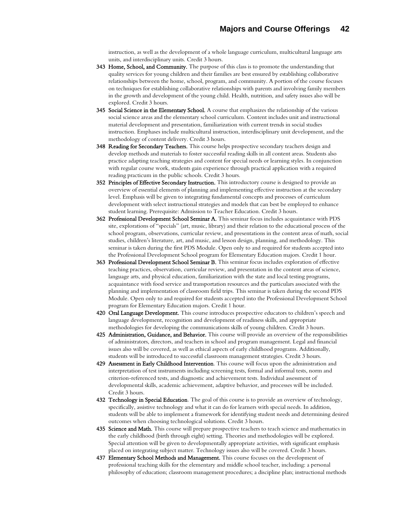instruction, as well as the development of a whole language curriculum, multicultural language arts units, and interdisciplinary units. Credit 3 hours.

- 343 Home, School, and Community. The purpose of this class is to promote the understanding that quality services for young children and their families are best ensured by establishing collaborative relationships between the home, school, program, and community. A portion of the course focuses on techniques for establishing collaborative relationships with parents and involving family members in the growth and development of the young child. Health, nutrition, and safety issues also will be explored. Credit 3 hours.
- 345 Social Science in the Elementary School. A course that emphasizes the relationship of the various social science areas and the elementary school curriculum. Content includes unit and instructional material development and presentation, familiarization with current trends in social studies instruction. Emphases include multicultural instruction, interdisciplinary unit development, and the methodology of content delivery. Credit 3 hours.
- 348 Reading for Secondary Teachers. This course helps prospective secondary teachers design and develop methods and materials to foster successful reading skills in all content areas. Students also practice adapting teaching strategies and content for special needs or learning styles. In conjunction with regular course work, students gain experience through practical application with a required reading practicum in the public schools. Credit 3 hours.
- 352 Principles of Effective Secondary Instruction. This introductory course is designed to provide an overview of essential elements of planning and implementing effective instruction at the secondary level. Emphasis will be given to integrating fundamental concepts and processes of curriculum development with select instructional strategies and models that can best be employed to enhance student learning. Prerequisite: Admission to Teacher Education. Credit 3 hours.
- 362 Professional Development School Seminar A. This seminar focus includes acquaintance with PDS site, explorations of "specials" (art, music, library) and their relation to the educational process of the school program, observations, curricular review, and presentations in the content areas of math, social studies, children's literature, art, and music, and lesson design, planning, and methodology. This seminar is taken during the first PDS Module. Open only to and required for students accepted into the Professional Development School program for Elementary Education majors. Credit 1 hour.
- 363 Professional Development School Seminar B. This seminar focus includes exploration of effective teaching practices, observation, curricular review, and presentation in the content areas of science, language arts, and physical education, familiarization with the state and local testing programs, acquaintance with food service and transportation resources and the particulars associated with the planning and implementation of classroom field trips. This seminar is taken during the second PDS Module. Open only to and required for students accepted into the Professional Development School program for Elementary Education majors. Credit 1 hour.
- 420 Oral Language Development. This course introduces prospective educators to children's speech and language development, recognition and development of readiness skills, and appropriate methodologies for developing the communications skills of young children. Credit 3 hours.
- 425 Administration, Guidance, and Behavior. This course will provide an overview of the responsibilities of administrators, directors, and teachers in school and program management. Legal and financial issues also will be covered, as well as ethical aspects of early childhood programs. Additionally, students will be introduced to successful classroom management strategies. Credit 3 hours.
- 429 Assessment in Early Childhood Intervention. This course will focus upon the administration and interpretation of test instruments including screening tests, formal and informal tests, norm and criterion-referenced tests, and diagnostic and achievement tests. Individual assessment of developmental skills, academic achievement, adaptive behavior, and processes will be included. Credit 3 hours.
- 432 Technology in Special Education. The goal of this course is to provide an overview of technology, specifically, assistive technology and what it can do for learners with special needs. In addition, students will be able to implement a framework for identifying student needs and determining desired outcomes when choosing technological solutions. Credit 3 hours.
- 435 Science and Math. This course will prepare prospective teachers to teach science and mathematics in the early childhood (birth through eight) setting. Theories and methodologies will be explored. Special attention will be given to developmentally appropriate activities, with significant emphasis placed on integrating subject matter. Technology issues also will be covered. Credit 3 hours.
- 437 Elementary School Methods and Management. This course focuses on the development of professional teaching skills for the elementary and middle school teacher, including: a personal philosophy of education; classroom management procedures; a discipline plan; instructional methods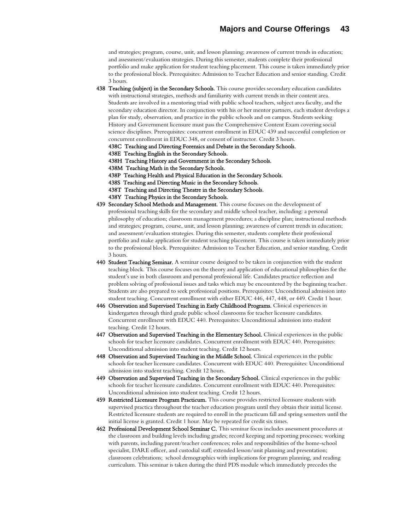and strategies; program, course, unit, and lesson planning; awareness of current trends in education; and assessment/evaluation strategies. During this semester, students complete their professional portfolio and make application for student teaching placement. This course is taken immediately prior to the professional block. Prerequisites: Admission to Teacher Education and senior standing. Credit 3 hours.

- 438 Teaching (subject) in the Secondary Schools. This course provides secondary education candidates with instructional strategies, methods and familiarity with current trends in their content area. Students are involved in a mentoring triad with public school teachers, subject area faculty, and the secondary education director. In conjunction with his or her mentor partners, each student develops a plan for study, observation, and practice in the public schools and on campus. Students seeking History and Government licensure must pass the Comprehensive Content Exam covering social science disciplines. Prerequisites: concurrent enrollment in EDUC 439 and successful completion or concurrent enrollment in EDUC 348, or consent of instructor. Credit 3 hours.
	- 438C Teaching and Directing Forensics and Debate in the Secondary Schools.
	- 438E Teaching English in the Secondary Schools.
	- 438H Teaching History and Government in the Secondary Schools.
	- 438M Teaching Math in the Secondary Schools.
	- 438P Teaching Health and Physical Education in the Secondary Schools.
	- 438S Teaching and Directing Music in the Secondary Schools.
	- 438T Teaching and Directing Theatre in the Secondary Schools.
	- 438Y Teaching Physics in the Secondary Schools.
- 439 Secondary School Methods and Management. This course focuses on the development of professional teaching skills for the secondary and middle school teacher, including: a personal philosophy of education; classroom management procedures; a discipline plan; instructional methods and strategies; program, course, unit, and lesson planning; awareness of current trends in education; and assessment/evaluation strategies. During this semester, students complete their professional portfolio and make application for student teaching placement. This course is taken immediately prior to the professional block. Prerequisites: Admission to Teacher Education, and senior standing. Credit 3 hours.
- 440 Student Teaching Seminar. A seminar course designed to be taken in conjunction with the student teaching block. This course focuses on the theory and application of educational philosophies for the student's use in both classroom and personal professional life. Candidates practice reflection and problem solving of professional issues and tasks which may be encountered by the beginning teacher. Students are also prepared to seek professional positions. Prerequisites: Unconditional admission into student teaching. Concurrent enrollment with either EDUC 446, 447, 448, or 449. Credit 1 hour.
- 446 Observation and Supervised Teaching in Early Childhood Programs. Clinical experiences in kindergarten through third grade public school classrooms for teacher licensure candidates. Concurrent enrollment with EDUC 440. Prerequisites: Unconditional admission into student teaching. Credit 12 hours.
- 447 Observation and Supervised Teaching in the Elementary School. Clinical experiences in the public schools for teacher licensure candidates. Concurrent enrollment with EDUC 440. Prerequisites: Unconditional admission into student teaching. Credit 12 hours.
- 448 Observation and Supervised Teaching in the Middle School. Clinical experiences in the public schools for teacher licensure candidates. Concurrent with EDUC 440. Prerequisites: Unconditional admission into student teaching. Credit 12 hours.
- 449 Observation and Supervised Teaching in the Secondary School. Clinical experiences in the public schools for teacher licensure candidates. Concurrent enrollment with EDUC 440. Prerequisites: Unconditional admission into student teaching. Credit 12 hours.
- 459 Restricted Licensure Program Practicum. This course provides restricted licensure students with supervised practica throughout the teacher education program until they obtain their initial license. Restricted licensure students are required to enroll in the practicum fall and spring semesters until the initial license is granted. Credit 1 hour. May be repeated for credit six times.
- 462 Professional Development School Seminar C. This seminar focus includes assessment procedures at the classroom and building levels including grades; record keeping and reporting processes; working with parents, including parent/teacher conferences; roles and responsibilities of the home-school specialist, DARE officer, and custodial staff; extended lesson/unit planning and presentation; classroom celebrations; school demographics with implications for program planning, and reading curriculum. This seminar is taken during the third PDS module which immediately precedes the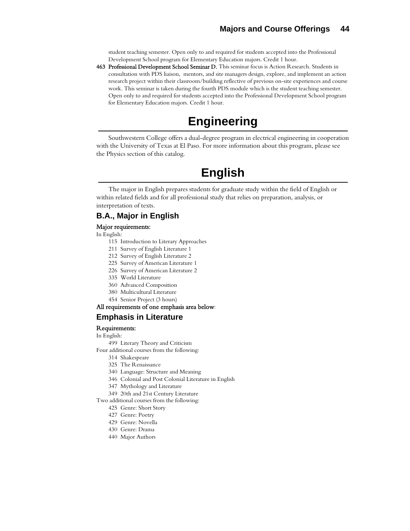student teaching semester. Open only to and required for students accepted into the Professional Development School program for Elementary Education majors. Credit 1 hour.

463 Professional Development School Seminar D. This seminar focus is Action Research. Students in consultation with PDS liaison, mentors, and site managers design, explore, and implement an action research project within their classroom/building reflective of previous on-site experiences and course work. This seminar is taken during the fourth PDS module which is the student teaching semester. Open only to and required for students accepted into the Professional Development School program for Elementary Education majors. Credit 1 hour.

# **Engineering**

Southwestern College offers a dual-degree program in electrical engineering in cooperation with the University of Texas at El Paso. For more information about this program, please see the Physics section of this catalog.

# **English**

The major in English prepares students for graduate study within the field of English or within related fields and for all professional study that relies on preparation, analysis, or interpretation of texts.

## **B.A., Major in English**

#### Major requirements:

In English:

- 115 Introduction to Literary Approaches
- 211 Survey of English Literature 1
- 212 Survey of English Literature 2
- 225 Survey of American Literature 1
- 226 Survey of American Literature 2
- 335 World Literature
- 360 Advanced Composition
- 380 Multicultural Literature
- 454 Senior Project (3 hours)

## All requirements of one emphasis area below:

## **Emphasis in Literature**

### Requirements:

In English:

499 Literary Theory and Criticism

- Four additional courses from the following:
	- 314 Shakespeare
	- 325 The Renaissance
	- 340 Language: Structure and Meaning
	- 346 Colonial and Post Colonial Literature in English
	- 347 Mythology and Literature
	- 349 20th and 21st Century Literature

Two additional courses from the following:

- 425 Genre: Short Story
- 427 Genre: Poetry
- 429 Genre: Novella
- 430 Genre: Drama
- 440 Major Authors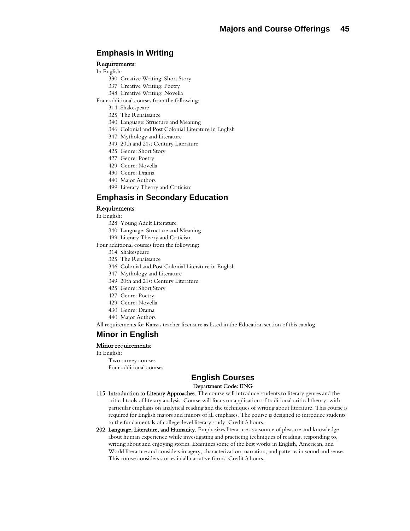## **Emphasis in Writing**

#### Requirements:

In English:

- 330 Creative Writing: Short Story
- 337 Creative Writing: Poetry
- 348 Creative Writing: Novella
- Four additional courses from the following:
	- 314 Shakespeare
	- 325 The Renaissance
	- 340 Language: Structure and Meaning
	- 346 Colonial and Post Colonial Literature in English
	- 347 Mythology and Literature
	- 349 20th and 21st Century Literature
	- 425 Genre: Short Story
	- 427 Genre: Poetry
	- 429 Genre: Novella
	- 430 Genre: Drama
	- 440 Major Authors
	- 499 Literary Theory and Criticism

### **Emphasis in Secondary Education**

#### Requirements:

- In English:
	- 328 Young Adult Literature
	- 340 Language: Structure and Meaning
	- 499 Literary Theory and Criticism

Four additional courses from the following:

- 314 Shakespeare
- 325 The Renaissance
- 346 Colonial and Post Colonial Literature in English
- 347 Mythology and Literature
- 349 20th and 21st Century Literature
- 425 Genre: Short Story
- 427 Genre: Poetry
- 429 Genre: Novella
- 430 Genre: Drama
- 440 Major Authors

All requirements for Kansas teacher licensure as listed in the Education section of this catalog

## **Minor in English**

#### Minor requirements:

#### In English:

Two survey courses Four additional courses

## **English Courses**  Department Code: ENG

- 115 Introduction to Literary Approaches. The course will introduce students to literary genres and the critical tools of literary analysis. Course will focus on application of traditional critical theory, with particular emphasis on analytical reading and the techniques of writing about literature. This course is required for English majors and minors of all emphases. The course is designed to introduce students to the fundamentals of college-level literary study. Credit 3 hours.
- 202 Language, Literature, and Humanity. Emphasizes literature as a source of pleasure and knowledge about human experience while investigating and practicing techniques of reading, responding to, writing about and enjoying stories. Examines some of the best works in English, American, and World literature and considers imagery, characterization, narration, and patterns in sound and sense. This course considers stories in all narrative forms. Credit 3 hours.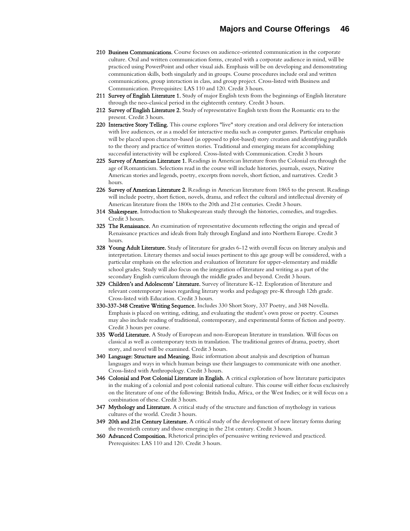- 210 Business Communications. Course focuses on audience-oriented communication in the corporate culture. Oral and written communication forms, created with a corporate audience in mind, will be practiced using PowerPoint and other visual aids. Emphasis will be on developing and demonstrating communication skills, both singularly and in groups. Course procedures include oral and written communications, group interaction in class, and group project. Cross-listed with Business and Communication. Prerequisites: LAS 110 and 120. Credit 3 hours.
- 211 Survey of English Literature 1. Study of major English texts from the beginnings of English literature through the neo-classical period in the eighteenth century. Credit 3 hours.
- 212 Survey of English Literature 2. Study of representative English texts from the Romantic era to the present. Credit 3 hours.
- 220 Interactive Story Telling. This course explores "live" story creation and oral delivery for interaction with live audiences, or as a model for interactive media such as computer games. Particular emphasis will be placed upon character-based (as opposed to plot-based) story creation and identifying parallels to the theory and practice of written stories. Traditional and emerging means for accomplishing successful interactivity will be explored. Cross-listed with Communication. Credit 3 hours
- 225 Survey of American Literature 1. Readings in American literature from the Colonial era through the age of Romanticism. Selections read in the course will include histories, journals, essays, Native American stories and legends, poetry, excerpts from novels, short fiction, and narratives. Credit 3 hours.
- 226 Survey of American Literature 2. Readings in American literature from 1865 to the present. Readings will include poetry, short fiction, novels, drama, and reflect the cultural and intellectual diversity of American literature from the 1800s to the 20th and 21st centuries. Credit 3 hours.
- 314 Shakespeare. Introduction to Shakespearean study through the histories, comedies, and tragedies. Credit 3 hours.
- **325 The Renaissance.** An examination of representative documents reflecting the origin and spread of Renaissance practices and ideals from Italy through England and into Northern Europe. Credit 3 hours.
- 328 Young Adult Literature. Study of literature for grades 6-12 with overall focus on literary analysis and interpretation. Literary themes and social issues pertinent to this age group will be considered, with a particular emphasis on the selection and evaluation of literature for upper-elementary and middle school grades. Study will also focus on the integration of literature and writing as a part of the secondary English curriculum through the middle grades and beyond. Credit 3 hours.
- 329 Children's and Adolescents' Literature. Survey of literature K-12. Exploration of literature and relevant contemporary issues regarding literary works and pedagogy pre-K through 12th grade. Cross-listed with Education. Credit 3 hours.
- 330-337-348 Creative Writing Sequence. Includes 330 Short Story, 337 Poetry, and 348 Novella. Emphasis is placed on writing, editing, and evaluating the student's own prose or poetry. Courses may also include reading of traditional, contemporary, and experimental forms of fiction and poetry. Credit 3 hours per course.
- 335 World Literature. A Study of European and non-European literature in translation. Will focus on classical as well as contemporary texts in translation. The traditional genres of drama, poetry, short story, and novel will be examined. Credit 3 hours.
- 340 Language: Structure and Meaning. Basic information about analysis and description of human languages and ways in which human beings use their languages to communicate with one another. Cross-listed with Anthropology. Credit 3 hours.
- 346 Colonial and Post Colonial Literature in English. A critical exploration of how literature participates in the making of a colonial and post colonial national culture. This course will either focus exclusively on the literature of one of the following: British India, Africa, or the West Indies; or it will focus on a combination of these. Credit 3 hours.
- **347 Mythology and Literature.** A critical study of the structure and function of mythology in various cultures of the world. Credit 3 hours.
- 349 20th and 21st Century Literature. A critical study of the development of new literary forms during the twentieth century and those emerging in the 21st century. Credit 3 hours.
- 360 Advanced Composition. Rhetorical principles of persuasive writing reviewed and practiced. Prerequisites: LAS 110 and 120. Credit 3 hours.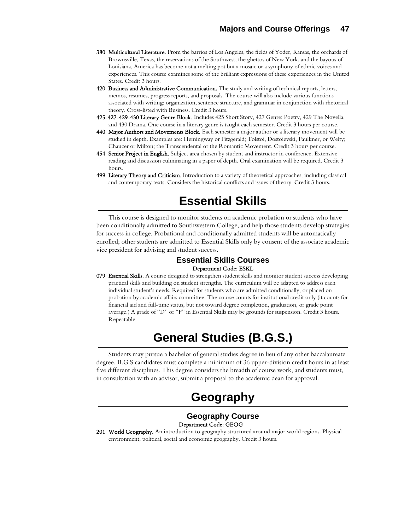- 380 Multicultural Literature. From the barrios of Los Angeles, the fields of Yoder, Kansas, the orchards of Brownsville, Texas, the reservations of the Southwest, the ghettos of New York, and the bayous of Louisiana, America has become not a melting pot but a mosaic or a symphony of ethnic voices and experiences. This course examines some of the brilliant expressions of these experiences in the United States. Credit 3 hours.
- 420 Business and Administrative Communication. The study and writing of technical reports, letters, memos, resumes, progress reports, and proposals. The course will also include various functions associated with writing: organization, sentence structure, and grammar in conjunction with rhetorical theory. Cross-listed with Business. Credit 3 hours.
- 425-427-429-430 Literary Genre Block. Includes 425 Short Story, 427 Genre: Poetry, 429 The Novella, and 430 Drama. One course in a literary genre is taught each semester. Credit 3 hours per course.
- 440 Major Authors and Movements Block. Each semester a major author or a literary movement will be studied in depth. Examples are: Hemingway or Fitzgerald; Tolstoi, Dostoievski, Faulkner, or Welty; Chaucer or Milton; the Transcendental or the Romantic Movement. Credit 3 hours per course.
- 454 Senior Project in English. Subject area chosen by student and instructor in conference. Extensive reading and discussion culminating in a paper of depth. Oral examination will be required. Credit 3 hours.
- 499 Literary Theory and Criticism. Introduction to a variety of theoretical approaches, including classical and contemporary texts. Considers the historical conflicts and issues of theory. Credit 3 hours.

# **Essential Skills**

This course is designed to monitor students on academic probation or students who have been conditionally admitted to Southwestern College, and help those students develop strategies for success in college. Probational and conditionally admitted students will be automatically enrolled; other students are admitted to Essential Skills only by consent of the associate academic vice president for advising and student success.

## **Essential Skills Courses**  Department Code: ESKL

079 Essential Skills. A course designed to strengthen student skills and monitor student success developing practical skills and building on student strengths. The curriculum will be adapted to address each individual student's needs. Required for students who are admitted conditionally, or placed on probation by academic affairs committee. The course counts for institutional credit only (it counts for financial aid and full-time status, but not toward degree completion, graduation, or grade point average.) A grade of "D" or "F" in Essential Skills may be grounds for suspension. Credit 3 hours. Repeatable.

# **General Studies (B.G.S.)**

Students may pursue a bachelor of general studies degree in lieu of any other baccalaureate degree. B.G.S candidates must complete a minimum of 36 upper-division credit hours in at least five different disciplines. This degree considers the breadth of course work, and students must, in consultation with an advisor, submit a proposal to the academic dean for approval.

# **Geography**

### **Geography Course**  Department Code: GEOG

201 World Geography. An introduction to geography structured around major world regions. Physical environment, political, social and economic geography. Credit 3 hours.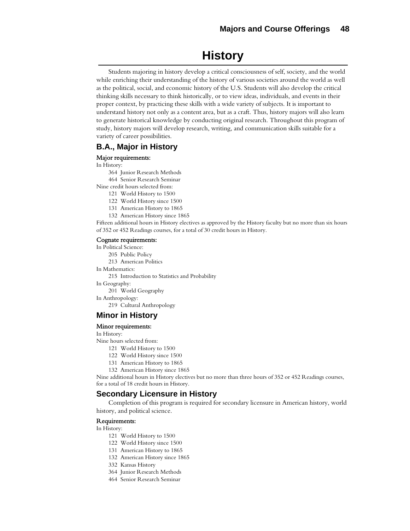# **History**

Students majoring in history develop a critical consciousness of self, society, and the world while enriching their understanding of the history of various societies around the world as well as the political, social, and economic history of the U.S. Students will also develop the critical thinking skills necessary to think historically, or to view ideas, individuals, and events in their proper context, by practicing these skills with a wide variety of subjects. It is important to understand history not only as a content area, but as a craft. Thus, history majors will also learn to generate historical knowledge by conducting original research. Throughout this program of study, history majors will develop research, writing, and communication skills suitable for a variety of career possibilities.

## **B.A., Major in History**

### Major requirements:

In History:

364 Junior Research Methods

464 Senior Research Seminar

Nine credit hours selected from:

121 World History to 1500

122 World History since 1500

131 American History to 1865

132 American History since 1865

Fifteen additional hours in History electives as approved by the History faculty but no more than six hours of 352 or 452 Readings courses, for a total of 30 credit hours in History.

#### Cognate requirements:

In Political Science:

205 Public Policy

213 American Politics

In Mathematics:

215 Introduction to Statistics and Probability

In Geography:

201 World Geography

In Anthropology:

219 Cultural Anthropology

## **Minor in History**

#### Minor requirements:

In History:

Nine hours selected from:

- 121 World History to 1500
- 122 World History since 1500
- 131 American History to 1865
- 132 American History since 1865

Nine additional hours in History electives but no more than three hours of 352 or 452 Readings courses, for a total of 18 credit hours in History.

## **Secondary Licensure in History**

Completion of this program is required for secondary licensure in American history, world history, and political science.

#### Requirements:

In History:

- 121 World History to 1500
- 122 World History since 1500
- 131 American History to 1865
- 132 American History since 1865
- 332 Kansas History
- 364 Junior Research Methods
- 464 Senior Research Seminar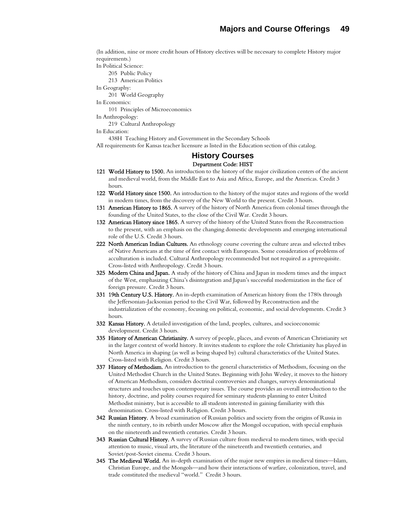(In addition, nine or more credit hours of History electives will be necessary to complete History major requirements.)

In Political Science: 205 Public Policy 213 American Politics In Geography:

201 World Geography In Economics: 101 Principles of Microeconomics

In Anthropology:

219 Cultural Anthropology

In Education:

438H Teaching History and Government in the Secondary Schools

All requirements for Kansas teacher licensure as listed in the Education section of this catalog.

## **History Courses**  Department Code: HIST

- 121 World History to 1500. An introduction to the history of the major civilization centers of the ancient and medieval world, from the Middle East to Asia and Africa, Europe, and the Americas. Credit 3 hours.
- 122 World History since 1500. An introduction to the history of the major states and regions of the world in modern times, from the discovery of the New World to the present. Credit 3 hours.
- 131 American History to 1865. A survey of the history of North America from colonial times through the founding of the United States, to the close of the Civil War. Credit 3 hours.
- 132 American History since 1865. A survey of the history of the United States from the Reconstruction to the present, with an emphasis on the changing domestic developments and emerging international role of the U.S. Credit 3 hours.
- 222 North American Indian Cultures. An ethnology course covering the culture areas and selected tribes of Native Americans at the time of first contact with Europeans. Some consideration of problems of acculturation is included. Cultural Anthropology recommended but not required as a prerequisite. Cross-listed with Anthropology. Credit 3 hours.
- 325 Modern China and Japan. A study of the history of China and Japan in modern times and the impact of the West, emphasizing China's disintegration and Japan's successful modernization in the face of foreign pressure. Credit 3 hours.
- 331 19th Century U.S. History. An in-depth examination of American history from the 1780s through the Jeffersonian-Jacksonian period to the Civil War, followed by Reconstruction and the industrialization of the economy, focusing on political, economic, and social developments. Credit 3 hours.
- 332 Kansas History. A detailed investigation of the land, peoples, cultures, and socioeconomic development. Credit 3 hours.
- 335 History of American Christianity. A survey of people, places, and events of American Christianity set in the larger context of world history. It invites students to explore the role Christianity has played in North America in shaping (as well as being shaped by) cultural characteristics of the United States. Cross-listed with Religion. Credit 3 hours.
- 337 History of Methodism. An introduction to the general characteristics of Methodism, focusing on the United Methodist Church in the United States. Beginning with John Wesley, it moves to the history of American Methodism, considers doctrinal controversies and changes, surveys denominational structures and touches upon contemporary issues. The course provides an overall introduction to the history, doctrine, and polity courses required for seminary students planning to enter United Methodist ministry, but is accessible to all students interested in gaining familiarity with this denomination. Cross-listed with Religion. Credit 3 hours.
- 342 Russian History. A broad examination of Russian politics and society from the origins of Russia in the ninth century, to its rebirth under Moscow after the Mongol occupation, with special emphasis on the nineteenth and twentieth centuries. Credit 3 hours.
- 343 Russian Cultural History. A survey of Russian culture from medieval to modern times, with special attention to music, visual arts, the literature of the nineteenth and twentieth centuries, and Soviet/post-Soviet cinema. Credit 3 hours.
- 345 The Medieval World. An in-depth examination of the major new empires in medieval times—Islam, Christian Europe, and the Mongols—and how their interactions of warfare, colonization, travel, and trade constituted the medieval "world." Credit 3 hours.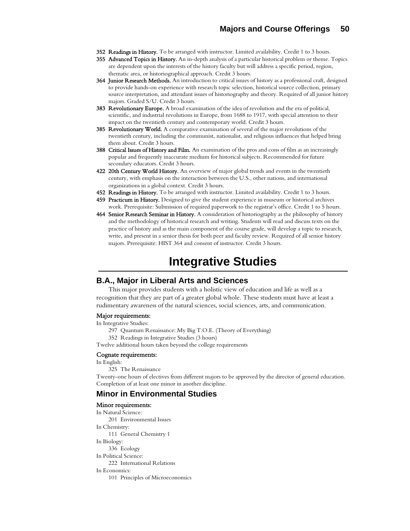- 352 Readings in History. To be arranged with instructor. Limited availability. Credit 1 to 3 hours.
- 355 Advanced Topics in History. An in-depth analysis of a particular historical problem or theme. Topics are dependent upon the interests of the history faculty but will address a specific period, region, thematic area, or historiographical approach. Credit 3 hours.
- 364 Junior Research Methods. An introduction to critical issues of history as a professional craft, designed to provide hands-on experience with research topic selection, historical source collection, primary source interpretation, and attendant issues of historiography and theory. Required of all junior history majors. Graded S/U. Credit 3 hours.
- 383 Revolutionary Europe. A broad examination of the idea of revolution and the era of political, scientific, and industrial revolutions in Europe, from 1688 to 1917, with special attention to their impact on the twentieth century and contemporary world. Credit 3 hours.
- 385 Revolutionary World. A comparative examination of several of the major revolutions of the twentieth century, including the communist, nationalist, and religious influences that helped bring them about. Credit 3 hours.
- 388 Critical Issues of History and Film. An examination of the pros and cons of film as an increasingly popular and frequently inaccurate medium for historical subjects. Recommended for future secondary educators. Credit 3 hours.
- 422 20th Century World History. An overview of major global trends and events in the twentieth century, with emphasis on the interaction between the U.S., other nations, and international organizations in a global context. Credit 3 hours.
- 452 Readings in History. To be arranged with instructor. Limited availability. Credit 1 to 3 hours.
- 459 Practicum in History. Designed to give the student experience in museum or historical archives work. Prerequisite: Submission of required paperwork to the registrar's office. Credit 1 to 5 hours.
- 464 Senior Research Seminar in History. A consideration of historiography as the philosophy of history and the methodology of historical research and writing. Students will read and discuss texts on the practice of history and as the main component of the course grade, will develop a topic to research, write, and present in a senior thesis for both peer and faculty review. Required of all senior history majors. Prerequisite: HIST 364 and consent of instructor. Credit 3 hours.

# **Integrative Studies**

## **B.A., Major in Liberal Arts and Sciences**

This major provides students with a holistic view of education and life as well as a recognition that they are part of a greater global whole. These students must have at least a rudimentary awareness of the natural sciences, social sciences, arts, and communication.

#### Major requirements:

In Integrative Studies:

- 297 Quantum Renaissance: My Big T.O.E. (Theory of Everything)
- 352 Readings in Integrative Studies (3 hours)

Twelve additional hours taken beyond the college requirements

#### Cognate requirements:

In English:

325 The Renaissance

Twenty-one hours of electives from different majors to be approved by the director of general education. Completion of at least one minor in another discipline.

## **Minor in Environmental Studies**

#### Minor requirements:

In Natural Science: 201 Environmental Issues In Chemistry: 111 General Chemistry 1 In Biology: 336 Ecology In Political Science: 222 International Relations In Economics: 101 Principles of Microeconomics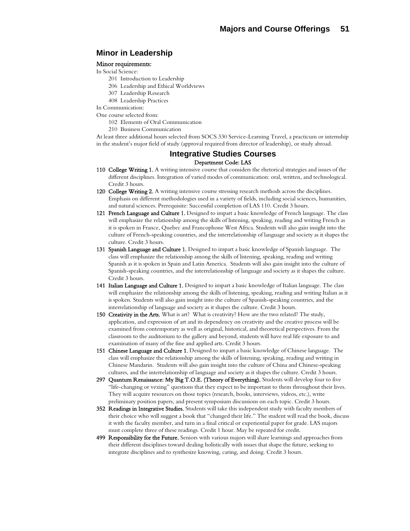## **Minor in Leadership**

#### Minor requirements:

- In Social Science:
	- 201 Introduction to Leadership
	- 206 Leadership and Ethical Worldviews
	- 307 Leadership Research
	- 408 Leadership Practices
- In Communication:

One course selected from:

- 102 Elements of Oral Communication
- 210 Business Communication

At least three additional hours selected from SOCS 330 Service-Learning Travel, a practicum or internship in the student's major field of study (approval required from director of leadership), or study abroad.

### **Integrative Studies Courses**  Department Code: LAS

- 110 College Writing 1. A writing intensive course that considers the rhetorical strategies and issues of the different disciplines. Integration of varied modes of communication: oral, written, and technological. Credit 3 hours.
- 120 College Writing 2. A writing intensive course stressing research methods across the disciplines. Emphasis on different methodologies used in a variety of fields, including social sciences, humanities, and natural sciences. Prerequisite: Successful completion of LAS 110. Credit 3 hours.
- 121 French Language and Culture 1. Designed to impart a basic knowledge of French language. The class will emphasize the relationship among the skills of listening, speaking, reading and writing French as it is spoken in France, Quebec and Francophone West Africa. Students will also gain insight into the culture of French-speaking countries, and the interrelationship of language and society as it shapes the culture. Credit 3 hours.
- 131 Spanish Language and Culture 1. Designed to impart a basic knowledge of Spanish language. The class will emphasize the relationship among the skills of listening, speaking, reading and writing Spanish as it is spoken in Spain and Latin America. Students will also gain insight into the culture of Spanish-speaking countries, and the interrelationship of language and society as it shapes the culture. Credit 3 hours.
- 141 Italian Language and Culture 1. Designed to impart a basic knowledge of Italian language. The class will emphasize the relationship among the skills of listening, speaking, reading and writing Italian as it is spoken. Students will also gain insight into the culture of Spanish-speaking countries, and the interrelationship of language and society as it shapes the culture. Credit 3 hours.
- 150 Creativity in the Arts. What is art? What is creativity? How are the two related? The study, application, and expression of art and its dependency on creativity and the creative process will be examined from contemporary as well as original, historical, and theoretical perspectives. From the classroom to the auditorium to the gallery and beyond, students will have real life exposure to and examination of many of the fine and applied arts. Credit 3 hours.
- 151 Chinese Language and Culture 1. Designed to impart a basic knowledge of Chinese language. The class will emphasize the relationship among the skills of listening, speaking, reading and writing in Chinese Mandarin. Students will also gain insight into the culture of China and Chinese-speaking cultures, and the interrelationship of language and society as it shapes the culture. Credit 3 hours.
- 297 Quantum Renaissance: My Big T.O.E. (Theory of Everything). Students will develop four to five "life-changing or vexing" questions that they expect to be important to them throughout their lives. They will acquire resources on those topics (research, books, interviews, videos, etc.), write preliminary position papers, and present symposium discussions on each topic. Credit 3 hours.
- 352 Readings in Integrative Studies. Students will take this independent study with faculty members of their choice who will suggest a book that "changed their life." The student will read the book, discuss it with the faculty member, and turn in a final critical or experiential paper for grade. LAS majors must complete three of these readings. Credit 1 hour. May be repeated for credit.
- 499 Responsibility for the Future. Seniors with various majors will share learnings and approaches from their different disciplines toward dealing holistically with issues that shape the future, seeking to integrate disciplines and to synthesize knowing, caring, and doing. Credit 3 hours.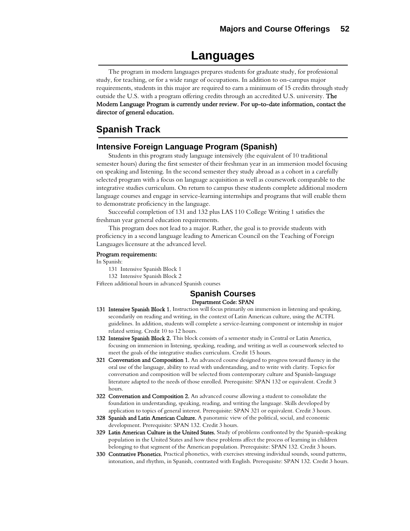## **Languages**

The program in modern languages prepares students for graduate study, for professional study, for teaching, or for a wide range of occupations. In addition to on-campus major requirements, students in this major are required to earn a minimum of 15 credits through study outside the U.S. with a program offering credits through an accredited U.S. university. The Modern Language Program is currently under review. For up-to-date information, contact the director of general education.

## **Spanish Track**

## **Intensive Foreign Language Program (Spanish)**

Students in this program study language intensively (the equivalent of 10 traditional semester hours) during the first semester of their freshman year in an immersion model focusing on speaking and listening. In the second semester they study abroad as a cohort in a carefully selected program with a focus on language acquisition as well as coursework comparable to the integrative studies curriculum. On return to campus these students complete additional modern language courses and engage in service-learning internships and programs that will enable them to demonstrate proficiency in the language.

Successful completion of 131 and 132 plus LAS 110 College Writing 1 satisfies the freshman year general education requirements.

This program does not lead to a major. Rather, the goal is to provide students with proficiency in a second language leading to American Council on the Teaching of Foreign Languages licensure at the advanced level.

#### Program requirements:

In Spanish:

131 Intensive Spanish Block 1

132 Intensive Spanish Block 2

Fifteen additional hours in advanced Spanish courses

### **Spanish Courses**  Department Code: SPAN

- 131 Intensive Spanish Block 1. Instruction will focus primarily on immersion in listening and speaking, secondarily on reading and writing, in the context of Latin American culture, using the ACTFL guidelines. In addition, students will complete a service-learning component or internship in major related setting. Credit 10 to 12 hours.
- 132 Intensive Spanish Block 2. This block consists of a semester study in Central or Latin America, focusing on immersion in listening, speaking, reading, and writing as well as coursework selected to meet the goals of the integrative studies curriculum. Credit 15 hours.
- 321 Conversation and Composition 1. An advanced course designed to progress toward fluency in the oral use of the language, ability to read with understanding, and to write with clarity. Topics for conversation and composition will be selected from contemporary culture and Spanish-language literature adapted to the needs of those enrolled. Prerequisite: SPAN 132 or equivalent. Credit 3 hours.
- 322 Conversation and Composition 2. An advanced course allowing a student to consolidate the foundation in understanding, speaking, reading, and writing the language. Skills developed by application to topics of general interest. Prerequisite: SPAN 321 or equivalent. Credit 3 hours.
- 328 Spanish and Latin American Culture. A panoramic view of the political, social, and economic development. Prerequisite: SPAN 132. Credit 3 hours.
- 329 Latin American Culture in the United States. Study of problems confronted by the Spanish-speaking population in the United States and how these problems affect the process of learning in children belonging to that segment of the American population. Prerequisite: SPAN 132. Credit 3 hours.
- 330 Contrastive Phonetics. Practical phonetics, with exercises stressing individual sounds, sound patterns, intonation, and rhythm, in Spanish, contrasted with English. Prerequisite: SPAN 132. Credit 3 hours.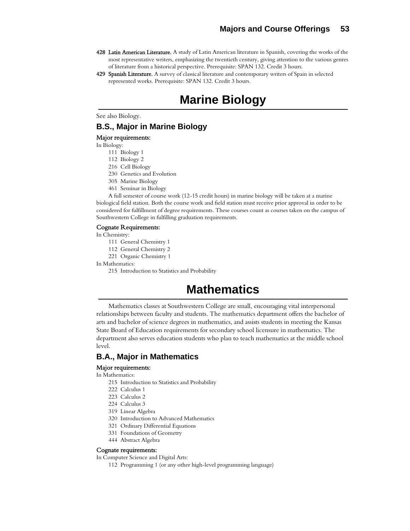- 428 Latin American Literature. A study of Latin American literature in Spanish, covering the works of the most representative writers, emphasizing the twentieth century, giving attention to the various genres of literature from a historical perspective. Prerequisite: SPAN 132. Credit 3 hours.
- 429 Spanish Literature. A survey of classical literature and contemporary writers of Spain in selected represented works. Prerequisite: SPAN 132. Credit 3 hours.

# **Marine Biology**

See also Biology.

## **B.S., Major in Marine Biology**

#### Major requirements:

In Biology:

- 111 Biology 1
- 112 Biology 2
- 216 Cell Biology
- 230 Genetics and Evolution
- 305 Marine Biology
- 461 Seminar in Biology

A full semester of course work (12-15 credit hours) in marine biology will be taken at a marine biological field station. Both the course work and field station must receive prior approval in order to be considered for fulfillment of degree requirements. These courses count as courses taken on the campus of Southwestern College in fulfilling graduation requirements.

#### Cognate Requirements:

In Chemistry:

- 111 General Chemistry 1
- 112 General Chemistry 2
- 221 Organic Chemistry 1

In Mathematics:

215 Introduction to Statistics and Probability

# **Mathematics**

Mathematics classes at Southwestern College are small, encouraging vital interpersonal relationships between faculty and students. The mathematics department offers the bachelor of arts and bachelor of science degrees in mathematics, and assists students in meeting the Kansas State Board of Education requirements for secondary school licensure in mathematics. The department also serves education students who plan to teach mathematics at the middle school level.

## **B.A., Major in Mathematics**

#### Major requirements:

In Mathematics:

- 215 Introduction to Statistics and Probability
- 222 Calculus 1
- 223 Calculus 2
- 224 Calculus 3
- 319 Linear Algebra
- 320 Introduction to Advanced Mathematics
- 321 Ordinary Differential Equations
- 331 Foundations of Geometry
- 444 Abstract Algebra

### Cognate requirements:

In Computer Science and Digital Arts:

112 Programming 1 (or any other high-level programming language)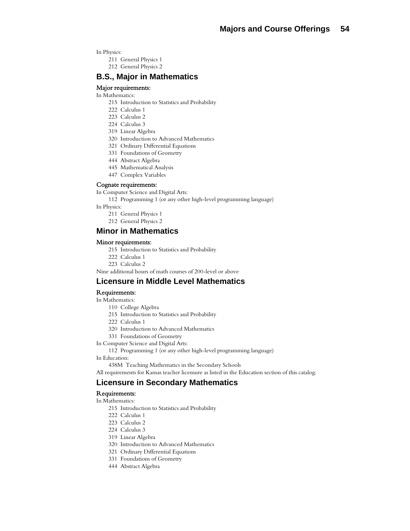In Physics:

- 211 General Physics 1
- 212 General Physics 2

## **B.S., Major in Mathematics**

### Major requirements:

- In Mathematics:
	- 215 Introduction to Statistics and Probability
	- 222 Calculus 1
	- 223 Calculus 2
	- 224 Calculus 3
	- 319 Linear Algebra
	- 320 Introduction to Advanced Mathematics
	- 321 Ordinary Differential Equations
	- 331 Foundations of Geometry
	- 444 Abstract Algebra
	- 445 Mathematical Analysis
	- 447 Complex Variables

#### Cognate requirements:

In Computer Science and Digital Arts:

112 Programming 1 (or any other high-level programming language)

- In Physics:
	- 211 General Physics 1
	- 212 General Physics 2

## **Minor in Mathematics**

#### Minor requirements:

- 215 Introduction to Statistics and Probability
- 222 Calculus 1
- 223 Calculus 2

Nine additional hours of math courses of 200-level or above

### **Licensure in Middle Level Mathematics**

#### Requirements:

- In Mathematics:
	- 110 College Algebra
	- 215 Introduction to Statistics and Probability
	- 222 Calculus 1
	- 320 Introduction to Advanced Mathematics
	- 331 Foundations of Geometry

In Computer Science and Digital Arts:

112 Programming 1 (or any other high-level programming language)

In Education:

438M Teaching Mathematics in the Secondary Schools

All requirements for Kansas teacher licensure as listed in the Education section of this catalog.

## **Licensure in Secondary Mathematics**

#### Requirements:

In Mathematics:

- 215 Introduction to Statistics and Probability
- 222 Calculus 1
- 223 Calculus 2
- 224 Calculus 3
- 319 Linear Algebra
- 320 Introduction to Advanced Mathematics
- 321 Ordinary Differential Equations
- 331 Foundations of Geometry
- 444 Abstract Algebra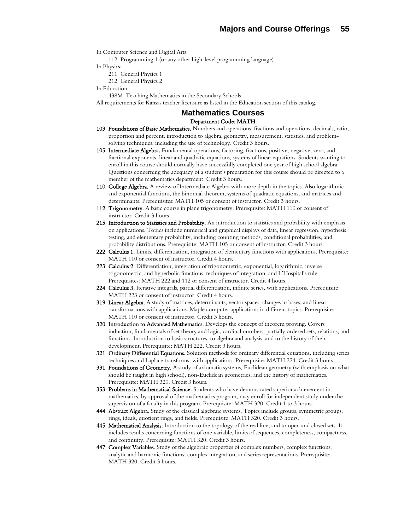In Computer Science and Digital Arts:

112 Programming 1 (or any other high-level programming language)

In Physics:

211 General Physics 1

212 General Physics 2

In Education:

438M Teaching Mathematics in the Secondary Schools

All requirements for Kansas teacher licensure as listed in the Education section of this catalog.

## **Mathematics Courses**  Department Code: MATH

- 103 Foundations of Basic Mathematics. Numbers and operations, fractions and operations, decimals, ratio, proportion and percent, introduction to algebra, geometry, measurement, statistics, and problemsolving techniques, including the use of technology. Credit 3 hours.
- 105 Intermediate Algebra. Fundamental operations, factoring, fractions, positive, negative, zero, and fractional exponents, linear and quadratic equations, systems of linear equations. Students wanting to enroll in this course should normally have successfully completed one year of high school algebra. Questions concerning the adequacy of a student's preparation for this course should be directed to a member of the mathematics department. Credit 3 hours.
- 110 College Algebra. A review of Intermediate Algebra with more depth in the topics. Also logarithmic and exponential functions, the binomial theorem, systems of quadratic equations, and matrices and determinants. Prerequisites: MATH 105 or consent of instructor. Credit 3 hours.
- 112 Trigonometry. A basic course in plane trigonometry. Prerequisite: MATH 110 or consent of instructor. Credit 3 hours.
- 215 Introduction to Statistics and Probability. An introduction to statistics and probability with emphasis on applications. Topics include numerical and graphical displays of data, linear regression, hypothesis testing, and elementary probability, including counting methods, conditional probabilities, and probability distributions. Prerequisite: MATH 105 or consent of instructor. Credit 3 hours.
- 222 Calculus 1. Limits, differentiation, integration of elementary functions with applications. Prerequisite: MATH 110 or consent of instructor. Credit 4 hours.
- 223 Calculus 2. Differentiation, integration of trigonometric, exponential, logarithmic, inverse trigonometric, and hyperbolic functions, techniques of integration, and L'Hospital's rule. Prerequisites: MATH 222 and 112 or consent of instructor. Credit 4 hours.
- 224 Calculus 3. Iterative integrals, partial differentiation, infinite series, with applications. Prerequisite: MATH 223 or consent of instructor. Credit 4 hours.
- 319 Linear Algebra. A study of matrices, determinants, vector spaces, changes in bases, and linear transformations with applications. Maple computer applications in different topics. Prerequisite: MATH 110 or consent of instructor. Credit 3 hours.
- 320 Introduction to Advanced Mathematics. Develops the concept of theorem proving. Covers induction, fundamentals of set theory and logic, cardinal numbers, partially ordered sets, relations, and functions. Introduction to basic structures, to algebra and analysis, and to the history of their development. Prerequisite: MATH 222. Credit 3 hours.
- 321 Ordinary Differential Equations. Solution methods for ordinary differential equations, including series techniques and Laplace transforms, with applications. Prerequisite: MATH 224. Credit 3 hours.
- 331 Foundations of Geometry. A study of axiomatic systems, Euclidean geometry (with emphasis on what should be taught in high school), non-Euclidean geometries, and the history of mathematics. Prerequisite: MATH 320. Credit 3 hours.
- **353 Problems in Mathematical Science.** Students who have demonstrated superior achievement in mathematics, by approval of the mathematics program, may enroll for independent study under the supervision of a faculty in this program. Prerequisite: MATH 320. Credit 1 to 3 hours.
- 444 Abstract Algebra. Study of the classical algebraic systems. Topics include groups, symmetric groups, rings, ideals, quotient rings, and fields. Prerequisite: MATH 320. Credit 3 hours.
- 445 Mathematical Analysis. Introduction to the topology of the real line, and to open and closed sets. It includes results concerning functions of one variable, limits of sequences, completeness, compactness, and continuity. Prerequisite: MATH 320. Credit 3 hours.
- 447 Complex Variables. Study of the algebraic properties of complex numbers, complex functions, analytic and harmonic functions, complex integration, and series representations. Prerequisite: MATH 320. Credit 3 hours.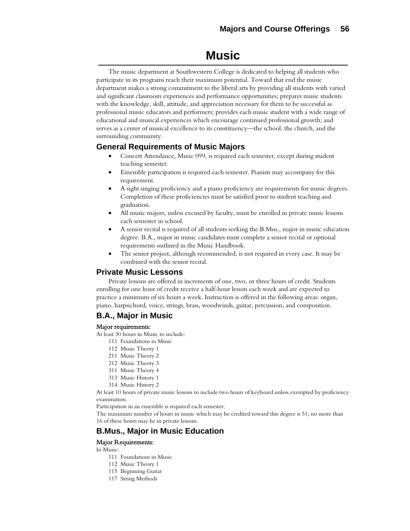## **Music**

The music department at Southwestern College is dedicated to helping all students who participate in its programs reach their maximum potential. Toward that end the music department makes a strong commitment to the liberal arts by providing all students with varied and significant classroom experiences and performance opportunities; prepares music students with the knowledge, skill, attitude, and appreciation necessary for them to be successful as professional music educators and performers; provides each music student with a wide range of educational and musical experiences which encourage continued professional growth; and serves as a center of musical excellence to its constituency—the school, the church, and the surrounding community.

## **General Requirements of Music Majors**

- Concert Attendance, Music 099, is required each semester, except during student teaching semester.
- Ensemble participation is required each semester. Pianists may accompany for this requirement.
- A sight singing proficiency and a piano proficiency are requirements for music degrees. Completion of these proficiencies must be satisfied prior to student teaching and graduation.
- All music majors, unless excused by faculty, must be enrolled in private music lessons each semester in school.
- A senior recital is required of all students seeking the B.Mus., major in music education degree. B.A., major in music candidates must complete a senior recital or optional requirements outlined in the Music Handbook.
- The senior project, although recommended, is not required in every case. It may be combined with the senior recital.

## **Private Music Lessons**

Private lessons are offered in increments of one, two, or three hours of credit. Students enrolling for one hour of credit receive a half-hour lesson each week and are expected to practice a minimum of six hours a week. Instruction is offered in the following areas: organ, piano, harpsichord, voice, strings, brass, woodwinds, guitar, percussion, and composition.

## **B.A., Major in Music**

#### Major requirements:

At least 30 hours in Music to include:

- 111 Foundations in Music
- 112 Music Theory 1
- 211 Music Theory 2
- 212 Music Theory 3
- 311 Music Theory 4
- 313 Music History 1
- 314 Music History 2

At least 10 hours of private music lessons to include two hours of keyboard unless exempted by proficiency examination.

Participation in an ensemble is required each semester.

The maximum number of hours in music which may be credited toward this degree is 51; no more than 16 of these hours may be in private lessons.

## **B.Mus., Major in Music Education**

## Major Requirements:

In Music:

- 111 Foundations in Music
- 112 Music Theory 1
- 115 Beginning Guitar
- 117 String Methods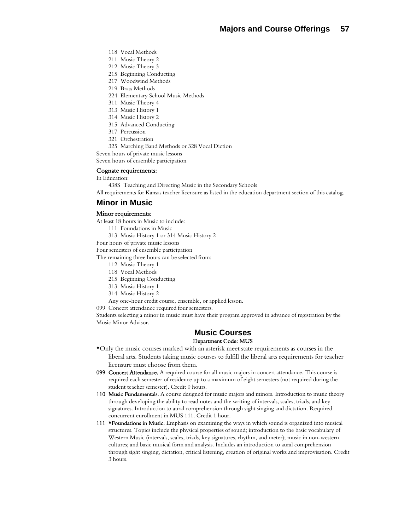- 118 Vocal Methods
- 211 Music Theory 2
- 212 Music Theory 3
- 215 Beginning Conducting
- 217 Woodwind Methods
- 219 Brass Methods
- 224 Elementary School Music Methods
- 311 Music Theory 4
- 313 Music History 1
- 314 Music History 2
- 315 Advanced Conducting
- 317 Percussion
- 321 Orchestration
- 325 Marching Band Methods or 328 Vocal Diction

Seven hours of private music lessons

Seven hours of ensemble participation

### Cognate requirements:

In Education:

438S Teaching and Directing Music in the Secondary Schools

All requirements for Kansas teacher licensure as listed in the education department section of this catalog.

## **Minor in Music**

#### Minor requirements:

At least 18 hours in Music to include:

- 111 Foundations in Music
- 313 Music History 1 or 314 Music History 2

Four hours of private music lessons

Four semesters of ensemble participation

The remaining three hours can be selected from:

- 112 Music Theory 1
- 118 Vocal Methods
- 215 Beginning Conducting
- 313 Music History 1
- 314 Music History 2
- Any one-hour credit course, ensemble, or applied lesson.

099 Concert attendance required four semesters.

Students selecting a minor in music must have their program approved in advance of registration by the Music Minor Advisor.

#### **Music Courses** Department Code: MUS

- \*Only the music courses marked with an asterisk meet state requirements as courses in the liberal arts. Students taking music courses to fulfill the liberal arts requirements for teacher licensure must choose from them.
- 099 Concert Attendance. A required course for all music majors in concert attendance. This course is required each semester of residence up to a maximum of eight semesters (not required during the student teacher semester). Credit 0 hours.
- 110 Music Fundamentals. A course designed for music majors and minors. Introduction to music theory through developing the ability to read notes and the writing of intervals, scales, triads, and key signatures. Introduction to aural comprehension through sight singing and dictation. Required concurrent enrollment in MUS 111. Credit 1 hour.
- 111 **\*Foundations in Music.** Emphasis on examining the ways in which sound is organized into musical structures. Topics include the physical properties of sound; introduction to the basic vocabulary of Western Music (intervals, scales, triads, key signatures, rhythm, and meter); music in non-western cultures; and basic musical form and analysis. Includes an introduction to aural comprehension through sight singing, dictation, critical listening, creation of original works and improvisation. Credit 3 hours.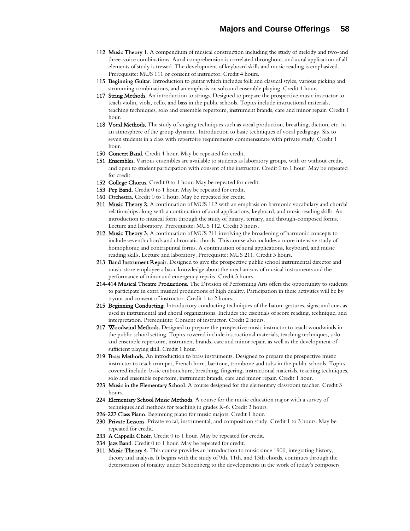- 112 Music Theory 1. A compendium of musical construction including the study of melody and two-and three-voice combinations. Aural comprehension is correlated throughout, and aural application of all elements of study is tressed. The development of keyboard skills and music reading is emphasized. Prerequisite: MUS 111 or consent of instructor. Credit 4 hours.
- 115 Beginning Guitar. Introduction to guitar which includes folk and classical styles, various picking and strumming combinations, and an emphasis on solo and ensemble playing. Credit 1 hour.
- 117 String Methods. An introduction to strings. Designed to prepare the prospective music instructor to teach violin, viola, cello, and bass in the public schools. Topics include instructional materials, teaching techniques, solo and ensemble repertoire, instrument brands, care and minor repair. Credit 1 hour.
- 118 Vocal Methods. The study of singing techniques such as vocal production, breathing, diction, etc. in an atmosphere of the group dynamic. Introduction to basic techniques of vocal pedagogy. Six to seven students in a class with repertoire requirements commensurate with private study. Credit 1 hour.
- 150 Concert Band. Credit 1 hour. May be repeated for credit.
- 151 Ensembles. Various ensembles are available to students as laboratory groups, with or without credit, and open to student participation with consent of the instructor. Credit 0 to 1 hour. May be repeated for credit.
- 152 College Chorus. Credit 0 to 1 hour. May be repeated for credit.
- 153 Pep Band. Credit 0 to 1 hour. May be repeated for credit.
- 160 Orchestra. Credit 0 to 1 hour. May be repeated for credit.
- 211 Music Theory 2. A continuation of MUS 112 with an emphasis on harmonic vocabulary and chordal relationships along with a continuation of aural applications, keyboard, and music reading skills. An introduction to musical form through the study of binary, ternary, and through-composed forms. Lecture and laboratory. Prerequisite: MUS 112. Credit 3 hours.
- 212 Music Theory 3. A continuation of MUS 211 involving the broadening of harmonic concepts to include seventh chords and chromatic chords. This course also includes a more intensive study of homophonic and contrapuntal forms. A continuation of aural applications, keyboard, and music reading skills. Lecture and laboratory. Prerequisite: MUS 211. Credit 3 hours.
- 213 Band Instrument Repair. Designed to give the prospective public school instrumental director and music store employee a basic knowledge about the mechanisms of musical instruments and the performance of minor and emergency repairs. Credit 3 hours.
- 214-414 Musical Theatre Productions. The Division of Performing Arts offers the opportunity to students to participate in extra musical productions of high quality. Participation in these activities will be by tryout and consent of instructor. Credit 1 to 2 hours.
- 215 Beginning Conducting. Introductory conducting techniques of the baton: gestures, signs, and cues as used in instrumental and choral organizations. Includes the essentials of score reading, technique, and interpretation. Prerequisite: Consent of instructor. Credit 2 hours.
- 217 Woodwind Methods. Designed to prepare the prospective music instructor to teach woodwinds in the public school setting. Topics covered include instructional materials, teaching techniques, solo and ensemble repertoire, instrument brands, care and minor repair, as well as the development of sufficient playing skill. Credit 1 hour.
- 219 Brass Methods. An introduction to brass instruments. Designed to prepare the prospective music instructor to teach trumpet, French horn, baritone, trombone and tuba in the public schools. Topics covered include: basic embouchure, breathing, fingering, instructional materials, teaching techniques, solo and ensemble repertoire, instrument brands, care and minor repair. Credit 1 hour.
- 223 Music in the Elementary School. A course designed for the elementary classroom teacher. Credit 3 hours.
- 224 Elementary School Music Methods. A course for the music education major with a survey of techniques and methods for teaching in grades K-6. Credit 3 hours.
- 226-227 Class Piano. Beginning piano for music majors. Credit 1 hour.
- 230 Private Lessons. Private vocal, instrumental, and composition study. Credit 1 to 3 hours. May be repeated for credit.
- 233 A Cappella Choir. Credit 0 to 1 hour. May be repeated for credit.
- 234 Jazz Band. Credit 0 to 1 hour. May be repeated for credit.
- 311 Music Theory 4. This course provides an introduction to music since 1900, integrating history, theory and analysis. It begins with the study of 9th, 11th, and 13th chords, continues through the deterioration of tonality under Schoenberg to the developments in the work of today's composers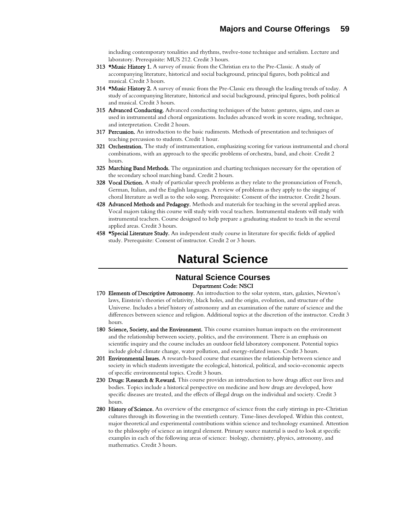including contemporary tonalities and rhythms, twelve-tone technique and serialism. Lecture and laboratory. Prerequisite: MUS 212. Credit 3 hours.

- 313 \*Music History 1. A survey of music from the Christian era to the Pre-Classic. A study of accompanying literature, historical and social background, principal figures, both political and musical. Credit 3 hours.
- 314 \*Music History 2. A survey of music from the Pre-Classic era through the leading trends of today. A study of accompanying literature, historical and social background, principal figures, both political and musical. Credit 3 hours.
- 315 Advanced Conducting. Advanced conducting techniques of the baton: gestures, signs, and cues as used in instrumental and choral organizations. Includes advanced work in score reading, technique, and interpretation. Credit 2 hours.
- 317 Percussion. An introduction to the basic rudiments. Methods of presentation and techniques of teaching percussion to students. Credit 1 hour.
- 321 Orchestration. The study of instrumentation, emphasizing scoring for various instrumental and choral combinations, with an approach to the specific problems of orchestra, band, and choir. Credit 2 hours.
- 325 Marching Band Methods. The organization and charting techniques necessary for the operation of the secondary school marching band. Credit 2 hours.
- 328 Vocal Diction. A study of particular speech problems as they relate to the pronunciation of French, German, Italian, and the English languages. A review of problems as they apply to the singing of choral literature as well as to the solo song. Prerequisite: Consent of the instructor. Credit 2 hours.
- 428 Advanced Methods and Pedagogy. Methods and materials for teaching in the several applied areas. Vocal majors taking this course will study with vocal teachers. Instrumental students will study with instrumental teachers. Course designed to help prepare a graduating student to teach in the several applied areas. Credit 3 hours.
- 458 \*Special Literature Study. An independent study course in literature for specific fields of applied study. Prerequisite: Consent of instructor. Credit 2 or 3 hours.

## **Natural Science**

### **Natural Science Courses**  Department Code: NSCI

- 170 Elements of Descriptive Astronomy. An introduction to the solar system, stars, galaxies, Newton's laws, Einstein's theories of relativity, black holes, and the origin, evolution, and structure of the Universe. Includes a brief history of astronomy and an examination of the nature of science and the differences between science and religion. Additional topics at the discretion of the instructor. Credit 3 hours.
- 180 Science, Society, and the Environment. This course examines human impacts on the environment and the relationship between society, politics, and the environment. There is an emphasis on scientific inquiry and the course includes an outdoor field laboratory component. Potential topics include global climate change, water pollution, and energy-related issues. Credit 3 hours.
- 201 Environmental Issues. A research-based course that examines the relationship between science and society in which students investigate the ecological, historical, political, and socio-economic aspects of specific environmental topics. Credit 3 hours.
- 230 Drugs: Research & Reward. This course provides an introduction to how drugs affect our lives and bodies. Topics include a historical perspective on medicine and how drugs are developed, how specific diseases are treated, and the effects of illegal drugs on the individual and society. Credit 3 hours.
- 280 History of Science. An overview of the emergence of science from the early stirrings in pre-Christian cultures through its flowering in the twentieth century. Time-lines developed. Within this context, major theoretical and experimental contributions within science and technology examined. Attention to the philosophy of science an integral element. Primary source material is used to look at specific examples in each of the following areas of science: biology, chemistry, physics, astronomy, and mathematics. Credit 3 hours.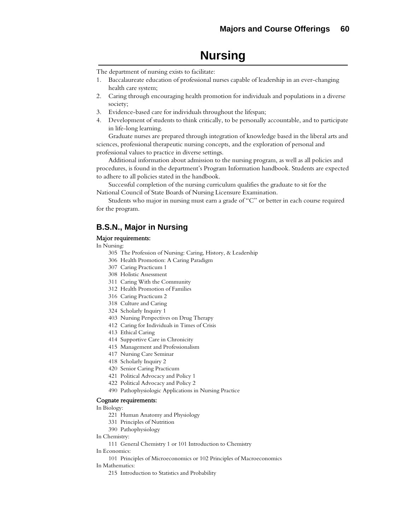# **Nursing**

The department of nursing exists to facilitate:

- 1. Baccalaureate education of professional nurses capable of leadership in an ever-changing health care system;
- 2. Caring through encouraging health promotion for individuals and populations in a diverse society;
- 3. Evidence-based care for individuals throughout the lifespan;
- 4. Development of students to think critically, to be personally accountable, and to participate in life-long learning.

Graduate nurses are prepared through integration of knowledge based in the liberal arts and sciences, professional therapeutic nursing concepts, and the exploration of personal and professional values to practice in diverse settings.

Additional information about admission to the nursing program, as well as all policies and procedures, is found in the department's Program Information handbook. Students are expected to adhere to all policies stated in the handbook.

Successful completion of the nursing curriculum qualifies the graduate to sit for the National Council of State Boards of Nursing Licensure Examination.

Students who major in nursing must earn a grade of "C" or better in each course required for the program.

## **B.S.N., Major in Nursing**

#### Major requirements:

#### In Nursing:

- 305 The Profession of Nursing: Caring, History, & Leadership
- 306 Health Promotion: A Caring Paradigm
- 307 Caring Practicum 1
- 308 Holistic Assessment
- 311 Caring With the Community
- 312 Health Promotion of Families
- 316 Caring Practicum 2
- 318 Culture and Caring
- 324 Scholarly Inquiry 1
- 403 Nursing Perspectives on Drug Therapy
- 412 Caring for Individuals in Times of Crisis
- 413 Ethical Caring
- 414 Supportive Care in Chronicity
- 415 Management and Professionalism
- 417 Nursing Care Seminar
- 418 Scholarly Inquiry 2
- 420 Senior Caring Practicum
- 421 Political Advocacy and Policy 1
- 422 Political Advocacy and Policy 2
- 490 Pathophysiologic Applications in Nursing Practice

#### Cognate requirements:

#### In Biology:

- 221 Human Anatomy and Physiology
- 331 Principles of Nutrition
- 390 Pathophysiology

In Chemistry:

111 General Chemistry 1 or 101 Introduction to Chemistry

- In Economics:
	- 101 Principles of Microeconomics or 102 Principles of Macroeconomics

#### In Mathematics:

215 Introduction to Statistics and Probability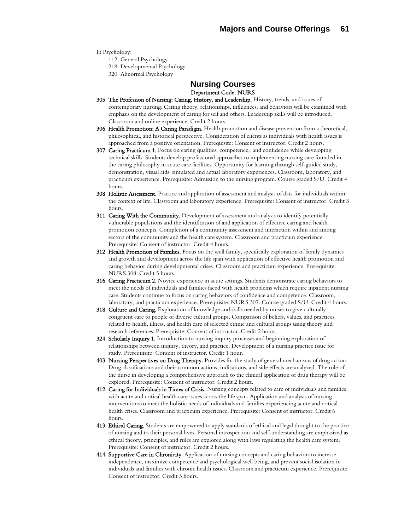In Psychology:

- 112 General Psychology
- 218 Developmental Psychology
- 320 Abnormal Psychology

## **Nursing Courses**  Department Code: NURS

- 305 The Profession of Nursing: Caring, History, and Leadership. History, trends, and issues of contemporary nursing. Caring theory, relationships, influences, and behaviors will be examined with emphasis on the development of caring for self and others. Leadership skills will be introduced. Classroom and online experience. Credit 2 hours.
- 306 Health Promotion: A Caring Paradigm. Health promotion and disease prevention from a theoretical, philosophical, and historical perspective. Consideration of clients as individuals with health issues is approached from a positive orientation. Prerequisite: Consent of instructor. Credit 2 hours.
- 307 Caring Practicum 1. Focus on caring qualities, competence, and confidence while developing technical skills. Students develop professional approaches to implementing nursing care founded in the caring philosophy in acute care facilities. Opportunity for learning through self-guided study, demonstration, visual aids, simulated and actual laboratory experiences. Classroom, laboratory, and practicum experience. Prerequisite: Admission to the nursing program. Course graded S/U. Credit 4 hours.
- 308 Holistic Assessment. Practice and application of assessment and analysis of data for individuals within the context of life. Classroom and laboratory experience. Prerequisite: Consent of instructor. Credit 3 hours.
- 311 Caring With the Community. Development of assessment and analysis to identify potentially vulnerable populations and the identification of and application of effective caring and health promotion concepts. Completion of a community assessment and interaction within and among sectors of the community and the health care system. Classroom and practicum experience. Prerequisite: Consent of instructor. Credit 4 hours.
- 312 Health Promotion of Families. Focus on the well family, specifically exploration of family dynamics and growth and development across the life span with application of effective health promotion and caring behavior during developmental crises. Classroom and practicum experience. Prerequisite: NURS 308. Credit 5 hours.
- 316 Caring Practicum 2. Novice experience in acute settings. Students demonstrate caring behaviors to meet the needs of individuals and families faced with health problems which require inpatient nursing care. Students continue to focus on caring behaviors of confidence and competence. Classroom, laboratory, and practicum experience. Prerequisite: NURS 307. Course graded S/U. Credit 4 hours.
- 318 Culture and Caring. Exploration of knowledge and skills needed by nurses to give culturally congruent care to people of diverse cultural groups. Comparison of beliefs, values, and practices related to health, illness, and health care of selected ethnic and cultural groups using theory and research references. Prerequisite: Consent of instructor. Credit 2 hours.
- 324 Scholarly Inquiry 1. Introduction to nursing inquiry processes and beginning exploration of relationships between inquiry, theory, and practice. Development of a nursing practice issue for study. Prerequisite: Consent of instructor. Credit 1 hour.
- 403 Nursing Perspectives on Drug Therapy. Provides for the study of general mechanisms of drug action. Drug classifications and their common actions, indications, and side effects are analyzed. The role of the nurse in developing a comprehensive approach to the clinical application of drug therapy will be explored. Prerequisite: Consent of instructor. Credit 2 hours.
- 412 Caring for Individuals in Times of Crisis. Nursing concepts related to care of individuals and families with acute and critical health care issues across the life span. Application and analysis of nursing interventions to meet the holistic needs of individuals and families experiencing acute and critical health crises. Classroom and practicum experience. Prerequisite: Consent of instructor. Credit 6 hours.
- 413 Ethical Caring. Students are empowered to apply standards of ethical and legal thought to the practice of nursing and to their personal lives. Personal introspection and self-understanding are emphasized as ethical theory, principles, and rules are explored along with laws regulating the health care system. Prerequisite: Consent of instructor. Credit 2 hours.
- 414 Supportive Care in Chronicity. Application of nursing concepts and caring behaviors to increase independence, maximize competence and psychological well being, and prevent social isolation in individuals and families with chronic health issues. Classroom and practicum experience. Prerequisite: Consent of instructor. Credit 3 hours.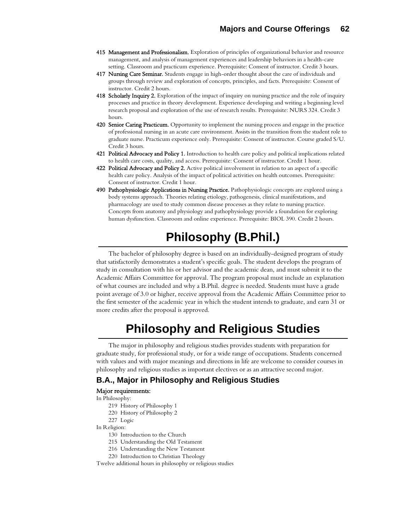- 415 Management and Professionalism. Exploration of principles of organizational behavior and resource management, and analysis of management experiences and leadership behaviors in a health-care setting. Classroom and practicum experience. Prerequisite: Consent of instructor. Credit 3 hours.
- 417 Nursing Care Seminar. Students engage in high-order thought about the care of individuals and groups through review and exploration of concepts, principles, and facts. Prerequisite: Consent of instructor. Credit 2 hours.
- 418 Scholarly Inquiry 2. Exploration of the impact of inquiry on nursing practice and the role of inquiry processes and practice in theory development. Experience developing and writing a beginning level research proposal and exploration of the use of research results. Prerequisite: NURS 324. Credit 3 hours.
- 420 Senior Caring Practicum. Opportunity to implement the nursing process and engage in the practice of professional nursing in an acute care environment. Assists in the transition from the student role to graduate nurse. Practicum experience only. Prerequisite: Consent of instructor. Course graded S/U. Credit 3 hours.
- 421 Political Advocacy and Policy 1. Introduction to health care policy and political implications related to health care costs, quality, and access. Prerequisite: Consent of instructor. Credit 1 hour.
- 422 Political Advocacy and Policy 2. Active political involvement in relation to an aspect of a specific health care policy. Analysis of the impact of political activities on health outcomes. Prerequisite: Consent of instructor. Credit 1 hour.
- 490 Pathophysiologic Applications in Nursing Practice. Pathophysiologic concepts are explored using a body systems approach. Theories relating etiology, pathogenesis, clinical manifestations, and pharmacology are used to study common disease processes as they relate to nursing practice. Concepts from anatomy and physiology and pathophysiology provide a foundation for exploring human dysfunction. Classroom and online experience. Prerequisite: BIOL 390. Credit 2 hours.

# **Philosophy (B.Phil.)**

The bachelor of philosophy degree is based on an individually-designed program of study that satisfactorily demonstrates a student's specific goals. The student develops the program of study in consultation with his or her advisor and the academic dean, and must submit it to the Academic Affairs Committee for approval. The program proposal must include an explanation of what courses are included and why a B.Phil. degree is needed. Students must have a grade point average of 3.0 or higher, receive approval from the Academic Affairs Committee prior to the first semester of the academic year in which the student intends to graduate, and earn 31 or more credits after the proposal is approved.

# **Philosophy and Religious Studies**

The major in philosophy and religious studies provides students with preparation for graduate study, for professional study, or for a wide range of occupations. Students concerned with values and with major meanings and directions in life are welcome to consider courses in philosophy and religious studies as important electives or as an attractive second major.

## **B.A., Major in Philosophy and Religious Studies**

#### Major requirements:

In Philosophy:

- 219 History of Philosophy 1
- 220 History of Philosophy 2
- 227 Logic

In Religion:

- 130 Introduction to the Church
- 215 Understanding the Old Testament
- 216 Understanding the New Testament
- 220 Introduction to Christian Theology

Twelve additional hours in philosophy or religious studies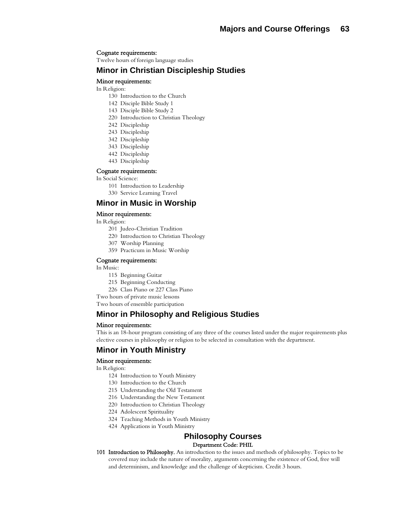#### Cognate requirements:

Twelve hours of foreign language studies

## **Minor in Christian Discipleship Studies**

#### Minor requirements:

In Religion:

- 130 Introduction to the Church
- 142 Disciple Bible Study 1
- 143 Disciple Bible Study 2
- 220 Introduction to Christian Theology
- 242 Discipleship
- 243 Discipleship
- 342 Discipleship
- 343 Discipleship
- 442 Discipleship
- 443 Discipleship

#### Cognate requirements:

In Social Science:

- 101 Introduction to Leadership
- 330 Service Learning Travel

## **Minor in Music in Worship**

#### Minor requirements:

In Religion:

- 201 Judeo-Christian Tradition
- 220 Introduction to Christian Theology
- 307 Worship Planning
- 359 Practicum in Music Worship

#### Cognate requirements:

In Music:

- 115 Beginning Guitar
- 215 Beginning Conducting
- 226 Class Piano or 227 Class Piano
- Two hours of private music lessons

Two hours of ensemble participation

## **Minor in Philosophy and Religious Studies**

#### Minor requirements:

This is an 18-hour program consisting of any three of the courses listed under the major requirements plus elective courses in philosophy or religion to be selected in consultation with the department.

## **Minor in Youth Ministry**

#### Minor requirements:

In Religion:

- 124 Introduction to Youth Ministry
- 130 Introduction to the Church
- 215 Understanding the Old Testament
- 216 Understanding the New Testament
- 220 Introduction to Christian Theology
- 224 Adolescent Spirituality
- 324 Teaching Methods in Youth Ministry
- 424 Applications in Youth Ministry

## **Philosophy Courses**

#### Department Code: PHIL

101 Introduction to Philosophy. An introduction to the issues and methods of philosophy. Topics to be covered may include the nature of morality, arguments concerning the existence of God, free will and determinism, and knowledge and the challenge of skepticism. Credit 3 hours.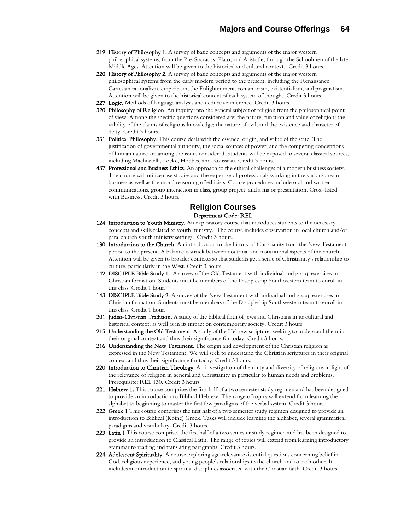- 219 History of Philosophy 1. A survey of basic concepts and arguments of the major western philosophical systems, from the Pre-Socratics, Plato, and Aristotle, through the Schoolmen of the late Middle Ages. Attention will be given to the historical and cultural contexts. Credit 3 hours.
- 220 History of Philosophy 2. A survey of basic concepts and arguments of the major western philosophical systems from the early modern period to the present, including the Renaissance, Cartesian rationalism, empiricism, the Enlightenment, romanticism, existentialism, and pragmatism. Attention will be given to the historical context of each system of thought. Credit 3 hours.
- 227 Logic. Methods of language analysis and deductive inference. Credit 3 hours.
- 320 Philosophy of Religion. An inquiry into the general subject of religion from the philosophical point of view. Among the specific questions considered are: the nature, function and value of religion; the validity of the claims of religious knowledge; the nature of evil; and the existence and character of deity. Credit 3 hours.
- 331 Political Philosophy. This course deals with the essence, origin, and value of the state. The justification of governmental authority, the social sources of power, and the competing conceptions of human nature are among the issues considered. Students will be exposed to several classical sources, including Machiavelli, Locke, Hobbes, and Rousseau. Credit 3 hours.
- 437 Professional and Business Ethics. An approach to the ethical challenges of a modern business society. The course will utilize case studies and the expertise of professionals working in the various area of business as well as the moral reasoning of ethicists. Course procedures include oral and written communications, group interaction in class, group project, and a major presentation. Cross-listed with Business. Credit 3 hours.

### **Religion Courses**  Department Code: REL

- 124 Introduction to Youth Ministry. An exploratory course that introduces students to the necessary concepts and skills related to youth ministry. The course includes observation in local church and/or para-church youth ministry settings. Credit 3 hours.
- 130 Introduction to the Church. An introduction to the history of Christianity from the New Testament period to the present. A balance is struck between doctrinal and institutional aspects of the church. Attention will be given to broader contexts so that students get a sense of Christianity's relationship to culture, particularly in the West. Credit 3 hours.
- 142 DISCIPLE Bible Study 1. A survey of the Old Testament with individual and group exercises in Christian formation. Students must be members of the Discipleship Southwestern team to enroll in this class. Credit 1 hour.
- 143 DISCIPLE Bible Study 2. A survey of the New Testament with individual and group exercises in Christian formation. Students must be members of the Discipleship Southwestern team to enroll in this class. Credit 1 hour.
- 201 Judeo-Christian Tradition. A study of the biblical faith of Jews and Christians in its cultural and historical context, as well as in its impact on contemporary society. Credit 3 hours.
- 215 Understanding the Old Testament. A study of the Hebrew scriptures seeking to understand them in their original context and thus their significance for today. Credit 3 hours.
- 216 Understanding the New Testament. The origin and development of the Christian religion as expressed in the New Testament. We will seek to understand the Christian scriptures in their original context and thus their significance for today. Credit 3 hours.
- 220 Introduction to Christian Theology. An investigation of the unity and diversity of religions in light of the relevance of religion in general and Christianity in particular to human needs and problems. Prerequisite: REL 130. Credit 3 hours.
- 221 Hebrew 1. This course comprises the first half of a two semester study regimen and has been designed to provide an introduction to Biblical Hebrew. The range of topics will extend from learning the alphabet to beginning to master the first few paradigms of the verbal system. Credit 3 hours.
- 222 Greek 1 This course comprises the first half of a two semester study regimen designed to provide an introduction to Biblical (Koine) Greek. Tasks will include learning the alphabet, several grammatical paradigms and vocabulary. Credit 3 hours.
- 223 Latin 1 This course comprises the first half of a two semester study regimen and has been designed to provide an introduction to Classical Latin. The range of topics will extend from learning introductory grammar to reading and translating paragraphs. Credit 3 hours.
- 224 Adolescent Spirituality. A course exploring age-relevant existential questions concerning belief in God, religious experience, and young people's relationships to the church and to each other. It includes an introduction to spiritual disciplines associated with the Christian faith. Credit 3 hours.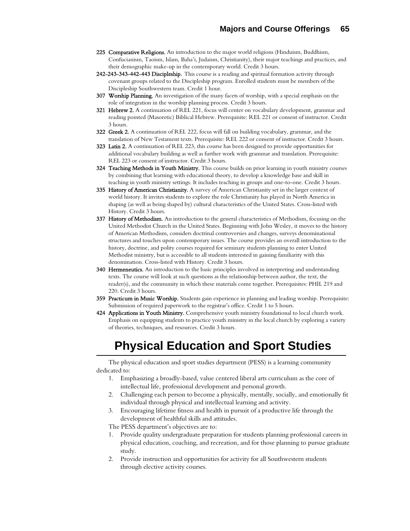- 225 Comparative Religions. An introduction to the major world religions (Hinduism, Buddhism, Confucianism, Taoism, Islam, Baha'i, Judaism, Christianity), their major teachings and practices, and their demographic make-up in the contemporary world. Credit 3 hours.
- 242-243-343-442-443 Discipleship. This course is a reading and spiritual formation activity through covenant groups related to the Discipleship program. Enrolled students must be members of the Discipleship Southwestern team. Credit 1 hour.
- 307 Worship Planning. An investigation of the many facets of worship, with a special emphasis on the role of integration in the worship planning process. Credit 3 hours.
- 321 Hebrew 2. A continuation of REL 221, focus will center on vocabulary development, grammar and reading pointed (Masoretic) Biblical Hebrew. Prerequisite: REL 221 or consent of instructor. Credit 3 hours.
- 322 Greek 2. A continuation of REL 222, focus will fall on building vocabulary, grammar, and the translation of New Testament texts. Prerequisite: REL 222 or consent of instructor. Credit 3 hours.
- 323 Latin 2. A continuation of REL 223, this course has been designed to provide opportunities for additional vocabulary building as well as further work with grammar and translation. Prerequisite: REL 223 or consent of instructor. Credit 3 hours.
- 324 Teaching Methods in Youth Ministry. This course builds on prior learning in youth ministry courses by combining that learning with educational theory, to develop a knowledge base and skill in teaching in youth ministry settings. It includes teaching in groups and one-to-one. Credit 3 hours.
- 335 History of American Christianity. A survey of American Christianity set in the larger context of world history. It invites students to explore the role Christianity has played in North America in shaping (as well as being shaped by) cultural characteristics of the United States. Cross-listed with History. Credit 3 hours.
- 337 History of Methodism. An introduction to the general characteristics of Methodism, focusing on the United Methodist Church in the United States. Beginning with John Wesley, it moves to the history of American Methodism, considers doctrinal controversies and changes, surveys denominational structures and touches upon contemporary issues. The course provides an overall introduction to the history, doctrine, and polity courses required for seminary students planning to enter United Methodist ministry, but is accessible to all students interested in gaining familiarity with this denomination. Cross-listed with History. Credit 3 hours.
- 340 Hermeneutics. An introduction to the basic principles involved in interpreting and understanding texts. The course will look at such questions as the relationship between author, the text, the reader(s), and the community in which these materials come together. Prerequisites: PHIL 219 and 220. Credit 3 hours.
- 359 Practicum in Music Worship. Students gain experience in planning and leading worship. Prerequisite: Submission of required paperwork to the registrar's office. Credit 1 to 5 hours.
- 424 Applications in Youth Ministry. Comprehensive youth ministry foundational to local church work. Emphasis on equipping students to practice youth ministry in the local church by exploring a variety of theories, techniques, and resources. Credit 3 hours.

# **Physical Education and Sport Studies**

The physical education and sport studies department (PESS) is a learning community dedicated to:

- 1. Emphasizing a broadly-based, value centered liberal arts curriculum as the core of intellectual life, professional development and personal growth.
- 2. Challenging each person to become a physically, mentally, socially, and emotionally fit individual through physical and intellectual learning and activity.
- 3. Encouraging lifetime fitness and health in pursuit of a productive life through the development of healthful skills and attitudes.

The PESS department's objectives are to:

- 1. Provide quality undergraduate preparation for students planning professional careers in physical education, coaching, and recreation, and for those planning to pursue graduate study.
- 2. Provide instruction and opportunities for activity for all Southwestern students through elective activity courses.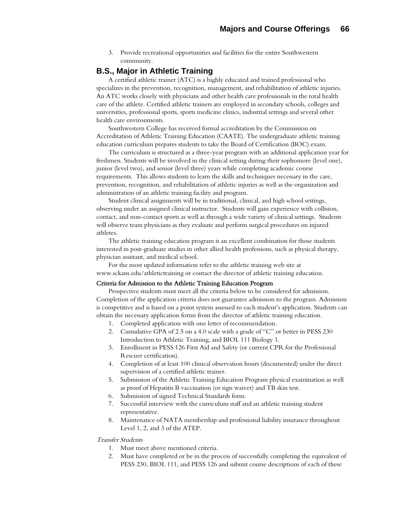3. Provide recreational opportunities and facilities for the entire Southwestern community.

## **B.S., Major in Athletic Training**

A certified athletic trainer (ATC) is a highly educated and trained professional who specializes in the prevention, recognition, management, and rehabilitation of athletic injuries. An ATC works closely with physicians and other health care professionals in the total health care of the athlete. Certified athletic trainers are employed in secondary schools, colleges and universities, professional sports, sports medicine clinics, industrial settings and several other health care environments.

Southwestern College has received formal accreditation by the Commission on Accreditation of Athletic Training Education (CAATE). The undergraduate athletic training education curriculum prepares students to take the Board of Certification (BOC) exam.

The curriculum is structured as a three-year program with an additional application year for freshmen. Students will be involved in the clinical setting during their sophomore (level one), junior (level two), and senior (level three) years while completing academic course requirements. This allows students to learn the skills and techniques necessary in the care, prevention, recognition, and rehabilitation of athletic injuries as well as the organization and administration of an athletic training facility and program.

Student clinical assignments will be in traditional, clinical, and high school settings, observing under an assigned clinical instructor. Students will gain experience with collision, contact, and non-contact sports as well as through a wide variety of clinical settings. Students will observe team physicians as they evaluate and perform surgical procedures on injured athletes.

The athletic training education program is an excellent combination for those students interested in post-graduate studies in other allied health professions, such as physical therapy, physician assistant, and medical school.

For the most updated information refer to the athletic training web site at www.sckans.edu/athletictraining or contact the director of athletic training education.

### Criteria for Admission to the Athletic Training Education Program

Prospective students must meet all the criteria below to be considered for admission. Completion of the application criteria does not guarantee admission to the program. Admission is competitive and is based on a point system assessed to each student's application. Students can obtain the necessary application forms from the director of athletic training education.

- 1. Completed application with one letter of recommendation.
- 2. Cumulative GPA of 2.5 on a 4.0 scale with a grade of "C" or better in PESS 230 Introduction to Athletic Training, and BIOL 111 Biology 1.
- 3. Enrollment in PESS 126 First Aid and Safety (or current CPR for the Professional Rescuer certification).
- 4. Completion of at least 100 clinical observation hours (documented) under the direct supervision of a certified athletic trainer.
- 5. Submission of the Athletic Training Education Program physical examination as well as proof of Hepatitis B vaccination (or sign waiver) and TB skin test.
- 6. Submission of signed Technical Standards form.
- 7. Successful interview with the curriculum staff and an athletic training student representative.
- 8. Maintenance of NATA membership and professional liability insurance throughout Level 1, 2, and 3 of the ATEP.

#### Transfer Students

- 1. Must meet above mentioned criteria.
- 2. Must have completed or be in the process of successfully completing the equivalent of PESS 230, BIOL 111, and PESS 126 and submit course descriptions of each of these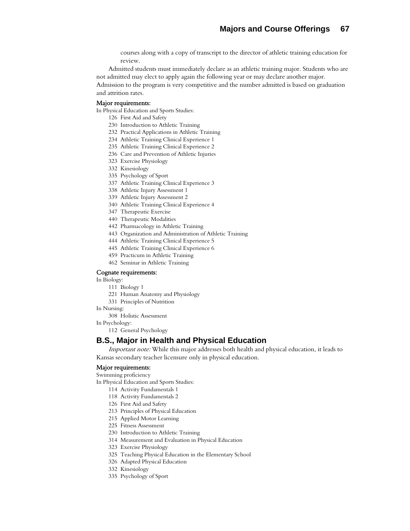courses along with a copy of transcript to the director of athletic training education for review.

Admitted students must immediately declare as an athletic training major. Students who are not admitted may elect to apply again the following year or may declare another major. Admission to the program is very competitive and the number admitted is based on graduation and attrition rates.

#### Major requirements:

In Physical Education and Sports Studies:

- 126 First Aid and Safety
- 230 Introduction to Athletic Training
- 232 Practical Applications in Athletic Training
- 234 Athletic Training Clinical Experience 1
- 235 Athletic Training Clinical Experience 2
- 236 Care and Prevention of Athletic Injuries
- 323 Exercise Physiology
- 332 Kinesiology
- 335 Psychology of Sport
- 337 Athletic Training Clinical Experience 3
- 338 Athletic Injury Assessment 1
- 339 Athletic Injury Assessment 2
- 340 Athletic Training Clinical Experience 4
- 347 Therapeutic Exercise
- 440 Therapeutic Modalities
- 442 Pharmacology in Athletic Training
- 443 Organization and Administration of Athletic Training
- 444 Athletic Training Clinical Experience 5
- 445 Athletic Training Clinical Experience 6
- 459 Practicum in Athletic Training
- 462 Seminar in Athletic Training

### Cognate requirements:

In Biology:

- 111 Biology 1
- 221 Human Anatomy and Physiology
- 331 Principles of Nutrition
- In Nursing:
	- 308 Holistic Assessment
- In Psychology:
	- 112 General Psychology

## **B.S., Major in Health and Physical Education**

Important note: While this major addresses both health and physical education, it leads to Kansas secondary teacher licensure only in physical education.

#### Major requirements:

Swimming proficiency

In Physical Education and Sports Studies:

- 114 Activity Fundamentals 1
- 118 Activity Fundamentals 2
- 126 First Aid and Safety
- 213 Principles of Physical Education
- 215 Applied Motor Learning
- 225 Fitness Assessment
- 230 Introduction to Athletic Training
- 314 Measurement and Evaluation in Physical Education
- 323 Exercise Physiology
- 325 Teaching Physical Education in the Elementary School
- 326 Adapted Physical Education
- 332 Kinesiology
- 335 Psychology of Sport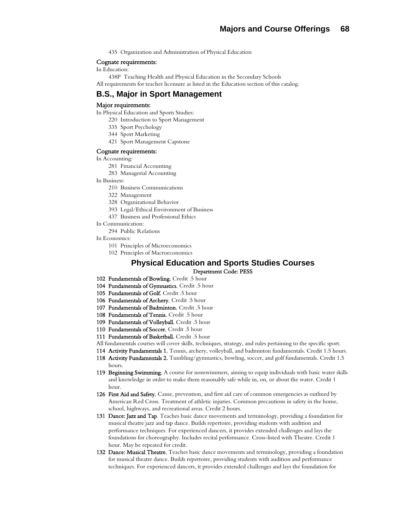435 Organization and Administration of Physical Education

#### Cognate requirements:

In Education:

438P Teaching Health and Physical Education in the Secondary Schools All requirements for teacher licensure as listed in the Education section of this catalog.

## **B.S., Major in Sport Management**

#### Major requirements:

In Physical Education and Sports Studies:

- 220 Introduction to Sport Management
- 335 Sport Psychology
- 344 Sport Marketing
- 421 Sport Management Capstone

#### Cognate requirements:

In Accounting:

- 281 Financial Accounting
- 283 Managerial Accounting
- In Business:
	- 210 Business Communications
	- 322 Management
	- 328 Organizational Behavior
	- 393 Legal/Ethical Environment of Business
	- 437 Business and Professional Ethics
- In Communication:
- 294 Public Relations
- In Economics:
	- 101 Principles of Microeconomics
	- 102 Principles of Macroeconomics

### **Physical Education and Sports Studies Courses**  Department Code: PESS

- 102 Fundamentals of Bowling. Credit .5 hour
- 104 Fundamentals of Gymnastics. Credit .5 hour
- 105 Fundamentals of Golf. Credit .5 hour
- 106 Fundamentals of Archery. Credit .5 hour
- 107 Fundamentals of Badminton. Credit .5 hour
- 108 Fundamentals of Tennis. Credit .5 hour
- 109 Fundamentals of Volleyball. Credit .5 hour
- 110 Fundamentals of Soccer. Credit .5 hour
- 111 Fundamentals of Basketball. Credit .5 hour

All fundamentals courses will cover skills, techniques, strategy, and rules pertaining to the specific sport.

- 114 Activity Fundamentals 1. Tennis, archery, volleyball, and badminton fundamentals. Credit 1.5 hours.
- 118 Activity Fundamentals 2. Tumbling/gymnastics, bowling, soccer, and golf fundamentals. Credit 1.5 hours.
- 119 Beginning Swimming. A course for nonswimmers, aiming to equip individuals with basic water skills and knowledge in order to make them reasonably safe while in, on, or about the water. Credit 1 hour.
- 126 First Aid and Safety. Cause, prevention, and first aid care of common emergencies as outlined by American Red Cross. Treatment of athletic injuries. Common precautions in safety in the home, school, highways, and recreational areas. Credit 2 hours.
- 131 Dance: Jazz and Tap. Teaches basic dance movements and terminology, providing a foundation for musical theatre jazz and tap dance. Builds repertoire, providing students with audition and performance techniques. For experienced dancers, it provides extended challenges and lays the foundations for choreography. Includes recital performance. Cross-listed with Theatre. Credit 1 hour. May be repeated for credit.
- 132 Dance: Musical Theatre. Teaches basic dance movements and terminology, providing a foundation for musical theatre dance. Builds repertoire, providing students with audition and performance techniques. For experienced dancers, it provides extended challenges and lays the foundation for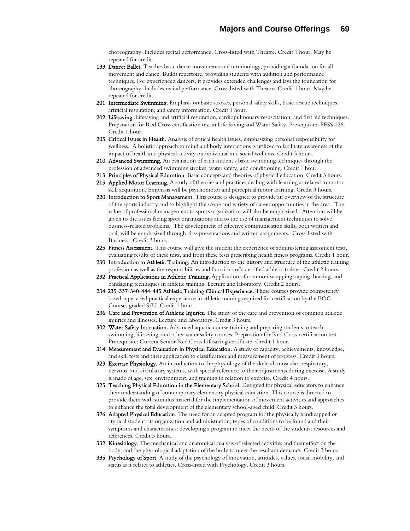choreography. Includes recital performance. Cross-listed with Theatre. Credit 1 hour. May be repeated for credit.

- 133 Dance: Ballet. Teaches basic dance movements and terminology, providing a foundation for all movement and dance. Builds repertoire, providing students with audition and performance techniques. For experienced dancers, it provides extended challenges and lays the foundation for choreography. Includes recital performance. Cross-listed with Theatre. Credit 1 hour. May be repeated for credit.
- 201 Intermediate Swimming. Emphasis on basic strokes, personal safety skills, basic rescue techniques, artificial respiration, and safety information. Credit 1 hour.
- 202 Lifesaving. Lifesaving and artificial respiration, cardiopulmonary resuscitation, and first aid techniques. Preparation for Red Cross certification test in Life Saving and Water Safety. Prerequisite: PESS 126. Credit 1 hour.
- 205 Critical Issues in Health. Analysis of critical health issues, emphasizing personal responsibility for wellness. A holistic approach to mind and body interactions is utilized to facilitate awareness of the impact of health and physical activity on individual and social wellness. Credit 3 hours.
- 210 Advanced Swimming. An evaluation of each student's basic swimming techniques through the profession of advanced swimming strokes, water safety, and conditioning. Credit 1 hour.
- 213 Principles of Physical Education. Basic concepts and theories of physical education. Credit 3 hours.
- 215 Applied Motor Learning. A study of theories and practices dealing with learning as related to motor skill acquisition. Emphasis will be psychomotor and perceptual motor learning. Credit 3 hours.
- 220 Introduction to Sport Management. This course is designed to provide an overview of the structure of the sports industry and to highlight the scope and variety of career opportunities in the area. The value of professional management to sports organization will also be emphasized. Attention will be given to the issues facing sport organizations and to the use of management techniques to solve business-related problems. The development of effective communication skills, both written and oral, will be emphasized through class presentations and written assignments. Cross-listed with Business. Credit 3 hours.
- 225 Fitness Assessment. This course will give the student the experience of administering assessment tests, evaluating results of these tests, and from these tests prescribing health fitness programs. Credit 1 hour.
- 230 Introduction to Athletic Training. An introduction to the history and structure of the athletic training profession as well as the responsibilities and functions of a certified athletic trainer. Credit 2 hours.
- 232 Practical Applications in Athletic Training. Application of common wrapping, taping, bracing, and bandaging techniques in athletic training. Lecture and laboratory. Credit 2 hours.
- 234-235-337-340-444-445 Athletic Training Clinical Experience. These courses provide competency based supervised practical experience in athletic training required for certification by the BOC. Courses graded S/U. Credit 1 hour.
- 236 Care and Prevention of Athletic Injuries. The study of the care and prevention of common athletic injuries and illnesses. Lecture and laboratory. Credit 3 hours.
- 302 Water Safety Instruction. Advanced aquatic course training and preparing students to teach swimming, lifesaving, and other water safety courses. Preparation for Red Cross certification test. Prerequisite: Current Senior Red Cross Lifesaving certificate. Credit 1 hour.
- 314 Measurement and Evaluation in Physical Education. A study of capacity, achievements, knowledge, and skill tests and their application to classification and measurement of progress. Credit 3 hours.
- 323 Exercise Physiology. An introduction to the physiology of the skeletal, muscular, respiratory, nervous, and circulatory systems, with special reference to their adjustments during exercise. A study is made of age, sex, environment, and training in relation to exercise. Credit 4 hours.
- 325 Teaching Physical Education in the Elementary School. Designed for physical educators to enhance their understanding of contemporary elementary physical education. This course is directed to provide them with stimulus material for the implementation of movement activities and approaches to enhance the total development of the elementary school-aged child. Credit 3 hours.
- 326 Adapted Physical Education. The need for an adapted program for the physically handicapped or atypical student; its organization and administration; types of conditions to be found and their symptoms and characteristics; developing a program to meet the needs of the students; resources and references. Credit 3 hours.
- 332 Kinesiology. The mechanical and anatomical analysis of selected activities and their effect on the body; and the physiological adaptation of the body to meet the resultant demands. Credit 3 hours.
- **335 Psychology of Sport.** A study of the psychology of motivation, attitudes, values, social mobility, and status as it relates to athletics. Cross-listed with Psychology. Credit 3 hours.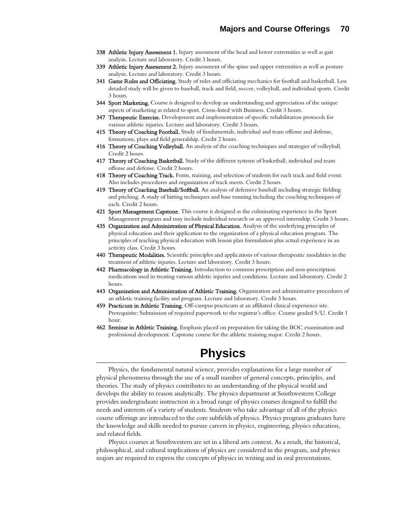- 338 Athletic Injury Assessment 1. Injury assessment of the head and lower extremities as well as gait analysis. Lecture and laboratory. Credit 3 hours.
- 339 Athletic Injury Assessment 2. Injury assessment of the spine and upper extremities as well as posture analysis. Lecture and laboratory. Credit 3 hours.
- 341 Game Rules and Officiating. Study of rules and officiating mechanics for football and basketball. Less detailed study will be given to baseball, track and field, soccer, volleyball, and individual sports. Credit 3 hours.
- 344 Sport Marketing. Course is designed to develop an understanding and appreciation of the unique aspects of marketing as related to sport. Cross-listed with Business. Credit 3 hours.
- 347 Therapeutic Exercise. Development and implementation of specific rehabilitation protocols for various athletic injuries. Lecture and laboratory. Credit 3 hours.
- 415 Theory of Coaching Football. Study of fundamentals, individual and team offense and defense, formations, plays and field generalship. Credit 2 hours.
- 416 Theory of Coaching Volleyball. An analysis of the coaching techniques and strategies of volleyball. Credit 2 hours.
- 417 Theory of Coaching Basketball. Study of the different systems of basketball, individual and team offense and defense. Credit 2 hours.
- 418 Theory of Coaching Track. Form, training, and selection of students for each track and field event. Also includes procedures and organization of track meets. Credit 2 hours.
- 419 Theory of Coaching Baseball/Softball. An analysis of defensive baseball including strategic fielding and pitching. A study of hitting techniques and base running including the coaching techniques of each. Credit 2 hours.
- 421 Sport Management Capstone. This course is designed as the culminating experience in the Sport Management program and may include individual research or an approved internship. Credit 3 hours.
- 435 Organization and Administration of Physical Education. Analysis of the underlying principles of physical education and their application to the organization of a physical education program. The principles of teaching physical education with lesson plan formulation plus actual experience in an activity class. Credit 3 hours.
- 440 Therapeutic Modalities. Scientific principles and applications of various therapeutic modalities in the treatment of athletic injuries. Lecture and laboratory. Credit 3 hours.
- 442 Pharmacology in Athletic Training. Introduction to common prescription and non-prescription medications used in treating various athletic injuries and conditions. Lecture and laboratory. Credit 2 hours.
- 443 Organization and Administration of Athletic Training. Organization and administrative procedures of an athletic training facility and program. Lecture and laboratory. Credit 3 hours.
- 459 Practicum in Athletic Training. Off-campus practicum at an affiliated clinical experience site. Prerequisite: Submission of required paperwork to the registrar's office. Course graded S/U. Credit 1 hour.
- 462 Seminar in Athletic Training. Emphasis placed on preparation for taking the BOC examination and professional development. Capstone course for the athletic training major. Credit 2 hours.

## **Physics**

Physics, the fundamental natural science, provides explanations for a large number of physical phenomena through the use of a small number of general concepts, principles, and theories. The study of physics contributes to an understanding of the physical world and develops the ability to reason analytically. The physics department at Southwestern College provides undergraduate instruction in a broad range of physics courses designed to fulfill the needs and interests of a variety of students. Students who take advantage of all of the physics course offerings are introduced to the core subfields of physics. Physics program graduates have the knowledge and skills needed to pursue careers in physics, engineering, physics education, and related fields.

Physics courses at Southwestern are set in a liberal arts context. As a result, the historical, philosophical, and cultural implications of physics are considered in the program, and physics majors are required to express the concepts of physics in writing and in oral presentations.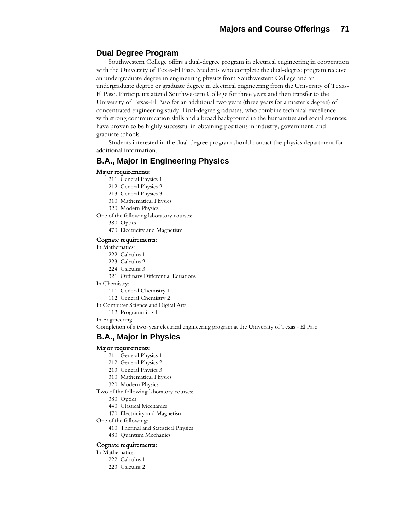## **Dual Degree Program**

Southwestern College offers a dual-degree program in electrical engineering in cooperation with the University of Texas-El Paso. Students who complete the dual-degree program receive an undergraduate degree in engineering physics from Southwestern College and an undergraduate degree or graduate degree in electrical engineering from the University of Texas-El Paso. Participants attend Southwestern College for three years and then transfer to the University of Texas-El Paso for an additional two years (three years for a master's degree) of concentrated engineering study. Dual-degree graduates, who combine technical excellence with strong communication skills and a broad background in the humanities and social sciences, have proven to be highly successful in obtaining positions in industry, government, and graduate schools.

Students interested in the dual-degree program should contact the physics department for additional information.

## **B.A., Major in Engineering Physics**

#### Major requirements:

- 211 General Physics 1
- 212 General Physics 2
- 213 General Physics 3
- 310 Mathematical Physics
- 320 Modern Physics

One of the following laboratory courses:

- 380 Optics
- 470 Electricity and Magnetism

#### Cognate requirements:

In Mathematics:

- 222 Calculus 1
- 223 Calculus 2
- 224 Calculus 3
- 321 Ordinary Differential Equations
- In Chemistry:
	- 111 General Chemistry 1
	- 112 General Chemistry 2

In Computer Science and Digital Arts:

- 112 Programming 1
- In Engineering:

Completion of a two-year electrical engineering program at the University of Texas - El Paso

## **B.A., Major in Physics**

#### Major requirements:

- 211 General Physics 1
- 212 General Physics 2
- 213 General Physics 3
- 310 Mathematical Physics
- 320 Modern Physics

Two of the following laboratory courses:

- 380 Optics
- 440 Classical Mechanics
- 470 Electricity and Magnetism
- One of the following:
	- 410 Thermal and Statistical Physics
	- 480 Quantum Mechanics

#### Cognate requirements:

In Mathematics:

- 222 Calculus 1
- 223 Calculus 2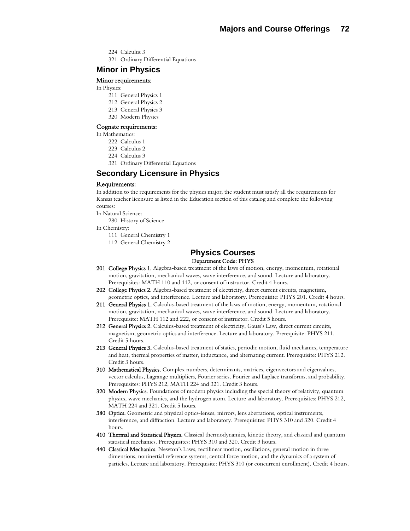- 224 Calculus 3
- 321 Ordinary Differential Equations

## **Minor in Physics**

#### Minor requirements:

- In Physics:
	- 211 General Physics 1
	- 212 General Physics 2
	- 213 General Physics 3
	- 320 Modern Physics

#### Cognate requirements:

In Mathematics:

- 222 Calculus 1
- 223 Calculus 2
- 224 Calculus 3
- 321 Ordinary Differential Equations

## **Secondary Licensure in Physics**

#### Requirements:

In addition to the requirements for the physics major, the student must satisfy all the requirements for Kansas teacher licensure as listed in the Education section of this catalog and complete the following courses:

In Natural Science:

280 History of Science

In Chemistry:

- 111 General Chemistry 1
- 112 General Chemistry 2

#### **Physics Courses**  Department Code: PHYS

- 201 College Physics 1. Algebra-based treatment of the laws of motion, energy, momentum, rotational motion, gravitation, mechanical waves, wave interference, and sound. Lecture and laboratory. Prerequisites: MATH 110 and 112, or consent of instructor. Credit 4 hours.
- 202 College Physics 2. Algebra-based treatment of electricity, direct current circuits, magnetism, geometric optics, and interference. Lecture and laboratory. Prerequisite: PHYS 201. Credit 4 hours.
- 211 General Physics 1. Calculus-based treatment of the laws of motion, energy, momentum, rotational motion, gravitation, mechanical waves, wave interference, and sound. Lecture and laboratory. Prerequisite: MATH 112 and 222, or consent of instructor. Credit 5 hours.
- 212 General Physics 2. Calculus-based treatment of electricity, Gauss's Law, direct current circuits, magnetism, geometric optics and interference. Lecture and laboratory. Prerequisite: PHYS 211. Credit 5 hours.
- 213 General Physics 3. Calculus-based treatment of statics, periodic motion, fluid mechanics, temperature and heat, thermal properties of matter, inductance, and alternating current. Prerequisite: PHYS 212. Credit 3 hours.
- 310 Mathematical Physics. Complex numbers, determinants, matrices, eigenvectors and eigenvalues, vector calculus, Lagrange multipliers, Fourier series, Fourier and Laplace transforms, and probability. Prerequisites: PHYS 212, MATH 224 and 321. Credit 3 hours.
- 320 Modern Physics. Foundations of modern physics including the special theory of relativity, quantum physics, wave mechanics, and the hydrogen atom. Lecture and laboratory. Prerequisites: PHYS 212, MATH 224 and 321. Credit 5 hours.
- 380 Optics. Geometric and physical optics-lenses, mirrors, lens aberrations, optical instruments, interference, and diffraction. Lecture and laboratory. Prerequisites: PHYS 310 and 320. Credit 4 hours.
- 410 Thermal and Statistical Physics. Classical thermodynamics, kinetic theory, and classical and quantum statistical mechanics. Prerequisites: PHYS 310 and 320. Credit 3 hours.
- 440 Classical Mechanics. Newton's Laws, rectilinear motion, oscillations, general motion in three dimensions, noninertial reference systems, central force motion, and the dynamics of a system of particles. Lecture and laboratory. Prerequisite: PHYS 310 (or concurrent enrollment). Credit 4 hours.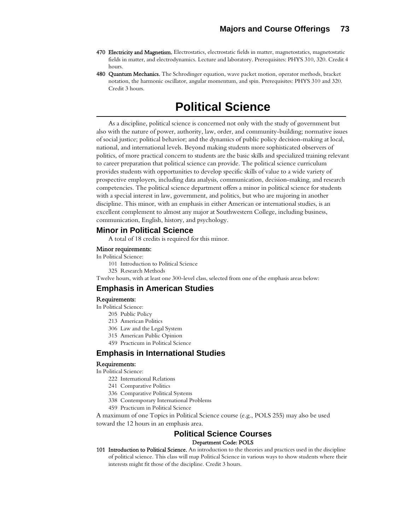- 470 Electricity and Magnetism. Electrostatics, electrostatic fields in matter, magnetostatics, magnetostatic fields in matter, and electrodynamics. Lecture and laboratory. Prerequisites: PHYS 310, 320. Credit 4 hours.
- 480 Quantum Mechanics. The Schrodinger equation, wave packet motion, operator methods, bracket notation, the harmonic oscillator, angular momentum, and spin. Prerequisites: PHYS 310 and 320. Credit 3 hours.

## **Political Science**

 As a discipline, political science is concerned not only with the study of government but also with the nature of power, authority, law, order, and community-building; normative issues of social justice; political behavior; and the dynamics of public policy decision-making at local, national, and international levels. Beyond making students more sophisticated observers of politics, of more practical concern to students are the basic skills and specialized training relevant to career preparation that political science can provide. The political science curriculum provides students with opportunities to develop specific skills of value to a wide variety of prospective employers, including data analysis, communication, decision-making, and research competencies. The political science department offers a minor in political science for students with a special interest in law, government, and politics, but who are majoring in another discipline. This minor, with an emphasis in either American or international studies, is an excellent complement to almost any major at Southwestern College, including business, communication, English, history, and psychology.

## **Minor in Political Science**

A total of 18 credits is required for this minor.

#### Minor requirements:

#### In Political Science:

- 101 Introduction to Political Science
- 325 Research Methods

Twelve hours, with at least one 300-level class, selected from one of the emphasis areas below:

## **Emphasis in American Studies**

#### Requirements:

- In Political Science:
	- 205 Public Policy
	- 213 American Politics
	- 306 Law and the Legal System
	- 315 American Public Opinion
	- 459 Practicum in Political Science

## **Emphasis in International Studies**

## Requirements:

- In Political Science:
	- 222 International Relations
	- 241 Comparative Politics
	- 336 Comparative Political Systems
	- 338 Contemporary International Problems

interests might fit those of the discipline. Credit 3 hours.

459 Practicum in Political Science

A maximum of one Topics in Political Science course (e.g., POLS 255) may also be used toward the 12 hours in an emphasis area.

## **Political Science Courses**  Department Code: POLS

## 101 Introduction to Political Science. An introduction to the theories and practices used in the discipline of political science. This class will map Political Science in various ways to show students where their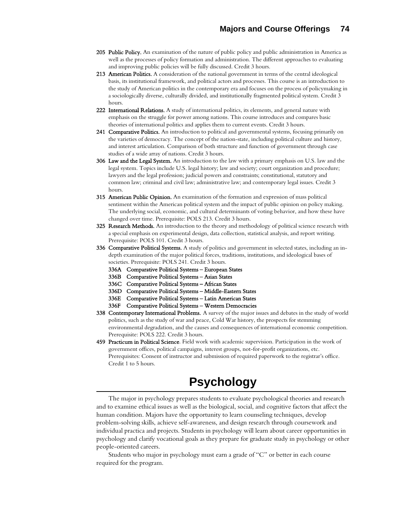- 205 Public Policy. An examination of the nature of public policy and public administration in America as well as the processes of policy formation and administration. The different approaches to evaluating and improving public policies will be fully discussed. Credit 3 hours.
- 213 American Politics. A consideration of the national government in terms of the central ideological basis, its institutional framework, and political actors and processes. This course is an introduction to the study of American politics in the contemporary era and focuses on the process of policymaking in a sociologically diverse, culturally divided, and institutionally fragmented political system. Credit 3 hours.
- 222 International Relations. A study of international politics, its elements, and general nature with emphasis on the struggle for power among nations. This course introduces and compares basic theories of international politics and applies them to current events. Credit 3 hours.
- 241 Comparative Politics. An introduction to political and governmental systems, focusing primarily on the varieties of democracy. The concept of the nation-state, including political culture and history, and interest articulation. Comparison of both structure and function of government through case studies of a wide array of nations. Credit 3 hours.
- 306 Law and the Legal System. An introduction to the law with a primary emphasis on U.S. law and the legal system. Topics include U.S. legal history; law and society; court organization and procedure; lawyers and the legal profession; judicial powers and constraints; constitutional, statutory and common law; criminal and civil law; administrative law; and contemporary legal issues. Credit 3 hours.
- 315 American Public Opinion. An examination of the formation and expression of mass political sentiment within the American political system and the impact of public opinion on policy making. The underlying social, economic, and cultural determinants of voting behavior, and how these have changed over time. Prerequisite: POLS 213. Credit 3 hours.
- 325 Research Methods. An introduction to the theory and methodology of political science research with a special emphasis on experimental design, data collection, statistical analysis, and report writing. Prerequisite: POLS 101. Credit 3 hours.
- 336 Comparative Political Systems. A study of politics and government in selected states, including an indepth examination of the major political forces, traditions, institutions, and ideological bases of societies. Prerequisite: POLS 241. Credit 3 hours.
	- 336A Comparative Political Systems European States
	- 336B Comparative Political Systems Asian States
	- 336C Comparative Political Systems African States
	- 336D Comparative Political Systems Middle-Eastern States
	- 336E Comparative Political Systems Latin American States
	- 336F Comparative Political Systems Western Democracies
- 338 Contemporary International Problems. A survey of the major issues and debates in the study of world politics, such as the study of war and peace, Cold War history, the prospects for stemming environmental degradation, and the causes and consequences of international economic competition. Prerequisite: POLS 222. Credit 3 hours.
- 459 Practicum in Political Science. Field work with academic supervision. Participation in the work of government offices, political campaigns, interest groups, not-for-profit organizations, etc. Prerequisites: Consent of instructor and submission of required paperwork to the registrar's office. Credit 1 to 5 hours.

# **Psychology**

The major in psychology prepares students to evaluate psychological theories and research and to examine ethical issues as well as the biological, social, and cognitive factors that affect the human condition. Majors have the opportunity to learn counseling techniques, develop problem-solving skills, achieve self-awareness, and design research through coursework and individual practica and projects. Students in psychology will learn about career opportunities in psychology and clarify vocational goals as they prepare for graduate study in psychology or other people-oriented careers.

Students who major in psychology must earn a grade of "C" or better in each course required for the program.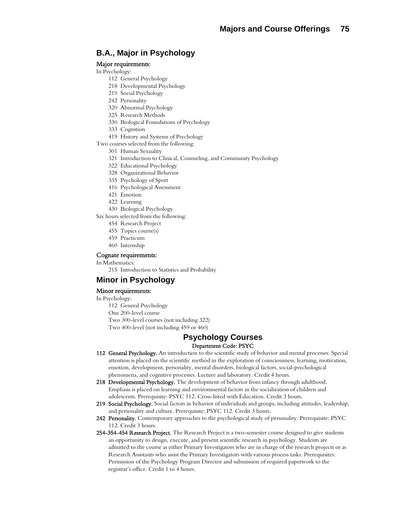## **B.A., Major in Psychology**

## Major requirements:

- In Psychology:
	- 112 General Psychology
	- 218 Developmental Psychology
	- 219 Social Psychology
	- 242 Personality
	- 320 Abnormal Psychology
	- 325 Research Methods
	- 330 Biological Foundations of Psychology
	- 333 Cognition
	- 419 History and Systems of Psychology
- Two courses selected from the following:
	- 301 Human Sexuality
	- 321 Introduction to Clinical, Counseling, and Community Psychology
	- 322 Educational Psychology
	- 328 Organizational Behavior
	- 335 Psychology of Sport
	- 416 Psychological Assessment
	- 421 Emotion
	- 422 Learning
	- 430 Biological Psychology

Six hours selected from the following:

- 454 Research Project
- 455 Topics course(s)
- 459 Practicum
- 460 Internship

#### Cognate requirements:

- In Mathematics:
	- 215 Introduction to Statistics and Probability

## **Minor in Psychology**

## Minor requirements:

#### In Psychology:

112 General Psychology One 200-level course Two 300-level courses (not including 322) Two 400-level (not including 459 or 460)

## **Psychology Courses**

## Department Code: PSYC

- 112 General Psychology. An introduction to the scientific study of behavior and mental processes. Special attention is placed on the scientific method in the exploration of consciousness, learning, motivation, emotion, development, personality, mental disorders, biological factors, social-psychological phenomena, and cognitive processes. Lecture and laboratory. Credit 4 hours.
- 218 Developmental Psychology. The development of behavior from infancy through adulthood. Emphasis is placed on learning and environmental factors in the socialization of children and adolescents. Prerequisite: PSYC 112. Cross-listed with Education. Credit 3 hours.
- 219 Social Psychology. Social factors in behavior of individuals and groups, including attitudes, leadership, and personality and culture. Prerequisite: PSYC 112. Credit 3 hours.
- 242 Personality. Contemporary approaches to the psychological study of personality. Prerequisite: PSYC 112. Credit 3 hours.
- 254-354-454 Research Project. The Research Project is a two-semester course designed to give students an opportunity to design, execute, and present scientific research in psychology. Students are admitted to the course as either Primary Investigators who are in charge of the research projects or as Research Assistants who assist the Primary Investigators with various process tasks. Prerequisites: Permission of the Psychology Program Director and submission of required paperwork to the registrar's office. Credit 1 to 4 hours.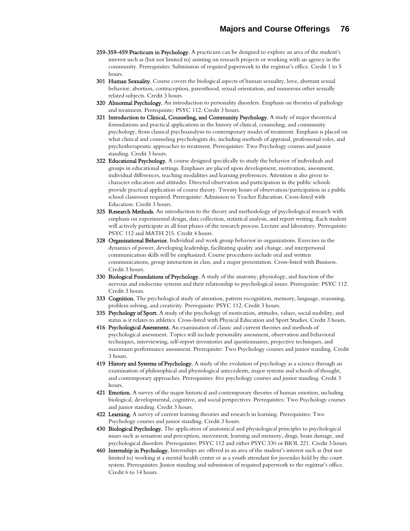- 259-359-459 Practicum in Psychology. A practicum can be designed to explore an area of the student's interest such as (but not limited to) assisting on research projects or working with an agency in the community. Prerequisites: Submission of required paperwork to the registrar's office. Credit 1 to 5 hours.
- 301 Human Sexuality. Course covers the biological aspects of human sexuality, love, aberrant sexual behavior, abortion, contraception, parenthood, sexual orientation, and numerous other sexually related subjects. Credit 3 hours.
- 320 Abnormal Psychology. An introduction to personality disorders. Emphasis on theories of pathology and treatment. Prerequisite: PSYC 112. Credit 3 hours.
- 321 Introduction to Clinical, Counseling, and Community Psychology. A study of major theoretical formulations and practical applications in the history of clinical, counseling, and community psychology, from classical psychoanalysis to contemporary modes of treatment. Emphasis is placed on what clinical and counseling psychologists do, including methods of appraisal, professional roles, and psychotherapeutic approaches to treatment. Prerequisites: Two Psychology courses and junior standing. Credit 3 hours.
- 322 Educational Psychology. A course designed specifically to study the behavior of individuals and groups in educational settings. Emphases are placed upon development, motivation, assessment, individual differences, teaching modalities and learning preferences. Attention is also given to character education and attitudes. Directed observation and participation in the public schools provide practical application of course theory. Twenty hours of observation/participation in a public school classroom required. Prerequisite: Admission to Teacher Education. Cross-listed with Education. Credit 3 hours.
- **325 Research Methods.** An introduction to the theory and methodology of psychological research with emphasis on experimental design, data collection, statistical analysis, and report writing. Each student will actively participate in all four phases of the research process. Lecture and laboratory. Prerequisite: PSYC 112 and MATH 215. Credit 4 hours.
- 328 Organizational Behavior. Individual and work group behavior in organizations. Exercises in the dynamics of power, developing leadership, facilitating quality and change, and interpersonal communication skills will be emphasized. Course procedures include oral and written communications, group interaction in class, and a major presentation. Cross-listed with Business. Credit 3 hours.
- 330 Biological Foundations of Psychology. A study of the anatomy, physiology, and function of the nervous and endocrine systems and their relationship to psychological issues. Prerequisite: PSYC 112. Credit 3 hours.
- 333 Cognition. The psychological study of attention, pattern recognition, memory, language, reasoning, problem solving, and creativity. Prerequisite: PSYC 112. Credit 3 hours.
- 335 Psychology of Sport. A study of the psychology of motivation, attitudes, values, social mobility, and status as it relates to athletics. Cross-listed with Physical Education and Sport Studies. Credit 3 hours.
- 416 Psychological Assessment. An examination of classic and current theories and methods of psychological assessment. Topics will include personality assessment, observation and behavioral techniques, interviewing, self-report inventories and questionnaires, projective techniques, and maximum performance assessment. Prerequisite: Two Psychology courses and junior standing. Credit 3 hours.
- 419 History and Systems of Psychology. A study of the evolution of psychology as a science through an examination of philosophical and physiological antecedents, major systems and schools of thought, and contemporary approaches. Prerequisites: five psychology courses and junior standing. Credit 3 hours.
- **421 Emotion.** A survey of the major historical and contemporary theories of human emotion, including biological, developmental, cognitive, and social perspectives. Prerequisites: Two Psychology courses and junior standing. Credit 3 hours.
- 422 Learning. A survey of current learning theories and research in learning. Prerequisites: Two Psychology courses and junior standing. Credit 3 hours.
- 430 Biological Psychology. The application of anatomical and physiological principles to psychological issues such as sensation and perception, movement, learning and memory, drugs, brain damage, and psychological disorders. Prerequisites: PSYC 112 and either PSYC 330 or BIOL 221. Credit 3 hours.
- 460 Internship in Psychology. Internships are offered in an area of the student's interest such as (but not limited to) working at a mental health center or as a youth attendant for juveniles held by the court system. Prerequisites: Junior standing and submission of required paperwork to the registrar's office. Credit 6 to 14 hours.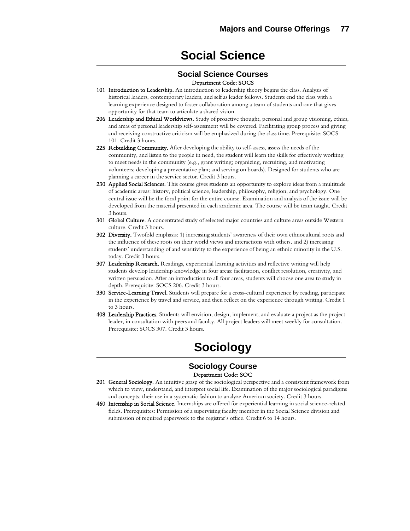# **Social Science**

## **Social Science Courses** Department Code: SOCS

- 101 Introduction to Leadership. An introduction to leadership theory begins the class. Analysis of historical leaders, contemporary leaders, and self as leader follows. Students end the class with a learning experience designed to foster collaboration among a team of students and one that gives opportunity for that team to articulate a shared vision.
- 206 Leadership and Ethical Worldviews. Study of proactive thought, personal and group visioning, ethics, and areas of personal leadership self-assessment will be covered. Facilitating group process and giving and receiving constructive criticism will be emphasized during the class time. Prerequisite: SOCS 101. Credit 3 hours.
- 225 Rebuilding Community. After developing the ability to self-assess, assess the needs of the community, and listen to the people in need, the student will learn the skills for effectively working to meet needs in the community (e.g., grant writing; organizing, recruiting, and motivating volunteers; developing a preventative plan; and serving on boards). Designed for students who are planning a career in the service sector. Credit 3 hours.
- 230 Applied Social Sciences. This course gives students an opportunity to explore ideas from a multitude of academic areas: history, political science, leadership, philosophy, religion, and psychology. One central issue will be the focal point for the entire course. Examination and analysis of the issue will be developed from the material presented in each academic area. The course will be team taught. Credit 3 hours.
- 301 Global Culture. A concentrated study of selected major countries and culture areas outside Western culture. Credit 3 hours.
- 302 Diversity. Twofold emphasis: 1) increasing students' awareness of their own ethnocultural roots and the influence of these roots on their world views and interactions with others, and 2) increasing students' understanding of and sensitivity to the experience of being an ethnic minority in the U.S. today. Credit 3 hours.
- **307 Leadership Research.** Readings, experiential learning activities and reflective writing will help students develop leadership knowledge in four areas: facilitation, conflict resolution, creativity, and written persuasion. After an introduction to all four areas, students will choose one area to study in depth. Prerequisite: SOCS 206. Credit 3 hours.
- 330 Service-Learning Travel. Students will prepare for a cross-cultural experience by reading, participate in the experience by travel and service, and then reflect on the experience through writing. Credit 1 to 3 hours.
- 408 Leadership Practices. Students will envision, design, implement, and evaluate a project as the project leader, in consultation with peers and faculty. All project leaders will meet weekly for consultation. Prerequisite: SOCS 307. Credit 3 hours.

# **Sociology**

## **Sociology Course**  Department Code: SOC

- 201 General Sociology. An intuitive grasp of the sociological perspective and a consistent framework from which to view, understand, and interpret social life. Examination of the major sociological paradigms and concepts; their use in a systematic fashion to analyze American society. Credit 3 hours.
- 460 Internship in Social Science. Internships are offered for experiential learning in social science-related fields. Prerequisites: Permission of a supervising faculty member in the Social Science division and submission of required paperwork to the registrar's office. Credit 6 to 14 hours.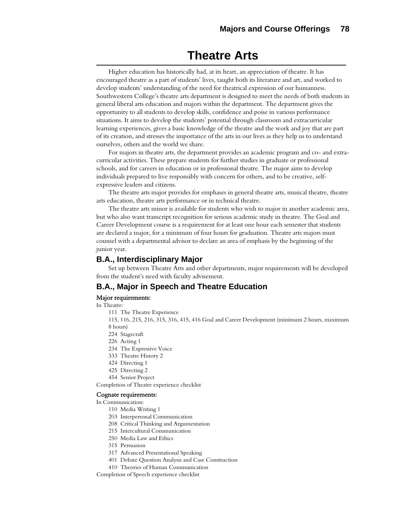## **Theatre Arts**

Higher education has historically had, at its heart, an appreciation of theatre. It has encouraged theatre as a part of students' lives, taught both its literature and art, and worked to develop students' understanding of the need for theatrical expression of our humanness. Southwestern College's theatre arts department is designed to meet the needs of both students in general liberal arts education and majors within the department. The department gives the opportunity to all students to develop skills, confidence and poise in various performance situations. It aims to develop the students' potential through classroom and extracurricular learning experiences, gives a basic knowledge of the theatre and the work and joy that are part of its creation, and stresses the importance of the arts in our lives as they help us to understand ourselves, others and the world we share.

For majors in theatre arts, the department provides an academic program and co- and extracurricular activities. These prepare students for further studies in graduate or professional schools, and for careers in education or in professional theatre. The major aims to develop individuals prepared to live responsibly with concern for others, and to be creative, selfexpressive leaders and citizens.

The theatre arts major provides for emphases in general theatre arts, musical theatre, theatre arts education, theatre arts performance or in technical theatre.

The theatre arts minor is available for students who wish to major in another academic area, but who also want transcript recognition for serious academic study in theatre. The Goal and Career Development course is a requirement for at least one hour each semester that students are declared a major, for a minimum of four hours for graduation. Theatre arts majors must counsel with a departmental advisor to declare an area of emphasis by the beginning of the junior year.

## **B.A., Interdisciplinary Major**

Set up between Theatre Arts and other departments, major requirements will be developed from the student's need with faculty advisement.

## **B.A., Major in Speech and Theatre Education**

### Major requirements:

In Theatre:

111 The Theatre Experience

115, 116, 215, 216, 315, 316, 415, 416 Goal and Career Development (minimum 2 hours, maximum 8 hours)

- 224 Stagecraft
- 226 Acting 1
- 234 The Expressive Voice
- 333 Theatre History 2
- 424 Directing 1
- 425 Directing 2
- 454 Senior Project

Completion of Theatre experience checklist

#### Cognate requirements:

In Communication:

- 110 Media Writing 1
- 203 Interpersonal Communication
- 208 Critical Thinking and Argumentation
- 215 Intercultural Communication
- 250 Media Law and Ethics
- 315 Persuasion
- 317 Advanced Presentational Speaking
- 401 Debate Question Analysis and Case Construction
- 410 Theories of Human Communication

Completion of Speech experience checklist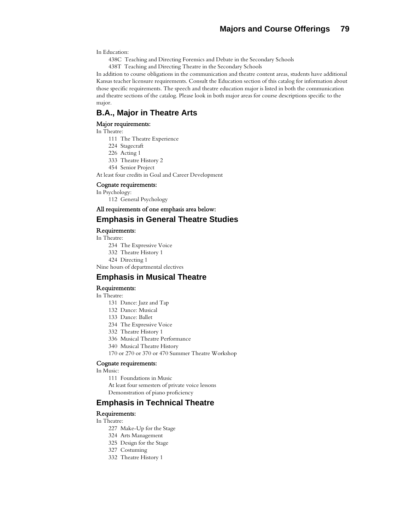In Education:

438C Teaching and Directing Forensics and Debate in the Secondary Schools

438T Teaching and Directing Theatre in the Secondary Schools

In addition to course obligations in the communication and theatre content areas, students have additional Kansas teacher licensure requirements. Consult the Education section of this catalog for information about those specific requirements. The speech and theatre education major is listed in both the communication and theatre sections of the catalog. Please look in both major areas for course descriptions specific to the major.

## **B.A., Major in Theatre Arts**

### Major requirements:

#### In Theatre:

- 111 The Theatre Experience
- 224 Stagecraft
- 226 Acting 1
- 333 Theatre History 2
- 454 Senior Project
- At least four credits in Goal and Career Development

#### Cognate requirements:

In Psychology:

112 General Psychology

## All requirements of one emphasis area below:

#### **Emphasis in General Theatre Studies**

Requirements:

In Theatre:

- 234 The Expressive Voice
- 332 Theatre History 1
- 424 Directing 1

Nine hours of departmental electives

## **Emphasis in Musical Theatre**

#### Requirements:

## In Theatre:

- 131 Dance: Jazz and Tap
- 132 Dance: Musical
- 133 Dance: Ballet
- 234 The Expressive Voice
- 332 Theatre History 1
- 336 Musical Theatre Performance
- 340 Musical Theatre History
- 170 or 270 or 370 or 470 Summer Theatre Workshop

#### Cognate requirements:

In Music:

111 Foundations in Music

 At least four semesters of private voice lessons Demonstration of piano proficiency

## **Emphasis in Technical Theatre**

#### Requirements:

- In Theatre:
	- 227 Make-Up for the Stage
	- 324 Arts Management
	- 325 Design for the Stage
	- 327 Costuming
	- 332 Theatre History 1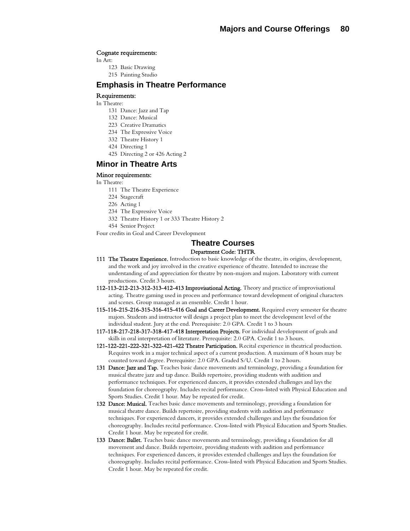#### Cognate requirements:

In Art:

- 123 Basic Drawing
- 215 Painting Studio

## **Emphasis in Theatre Performance**

#### Requirements:

#### In Theatre:

- 131 Dance: Jazz and Tap
- 132 Dance: Musical
- 223 Creative Dramatics
- 234 The Expressive Voice
- 332 Theatre History 1
- 424 Directing 1
- 425 Directing 2 or 426 Acting 2

## **Minor in Theatre Arts**

#### Minor requirements:

#### In Theatre:

- 111 The Theatre Experience
- 224 Stagecraft
- 226 Acting 1
- 234 The Expressive Voice
- 332 Theatre History 1 or 333 Theatre History 2
- 454 Senior Project

Four credits in Goal and Career Development

## **Theatre Courses**

## Department Code: THTR

- 111 The Theatre Experience. Introduction to basic knowledge of the theatre, its origins, development, and the work and joy involved in the creative experience of theatre. Intended to increase the understanding of and appreciation for theatre by non-majors and majors. Laboratory with current productions. Credit 3 hours.
- 112-113-212-213-312-313-412-413 Improvisational Acting. Theory and practice of improvisational acting. Theatre gaming used in process and performance toward development of original characters and scenes. Group managed as an ensemble. Credit 1 hour.
- 115-116-215-216-315-316-415-416 Goal and Career Development. Required every semester for theatre majors. Students and instructor will design a project plan to meet the development level of the individual student. Jury at the end. Prerequisite: 2.0 GPA. Credit 1 to 3 hours
- 117-118-217-218-317-318-417-418 Interpretation Projects. For individual development of goals and skills in oral interpretation of literature. Prerequisite: 2.0 GPA. Credit 1 to 3 hours.
- 121-122-221-222-321-322-421-422 Theatre Participation. Recital experience in theatrical production. Requires work in a major technical aspect of a current production. A maximum of 8 hours may be counted toward degree. Prerequisite: 2.0 GPA. Graded S/U. Credit 1 to 2 hours.
- 131 Dance: Jazz and Tap. Teaches basic dance movements and terminology, providing a foundation for musical theatre jazz and tap dance. Builds repertoire, providing students with audition and performance techniques. For experienced dancers, it provides extended challenges and lays the foundation for choreography. Includes recital performance. Cross-listed with Physical Education and Sports Studies. Credit 1 hour. May be repeated for credit.
- 132 Dance: Musical. Teaches basic dance movements and terminology, providing a foundation for musical theatre dance. Builds repertoire, providing students with audition and performance techniques. For experienced dancers, it provides extended challenges and lays the foundation for choreography. Includes recital performance. Cross-listed with Physical Education and Sports Studies. Credit 1 hour. May be repeated for credit.
- 133 Dance: Ballet. Teaches basic dance movements and terminology, providing a foundation for all movement and dance. Builds repertoire, providing students with audition and performance techniques. For experienced dancers, it provides extended challenges and lays the foundation for choreography. Includes recital performance. Cross-listed with Physical Education and Sports Studies. Credit 1 hour. May be repeated for credit.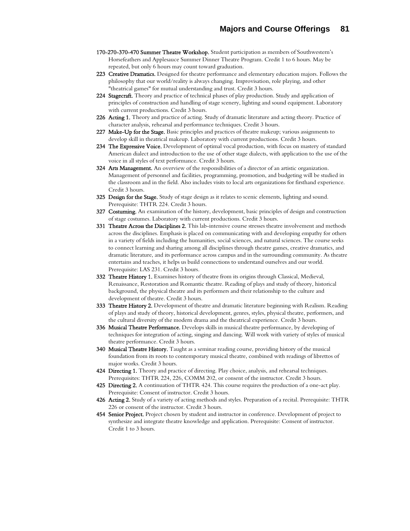- 170-270-370-470 Summer Theatre Workshop. Student participation as members of Southwestern's Horsefeathers and Applesauce Summer Dinner Theatre Program. Credit 1 to 6 hours. May be repeated, but only 6 hours may count toward graduation.
- 223 Creative Dramatics. Designed for theatre performance and elementary education majors. Follows the philosophy that our world/reality is always changing. Improvisation, role playing, and other "theatrical games" for mutual understanding and trust. Credit 3 hours.
- 224 Stagecraft. Theory and practice of technical phases of play production. Study and application of principles of construction and handling of stage scenery, lighting and sound equipment. Laboratory with current productions. Credit 3 hours.
- 226 Acting 1. Theory and practice of acting. Study of dramatic literature and acting theory. Practice of character analysis, rehearsal and performance techniques. Credit 3 hours.
- 227 Make-Up for the Stage. Basic principles and practices of theatre makeup; various assignments to develop skill in theatrical makeup. Laboratory with current productions. Credit 3 hours.
- 234 The Expressive Voice. Development of optimal vocal production, with focus on mastery of standard American dialect and introduction to the use of other stage dialects, with application to the use of the voice in all styles of text performance. Credit 3 hours.
- **324 Arts Management.** An overview of the responsibilities of a director of an artistic organization. Management of personnel and facilities, programming, promotion, and budgeting will be studied in the classroom and in the field. Also includes visits to local arts organizations for firsthand experience. Credit 3 hours.
- **325 Design for the Stage.** Study of stage design as it relates to scenic elements, lighting and sound. Prerequisite: THTR 224. Credit 3 hours.
- 327 Costuming. An examination of the history, development, basic principles of design and construction of stage costumes. Laboratory with current productions. Credit 3 hours.
- 331 Theatre Across the Disciplines 2. This lab-intensive course stresses theatre involvement and methods across the disciplines. Emphasis is placed on communicating with and developing empathy for others in a variety of fields including the humanities, social sciences, and natural sciences. The course seeks to connect learning and sharing among all disciplines through theatre games, creative dramatics, and dramatic literature, and its performance across campus and in the surrounding community. As theatre entertains and teaches, it helps us build connections to understand ourselves and our world. Prerequisite: LAS 231. Credit 3 hours.
- 332 Theatre History 1. Examines history of theatre from its origins through Classical, Medieval, Renaissance, Restoration and Romantic theatre. Reading of plays and study of theory, historical background, the physical theatre and its performers and their relationship to the culture and development of theatre. Credit 3 hours.
- 333 Theatre History 2. Development of theatre and dramatic literature beginning with Realism. Reading of plays and study of theory, historical development, genres, styles, physical theatre, performers, and the cultural diversity of the modern drama and the theatrical experience. Credit 3 hours.
- 336 Musical Theatre Performance. Develops skills in musical theatre performance, by developing of techniques for integration of acting, singing and dancing. Will work with variety of styles of musical theatre performance. Credit 3 hours.
- 340 Musical Theatre History. Taught as a seminar reading course, providing history of the musical foundation from its roots to contemporary musical theatre, combined with readings of librettos of major works. Credit 3 hours.
- 424 Directing 1. Theory and practice of directing. Play choice, analysis, and rehearsal techniques. Prerequisites: THTR 224, 226, COMM 202, or consent of the instructor. Credit 3 hours.
- 425 Directing 2. A continuation of THTR 424. This course requires the production of a one-act play. Prerequisite: Consent of instructor. Credit 3 hours.
- 426 Acting 2. Study of a variety of acting methods and styles. Preparation of a recital. Prerequisite: THTR 226 or consent of the instructor. Credit 3 hours.
- 454 Senior Project. Project chosen by student and instructor in conference. Development of project to synthesize and integrate theatre knowledge and application. Prerequisite: Consent of instructor. Credit 1 to 3 hours.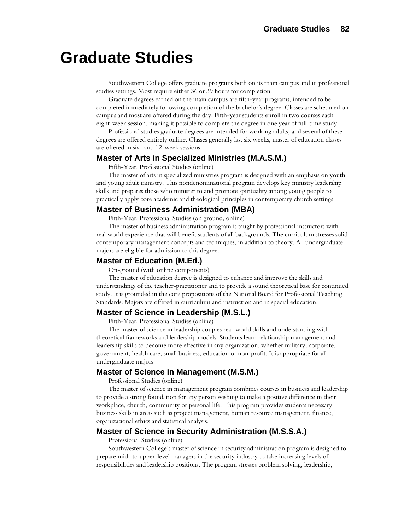# **Graduate Studies**

Southwestern College offers graduate programs both on its main campus and in professional studies settings. Most require either 36 or 39 hours for completion.

Graduate degrees earned on the main campus are fifth-year programs, intended to be completed immediately following completion of the bachelor's degree. Classes are scheduled on campus and most are offered during the day. Fifth-year students enroll in two courses each eight-week session, making it possible to complete the degree in one year of full-time study.

Professional studies graduate degrees are intended for working adults, and several of these degrees are offered entirely online. Classes generally last six weeks; master of education classes are offered in six- and 12-week sessions.

## **Master of Arts in Specialized Ministries (M.A.S.M.)**

Fifth-Year, Professional Studies (online)

The master of arts in specialized ministries program is designed with an emphasis on youth and young adult ministry. This nondenominational program develops key ministry leadership skills and prepares those who minister to and promote spirituality among young people to practically apply core academic and theological principles in contemporary church settings.

## **Master of Business Administration (MBA)**

Fifth-Year, Professional Studies (on ground, online)

The master of business administration program is taught by professional instructors with real world experience that will benefit students of all backgrounds. The curriculum stresses solid contemporary management concepts and techniques, in addition to theory. All undergraduate majors are eligible for admission to this degree.

## **Master of Education (M.Ed.)**

On-ground (with online components)

The master of education degree is designed to enhance and improve the skills and understandings of the teacher-practitioner and to provide a sound theoretical base for continued study. It is grounded in the core propositions of the National Board for Professional Teaching Standards. Majors are offered in curriculum and instruction and in special education.

## **Master of Science in Leadership (M.S.L.)**

Fifth-Year, Professional Studies (online)

The master of science in leadership couples real-world skills and understanding with theoretical frameworks and leadership models. Students learn relationship management and leadership skills to become more effective in any organization, whether military, corporate, government, health care, small business, education or non-profit. It is appropriate for all undergraduate majors.

## **Master of Science in Management (M.S.M.)**

Professional Studies (online)

The master of science in management program combines courses in business and leadership to provide a strong foundation for any person wishing to make a positive difference in their workplace, church, community or personal life. This program provides students necessary business skills in areas such as project management, human resource management, finance, organizational ethics and statistical analysis.

## **Master of Science in Security Administration (M.S.S.A.)**

Professional Studies (online)

Southwestern College's master of science in security administration program is designed to prepare mid- to upper-level managers in the security industry to take increasing levels of responsibilities and leadership positions. The program stresses problem solving, leadership,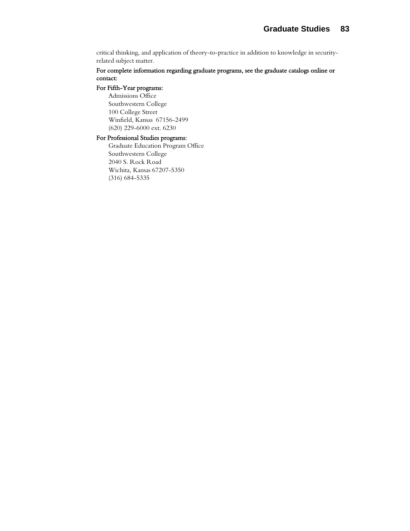critical thinking, and application of theory-to-practice in addition to knowledge in securityrelated subject matter.

## For complete information regarding graduate programs, see the graduate catalogs online or contact:

## For Fifth-Year programs:

Admissions Office Southwestern College 100 College Street Winfield, Kansas 67156-2499 (620) 229-6000 ext. 6230

## For Professional Studies programs:

Graduate Education Program Office Southwestern College 2040 S. Rock Road Wichita, Kansas 67207-5350 (316) 684-5335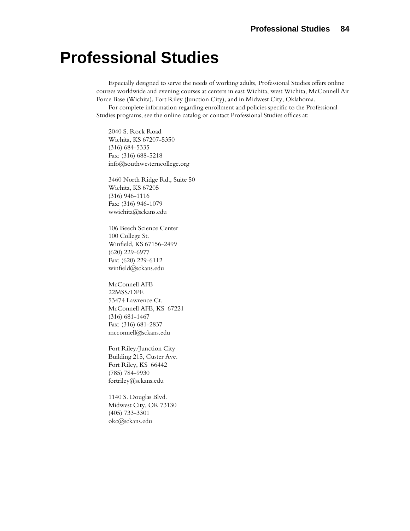# **Professional Studies**

Especially designed to serve the needs of working adults, Professional Studies offers online courses worldwide and evening courses at centers in east Wichita, west Wichita, McConnell Air Force Base (Wichita), Fort Riley (Junction City), and in Midwest City, Oklahoma.

For complete information regarding enrollment and policies specific to the Professional Studies programs, see the online catalog or contact Professional Studies offices at:

2040 S. Rock Road Wichita, KS 67207-5350 (316) 684-5335 Fax: (316) 688-5218 info@southwesterncollege.org

3460 North Ridge Rd., Suite 50 Wichita, KS 67205 (316) 946-1116 Fax: (316) 946-1079 wwichita@sckans.edu

106 Beech Science Center 100 College St. Winfield, KS 67156-2499 (620) 229-6977 Fax: (620) 229-6112 [winfield@sckans.edu](mailto:winfield@sckans.edu)

McConnell AFB 22MSS/DPE 53474 Lawrence Ct. McConnell AFB, KS 67221 (316) 681-1467 Fax: (316) 681-2837 mcconnell@sckans.edu

Fort Riley/Junction City Building 215, Custer Ave. Fort Riley, KS 66442 (785) 784-9930 fortriley@sckans.edu

1140 S. Douglas Blvd. Midwest City, OK 73130 (405) 733-3301 okc@sckans.edu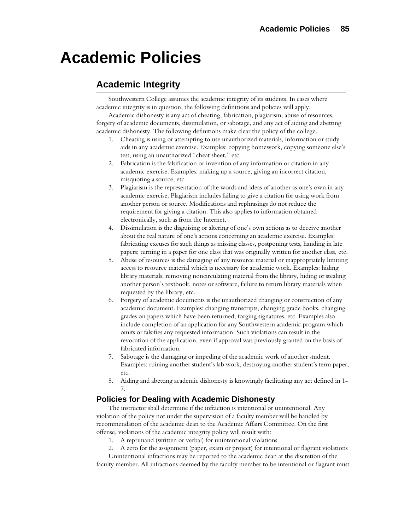# **Academic Policies**

## **Academic Integrity**

Southwestern College assumes the academic integrity of its students. In cases where academic integrity is in question, the following definitions and policies will apply.

Academic dishonesty is any act of cheating, fabrication, plagiarism, abuse of resources, forgery of academic documents, dissimulation, or sabotage, and any act of aiding and abetting academic dishonesty. The following definitions make clear the policy of the college.

- 1. Cheating is using or attempting to use unauthorized materials, information or study aids in any academic exercise. Examples: copying homework, copying someone else's test, using an unauthorized "cheat sheet," etc.
- 2. Fabrication is the falsification or invention of any information or citation in any academic exercise. Examples: making up a source, giving an incorrect citation, misquoting a source, etc.
- 3. Plagiarism is the representation of the words and ideas of another as one's own in any academic exercise. Plagiarism includes failing to give a citation for using work from another person or source. Modifications and rephrasings do not reduce the requirement for giving a citation. This also applies to information obtained electronically, such as from the Internet.
- 4. Dissimulation is the disguising or altering of one's own actions as to deceive another about the real nature of one's actions concerning an academic exercise. Examples: fabricating excuses for such things as missing classes, postponing tests, handing in late papers; turning in a paper for one class that was originally written for another class, etc.
- 5. Abuse of resources is the damaging of any resource material or inappropriately limiting access to resource material which is necessary for academic work. Examples: hiding library materials, removing noncirculating material from the library, hiding or stealing another person's textbook, notes or software, failure to return library materials when requested by the library, etc.
- 6. Forgery of academic documents is the unauthorized changing or construction of any academic document. Examples: changing transcripts, changing grade books, changing grades on papers which have been returned, forging signatures, etc. Examples also include completion of an application for any Southwestern academic program which omits or falsifies any requested information. Such violations can result in the revocation of the application, even if approval was previously granted on the basis of fabricated information.
- 7. Sabotage is the damaging or impeding of the academic work of another student. Examples: ruining another student's lab work, destroying another student's term paper, etc.
- 8. Aiding and abetting academic dishonesty is knowingly facilitating any act defined in 1- 7.

## **Policies for Dealing with Academic Dishonesty**

The instructor shall determine if the infraction is intentional or unintentional. Any violation of the policy not under the supervision of a faculty member will be handled by recommendation of the academic dean to the Academic Affairs Committee. On the first offense, violations of the academic integrity policy will result with:

- 1. A reprimand (written or verbal) for unintentional violations
- 2. A zero for the assignment (paper, exam or project) for intentional or flagrant violations

Unintentional infractions may be reported to the academic dean at the discretion of the faculty member. All infractions deemed by the faculty member to be intentional or flagrant must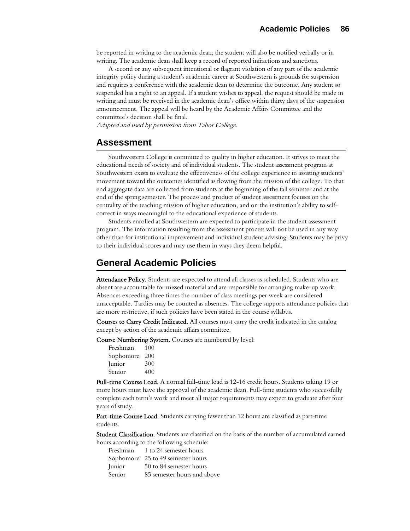be reported in writing to the academic dean; the student will also be notified verbally or in writing. The academic dean shall keep a record of reported infractions and sanctions.

A second or any subsequent intentional or flagrant violation of any part of the academic integrity policy during a student's academic career at Southwestern is grounds for suspension and requires a conference with the academic dean to determine the outcome. Any student so suspended has a right to an appeal. If a student wishes to appeal, the request should be made in writing and must be received in the academic dean's office within thirty days of the suspension announcement. The appeal will be heard by the Academic Affairs Committee and the committee's decision shall be final.

Adapted and used by permission from Tabor College.

## **Assessment**

Southwestern College is committed to quality in higher education. It strives to meet the educational needs of society and of individual students. The student assessment program at Southwestern exists to evaluate the effectiveness of the college experience in assisting students' movement toward the outcomes identified as flowing from the mission of the college. To that end aggregate data are collected from students at the beginning of the fall semester and at the end of the spring semester. The process and product of student assessment focuses on the centrality of the teaching mission of higher education, and on the institution's ability to selfcorrect in ways meaningful to the educational experience of students.

Students enrolled at Southwestern are expected to participate in the student assessment program. The information resulting from the assessment process will not be used in any way other than for institutional improvement and individual student advising. Students may be privy to their individual scores and may use them in ways they deem helpful.

## **General Academic Policies**

Attendance Policy. Students are expected to attend all classes as scheduled. Students who are absent are accountable for missed material and are responsible for arranging make-up work. Absences exceeding three times the number of class meetings per week are considered unacceptable. Tardies may be counted as absences. The college supports attendance policies that are more restrictive, if such policies have been stated in the course syllabus.

Courses to Carry Credit Indicated. All courses must carry the credit indicated in the catalog except by action of the academic affairs committee.

Course Numbering System. Courses are numbered by level:

| Freshman  | 100 |
|-----------|-----|
| Sophomore | 200 |
| Junior    | 300 |
| Senior    | 400 |

Full-time Course Load. A normal full-time load is 12-16 credit hours. Students taking 19 or more hours must have the approval of the academic dean. Full-time students who successfully complete each term's work and meet all major requirements may expect to graduate after four years of study.

Part-time Course Load. Students carrying fewer than 12 hours are classified as part-time students.

Student Classification. Students are classified on the basis of the number of accumulated earned hours according to the following schedule:

| Freshman | 1 to 24 semester hours            |
|----------|-----------------------------------|
|          | Sophomore 25 to 49 semester hours |
| Junior   | 50 to 84 semester hours           |
| Senior   | 85 semester hours and above       |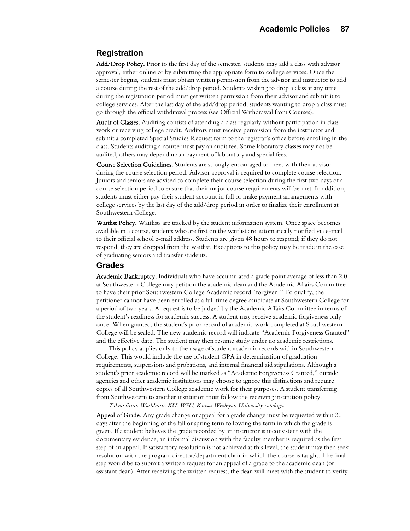## **Registration**

Add/Drop Policy. Prior to the first day of the semester, students may add a class with advisor approval, either online or by submitting the appropriate form to college services. Once the semester begins, students must obtain written permission from the advisor and instructor to add a course during the rest of the add/drop period. Students wishing to drop a class at any time during the registration period must get written permission from their advisor and submit it to college services. After the last day of the add/drop period, students wanting to drop a class must go through the official withdrawal process (see Official Withdrawal from Courses).

Audit of Classes. Auditing consists of attending a class regularly without participation in class work or receiving college credit. Auditors must receive permission from the instructor and submit a completed Special Studies Request form to the registrar's office before enrolling in the class. Students auditing a course must pay an audit fee. Some laboratory classes may not be audited; others may depend upon payment of laboratory and special fees.

Course Selection Guidelines. Students are strongly encouraged to meet with their advisor during the course selection period. Advisor approval is required to complete course selection. Juniors and seniors are advised to complete their course selection during the first two days of a course selection period to ensure that their major course requirements will be met. In addition, students must either pay their student account in full or make payment arrangements with college services by the last day of the add/drop period in order to finalize their enrollment at Southwestern College.

Waitlist Policy. Waitlists are tracked by the student information system. Once space becomes available in a course, students who are first on the waitlist are automatically notified via e-mail to their official school e-mail address. Students are given 48 hours to respond; if they do not respond, they are dropped from the waitlist. Exceptions to this policy may be made in the case of graduating seniors and transfer students.

## **Grades**

Academic Bankruptcy. Individuals who have accumulated a grade point average of less than 2.0 at Southwestern College may petition the academic dean and the Academic Affairs Committee to have their prior Southwestern College Academic record "forgiven." To qualify, the petitioner cannot have been enrolled as a full time degree candidate at Southwestern College for a period of two years. A request is to be judged by the Academic Affairs Committee in terms of the student's readiness for academic success. A student may receive academic forgiveness only once. When granted, the student's prior record of academic work completed at Southwestern College will be sealed. The new academic record will indicate "Academic Forgiveness Granted" and the effective date. The student may then resume study under no academic restrictions.

This policy applies only to the usage of student academic records within Southwestern College. This would include the use of student GPA in determination of graduation requirements, suspensions and probations, and internal financial aid stipulations. Although a student's prior academic record will be marked as "Academic Forgiveness Granted," outside agencies and other academic institutions may choose to ignore this distinctions and require copies of all Southwestern College academic work for their purposes. A student transferring from Southwestern to another institution must follow the receiving institution policy.

Taken from: Washburn, KU, WSU, Kansas Wesleyan University catalogs.

Appeal of Grade. Any grade change or appeal for a grade change must be requested within 30 days after the beginning of the fall or spring term following the term in which the grade is given. If a student believes the grade recorded by an instructor is inconsistent with the documentary evidence, an informal discussion with the faculty member is required as the first step of an appeal. If satisfactory resolution is not achieved at this level, the student may then seek resolution with the program director/department chair in which the course is taught. The final step would be to submit a written request for an appeal of a grade to the academic dean (or assistant dean). After receiving the written request, the dean will meet with the student to verify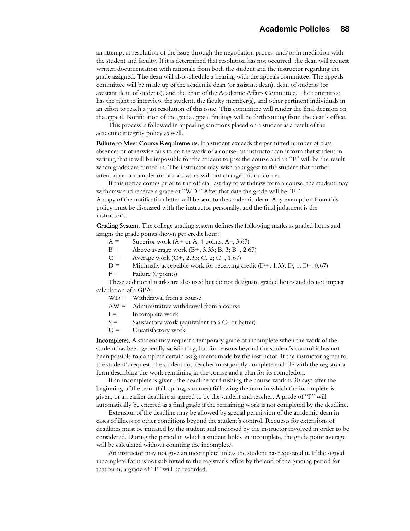an attempt at resolution of the issue through the negotiation process and/or in mediation with the student and faculty. If it is determined that resolution has not occurred, the dean will request written documentation with rationale from both the student and the instructor regarding the grade assigned. The dean will also schedule a hearing with the appeals committee. The appeals committee will be made up of the academic dean (or assistant dean), dean of students (or assistant dean of students), and the chair of the Academic Affairs Committee. The committee has the right to interview the student, the faculty member(s), and other pertinent individuals in an effort to reach a just resolution of this issue. This committee will render the final decision on the appeal. Notification of the grade appeal findings will be forthcoming from the dean's office.

This process is followed in appealing sanctions placed on a student as a result of the academic integrity policy as well.

Failure to Meet Course Requirements. If a student exceeds the permitted number of class absences or otherwise fails to do the work of a course, an instructor can inform that student in writing that it will be impossible for the student to pass the course and an "F" will be the result when grades are turned in. The instructor may wish to suggest to the student that further attendance or completion of class work will not change this outcome.

If this notice comes prior to the official last day to withdraw from a course, the student may withdraw and receive a grade of "WD." After that date the grade will be "F." A copy of the notification letter will be sent to the academic dean. Any exemption from this policy must be discussed with the instructor personally, and the final judgment is the instructor's.

Grading System. The college grading system defines the following marks as graded hours and assigns the grade points shown per credit hour:

- $A =$  Superior work (A+ or A, 4 points; A–, 3.67)
- B = Above average work  $(B+, 3.33; B, 3; B-, 2.67)$
- $C =$  Average work  $(C+, 2.33; C, 2; C-, 1.67)$
- $D =$  Minimally acceptable work for receiving credit  $(D+, 1.33; D, 1; D-, 0.67)$
- $F =$  Failure (0 points)

These additional marks are also used but do not designate graded hours and do not impact calculation of a GPA:

- $WD =$  Withdrawal from a course
- AW = Administrative withdrawal from a course
- $I =$  Incomplete work
- $S =$  Satisfactory work (equivalent to a C- or better)
- $U =$  Unsatisfactory work

Incompletes. A student may request a temporary grade of incomplete when the work of the student has been generally satisfactory, but for reasons beyond the student's control it has not been possible to complete certain assignments made by the instructor. If the instructor agrees to the student's request, the student and teacher must jointly complete and file with the registrar a form describing the work remaining in the course and a plan for its completion.

If an incomplete is given, the deadline for finishing the course work is 30 days after the beginning of the term (fall, spring, summer) following the term in which the incomplete is given, or an earlier deadline as agreed to by the student and teacher. A grade of "F" will automatically be entered as a final grade if the remaining work is not completed by the deadline.

Extension of the deadline may be allowed by special permission of the academic dean in cases of illness or other conditions beyond the student's control. Requests for extensions of deadlines must be initiated by the student and endorsed by the instructor involved in order to be considered. During the period in which a student holds an incomplete, the grade point average will be calculated without counting the incomplete.

An instructor may not give an incomplete unless the student has requested it. If the signed incomplete form is not submitted to the registrar's office by the end of the grading period for that term, a grade of "F" will be recorded.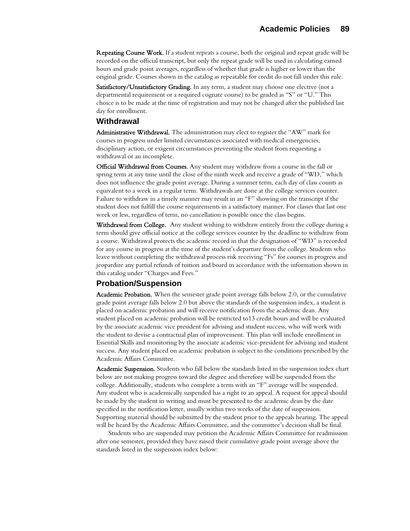Repeating Course Work. If a student repeats a course, both the original and repeat grade will be recorded on the official transcript, but only the repeat grade will be used in calculating earned hours and grade point averages, regardless of whether that grade is higher or lower than the original grade. Courses shown in the catalog as repeatable for credit do not fall under this rule.

Satisfactory/Unsatisfactory Grading. In any term, a student may choose one elective (not a departmental requirement or a required cognate course) to be graded as "S" or "U." This choice is to be made at the time of registration and may not be changed after the published last day for enrollment.

## **Withdrawal**

Administrative Withdrawal. The administration may elect to register the "AW" mark for courses in progress under limited circumstances associated with medical emergencies, disciplinary action, or exigent circumstances preventing the student from requesting a withdrawal or an incomplete.

Official Withdrawal from Courses. Any student may withdraw from a course in the fall or spring term at any time until the close of the ninth week and receive a grade of "WD," which does not influence the grade point average. During a summer term, each day of class counts as equivalent to a week in a regular term. Withdrawals are done at the college services counter. Failure to withdraw in a timely manner may result in an "F" showing on the transcript if the student does not fulfill the course requirements in a satisfactory manner. For classes that last one week or less, regardless of term, no cancellation is possible once the class begins.

Withdrawal from College. Any student wishing to withdraw entirely from the college during a term should give official notice at the college services counter by the deadline to withdraw from a course. Withdrawal protects the academic record in that the designation of "WD" is recorded for any course in progress at the time of the student's departure from the college. Students who leave without completing the withdrawal process risk receiving "Fs" for courses in progress and jeopardize any partial refunds of tuition and board in accordance with the information shown in this catalog under "Charges and Fees."

## **Probation/Suspension**

Academic Probation. When the semester grade point average falls below 2.0, or the cumulative grade point average falls below 2.0 but above the standards of the suspension index, a student is placed on academic probation and will receive notification from the academic dean. Any student placed on academic probation will be restricted to13 credit hours and will be evaluated by the associate academic vice president for advising and student success, who will work with the student to devise a contractual plan of improvement. This plan will include enrollment in Essential Skills and monitoring by the associate academic vice-president for advising and student success. Any student placed on academic probation is subject to the conditions prescribed by the Academic Affairs Committee.

Academic Suspension. Students who fall below the standards listed in the suspension index chart below are not making progress toward the degree and therefore will be suspended from the college. Additionally, students who complete a term with an "F" average will be suspended. Any student who is academically suspended has a right to an appeal. A request for appeal should be made by the student in writing and must be presented to the academic dean by the date specified in the notification letter, usually within two weeks of the date of suspension. Supporting material should be submitted by the student prior to the appeals hearing. The appeal will be heard by the Academic Affairs Committee, and the committee's decision shall be final.

Students who are suspended may petition the Academic Affairs Committee for readmission after one semester, provided they have raised their cumulative grade point average above the standards listed in the suspension index below: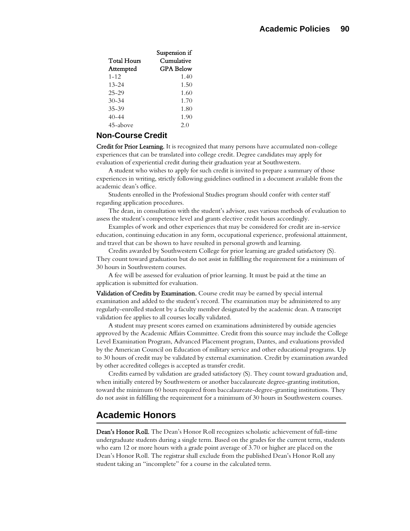| Suspension if    |
|------------------|
| Cumulative       |
| <b>GPA Below</b> |
| 1.40             |
| 1.50             |
| 1.60             |
| 1.70             |
| 1.80             |
| 1.90             |
| 2.0              |
|                  |

## **Non-Course Credit**

Credit for Prior Learning. It is recognized that many persons have accumulated non-college experiences that can be translated into college credit. Degree candidates may apply for evaluation of experiential credit during their graduation year at Southwestern.

A student who wishes to apply for such credit is invited to prepare a summary of those experiences in writing, strictly following guidelines outlined in a document available from the academic dean's office.

Students enrolled in the Professional Studies program should confer with center staff regarding application procedures.

The dean, in consultation with the student's advisor, uses various methods of evaluation to assess the student's competence level and grants elective credit hours accordingly.

Examples of work and other experiences that may be considered for credit are in-service education, continuing education in any form, occupational experience, professional attainment, and travel that can be shown to have resulted in personal growth and learning.

Credits awarded by Southwestern College for prior learning are graded satisfactory (S). They count toward graduation but do not assist in fulfilling the requirement for a minimum of 30 hours in Southwestern courses.

A fee will be assessed for evaluation of prior learning. It must be paid at the time an application is submitted for evaluation.

Validation of Credits by Examination. Course credit may be earned by special internal examination and added to the student's record. The examination may be administered to any regularly-enrolled student by a faculty member designated by the academic dean. A transcript validation fee applies to all courses locally validated.

A student may present scores earned on examinations administered by outside agencies approved by the Academic Affairs Committee. Credit from this source may include the College Level Examination Program, Advanced Placement program, Dantes, and evaluations provided by the American Council on Education of military service and other educational programs. Up to 30 hours of credit may be validated by external examination. Credit by examination awarded by other accredited colleges is accepted as transfer credit.

Credits earned by validation are graded satisfactory (S). They count toward graduation and, when initially entered by Southwestern or another baccalaureate degree-granting institution, toward the minimum 60 hours required from baccalaureate-degree-granting institutions. They do not assist in fulfilling the requirement for a minimum of 30 hours in Southwestern courses.

## **Academic Honors**

Dean's Honor Roll. The Dean's Honor Roll recognizes scholastic achievement of full-time undergraduate students during a single term. Based on the grades for the current term, students who earn 12 or more hours with a grade point average of 3.70 or higher are placed on the Dean's Honor Roll. The registrar shall exclude from the published Dean's Honor Roll any student taking an "incomplete" for a course in the calculated term.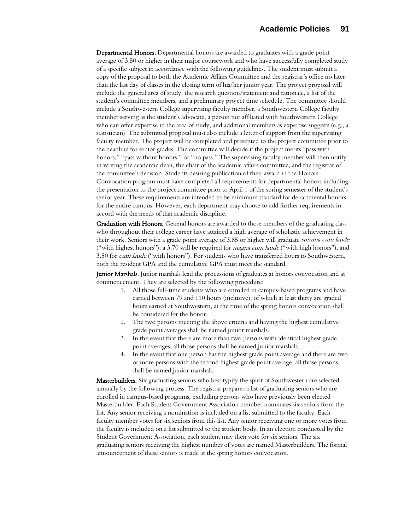Departmental Honors. Departmental honors are awarded to graduates with a grade point average of 3.50 or higher in their major coursework and who have successfully completed study of a specific subject in accordance with the following guidelines. The student must submit a copy of the proposal to both the Academic Affairs Committee and the registrar's office no later than the last day of classes in the closing term of his/her junior year. The project proposal will include the general area of study, the research question/statement and rationale, a list of the student's committee members, and a preliminary project time schedule. The committee should include a Southwestern College supervising faculty member, a Southwestern College faculty member serving as the student's advocate, a person not affiliated with Southwestern College who can offer expertise in the area of study, and additional members as expertise suggests (e.g., a statistician). The submitted proposal must also include a letter of support from the supervising faculty member. The project will be completed and presented to the project committee prior to the deadline for senior grades. The committee will decide if the project merits "pass with honors," "pass without honors," or "no pass." The supervising faculty member will then notify in writing the academic dean, the chair of the academic affairs committee, and the registrar of the committee's decision. Students desiring publication of their award in the Honors Convocation program must have completed all requirements for departmental honors including the presentation to the project committee prior to April 1 of the spring semester of the student's senior year. These requirements are intended to be minimum standard for departmental honors for the entire campus. However, each department may choose to add further requirements in accord with the needs of that academic discipline.

Graduation with Honors. General honors are awarded to those members of the graduating class who throughout their college career have attained a high average of scholastic achievement in their work. Seniors with a grade point average of 3.85 or higher will graduate *summa cum laude* ("with highest honors"); a 3.70 will be required for *magna cum laude* ("with high honors"), and 3.50 for *cum laude* ("with honors"). For students who have transferred hours to Southwestern, both the resident GPA and the cumulative GPA must meet the standard.

Junior Marshals. Junior marshals lead the processions of graduates at honors convocation and at commencement. They are selected by the following procedure:

- 1. All those full-time students who are enrolled in campus-based programs and have earned between 79 and 110 hours (inclusive), of which at least thirty are graded hours earned at Southwestern, at the time of the spring honors convocation shall be considered for the honor.
- 2. The two persons meeting the above criteria and having the highest cumulative grade point averages shall be named junior marshals.
- 3. In the event that there are more than two persons with identical highest grade point averages, all those persons shall be named junior marshals.
- 4. In the event that one person has the highest grade point average and there are two or more persons with the second highest grade point average, all those persons shall be named junior marshals.

Masterbuilders. Six graduating seniors who best typify the spirit of Southwestern are selected annually by the following process. The registrar prepares a list of graduating seniors who are enrolled in campus-based programs, excluding persons who have previously been elected Masterbuilder. Each Student Government Association member nominates six seniors from the list. Any senior receiving a nomination is included on a list submitted to the faculty. Each faculty member votes for six seniors from this list. Any senior receiving one or more votes from the faculty is included on a list submitted to the student body. In an election conducted by the Student Government Association, each student may then vote for six seniors. The six graduating seniors receiving the highest number of votes are named Masterbuilders. The formal announcement of these seniors is made at the spring honors convocation.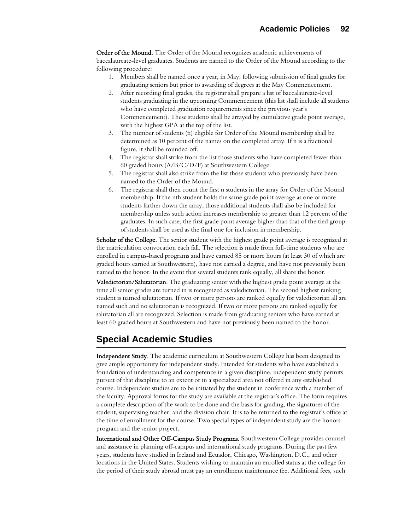**Order of the Mound.** The Order of the Mound recognizes academic achievements of baccalaureate-level graduates. Students are named to the Order of the Mound according to the following procedure:

- 1. Members shall be named once a year, in May, following submission of final grades for graduating seniors but prior to awarding of degrees at the May Commencement.
- 2. After recording final grades, the registrar shall prepare a list of baccalaureate-level students graduating in the upcoming Commencement (this list shall include all students who have completed graduation requirements since the previous year's Commencement). These students shall be arrayed by cumulative grade point average, with the highest GPA at the top of the list.
- 3. The number of students (n) eligible for Order of the Mound membership shall be determined as 10 percent of the names on the completed array. If n is a fractional figure, it shall be rounded off.
- 4. The registrar shall strike from the list those students who have completed fewer than 60 graded hours (A/B/C/D/F) at Southwestern College.
- 5. The registrar shall also strike from the list those students who previously have been named to the Order of the Mound.
- 6. The registrar shall then count the first n students in the array for Order of the Mound membership. If the nth student holds the same grade point average as one or more students farther down the array, those additional students shall also be included for membership unless such action increases membership to greater than 12 percent of the graduates. In such case, the first grade point average higher than that of the tied group of students shall be used as the final one for inclusion in membership.

Scholar of the College. The senior student with the highest grade point average is recognized at the matriculation convocation each fall. The selection is made from full-time students who are enrolled in campus-based programs and have earned 85 or more hours (at least 30 of which are graded hours earned at Southwestern), have not earned a degree, and have not previously been named to the honor. In the event that several students rank equally, all share the honor.

Valedictorian/Salutatorian. The graduating senior with the highest grade point average at the time all senior grades are turned in is recognized as valedictorian. The second highest ranking student is named salutatorian. If two or more persons are ranked equally for valedictorian all are named such and no salutatorian is recognized. If two or more persons are ranked equally for salutatorian all are recognized. Selection is made from graduating seniors who have earned at least 60 graded hours at Southwestern and have not previously been named to the honor.

## **Special Academic Studies**

Independent Study. The academic curriculum at Southwestern College has been designed to give ample opportunity for independent study. Intended for students who have established a foundation of understanding and competence in a given discipline, independent study permits pursuit of that discipline to an extent or in a specialized area not offered in any established course. Independent studies are to be initiated by the student in conference with a member of the faculty. Approval forms for the study are available at the registrar's office. The form requires a complete description of the work to be done and the basis for grading, the signatures of the student, supervising teacher, and the division chair. It is to be returned to the registrar's office at the time of enrollment for the course. Two special types of independent study are the honors program and the senior project.

International and Other Off-Campus Study Programs. Southwestern College provides counsel and assistance in planning off-campus and international study programs. During the past few years, students have studied in Ireland and Ecuador, Chicago, Washington, D.C., and other locations in the United States. Students wishing to maintain an enrolled status at the college for the period of their study abroad must pay an enrollment maintenance fee. Additional fees, such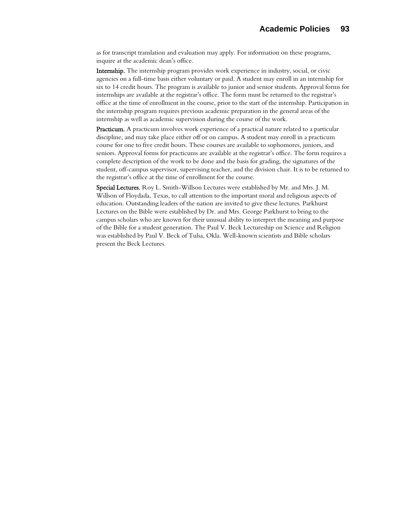as for transcript translation and evaluation may apply. For information on these programs, inquire at the academic dean's office.

Internship. The internship program provides work experience in industry, social, or civic agencies on a full-time basis either voluntary or paid. A student may enroll in an internship for six to 14 credit hours. The program is available to junior and senior students. Approval forms for internships are available at the registrar's office. The form must be returned to the registrar's office at the time of enrollment in the course, prior to the start of the internship. Participation in the internship program requires previous academic preparation in the general areas of the internship as well as academic supervision during the course of the work.

Practicum. A practicum involves work experience of a practical nature related to a particular discipline, and may take place either off or on campus. A student may enroll in a practicum course for one to five credit hours. These courses are available to sophomores, juniors, and seniors. Approval forms for practicums are available at the registrar's office. The form requires a complete description of the work to be done and the basis for grading, the signatures of the student, off-campus supervisor, supervising teacher, and the division chair. It is to be returned to the registrar's office at the time of enrollment for the course.

Special Lectures. Roy L. Smith-Willson Lectures were established by Mr. and Mrs. J. M. Willson of Floydada, Texas, to call attention to the important moral and religious aspects of education. Outstanding leaders of the nation are invited to give these lectures. Parkhurst Lectures on the Bible were established by Dr. and Mrs. George Parkhurst to bring to the campus scholars who are known for their unusual ability to interpret the meaning and purpose of the Bible for a student generation. The Paul V. Beck Lectureship on Science and Religion was established by Paul V. Beck of Tulsa, Okla. Well-known scientists and Bible scholars present the Beck Lectures.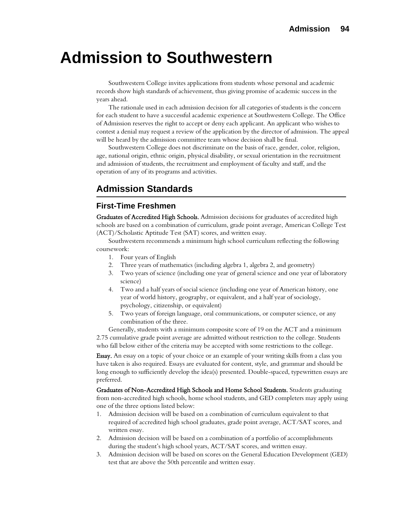# **Admission to Southwestern**

Southwestern College invites applications from students whose personal and academic records show high standards of achievement, thus giving promise of academic success in the years ahead.

The rationale used in each admission decision for all categories of students is the concern for each student to have a successful academic experience at Southwestern College. The Office of Admission reserves the right to accept or deny each applicant. An applicant who wishes to contest a denial may request a review of the application by the director of admission. The appeal will be heard by the admission committee team whose decision shall be final.

Southwestern College does not discriminate on the basis of race, gender, color, religion, age, national origin, ethnic origin, physical disability, or sexual orientation in the recruitment and admission of students, the recruitment and employment of faculty and staff, and the operation of any of its programs and activities.

## **Admission Standards**

## **First-Time Freshmen**

Graduates of Accredited High Schools. Admission decisions for graduates of accredited high schools are based on a combination of curriculum, grade point average, American College Test (ACT)/Scholastic Aptitude Test (SAT) scores, and written essay.

Southwestern recommends a minimum high school curriculum reflecting the following coursework:

- 1. Four years of English
- 2. Three years of mathematics (including algebra 1, algebra 2, and geometry)
- 3. Two years of science (including one year of general science and one year of laboratory science)
- 4. Two and a half years of social science (including one year of American history, one year of world history, geography, or equivalent, and a half year of sociology, psychology, citizenship, or equivalent)
- 5. Two years of foreign language, oral communications, or computer science, or any combination of the three.

Generally, students with a minimum composite score of 19 on the ACT and a minimum 2.75 cumulative grade point average are admitted without restriction to the college. Students who fall below either of the criteria may be accepted with some restrictions to the college.

Essay. An essay on a topic of your choice or an example of your writing skills from a class you have taken is also required. Essays are evaluated for content, style, and grammar and should be long enough to sufficiently develop the idea(s) presented. Double-spaced, typewritten essays are preferred.

Graduates of Non-Accredited High Schools and Home School Students. Students graduating from non-accredited high schools, home school students, and GED completers may apply using one of the three options listed below:

- 1. Admission decision will be based on a combination of curriculum equivalent to that required of accredited high school graduates, grade point average, ACT/SAT scores, and written essay.
- 2. Admission decision will be based on a combination of a portfolio of accomplishments during the student's high school years, ACT/SAT scores, and written essay.
- 3. Admission decision will be based on scores on the General Education Development (GED) test that are above the 50th percentile and written essay.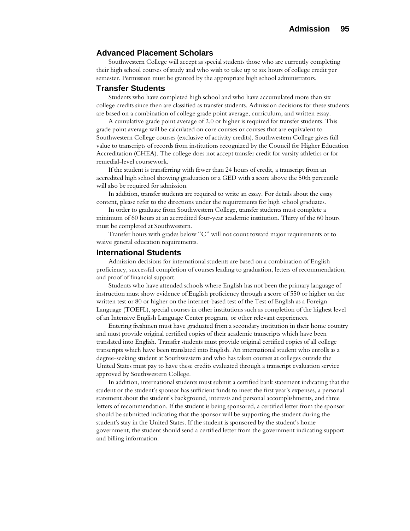## **Advanced Placement Scholars**

Southwestern College will accept as special students those who are currently completing their high school courses of study and who wish to take up to six hours of college credit per semester. Permission must be granted by the appropriate high school administrators.

## **Transfer Students**

Students who have completed high school and who have accumulated more than six college credits since then are classified as transfer students. Admission decisions for these students are based on a combination of college grade point average, curriculum, and written essay.

A cumulative grade point average of 2.0 or higher is required for transfer students. This grade point average will be calculated on core courses or courses that are equivalent to Southwestern College courses (exclusive of activity credits). Southwestern College gives full value to transcripts of records from institutions recognized by the Council for Higher Education Accreditation (CHEA). The college does not accept transfer credit for varsity athletics or for remedial-level coursework.

If the student is transferring with fewer than 24 hours of credit, a transcript from an accredited high school showing graduation or a GED with a score above the 50th percentile will also be required for admission.

In addition, transfer students are required to write an essay. For details about the essay content, please refer to the directions under the requirements for high school graduates.

In order to graduate from Southwestern College, transfer students must complete a minimum of 60 hours at an accredited four-year academic institution. Thirty of the 60 hours must be completed at Southwestern.

Transfer hours with grades below "C" will not count toward major requirements or to waive general education requirements.

## **International Students**

Admission decisions for international students are based on a combination of English proficiency, successful completion of courses leading to graduation, letters of recommendation, and proof of financial support.

Students who have attended schools where English has not been the primary language of instruction must show evidence of English proficiency through a score of 550 or higher on the written test or 80 or higher on the internet-based test of the Test of English as a Foreign Language (TOEFL), special courses in other institutions such as completion of the highest level of an Intensive English Language Center program, or other relevant experiences.

Entering freshmen must have graduated from a secondary institution in their home country and must provide original certified copies of their academic transcripts which have been translated into English. Transfer students must provide original certified copies of all college transcripts which have been translated into English. An international student who enrolls as a degree-seeking student at Southwestern and who has taken courses at colleges outside the United States must pay to have these credits evaluated through a transcript evaluation service approved by Southwestern College.

In addition, international students must submit a certified bank statement indicating that the student or the student's sponsor has sufficient funds to meet the first year's expenses, a personal statement about the student's background, interests and personal accomplishments, and three letters of recommendation. If the student is being sponsored, a certified letter from the sponsor should be submitted indicating that the sponsor will be supporting the student during the student's stay in the United States. If the student is sponsored by the student's home government, the student should send a certified letter from the government indicating support and billing information.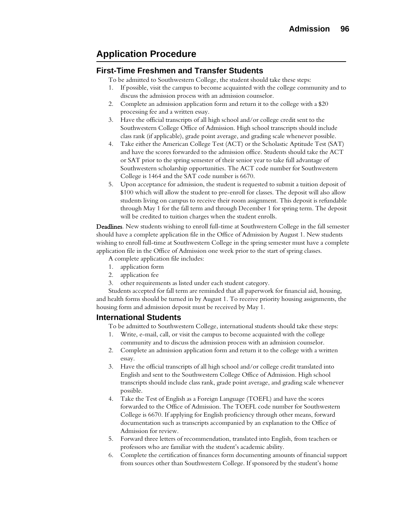## **Application Procedure**

## **First-Time Freshmen and Transfer Students**

To be admitted to Southwestern College, the student should take these steps:

- 1. If possible, visit the campus to become acquainted with the college community and to discuss the admission process with an admission counselor.
- 2. Complete an admission application form and return it to the college with a \$20 processing fee and a written essay.
- 3. Have the official transcripts of all high school and/or college credit sent to the Southwestern College Office of Admission. High school transcripts should include class rank (if applicable), grade point average, and grading scale whenever possible.
- 4. Take either the American College Test (ACT) or the Scholastic Aptitude Test (SAT) and have the scores forwarded to the admission office. Students should take the ACT or SAT prior to the spring semester of their senior year to take full advantage of Southwestern scholarship opportunities. The ACT code number for Southwestern College is 1464 and the SAT code number is 6670.
- 5. Upon acceptance for admission, the student is requested to submit a tuition deposit of \$100 which will allow the student to pre-enroll for classes. The deposit will also allow students living on campus to receive their room assignment. This deposit is refundable through May 1 for the fall term and through December 1 for spring term. The deposit will be credited to tuition charges when the student enrolls.

Deadlines. New students wishing to enroll full-time at Southwestern College in the fall semester should have a complete application file in the Office of Admission by August 1. New students wishing to enroll full-time at Southwestern College in the spring semester must have a complete application file in the Office of Admission one week prior to the start of spring classes.

A complete application file includes:

- 1. application form
- 2. application fee
- 3. other requirements as listed under each student category.

Students accepted for fall term are reminded that all paperwork for financial aid, housing, and health forms should be turned in by August 1. To receive priority housing assignments, the housing form and admission deposit must be received by May 1.

## **International Students**

To be admitted to Southwestern College, international students should take these steps:

- 1. Write, e-mail, call, or visit the campus to become acquainted with the college community and to discuss the admission process with an admission counselor.
- 2. Complete an admission application form and return it to the college with a written essay.
- 3. Have the official transcripts of all high school and/or college credit translated into English and sent to the Southwestern College Office of Admission. High school transcripts should include class rank, grade point average, and grading scale whenever possible.
- 4. Take the Test of English as a Foreign Language (TOEFL) and have the scores forwarded to the Office of Admission. The TOEFL code number for Southwestern College is 6670. If applying for English proficiency through other means, forward documentation such as transcripts accompanied by an explanation to the Office of Admission for review.
- 5. Forward three letters of recommendation, translated into English, from teachers or professors who are familiar with the student's academic ability.
- 6. Complete the certification of finances form documenting amounts of financial support from sources other than Southwestern College. If sponsored by the student's home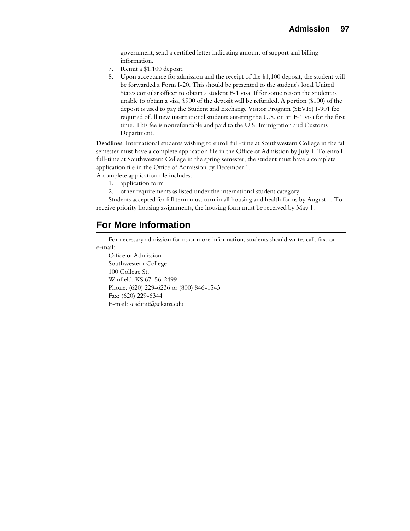government, send a certified letter indicating amount of support and billing information.

- 7. Remit a \$1,100 deposit.
- 8. Upon acceptance for admission and the receipt of the \$1,100 deposit, the student will be forwarded a Form I-20. This should be presented to the student's local United States consular officer to obtain a student F-1 visa. If for some reason the student is unable to obtain a visa, \$900 of the deposit will be refunded. A portion (\$100) of the deposit is used to pay the Student and Exchange Visitor Program (SEVIS) I-901 fee required of all new international students entering the U.S. on an F-1 visa for the first time. This fee is nonrefundable and paid to the U.S. Immigration and Customs Department.

Deadlines. International students wishing to enroll full-time at Southwestern College in the fall semester must have a complete application file in the Office of Admission by July 1. To enroll full-time at Southwestern College in the spring semester, the student must have a complete application file in the Office of Admission by December 1.

- A complete application file includes:
	- 1. application form
	- 2. other requirements as listed under the international student category.

Students accepted for fall term must turn in all housing and health forms by August 1. To receive priority housing assignments, the housing form must be received by May 1.

## **For More Information**

For necessary admission forms or more information, students should write, call, fax, or e-mail:

Office of Admission Southwestern College 100 College St. Winfield, KS 67156-2499 Phone: (620) 229-6236 or (800) 846-1543 Fax: (620) 229-6344 E-mail: scadmit@sckans.edu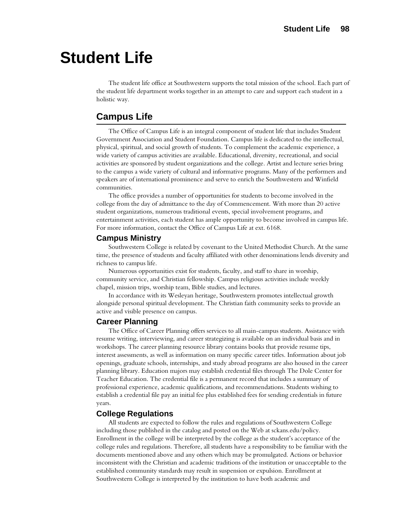# **Student Life**

The student life office at Southwestern supports the total mission of the school. Each part of the student life department works together in an attempt to care and support each student in a holistic way.

## **Campus Life**

The Office of Campus Life is an integral component of student life that includes Student Government Association and Student Foundation. Campus life is dedicated to the intellectual, physical, spiritual, and social growth of students. To complement the academic experience, a wide variety of campus activities are available. Educational, diversity, recreational, and social activities are sponsored by student organizations and the college. Artist and lecture series bring to the campus a wide variety of cultural and informative programs. Many of the performers and speakers are of international prominence and serve to enrich the Southwestern and Winfield communities.

The office provides a number of opportunities for students to become involved in the college from the day of admittance to the day of Commencement. With more than 20 active student organizations, numerous traditional events, special involvement programs, and entertainment activities, each student has ample opportunity to become involved in campus life. For more information, contact the Office of Campus Life at ext. 6168.

## **Campus Ministry**

Southwestern College is related by covenant to the United Methodist Church. At the same time, the presence of students and faculty affiliated with other denominations lends diversity and richness to campus life.

Numerous opportunities exist for students, faculty, and staff to share in worship, community service, and Christian fellowship. Campus religious activities include weekly chapel, mission trips, worship team, Bible studies, and lectures.

In accordance with its Wesleyan heritage, Southwestern promotes intellectual growth alongside personal spiritual development. The Christian faith community seeks to provide an active and visible presence on campus.

## **Career Planning**

The Office of Career Planning offers services to all main-campus students. Assistance with resume writing, interviewing, and career strategizing is available on an individual basis and in workshops. The career planning resource library contains books that provide resume tips, interest assessments, as well as information on many specific career titles. Information about job openings, graduate schools, internships, and study abroad programs are also housed in the career planning library. Education majors may establish credential files through The Dole Center for Teacher Education. The credential file is a permanent record that includes a summary of professional experience, academic qualifications, and recommendations. Students wishing to establish a credential file pay an initial fee plus established fees for sending credentials in future years.

## **College Regulations**

All students are expected to follow the rules and regulations of Southwestern College including those published in the catalog and posted on the Web at sckans.edu/policy. Enrollment in the college will be interpreted by the college as the student's acceptance of the college rules and regulations. Therefore, all students have a responsibility to be familiar with the documents mentioned above and any others which may be promulgated. Actions or behavior inconsistent with the Christian and academic traditions of the institution or unacceptable to the established community standards may result in suspension or expulsion. Enrollment at Southwestern College is interpreted by the institution to have both academic and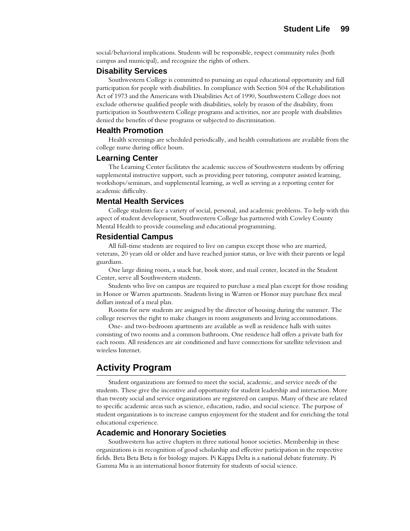social/behavioral implications. Students will be responsible, respect community rules (both campus and municipal), and recognize the rights of others.

## **Disability Services**

Southwestern College is committed to pursuing an equal educational opportunity and full participation for people with disabilities. In compliance with Section 504 of the Rehabilitation Act of 1973 and the Americans with Disabilities Act of 1990, Southwestern College does not exclude otherwise qualified people with disabilities, solely by reason of the disability, from participation in Southwestern College programs and activities, nor are people with disabilities denied the benefits of these programs or subjected to discrimination.

### **Health Promotion**

Health screenings are scheduled periodically, and health consultations are available from the college nurse during office hours.

### **Learning Center**

The Learning Center facilitates the academic success of Southwestern students by offering supplemental instructive support, such as providing peer tutoring, computer assisted learning, workshops/seminars, and supplemental learning, as well as serving as a reporting center for academic difficulty.

#### **Mental Health Services**

College students face a variety of social, personal, and academic problems. To help with this aspect of student development, Southwestern College has partnered with Cowley County Mental Health to provide counseling and educational programming.

## **Residential Campus**

All full-time students are required to live on campus except those who are married, veterans, 20 years old or older and have reached junior status, or live with their parents or legal guardians.

One large dining room, a snack bar, book store, and mail center, located in the Student Center, serve all Southwestern students.

Students who live on campus are required to purchase a meal plan except for those residing in Honor or Warren apartments. Students living in Warren or Honor may purchase flex meal dollars instead of a meal plan.

Rooms for new students are assigned by the director of housing during the summer. The college reserves the right to make changes in room assignments and living accommodations.

One- and two-bedroom apartments are available as well as residence halls with suites consisting of two rooms and a common bathroom. One residence hall offers a private bath for each room. All residences are air conditioned and have connections for satellite television and wireless Internet.

## **Activity Program**

Student organizations are formed to meet the social, academic, and service needs of the students. These give the incentive and opportunity for student leadership and interaction. More than twenty social and service organizations are registered on campus. Many of these are related to specific academic areas such as science, education, radio, and social science. The purpose of student organizations is to increase campus enjoyment for the student and for enriching the total educational experience.

## **Academic and Honorary Societies**

Southwestern has active chapters in three national honor societies. Membership in these organizations is in recognition of good scholarship and effective participation in the respective fields. Beta Beta Beta is for biology majors. Pi Kappa Delta is a national debate fraternity. Pi Gamma Mu is an international honor fraternity for students of social science.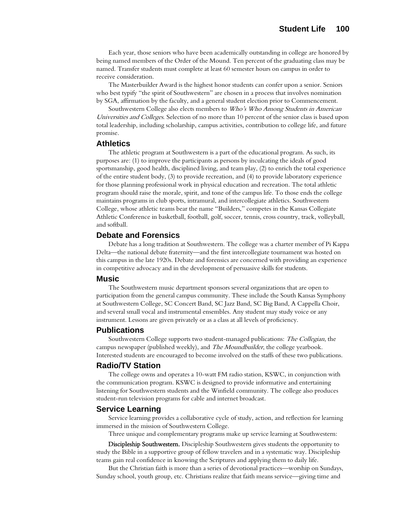Each year, those seniors who have been academically outstanding in college are honored by being named members of the Order of the Mound. Ten percent of the graduating class may be named. Transfer students must complete at least 60 semester hours on campus in order to receive consideration.

The Masterbuilder Award is the highest honor students can confer upon a senior. Seniors who best typify "the spirit of Southwestern" are chosen in a process that involves nomination by SGA, affirmation by the faculty, and a general student election prior to Commencement.

Southwestern College also elects members to Who's Who Among Students in American Universities and Colleges. Selection of no more than 10 percent of the senior class is based upon total leadership, including scholarship, campus activities, contribution to college life, and future promise.

## **Athletics**

The athletic program at Southwestern is a part of the educational program. As such, its purposes are: (1) to improve the participants as persons by inculcating the ideals of good sportsmanship, good health, disciplined living, and team play, (2) to enrich the total experience of the entire student body, (3) to provide recreation, and (4) to provide laboratory experience for those planning professional work in physical education and recreation. The total athletic program should raise the morale, spirit, and tone of the campus life. To those ends the college maintains programs in club sports, intramural, and intercollegiate athletics. Southwestern College, whose athletic teams bear the name "Builders," competes in the Kansas Collegiate Athletic Conference in basketball, football, golf, soccer, tennis, cross country, track, volleyball, and softball.

## **Debate and Forensics**

Debate has a long tradition at Southwestern. The college was a charter member of Pi Kappa Delta—the national debate fraternity—and the first intercollegiate tournament was hosted on this campus in the late 1920s. Debate and forensics are concerned with providing an experience in competitive advocacy and in the development of persuasive skills for students.

#### **Music**

The Southwestern music department sponsors several organizations that are open to participation from the general campus community. These include the South Kansas Symphony at Southwestern College, SC Concert Band, SC Jazz Band, SC Big Band, A Cappella Choir, and several small vocal and instrumental ensembles. Any student may study voice or any instrument. Lessons are given privately or as a class at all levels of proficiency.

## **Publications**

Southwestern College supports two student-managed publications: The Collegian, the campus newspaper (published weekly), and *The Moundbuilder*, the college yearbook. Interested students are encouraged to become involved on the staffs of these two publications.

## **Radio/TV Station**

The college owns and operates a 10-watt FM radio station, KSWC, in conjunction with the communication program. KSWC is designed to provide informative and entertaining listening for Southwestern students and the Winfield community. The college also produces student-run television programs for cable and internet broadcast.

## **Service Learning**

Service learning provides a collaborative cycle of study, action, and reflection for learning immersed in the mission of Southwestern College.

Three unique and complementary programs make up service learning at Southwestern:

Discipleship Southwestern. Discipleship Southwestern gives students the opportunity to study the Bible in a supportive group of fellow travelers and in a systematic way. Discipleship teams gain real confidence in knowing the Scriptures and applying them to daily life.

But the Christian faith is more than a series of devotional practices—worship on Sundays, Sunday school, youth group, etc. Christians realize that faith means service—giving time and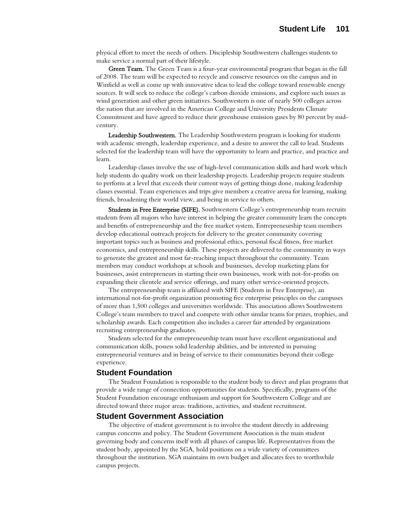physical effort to meet the needs of others. Discipleship Southwestern challenges students to make service a normal part of their lifestyle.

Green Team. The Green Team is a four-year environmental program that began in the fall of 2008. The team will be expected to recycle and conserve resources on the campus and in Winfield as well as come up with innovative ideas to lead the college toward renewable energy sources. It will seek to reduce the college's carbon dioxide emissions, and explore such issues as wind generation and other green initiatives. Southwestern is one of nearly 500 colleges across the nation that are involved in the American College and University Presidents Climate Commitment and have agreed to reduce their greenhouse emission gases by 80 percent by midcentury.

Leadership Southwestern. The Leadership Southwestern program is looking for students with academic strength, leadership experience, and a desire to answer the call to lead. Students selected for the leadership team will have the opportunity to learn and practice, and practice and learn.

Leadership classes involve the use of high-level communication skills and hard work which help students do quality work on their leadership projects. Leadership projects require students to perform at a level that exceeds their current ways of getting things done, making leadership classes essential. Team experiences and trips give members a creative arena for learning, making friends, broadening their world view, and being in service to others.

Students in Free Enterprise (SIFE). Southwestern College's entrepreneurship team recruits students from all majors who have interest in helping the greater community learn the concepts and benefits of entrepreneurship and the free market system. Entrepreneurship team members develop educational outreach projects for delivery to the greater community covering important topics such as business and professional ethics, personal fiscal fitness, free market economics, and entrepreneurship skills. These projects are delivered to the community in ways to generate the greatest and most far-reaching impact throughout the community. Team members may conduct workshops at schools and businesses, develop marketing plans for businesses, assist entrepreneurs in starting their own businesses, work with not-for-profits on expanding their clientele and service offerings, and many other service-oriented projects.

The entrepreneurship team is affiliated with SIFE (Students in Free Enterprise), an international not-for-profit organization promoting free enterprise principles on the campuses of more than 1,500 colleges and universities worldwide. This association allows Southwestern College's team members to travel and compete with other similar teams for prizes, trophies, and scholarship awards. Each competition also includes a career fair attended by organizations recruiting entrepreneurship graduates.

Students selected for the entrepreneurship team must have excellent organizational and communication skills, possess solid leadership abilities, and be interested in pursuing entrepreneurial ventures and in being of service to their communities beyond their college experience.

## **Student Foundation**

The Student Foundation is responsible to the student body to direct and plan programs that provide a wide range of connection opportunities for students. Specifically, programs of the Student Foundation encourage enthusiasm and support for Southwestern College and are directed toward three major areas: traditions, activities, and student recruitment.

## **Student Government Association**

The objective of student government is to involve the student directly in addressing campus concerns and policy. The Student Government Association is the main student governing body and concerns itself with all phases of campus life. Representatives from the student body, appointed by the SGA, hold positions on a wide variety of committees throughout the institution. SGA maintains its own budget and allocates fees to worthwhile campus projects.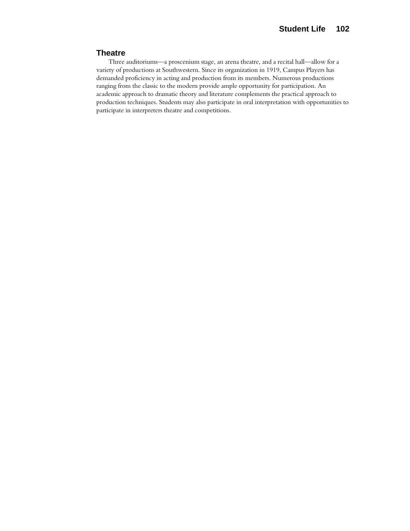## **Theatre**

Three auditoriums—a proscenium stage, an arena theatre, and a recital hall—allow for a variety of productions at Southwestern. Since its organization in 1919, Campus Players has demanded proficiency in acting and production from its members. Numerous productions ranging from the classic to the modern provide ample opportunity for participation. An academic approach to dramatic theory and literature complements the practical approach to production techniques. Students may also participate in oral interpretation with opportunities to participate in interpreters theatre and competitions.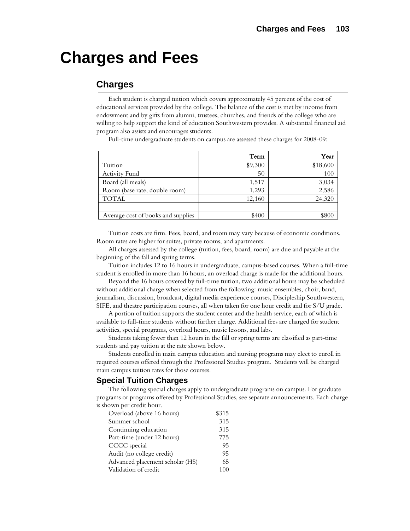# **Charges and Fees**

## **Charges**

Each student is charged tuition which covers approximately 45 percent of the cost of educational services provided by the college. The balance of the cost is met by income from endowment and by gifts from alumni, trustees, churches, and friends of the college who are willing to help support the kind of education Southwestern provides. A substantial financial aid program also assists and encourages students.

Full-time undergraduate students on campus are assessed these charges for 2008-09:

|                                    | Term    | Year     |
|------------------------------------|---------|----------|
| Tuition                            | \$9,300 | \$18,600 |
| Activity Fund                      | 50      | 100      |
| Board (all meals)                  | 1,517   | 3,034    |
| Room (base rate, double room)      | 1,293   | 2,586    |
| <b>TOTAL</b>                       | 12,160  | 24,320   |
|                                    |         |          |
| Average cost of books and supplies | \$400   | \$800    |

Tuition costs are firm. Fees, board, and room may vary because of economic conditions. Room rates are higher for suites, private rooms, and apartments.

All charges assessed by the college (tuition, fees, board, room) are due and payable at the beginning of the fall and spring terms.

Tuition includes 12 to 16 hours in undergraduate, campus-based courses. When a full-time student is enrolled in more than 16 hours, an overload charge is made for the additional hours.

Beyond the 16 hours covered by full-time tuition, two additional hours may be scheduled without additional charge when selected from the following: music ensembles, choir, band, journalism, discussion, broadcast, digital media experience courses, Discipleship Southwestern, SIFE, and theatre participation courses, all when taken for one hour credit and for S/U grade.

A portion of tuition supports the student center and the health service, each of which is available to full-time students without further charge. Additional fees are charged for student activities, special programs, overload hours, music lessons, and labs.

Students taking fewer than 12 hours in the fall or spring terms are classified as part-time students and pay tuition at the rate shown below.

Students enrolled in main campus education and nursing programs may elect to enroll in required courses offered through the Professional Studies program. Students will be charged main campus tuition rates for those courses.

## **Special Tuition Charges**

The following special charges apply to undergraduate programs on campus. For graduate programs or programs offered by Professional Studies, see separate announcements. Each charge is shown per credit hour.

| Overload (above 16 hours)       | \$315 |
|---------------------------------|-------|
| Summer school                   | 315   |
| Continuing education            | 315   |
| Part-time (under 12 hours)      | 775   |
| CCCC special                    | 95    |
| Audit (no college credit)       | 95    |
| Advanced placement scholar (HS) | 65    |
| Validation of credit            |       |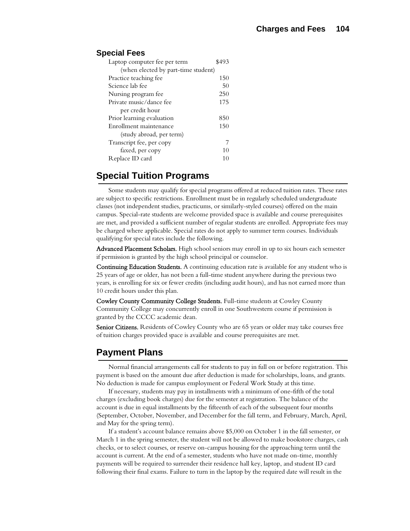## **Special Fees**

| Laptop computer fee per term        | \$493 |  |
|-------------------------------------|-------|--|
| (when elected by part-time student) |       |  |
| Practice teaching fee               | 150   |  |
| Science lab fee                     | 50    |  |
| Nursing program fee                 | 250   |  |
| Private music/dance fee             | 175   |  |
| per credit hour                     |       |  |
| Prior learning evaluation           | 850   |  |
| Enrollment maintenance              | 150   |  |
| (study abroad, per term)            |       |  |
| Transcript fee, per copy            |       |  |
| faxed, per copy                     | 10    |  |
| Replace ID card                     | 10    |  |

## **Special Tuition Programs**

Some students may qualify for special programs offered at reduced tuition rates. These rates are subject to specific restrictions. Enrollment must be in regularly scheduled undergraduate classes (not independent studies, practicums, or similarly-styled courses) offered on the main campus. Special-rate students are welcome provided space is available and course prerequisites are met, and provided a sufficient number of regular students are enrolled. Appropriate fees may be charged where applicable. Special rates do not apply to summer term courses. Individuals qualifying for special rates include the following.

Advanced Placement Scholars. High school seniors may enroll in up to six hours each semester if permission is granted by the high school principal or counselor.

Continuing Education Students. A continuing education rate is available for any student who is 25 years of age or older, has not been a full-time student anywhere during the previous two years, is enrolling for six or fewer credits (including audit hours), and has not earned more than 10 credit hours under this plan.

Cowley County Community College Students. Full-time students at Cowley County Community College may concurrently enroll in one Southwestern course if permission is granted by the CCCC academic dean.

Senior Citizens. Residents of Cowley County who are 65 years or older may take courses free of tuition charges provided space is available and course prerequisites are met.

## **Payment Plans**

Normal financial arrangements call for students to pay in full on or before registration. This payment is based on the amount due after deduction is made for scholarships, loans, and grants. No deduction is made for campus employment or Federal Work Study at this time.

If necessary, students may pay in installments with a minimum of one-fifth of the total charges (excluding book charges) due for the semester at registration. The balance of the account is due in equal installments by the fifteenth of each of the subsequent four months (September, October, November, and December for the fall term, and February, March, April, and May for the spring term).

If a student's account balance remains above \$5,000 on October 1 in the fall semester, or March 1 in the spring semester, the student will not be allowed to make bookstore charges, cash checks, or to select courses, or reserve on-campus housing for the approaching term until the account is current. At the end of a semester, students who have not made on-time, monthly payments will be required to surrender their residence hall key, laptop, and student ID card following their final exams. Failure to turn in the laptop by the required date will result in the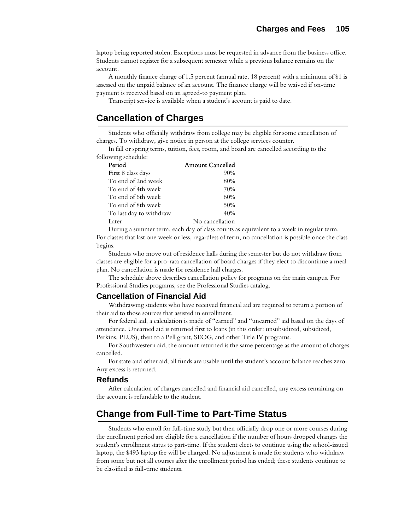laptop being reported stolen. Exceptions must be requested in advance from the business office. Students cannot register for a subsequent semester while a previous balance remains on the account.

A monthly finance charge of 1.5 percent (annual rate, 18 percent) with a minimum of \$1 is assessed on the unpaid balance of an account. The finance charge will be waived if on-time payment is received based on an agreed-to payment plan.

Transcript service is available when a student's account is paid to date.

## **Cancellation of Charges**

Students who officially withdraw from college may be eligible for some cancellation of charges. To withdraw, give notice in person at the college services counter.

In fall or spring terms, tuition, fees, room, and board are cancelled according to the following schedule:

| Period                  | <b>Amount Cancelled</b> |
|-------------------------|-------------------------|
| First 8 class days      | 90%                     |
| To end of 2nd week      | 80%                     |
| To end of 4th week      | 70%                     |
| To end of 6th week      | 60%                     |
| To end of 8th week      | 50%                     |
| To last day to withdraw | 40%                     |
| Later                   | No cancellation         |

During a summer term, each day of class counts as equivalent to a week in regular term. For classes that last one week or less, regardless of term, no cancellation is possible once the class begins.

Students who move out of residence halls during the semester but do not withdraw from classes are eligible for a pro-rata cancellation of board charges if they elect to discontinue a meal plan. No cancellation is made for residence hall charges.

The schedule above describes cancellation policy for programs on the main campus. For Professional Studies programs, see the Professional Studies catalog.

## **Cancellation of Financial Aid**

Withdrawing students who have received financial aid are required to return a portion of their aid to those sources that assisted in enrollment.

For federal aid, a calculation is made of "earned" and "unearned" aid based on the days of attendance. Unearned aid is returned first to loans (in this order: unsubsidized, subsidized, Perkins, PLUS), then to a Pell grant, SEOG, and other Title IV programs.

For Southwestern aid, the amount returned is the same percentage as the amount of charges cancelled.

For state and other aid, all funds are usable until the student's account balance reaches zero. Any excess is returned.

## **Refunds**

After calculation of charges cancelled and financial aid cancelled, any excess remaining on the account is refundable to the student.

## **Change from Full-Time to Part-Time Status**

Students who enroll for full-time study but then officially drop one or more courses during the enrollment period are eligible for a cancellation if the number of hours dropped changes the student's enrollment status to part-time. If the student elects to continue using the school-issued laptop, the \$493 laptop fee will be charged. No adjustment is made for students who withdraw from some but not all courses after the enrollment period has ended; these students continue to be classified as full-time students.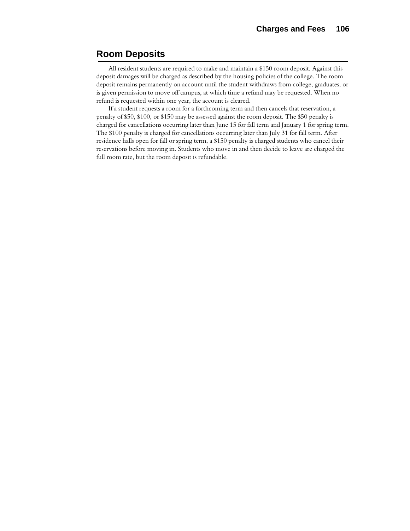## **Room Deposits**

All resident students are required to make and maintain a \$150 room deposit. Against this deposit damages will be charged as described by the housing policies of the college. The room deposit remains permanently on account until the student withdraws from college, graduates, or is given permission to move off campus, at which time a refund may be requested. When no refund is requested within one year, the account is cleared.

If a student requests a room for a forthcoming term and then cancels that reservation, a penalty of \$50, \$100, or \$150 may be assessed against the room deposit. The \$50 penalty is charged for cancellations occurring later than June 15 for fall term and January 1 for spring term. The \$100 penalty is charged for cancellations occurring later than July 31 for fall term. After residence halls open for fall or spring term, a \$150 penalty is charged students who cancel their reservations before moving in. Students who move in and then decide to leave are charged the full room rate, but the room deposit is refundable.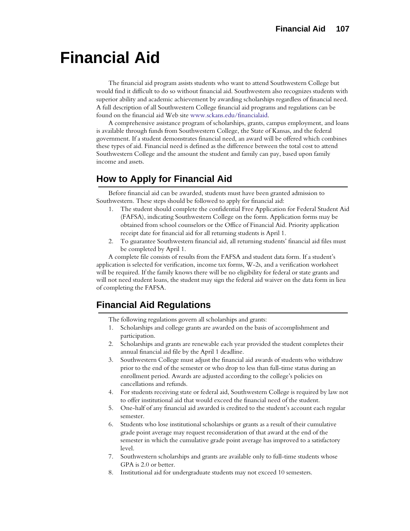# **Financial Aid**

The financial aid program assists students who want to attend Southwestern College but would find it difficult to do so without financial aid. Southwestern also recognizes students with superior ability and academic achievement by awarding scholarships regardless of financial need. A full description of all Southwestern College financial aid programs and regulations can be found on the financial aid Web site www.sckans.edu/financialaid.

A comprehensive assistance program of scholarships, grants, campus employment, and loans is available through funds from Southwestern College, the State of Kansas, and the federal government. If a student demonstrates financial need, an award will be offered which combines these types of aid. Financial need is defined as the difference between the total cost to attend Southwestern College and the amount the student and family can pay, based upon family income and assets.

## **How to Apply for Financial Aid**

Before financial aid can be awarded, students must have been granted admission to Southwestern. These steps should be followed to apply for financial aid:

- 1. The student should complete the confidential Free Application for Federal Student Aid (FAFSA), indicating Southwestern College on the form. Application forms may be obtained from school counselors or the Office of Financial Aid. Priority application receipt date for financial aid for all returning students is April 1.
- 2. To guarantee Southwestern financial aid, all returning students' financial aid files must be completed by April 1.

A complete file consists of results from the FAFSA and student data form. If a student's application is selected for verification, income tax forms, W-2s, and a verification worksheet will be required. If the family knows there will be no eligibility for federal or state grants and will not need student loans, the student may sign the federal aid waiver on the data form in lieu of completing the FAFSA.

## **Financial Aid Regulations**

- The following regulations govern all scholarships and grants:
- 1. Scholarships and college grants are awarded on the basis of accomplishment and participation.
- 2. Scholarships and grants are renewable each year provided the student completes their annual financial aid file by the April 1 deadline.
- 3. Southwestern College must adjust the financial aid awards of students who withdraw prior to the end of the semester or who drop to less than full-time status during an enrollment period. Awards are adjusted according to the college's policies on cancellations and refunds.
- 4. For students receiving state or federal aid, Southwestern College is required by law not to offer institutional aid that would exceed the financial need of the student.
- 5. One-half of any financial aid awarded is credited to the student's account each regular semester.
- 6. Students who lose institutional scholarships or grants as a result of their cumulative grade point average may request reconsideration of that award at the end of the semester in which the cumulative grade point average has improved to a satisfactory level.
- 7. Southwestern scholarships and grants are available only to full-time students whose GPA is 2.0 or better.
- 8. Institutional aid for undergraduate students may not exceed 10 semesters.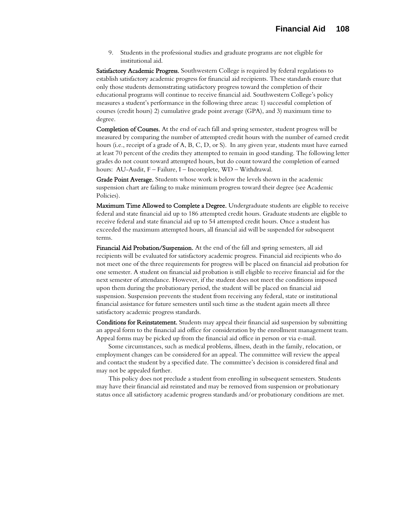9. Students in the professional studies and graduate programs are not eligible for institutional aid.

Satisfactory Academic Progress. Southwestern College is required by federal regulations to establish satisfactory academic progress for financial aid recipients. These standards ensure that only those students demonstrating satisfactory progress toward the completion of their educational programs will continue to receive financial aid. Southwestern College's policy measures a student's performance in the following three areas: 1) successful completion of courses (credit hours) 2) cumulative grade point average (GPA), and 3) maximum time to degree.

Completion of Courses. At the end of each fall and spring semester, student progress will be measured by comparing the number of attempted credit hours with the number of earned credit hours (i.e., receipt of a grade of A, B, C, D, or S). In any given year, students must have earned at least 70 percent of the credits they attempted to remain in good standing. The following letter grades do not count toward attempted hours, but do count toward the completion of earned hours: AU-Audit, F – Failure, I – Incomplete, WD – Withdrawal.

Grade Point Average. Students whose work is below the levels shown in the academic suspension chart are failing to make minimum progress toward their degree (see Academic Policies).

Maximum Time Allowed to Complete a Degree. Undergraduate students are eligible to receive federal and state financial aid up to 186 attempted credit hours. Graduate students are eligible to receive federal and state financial aid up to 54 attempted credit hours. Once a student has exceeded the maximum attempted hours, all financial aid will be suspended for subsequent terms.

Financial Aid Probation/Suspension. At the end of the fall and spring semesters, all aid recipients will be evaluated for satisfactory academic progress. Financial aid recipients who do not meet one of the three requirements for progress will be placed on financial aid probation for one semester. A student on financial aid probation is still eligible to receive financial aid for the next semester of attendance. However, if the student does not meet the conditions imposed upon them during the probationary period, the student will be placed on financial aid suspension. Suspension prevents the student from receiving any federal, state or institutional financial assistance for future semesters until such time as the student again meets all three satisfactory academic progress standards.

Conditions for Reinstatement. Students may appeal their financial aid suspension by submitting an appeal form to the financial aid office for consideration by the enrollment management team. Appeal forms may be picked up from the financial aid office in person or via e-mail.

Some circumstances, such as medical problems, illness, death in the family, relocation, or employment changes can be considered for an appeal. The committee will review the appeal and contact the student by a specified date. The committee's decision is considered final and may not be appealed further.

This policy does not preclude a student from enrolling in subsequent semesters. Students may have their financial aid reinstated and may be removed from suspension or probationary status once all satisfactory academic progress standards and/or probationary conditions are met.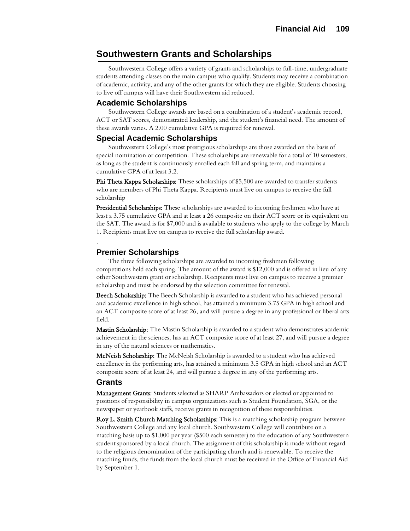## **Southwestern Grants and Scholarships**

Southwestern College offers a variety of grants and scholarships to full-time, undergraduate students attending classes on the main campus who qualify. Students may receive a combination of academic, activity, and any of the other grants for which they are eligible. Students choosing to live off campus will have their Southwestern aid reduced.

#### **Academic Scholarships**

Southwestern College awards are based on a combination of a student's academic record, ACT or SAT scores, demonstrated leadership, and the student's financial need. The amount of these awards varies. A 2.00 cumulative GPA is required for renewal.

#### **Special Academic Scholarships**

Southwestern College's most prestigious scholarships are those awarded on the basis of special nomination or competition. These scholarships are renewable for a total of 10 semesters, as long as the student is continuously enrolled each fall and spring term, and maintains a cumulative GPA of at least 3.2.

Phi Theta Kappa Scholarships: These scholarships of \$5,500 are awarded to transfer students who are members of Phi Theta Kappa. Recipients must live on campus to receive the full scholarship

Presidential Scholarships: These scholarships are awarded to incoming freshmen who have at least a 3.75 cumulative GPA and at least a 26 composite on their ACT score or its equivalent on the SAT. The award is for \$7,000 and is available to students who apply to the college by March 1. Recipients must live on campus to receive the full scholarship award.

#### **Premier Scholarships**

The three following scholarships are awarded to incoming freshmen following competitions held each spring. The amount of the award is \$12,000 and is offered in lieu of any other Southwestern grant or scholarship. Recipients must live on campus to receive a premier scholarship and must be endorsed by the selection committee for renewal.

Beech Scholarship: The Beech Scholarship is awarded to a student who has achieved personal and academic excellence in high school, has attained a minimum 3.75 GPA in high school and an ACT composite score of at least 26, and will pursue a degree in any professional or liberal arts field.

Mastin Scholarship: The Mastin Scholarship is awarded to a student who demonstrates academic achievement in the sciences, has an ACT composite score of at least 27, and will pursue a degree in any of the natural sciences or mathematics.

McNeish Scholarship: The McNeish Scholarship is awarded to a student who has achieved excellence in the performing arts, has attained a minimum 3.5 GPA in high school and an ACT composite score of at least 24, and will pursue a degree in any of the performing arts.

#### **Grants**

.

Management Grants: Students selected as SHARP Ambassadors or elected or appointed to positions of responsibility in campus organizations such as Student Foundation, SGA, or the newspaper or yearbook staffs, receive grants in recognition of these responsibilities.

Roy L. Smith Church Matching Scholarships: This is a matching scholarship program between Southwestern College and any local church. Southwestern College will contribute on a matching basis up to \$1,000 per year (\$500 each semester) to the education of any Southwestern student sponsored by a local church. The assignment of this scholarship is made without regard to the religious denomination of the participating church and is renewable. To receive the matching funds, the funds from the local church must be received in the Office of Financial Aid by September 1.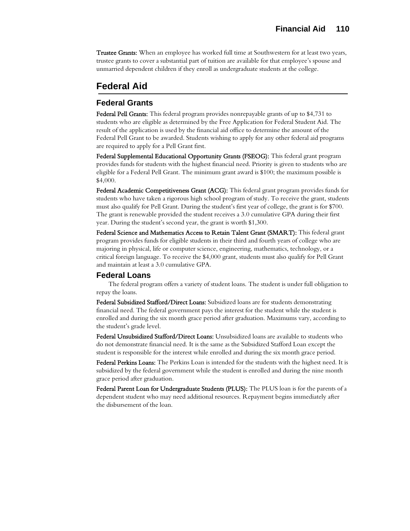**Trustee Grants:** When an employee has worked full time at Southwestern for at least two years, trustee grants to cover a substantial part of tuition are available for that employee's spouse and unmarried dependent children if they enroll as undergraduate students at the college.

# **Federal Aid**

## **Federal Grants**

Federal Pell Grants: This federal program provides nonrepayable grants of up to \$4,731 to students who are eligible as determined by the Free Application for Federal Student Aid. The result of the application is used by the financial aid office to determine the amount of the Federal Pell Grant to be awarded. Students wishing to apply for any other federal aid programs are required to apply for a Pell Grant first.

Federal Supplemental Educational Opportunity Grants (FSEOG): This federal grant program provides funds for students with the highest financial need. Priority is given to students who are eligible for a Federal Pell Grant. The minimum grant award is \$100; the maximum possible is \$4,000.

Federal Academic Competitiveness Grant (ACG): This federal grant program provides funds for students who have taken a rigorous high school program of study. To receive the grant, students must also qualify for Pell Grant. During the student's first year of college, the grant is for \$700. The grant is renewable provided the student receives a 3.0 cumulative GPA during their first year. During the student's second year, the grant is worth \$1,300.

Federal Science and Mathematics Access to Retain Talent Grant (SMART): This federal grant program provides funds for eligible students in their third and fourth years of college who are majoring in physical, life or computer science, engineering, mathematics, technology, or a critical foreign language. To receive the \$4,000 grant, students must also qualify for Pell Grant and maintain at least a 3.0 cumulative GPA.

#### **Federal Loans**

The federal program offers a variety of student loans. The student is under full obligation to repay the loans.

Federal Subsidized Stafford/Direct Loans: Subsidized loans are for students demonstrating financial need. The federal government pays the interest for the student while the student is enrolled and during the six month grace period after graduation. Maximums vary, according to the student's grade level.

Federal Unsubsidized Stafford/Direct Loans: Unsubsidized loans are available to students who do not demonstrate financial need. It is the same as the Subsidized Stafford Loan except the student is responsible for the interest while enrolled and during the six month grace period.

Federal Perkins Loans: The Perkins Loan is intended for the students with the highest need. It is subsidized by the federal government while the student is enrolled and during the nine month grace period after graduation.

Federal Parent Loan for Undergraduate Students (PLUS): The PLUS loan is for the parents of a dependent student who may need additional resources. Repayment begins immediately after the disbursement of the loan.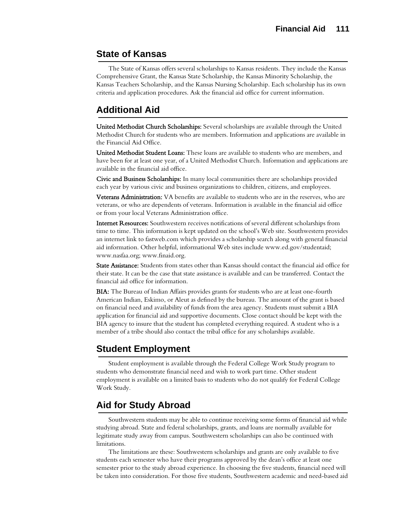# **State of Kansas**

The State of Kansas offers several scholarships to Kansas residents. They include the Kansas Comprehensive Grant, the Kansas State Scholarship, the Kansas Minority Scholarship, the Kansas Teachers Scholarship, and the Kansas Nursing Scholarship. Each scholarship has its own criteria and application procedures. Ask the financial aid office for current information.

# **Additional Aid**

United Methodist Church Scholarships: Several scholarships are available through the United Methodist Church for students who are members. Information and applications are available in the Financial Aid Office.

United Methodist Student Loans: These loans are available to students who are members, and have been for at least one year, of a United Methodist Church. Information and applications are available in the financial aid office.

Civic and Business Scholarships: In many local communities there are scholarships provided each year by various civic and business organizations to children, citizens, and employees.

Veterans Administration: VA benefits are available to students who are in the reserves, who are veterans, or who are dependents of veterans. Information is available in the financial aid office or from your local Veterans Administration office.

Internet Resources: Southwestern receives notifications of several different scholarships from time to time. This information is kept updated on the school's Web site. Southwestern provides an internet link to fastweb.com which provides a scholarship search along with general financial aid information. Other helpful, informational Web sites include www.ed.gov/studentaid; www.nasfaa.org; www.finaid.org.

State Assistance: Students from states other than Kansas should contact the financial aid office for their state. It can be the case that state assistance is available and can be transferred. Contact the financial aid office for information.

BIA: The Bureau of Indian Affairs provides grants for students who are at least one-fourth American Indian, Eskimo, or Aleut as defined by the bureau. The amount of the grant is based on financial need and availability of funds from the area agency. Students must submit a BIA application for financial aid and supportive documents. Close contact should be kept with the BIA agency to insure that the student has completed everything required. A student who is a member of a tribe should also contact the tribal office for any scholarships available.

# **Student Employment**

Student employment is available through the Federal College Work Study program to students who demonstrate financial need and wish to work part time. Other student employment is available on a limited basis to students who do not qualify for Federal College Work Study.

# **Aid for Study Abroad**

Southwestern students may be able to continue receiving some forms of financial aid while studying abroad. State and federal scholarships, grants, and loans are normally available for legitimate study away from campus. Southwestern scholarships can also be continued with limitations.

The limitations are these: Southwestern scholarships and grants are only available to five students each semester who have their programs approved by the dean's office at least one semester prior to the study abroad experience. In choosing the five students, financial need will be taken into consideration. For those five students, Southwestern academic and need-based aid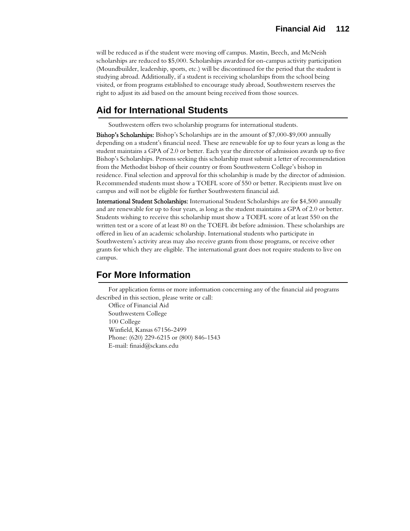will be reduced as if the student were moving off campus. Mastin, Beech, and McNeish scholarships are reduced to \$5,000. Scholarships awarded for on-campus activity participation (Moundbuilder, leadership, sports, etc.) will be discontinued for the period that the student is studying abroad. Additionally, if a student is receiving scholarships from the school being visited, or from programs established to encourage study abroad, Southwestern reserves the right to adjust its aid based on the amount being received from those sources.

# **Aid for International Students**

Southwestern offers two scholarship programs for international students.

Bishop's Scholarships: Bishop's Scholarships are in the amount of \$7,000-\$9,000 annually depending on a student's financial need. These are renewable for up to four years as long as the student maintains a GPA of 2.0 or better. Each year the director of admission awards up to five Bishop's Scholarships. Persons seeking this scholarship must submit a letter of recommendation from the Methodist bishop of their country or from Southwestern College's bishop in residence. Final selection and approval for this scholarship is made by the director of admission. Recommended students must show a TOEFL score of 550 or better. Recipients must live on campus and will not be eligible for further Southwestern financial aid.

International Student Scholarships: International Student Scholarships are for \$4,500 annually and are renewable for up to four years, as long as the student maintains a GPA of 2.0 or better. Students wishing to receive this scholarship must show a TOEFL score of at least 550 on the written test or a score of at least 80 on the TOEFL ibt before admission. These scholarships are offered in lieu of an academic scholarship. International students who participate in Southwestern's activity areas may also receive grants from those programs, or receive other grants for which they are eligible. The international grant does not require students to live on campus.

# **For More Information**

For application forms or more information concerning any of the financial aid programs described in this section, please write or call:

Office of Financial Aid Southwestern College 100 College Winfield, Kansas 67156-2499 Phone: (620) 229-6215 or (800) 846-1543 E-mail: finaid@sckans.edu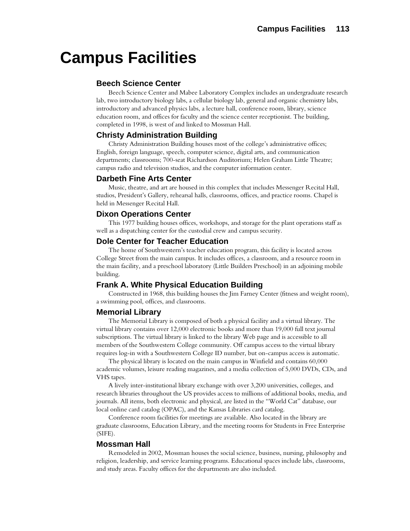# **Campus Facilities**

### **Beech Science Center**

Beech Science Center and Mabee Laboratory Complex includes an undergraduate research lab, two introductory biology labs, a cellular biology lab, general and organic chemistry labs, introductory and advanced physics labs, a lecture hall, conference room, library, science education room, and offices for faculty and the science center receptionist. The building, completed in 1998, is west of and linked to Mossman Hall.

#### **Christy Administration Building**

Christy Administration Building houses most of the college's administrative offices; English, foreign language, speech, computer science, digital arts, and communication departments; classrooms; 700-seat Richardson Auditorium; Helen Graham Little Theatre; campus radio and television studios, and the computer information center.

#### **Darbeth Fine Arts Center**

Music, theatre, and art are housed in this complex that includes Messenger Recital Hall, studios, President's Gallery, rehearsal halls, classrooms, offices, and practice rooms. Chapel is held in Messenger Recital Hall.

#### **Dixon Operations Center**

This 1977 building houses offices, workshops, and storage for the plant operations staff as well as a dispatching center for the custodial crew and campus security.

#### **Dole Center for Teacher Education**

The home of Southwestern's teacher education program, this facility is located across College Street from the main campus. It includes offices, a classroom, and a resource room in the main facility, and a preschool laboratory (Little Builders Preschool) in an adjoining mobile building.

### **Frank A. White Physical Education Building**

Constructed in 1968, this building houses the Jim Farney Center (fitness and weight room), a swimming pool, offices, and classrooms.

#### **Memorial Library**

The Memorial Library is composed of both a physical facility and a virtual library. The virtual library contains over 12,000 electronic books and more than 19,000 full text journal subscriptions. The virtual library is linked to the library Web page and is accessible to all members of the Southwestern College community. Off campus access to the virtual library requires log-in with a Southwestern College ID number, but on-campus access is automatic.

The physical library is located on the main campus in Winfield and contains 60,000 academic volumes, leisure reading magazines, and a media collection of 5,000 DVDs, CDs, and VHS tapes.

A lively inter-institutional library exchange with over 3,200 universities, colleges, and research libraries throughout the US provides access to millions of additional books, media, and journals. All items, both electronic and physical, are listed in the "World Cat" database, our local online card catalog (OPAC), and the Kansas Libraries card catalog.

Conference room facilities for meetings are available. Also located in the library are graduate classrooms, Education Library, and the meeting rooms for Students in Free Enterprise (SIFE).

#### **Mossman Hall**

Remodeled in 2002, Mossman houses the social science, business, nursing, philosophy and religion, leadership, and service learning programs. Educational spaces include labs, classrooms, and study areas. Faculty offices for the departments are also included.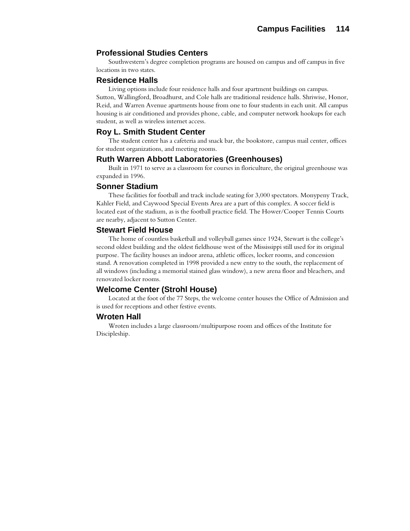#### **Professional Studies Centers**

Southwestern's degree completion programs are housed on campus and off campus in five locations in two states.

#### **Residence Halls**

Living options include four residence halls and four apartment buildings on campus. Sutton, Wallingford, Broadhurst, and Cole halls are traditional residence halls. Shriwise, Honor, Reid, and Warren Avenue apartments house from one to four students in each unit. All campus housing is air conditioned and provides phone, cable, and computer network hookups for each student, as well as wireless internet access.

#### **Roy L. Smith Student Center**

The student center has a cafeteria and snack bar, the bookstore, campus mail center, offices for student organizations, and meeting rooms.

#### **Ruth Warren Abbott Laboratories (Greenhouses)**

Built in 1971 to serve as a classroom for courses in floriculture, the original greenhouse was expanded in 1996.

#### **Sonner Stadium**

These facilities for football and track include seating for 3,000 spectators. Monypeny Track, Kahler Field, and Caywood Special Events Area are a part of this complex. A soccer field is located east of the stadium, as is the football practice field. The Hower/Cooper Tennis Courts are nearby, adjacent to Sutton Center.

#### **Stewart Field House**

The home of countless basketball and volleyball games since 1924, Stewart is the college's second oldest building and the oldest fieldhouse west of the Mississippi still used for its original purpose. The facility houses an indoor arena, athletic offices, locker rooms, and concession stand. A renovation completed in 1998 provided a new entry to the south, the replacement of all windows (including a memorial stained glass window), a new arena floor and bleachers, and renovated locker rooms.

#### **Welcome Center (Strohl House)**

Located at the foot of the 77 Steps, the welcome center houses the Office of Admission and is used for receptions and other festive events.

#### **Wroten Hall**

Wroten includes a large classroom/multipurpose room and offices of the Institute for Discipleship.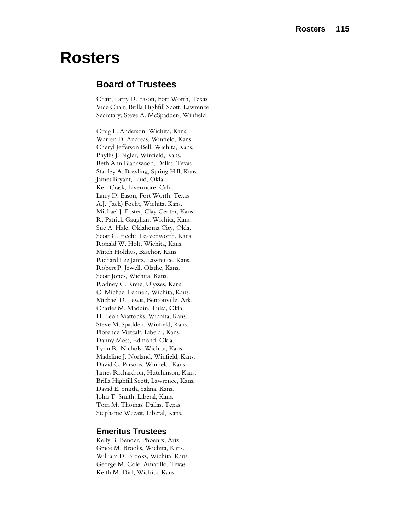# **Rosters**

# **Board of Trustees**

Chair, Larry D. Eason, Fort Worth, Texas Vice Chair, Brilla Highfill Scott, Lawrence Secretary, Steve A. McSpadden, Winfield

Craig L. Anderson, Wichita, Kans. Warren D. Andreas, Winfield, Kans. Cheryl Jefferson Bell, Wichita, Kans. Phyllis J. Bigler, Winfield, Kans. Beth Ann Blackwood, Dallas, Texas Stanley A. Bowling, Spring Hill, Kans. James Bryant, Enid, Okla. Keri Crask, Livermore, Calif. Larry D. Eason, Fort Worth, Texas A.J. (Jack) Focht, Wichita, Kans. Michael J. Foster, Clay Center, Kans. R. Patrick Gaughan, Wichita, Kans. Sue A. Hale, Oklahoma City, Okla. Scott C. Hecht, Leavenworth, Kans. Ronald W. Holt, Wichita, Kans. Mitch Holthus, Basehor, Kans. Richard Lee Jantz, Lawrence, Kans. Robert P. Jewell, Olathe, Kans. Scott Jones, Wichita, Kans. Rodney C. Kreie, Ulysses, Kans. C. Michael Lennen, Wichita, Kans. Michael D. Lewis, Bentonville, Ark. Charles M. Maddin, Tulsa, Okla. H. Leon Mattocks, Wichita, Kans. Steve McSpadden, Winfield, Kans. Florence Metcalf, Liberal, Kans. Danny Moss, Edmond, Okla. Lynn R. Nichols, Wichita, Kans. Madeline J. Norland, Winfield, Kans. David C. Parsons, Winfield, Kans. James Richardson, Hutchinson, Kans. Brilla Highfill Scott, Lawrence, Kans. David E. Smith, Salina, Kans. John T. Smith, Liberal, Kans. Tom M. Thomas, Dallas, Texas Stephanie Weeast, Liberal, Kans.

### **Emeritus Trustees**

Kelly B. Bender, Phoenix, Ariz. Grace M. Brooks, Wichita, Kans. William D. Brooks, Wichita, Kans. George M. Cole, Amarillo, Texas Keith M. Dial, Wichita, Kans.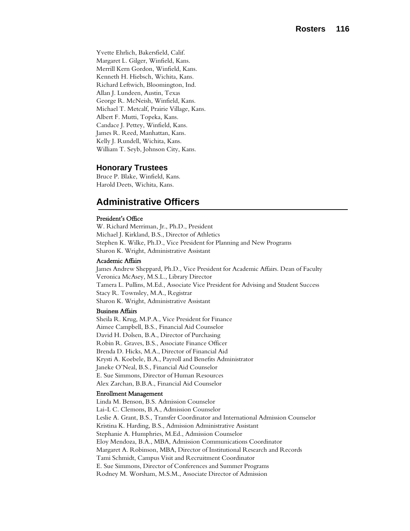Yvette Ehrlich, Bakersfield, Calif. Margaret L. Gilger, Winfield, Kans. Merrill Kern Gordon, Winfield, Kans. Kenneth H. Hiebsch, Wichita, Kans. Richard Leftwich, Bloomington, Ind. Allan J. Lundeen, Austin, Texas George R. McNeish, Winfield, Kans. Michael T. Metcalf, Prairie Village, Kans. Albert F. Mutti, Topeka, Kans. Candace J. Pettey, Winfield, Kans. James R. Reed, Manhattan, Kans. Kelly J. Rundell, Wichita, Kans. William T. Seyb, Johnson City, Kans.

#### **Honorary Trustees**

Bruce P. Blake, Winfield, Kans. Harold Deets, Wichita, Kans.

# **Administrative Officers**

#### President's Office

W. Richard Merriman, Jr., Ph.D., President Michael J. Kirkland, B.S., Director of Athletics Stephen K. Wilke, Ph.D., Vice President for Planning and New Programs Sharon K. Wright, Administrative Assistant

#### Academic Affairs

James Andrew Sheppard, Ph.D., Vice President for Academic Affairs. Dean of Faculty Veronica McAsey, M.S.L., Library Director Tamera L. Pullins, M.Ed., Associate Vice President for Advising and Student Success Stacy R. Townsley, M.A., Registrar Sharon K. Wright, Administrative Assistant

#### Business Affairs

Sheila R. Krug, M.P.A., Vice President for Finance Aimee Campbell, B.S., Financial Aid Counselor David H. Dolsen, B.A., Director of Purchasing Robin R. Graves, B.S., Associate Finance Officer Brenda D. Hicks, M.A., Director of Financial Aid Krysti A. Koebele, B.A., Payroll and Benefits Administrator Janeke O'Neal, B.S., Financial Aid Counselor E. Sue Simmons, Director of Human Resources Alex Zarchan, B.B.A., Financial Aid Counselor

#### Enrollment Management

Linda M. Benson, B.S. Admission Counselor Lai-L C. Clemons, B.A., Admission Counselor Leslie A. Grant, B.S., Transfer Coordinator and International Admission Counselor Kristina K. Harding, B.S., Admission Administrative Assistant Stephanie A. Humphries, M.Ed., Admission Counselor Eloy Mendoza, B.A., MBA, Admission Communications Coordinator Margaret A. Robinson, MBA, Director of Institutional Research and Records Tami Schmidt, Campus Visit and Recruitment Coordinator E. Sue Simmons, Director of Conferences and Summer Programs Rodney M. Worsham, M.S.M., Associate Director of Admission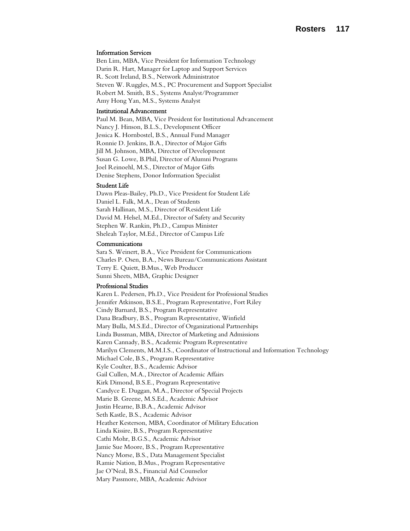#### Information Services

Ben Lim, MBA, Vice President for Information Technology Darin R. Hart, Manager for Laptop and Support Services R. Scott Ireland, B.S., Network Administrator Steven W. Ruggles, M.S., PC Procurement and Support Specialist Robert M. Smith, B.S., Systems Analyst/Programmer Amy Hong Yan, M.S., Systems Analyst

#### Institutional Advancement

Paul M. Bean, MBA, Vice President for Institutional Advancement Nancy J. Hinson, B.L.S., Development Officer Jessica K. Hornbostel, B.S., Annual Fund Manager Ronnie D. Jenkins, B.A., Director of Major Gifts Jill M. Johnson, MBA, Director of Development Susan G. Lowe, B.Phil, Director of Alumni Programs Joel Reinoehl, M.S., Director of Major Gifts Denise Stephens, Donor Information Specialist

#### Student Life

Dawn Pleas-Bailey, Ph.D., Vice President for Student Life Daniel L. Falk, M.A., Dean of Students Sarah Hallinan, M.S., Director of Resident Life David M. Helsel, M.Ed., Director of Safety and Security Stephen W. Rankin, Ph.D., Campus Minister Sheleah Taylor, M.Ed., Director of Campus Life

#### Communications

Sara S. Weinert, B.A., Vice President for Communications Charles P. Osen, B.A., News Bureau/Communications Assistant Terry E. Quiett, B.Mus., Web Producer Sunni Sheets, MBA, Graphic Designer

#### Professional Studies

Karen L. Pedersen, Ph.D., Vice President for Professional Studies Jennifer Atkinson, B.S.E., Program Representative, Fort Riley Cindy Barnard, B.S., Program Representative Dana Bradbury, B.S., Program Representative, Winfield Mary Bulla, M.S.Ed., Director of Organizational Partnerships Linda Bussman, MBA, Director of Marketing and Admissions Karen Cannady, B.S., Academic Program Representative Marilyn Clements, M.M.I.S., Coordinator of Instructional and Information Technology Michael Cole, B.S., Program Representative Kyle Coulter, B.S., Academic Advisor Gail Cullen, M.A., Director of Academic Affairs Kirk Dimond, B.S.E., Program Representative Candyce E. Duggan, M.A., Director of Special Projects Marie B. Greene, M.S.Ed., Academic Advisor Justin Hearne, B.B.A., Academic Advisor Seth Kastle, B.S., Academic Advisor Heather Kesterson, MBA, Coordinator of Military Education Linda Kissire, B.S., Program Representative Cathi Mohr, B.G.S., Academic Advisor Jamie Sue Moore, B.S., Program Representative Nancy Morse, B.S., Data Management Specialist Ramie Nation, B.Mus., Program Representative Jae O'Neal, B.S., Financial Aid Counselor Mary Passmore, MBA, Academic Advisor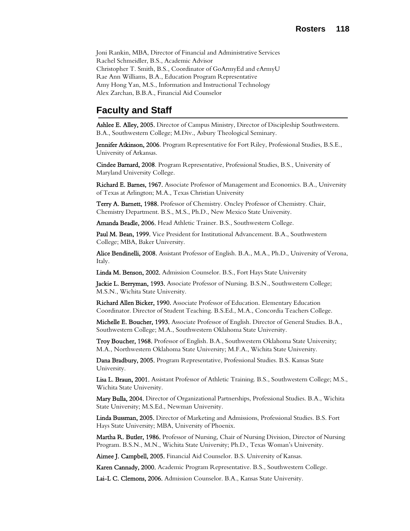Joni Rankin, MBA, Director of Financial and Administrative Services Rachel Schmeidler, B.S., Academic Advisor Christopher T. Smith, B.S., Coordinator of GoArmyEd and eArmyU Rae Ann Williams, B.A., Education Program Representative Amy Hong Yan, M.S., Information and Instructional Technology Alex Zarchan, B.B.A., Financial Aid Counselor

# **Faculty and Staff**

Ashlee E. Alley, 2005. Director of Campus Ministry, Director of Discipleship Southwestern. B.A., Southwestern College; M.Div., Asbury Theological Seminary.

Jennifer Atkinson, 2006. Program Representative for Fort Riley, Professional Studies, B.S.E., University of Arkansas.

Cindee Barnard, 2008. Program Representative, Professional Studies, B.S., University of Maryland University College.

Richard E. Barnes, 1967. Associate Professor of Management and Economics. B.A., University of Texas at Arlington; M.A., Texas Christian University

Terry A. Barnett, 1988. Professor of Chemistry. Oncley Professor of Chemistry. Chair, Chemistry Department. B.S., M.S., Ph.D., New Mexico State University.

Amanda Beadle, 2006. Head Athletic Trainer. B.S., Southwestern College.

Paul M. Bean, 1999. Vice President for Institutional Advancement. B.A., Southwestern College; MBA, Baker University.

Alice Bendinelli, 2008. Assistant Professor of English. B.A., M.A., Ph.D., University of Verona, Italy.

Linda M. Benson, 2002. Admission Counselor. B.S., Fort Hays State University

Jackie L. Berryman, 1993. Associate Professor of Nursing. B.S.N., Southwestern College; M.S.N., Wichita State University.

Richard Allen Bicker, 1990. Associate Professor of Education. Elementary Education Coordinator. Director of Student Teaching. B.S.Ed., M.A., Concordia Teachers College.

Michelle E. Boucher, 1993. Associate Professor of English. Director of General Studies. B.A., Southwestern College; M.A., Southwestern Oklahoma State University.

Troy Boucher, 1968. Professor of English. B.A., Southwestern Oklahoma State University; M.A., Northwestern Oklahoma State University; M.F.A., Wichita State University.

Dana Bradbury, 2005. Program Representative, Professional Studies. B.S. Kansas State University.

Lisa L. Braun, 2001. Assistant Professor of Athletic Training. B.S., Southwestern College; M.S., Wichita State University.

Mary Bulla, 2004. Director of Organizational Partnerships, Professional Studies. B.A., Wichita State University; M.S.Ed., Newman University.

Linda Bussman, 2005. Director of Marketing and Admissions, Professional Studies. B.S. Fort Hays State University; MBA, University of Phoenix.

Martha R. Butler, 1986. Professor of Nursing, Chair of Nursing Division, Director of Nursing Program. B.S.N., M.N., Wichita State University; Ph.D., Texas Woman's University.

Aimee J. Campbell, 2005. Financial Aid Counselor. B.S. University of Kansas.

Karen Cannady, 2000. Academic Program Representative. B.S., Southwestern College.

Lai-L C. Clemons, 2006. Admission Counselor. B.A., Kansas State University.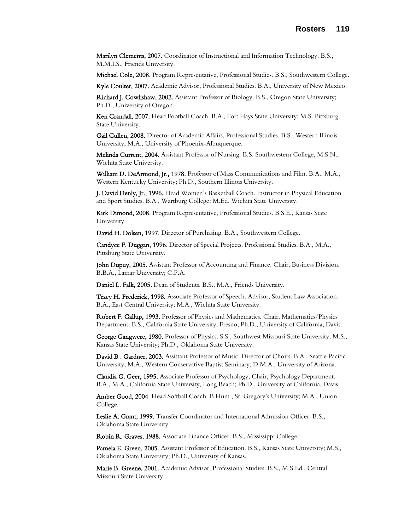Marilyn Clements, 2007. Coordinator of Instructional and Information Technology. B.S., M.M.I.S., Friends University.

Michael Cole, 2008. Program Representative, Professional Studies. B.S., Southwestern College.

Kyle Coulter, 2007. Academic Advisor, Professional Studies. B.A., University of New Mexico.

Richard J. Cowlishaw, 2002. Assistant Professor of Biology. B.S., Oregon State University; Ph.D., University of Oregon.

Ken Crandall, 2007. Head Football Coach. B.A., Fort Hays State University; M.S. Pittsburg State University.

Gail Cullen, 2008. Director of Academic Affairs, Professional Studies. B.S., Western Illinois University; M.A., University of Phoenix-Albuquerque.

Melinda Current, 2004. Assistant Professor of Nursing. B.S. Southwestern College; M.S.N., Wichita State University.

William D. DeArmond, Jr., 1978. Professor of Mass Communications and Film. B.A., M.A., Western Kentucky University; Ph.D., Southern Illinois University.

J. David Denly, Jr., 1996. Head Women's Basketball Coach. Instructor in Physical Education and Sport Studies. B.A., Wartburg College; M.Ed. Wichita State University.

Kirk Dimond, 2008. Program Representative, Professional Studies. B.S.E., Kansas State University.

David H. Dolsen, 1997. Director of Purchasing. B.A., Southwestern College.

Candyce F. Duggan, 1996. Director of Special Projects, Professional Studies. B.A., M.A., Pittsburg State University.

John Dupuy, 2005. Assistant Professor of Accounting and Finance. Chair, Business Division. B.B.A., Lamar University; C.P.A.

Daniel L. Falk, 2005. Dean of Students. B.S., M.A., Friends University.

Tracy H. Frederick, 1998. Associate Professor of Speech. Advisor, Student Law Association. B.A., East Central University; M.A., Wichita State University.

Robert F. Gallup, 1993. Professor of Physics and Mathematics. Chair, Mathematics/Physics Department. B.S., California State University, Fresno; Ph.D., University of California, Davis.

George Gangwere, 1980. Professor of Physics. S.S., Southwest Missouri State University; M.S., Kansas State University; Ph.D., Oklahoma State University.

David B . Gardner, 2003. Assistant Professor of Music. Director of Choirs. B.A., Seattle Pacific University; M.A., Western Conservative Baptist Seminary; D.M.A., University of Arizona.

Claudia G. Geer, 1995. Associate Professor of Psychology, Chair, Psychology Department. B.A., M.A., California State University, Long Beach; Ph.D., University of California, Davis.

Amber Good, 2004. Head Softball Coach. B.Hum., St. Gregory's University; M.A., Union College.

Leslie A. Grant, 1999. Transfer Coordinator and International Admission Officer. B.S., Oklahoma State University.

Robin R. Graves, 1988. Associate Finance Officer. B.S., Mississippi College.

Pamela E. Green, 2005. Assistant Professor of Education. B.S., Kansas State University; M.S., Oklahoma State University; Ph.D., University of Kansas.

Marie B. Greene, 2001. Academic Advisor, Professional Studies. B.S., M.S.Ed., Central Missouri State University.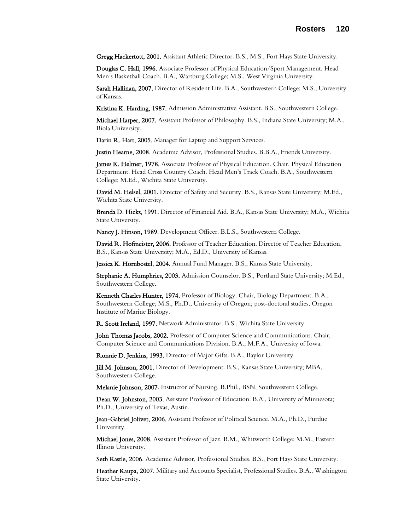Gregg Hackertott, 2001. Assistant Athletic Director. B.S., M.S., Fort Hays State University.

Douglas C. Hall, 1996. Associate Professor of Physical Education/Sport Management. Head Men's Basketball Coach. B.A., Wartburg College; M.S., West Virginia University.

Sarah Hallinan, 2007. Director of Resident Life. B.A., Southwestern College; M.S., University of Kansas.

Kristina K. Harding, 1987. Admission Administrative Assistant. B.S., Southwestern College.

Michael Harper, 2007. Assistant Professor of Philosophy. B.S., Indiana State University; M.A., Biola University.

Darin R. Hart, 2005. Manager for Laptop and Support Services.

Justin Hearne, 2008. Academic Advisor, Professional Studies. B.B.A., Friends University.

James K. Helmer, 1978. Associate Professor of Physical Education. Chair, Physical Education Department. Head Cross Country Coach. Head Men's Track Coach. B.A., Southwestern College; M.Ed., Wichita State University.

David M. Helsel, 2001. Director of Safety and Security. B.S., Kansas State University; M.Ed., Wichita State University.

Brenda D. Hicks, 1991. Director of Financial Aid. B.A., Kansas State University; M.A., Wichita State University.

Nancy J. Hinson, 1989. Development Officer. B.L.S., Southwestern College.

David R. Hofmeister, 2006. Professor of Teacher Education. Director of Teacher Education. B.S., Kansas State University; M.A., Ed.D., University of Kansas.

Jessica K. Hornbostel, 2004. Annual Fund Manager. B.S., Kansas State University.

Stephanie A. Humphries, 2003. Admission Counselor. B.S., Portland State University; M.Ed., Southwestern College.

Kenneth Charles Hunter, 1974. Professor of Biology. Chair, Biology Department. B.A., Southwestern College; M.S., Ph.D., University of Oregon; post-doctoral studies, Oregon Institute of Marine Biology.

R. Scott Ireland, 1997. Network Administrator. B.S., Wichita State University.

John Thomas Jacobs, 2002. Professor of Computer Science and Communications. Chair, Computer Science and Communications Division. B.A., M.F.A., University of Iowa.

Ronnie D. Jenkins, 1993. Director of Major Gifts. B.A., Baylor University.

Jill M. Johnson, 2001. Director of Development. B.S., Kansas State University; MBA, Southwestern College.

Melanie Johnson, 2007. Instructor of Nursing. B.Phil., BSN, Southwestern College.

Dean W. Johnston, 2003. Assistant Professor of Education. B.A., University of Minnesota; Ph.D., University of Texas, Austin.

Jean-Gabriel Jolivet, 2006. Assistant Professor of Political Science. M.A., Ph.D., Purdue University.

Michael Jones, 2008. Assistant Professor of Jazz. B.M., Whitworth College; M.M., Eastern Illinois University.

Seth Kastle, 2006. Academic Advisor, Professional Studies. B.S., Fort Hays State University.

Heather Kaupa, 2007. Military and Accounts Specialist, Professional Studies. B.A., Washington State University.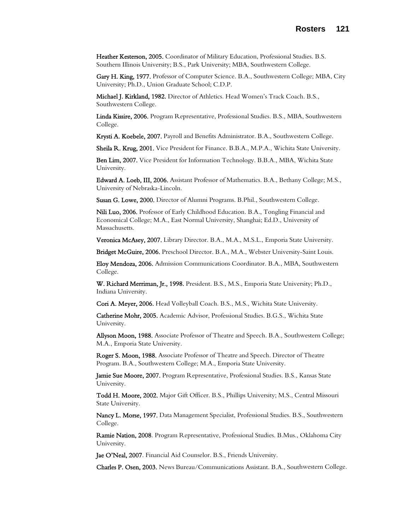Heather Kesterson, 2005. Coordinator of Military Education, Professional Studies. B.S. Southern Illinois University; B.S., Park University; MBA, Southwestern College.

Gary H. King, 1977. Professor of Computer Science. B.A., Southwestern College; MBA, City University; Ph.D., Union Graduate School; C.D.P.

Michael J. Kirkland, 1982. Director of Athletics. Head Women's Track Coach. B.S., Southwestern College.

Linda Kissire, 2006. Program Representative, Professional Studies. B.S., MBA, Southwestern College.

Krysti A. Koebele, 2007. Payroll and Benefits Administrator. B.A., Southwestern College.

Sheila R. Krug, 2001. Vice President for Finance. B.B.A., M.P.A., Wichita State University.

Ben Lim, 2007. Vice President for Information Technology. B.B.A., MBA, Wichita State University.

Edward A. Loeb, III, 2006. Assistant Professor of Mathematics. B.A., Bethany College; M.S., University of Nebraska-Lincoln.

Susan G. Lowe, 2000. Director of Alumni Programs. B.Phil., Southwestern College.

Nili Luo, 2006. Professor of Early Childhood Education. B.A., Tongling Financial and Economical College; M.A., East Normal University, Shanghai; Ed.D., University of Massachusetts.

Veronica McAsey, 2007. Library Director. B.A., M.A., M.S.L., Emporia State University.

Bridget McGuire, 2006. Preschool Director. B.A., M.A., Webster University-Saint Louis.

Eloy Mendoza, 2006. Admission Communications Coordinator. B.A., MBA, Southwestern College.

W. Richard Merriman, Jr., 1998. President. B.S., M.S., Emporia State University; Ph.D., Indiana University.

Cori A. Meyer, 2006. Head Volleyball Coach. B.S., M.S., Wichita State University.

Catherine Mohr, 2005. Academic Advisor, Professional Studies. B.G.S., Wichita State University.

Allyson Moon, 1988. Associate Professor of Theatre and Speech. B.A., Southwestern College; M.A., Emporia State University.

Roger S. Moon, 1988. Associate Professor of Theatre and Speech. Director of Theatre Program. B.A., Southwestern College; M.A., Emporia State University.

Jamie Sue Moore, 2007. Program Representative, Professional Studies. B.S., Kansas State University.

Todd H. Moore, 2002. Major Gift Officer. B.S., Phillips University; M.S., Central Missouri State University.

Nancy L. Morse, 1997. Data Management Specialist, Professional Studies. B.S., Southwestern College.

Ramie Nation, 2008. Program Representative, Professional Studies. B.Mus., Oklahoma City University.

Jae O'Neal, 2007. Financial Aid Counselor. B.S., Friends University.

Charles P. Osen, 2003. News Bureau/Communications Assistant. B.A., Southwestern College.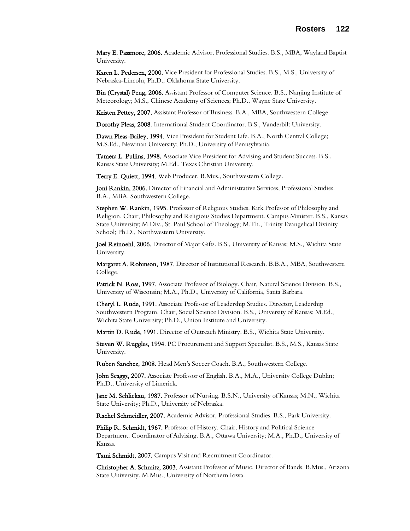Mary E. Passmore, 2006. Academic Advisor, Professional Studies. B.S., MBA, Wayland Baptist University.

Karen L. Pedersen, 2000. Vice President for Professional Studies. B.S., M.S., University of Nebraska-Lincoln; Ph.D., Oklahoma State University.

Bin (Crystal) Peng, 2006. Assistant Professor of Computer Science. B.S., Nanjing Institute of Meteorology; M.S., Chinese Academy of Sciences; Ph.D., Wayne State University.

Kristen Pettey, 2007. Assistant Professor of Business. B.A., MBA, Southwestern College.

Dorothy Pleas, 2008. International Student Coordinator. B.S., Vanderbilt University.

Dawn Pleas-Bailey, 1994. Vice President for Student Life. B.A., North Central College; M.S.Ed., Newman University; Ph.D., University of Pennsylvania.

Tamera L. Pullins, 1998. Associate Vice President for Advising and Student Success. B.S., Kansas State University; M.Ed., Texas Christian University.

Terry E. Quiett, 1994. Web Producer. B.Mus., Southwestern College.

Joni Rankin, 2006. Director of Financial and Administrative Services, Professional Studies. B.A., MBA, Southwestern College.

Stephen W. Rankin, 1995. Professor of Religious Studies. Kirk Professor of Philosophy and Religion. Chair, Philosophy and Religious Studies Department. Campus Minister. B.S., Kansas State University; M.Div., St. Paul School of Theology; M.Th., Trinity Evangelical Divinity School; Ph.D., Northwestern University.

Joel Reinoehl, 2006. Director of Major Gifts. B.S., University of Kansas; M.S., Wichita State University.

Margaret A. Robinson, 1987. Director of Institutional Research. B.B.A., MBA, Southwestern College.

Patrick N. Ross, 1997. Associate Professor of Biology. Chair, Natural Science Division. B.S., University of Wisconsin; M.A., Ph.D., University of California, Santa Barbara.

Cheryl L. Rude, 1991. Associate Professor of Leadership Studies. Director, Leadership Southwestern Program. Chair, Social Science Division. B.S., University of Kansas; M.Ed., Wichita State University; Ph.D., Union Institute and University.

Martin D. Rude, 1991. Director of Outreach Ministry. B.S., Wichita State University.

Steven W. Ruggles, 1994. PC Procurement and Support Specialist. B.S., M.S., Kansas State University.

Ruben Sanchez, 2008. Head Men's Soccer Coach. B.A., Southwestern College.

John Scaggs, 2007. Associate Professor of English. B.A., M.A., University College Dublin; Ph.D., University of Limerick.

Jane M. Schlickau, 1987. Professor of Nursing. B.S.N., University of Kansas; M.N., Wichita State University; Ph.D., University of Nebraska.

Rachel Schmeidler, 2007. Academic Advisor, Professional Studies. B.S., Park University.

Philip R. Schmidt, 1967. Professor of History. Chair, History and Political Science Department. Coordinator of Advising. B.A., Ottawa University; M.A., Ph.D., University of Kansas.

Tami Schmidt, 2007. Campus Visit and Recruitment Coordinator.

Christopher A. Schmitz, 2003. Assistant Professor of Music. Director of Bands. B.Mus., Arizona State University. M.Mus., University of Northern Iowa.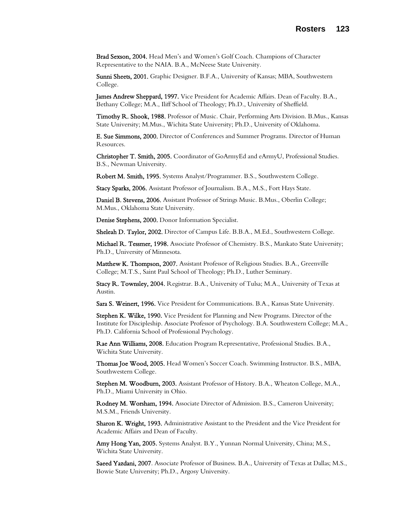Brad Sexson, 2004. Head Men's and Women's Golf Coach. Champions of Character Representative to the NAIA. B.A., McNeese State University.

Sunni Sheets, 2001. Graphic Designer. B.F.A., University of Kansas; MBA, Southwestern College.

James Andrew Sheppard, 1997. Vice President for Academic Affairs. Dean of Faculty. B.A., Bethany College; M.A., Iliff School of Theology; Ph.D., University of Sheffield.

Timothy R. Shook, 1988. Professor of Music. Chair, Performing Arts Division. B.Mus., Kansas State University; M.Mus., Wichita State University; Ph.D., University of Oklahoma.

E. Sue Simmons, 2000. Director of Conferences and Summer Programs. Director of Human Resources.

Christopher T. Smith, 2005. Coordinator of GoArmyEd and eArmyU, Professional Studies. B.S., Newman University.

Robert M. Smith, 1995. Systems Analyst/Programmer. B.S., Southwestern College.

Stacy Sparks, 2006. Assistant Professor of Journalism. B.A., M.S., Fort Hays State.

Daniel B. Stevens, 2006. Assistant Professor of Strings Music. B.Mus., Oberlin College; M.Mus., Oklahoma State University.

Denise Stephens, 2000. Donor Information Specialist.

Sheleah D. Taylor, 2002. Director of Campus Life. B.B.A., M.Ed., Southwestern College.

Michael R. Tessmer, 1998. Associate Professor of Chemistry. B.S., Mankato State University; Ph.D., University of Minnesota.

Matthew K. Thompson, 2007. Assistant Professor of Religious Studies. B.A., Greenville College; M.T.S., Saint Paul School of Theology; Ph.D., Luther Seminary.

Stacy R. Townsley, 2004. Registrar. B.A., University of Tulsa; M.A., University of Texas at Austin.

Sara S. Weinert, 1996. Vice President for Communications. B.A., Kansas State University.

Stephen K. Wilke, 1990. Vice President for Planning and New Programs. Director of the Institute for Discipleship. Associate Professor of Psychology. B.A. Southwestern College; M.A., Ph.D. California School of Professional Psychology.

Rae Ann Williams, 2008. Education Program Representative, Professional Studies. B.A., Wichita State University.

Thomas Joe Wood, 2005. Head Women's Soccer Coach. Swimming Instructor. B.S., MBA, Southwestern College.

Stephen M. Woodburn, 2003. Assistant Professor of History. B.A., Wheaton College, M.A., Ph.D., Miami University in Ohio.

Rodney M. Worsham, 1994. Associate Director of Admission. B.S., Cameron University; M.S.M., Friends University.

Sharon K. Wright, 1993. Administrative Assistant to the President and the Vice President for Academic Affairs and Dean of Faculty.

Amy Hong Yan, 2005. Systems Analyst. B.Y., Yunnan Normal University, China; M.S., Wichita State University.

Saeed Yazdani, 2007. Associate Professor of Business. B.A., University of Texas at Dallas; M.S., Bowie State University; Ph.D., Argosy University.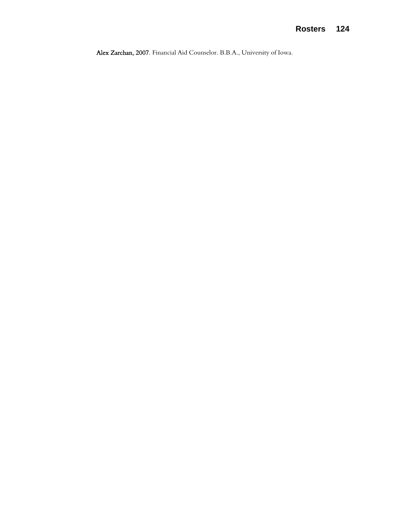Alex Zarchan, 2007. Financial Aid Counselor. B.B.A., University of Iowa.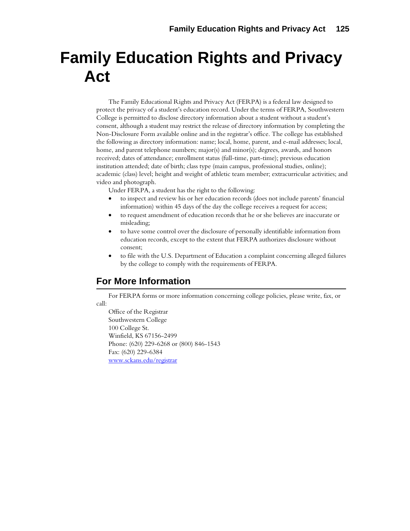# **Family Education Rights and Privacy Act**

The Family Educational Rights and Privacy Act (FERPA) is a federal law designed to protect the privacy of a student's education record. Under the terms of FERPA, Southwestern College is permitted to disclose directory information about a student without a student's consent, although a student may restrict the release of directory information by completing the Non-Disclosure Form available online and in the registrar's office. The college has established the following as directory information: name; local, home, parent, and e-mail addresses; local, home, and parent telephone numbers; major(s) and minor(s); degrees, awards, and honors received; dates of attendance; enrollment status (full-time, part-time); previous education institution attended; date of birth; class type (main campus, professional studies, online); academic (class) level; height and weight of athletic team member; extracurricular activities; and video and photograph.

Under FERPA, a student has the right to the following:

- to inspect and review his or her education records (does not include parents' financial information) within 45 days of the day the college receives a request for access;
- to request amendment of education records that he or she believes are inaccurate or misleading;
- to have some control over the disclosure of personally identifiable information from education records, except to the extent that FERPA authorizes disclosure without consent;
- to file with the U.S. Department of Education a complaint concerning alleged failures by the college to comply with the requirements of FERPA.

# **For More Information**

For FERPA forms or more information concerning college policies, please write, fax, or call:

Office of the Registrar Southwestern College 100 College St. Winfield, KS 67156-2499 Phone: (620) 229-6268 or (800) 846-1543 Fax: (620) 229-6384 [www.sckans.edu/registrar](http://www.sckans.edu/registrar)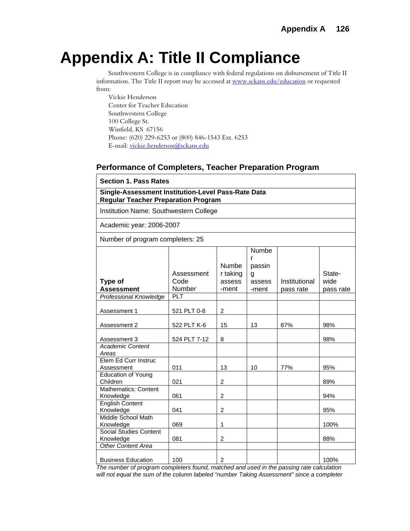# **Appendix A: Title II Compliance**

Southwestern College is in compliance with federal regulations on disbursement of Title II information. The Title II report may be accessed at [www.sckans.edu/education](http://www.sckans.edu/education) or requested from:

Vickie Henderson Center for Teacher Education Southwestern College 100 College St. Winfield, KS 67156 Phone: (620) 229-6253 or (800) 846-1543 Ext. 6253 E-mail: [vickie.henderson@sckans.edu](mailto:vickie.henderson@sckans.edu) 

## **Performance of Completers, Teacher Preparation Program**

| <b>Section 1. Pass Rates</b> |  |  |  |
|------------------------------|--|--|--|
|------------------------------|--|--|--|

**Single-Assessment Institution-Level Pass-Rate Data Regular Teacher Preparation Program**

Institution Name: Southwestern College

Academic year: 2006-2007

Number of program completers: 25

| Type of<br><b>Assessment</b>               | Assessment<br>Code<br>Number | <b>Numbe</b><br>r taking<br>assess<br>-ment | Numbe<br>r<br>passin<br>g<br>assess<br>-ment | Institutional<br>pass rate | State-<br>wide<br>pass rate |
|--------------------------------------------|------------------------------|---------------------------------------------|----------------------------------------------|----------------------------|-----------------------------|
| Professional Knowledge                     | <b>PLT</b>                   |                                             |                                              |                            |                             |
| Assessment 1                               | 521 PLT 0-8                  | $\overline{c}$                              |                                              |                            |                             |
| Assessment 2                               | 522 PLT K-6                  | 15                                          | 13                                           | 87%                        | 98%                         |
| Assessment 3                               | 524 PLT 7-12                 | 8                                           |                                              |                            | 98%                         |
| <b>Academic Content</b><br>Areas           |                              |                                             |                                              |                            |                             |
| Elem Ed Curr Instruc<br>Assessment         | 011                          | 13                                          | 10                                           | 77%                        | 95%                         |
| <b>Education of Young</b><br>Children      | 021                          | 2                                           |                                              |                            | 89%                         |
| <b>Mathematics: Content</b><br>Knowledge   | 061                          | $\overline{2}$                              |                                              |                            | 94%                         |
| <b>English Content</b><br>Knowledge        | 041                          | 2                                           |                                              |                            | 95%                         |
| Middle School Math<br>Knowledge            | 069                          | 1                                           |                                              |                            | 100%                        |
| <b>Social Studies Content</b><br>Knowledge | 081                          | 2                                           |                                              |                            | 88%                         |
| <b>Other Content Area</b>                  |                              |                                             |                                              |                            |                             |
| <b>Business Education</b>                  | 100                          | 2                                           |                                              |                            | 100%                        |

*The number of program completers found, matched and used in the passing rate calculation will not equal the sum of the column labeled "number Taking Assessment" since a completer*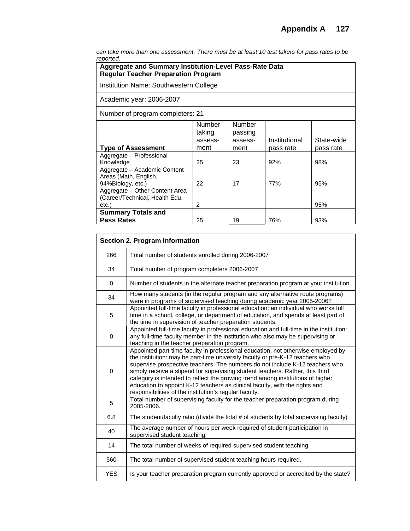*can take more than one assessment. There must be at least 10 test takers for pass rates to be reported.* 

| oportou.<br>Aggregate and Summary Institution-Level Pass-Rate Data<br><b>Regular Teacher Preparation Program</b> |                             |                              |               |            |
|------------------------------------------------------------------------------------------------------------------|-----------------------------|------------------------------|---------------|------------|
| Institution Name: Southwestern College                                                                           |                             |                              |               |            |
| Academic year: 2006-2007                                                                                         |                             |                              |               |            |
| Number of program completers: 21                                                                                 |                             |                              |               |            |
|                                                                                                                  | Number<br>taking<br>assess- | Number<br>passing<br>assess- | Institutional | State-wide |
| <b>Type of Assessment</b>                                                                                        | ment                        | ment                         | pass rate     | pass rate  |
| Aggregate - Professional<br>Knowledge                                                                            | 25                          | 23                           | 92%           | 98%        |
| Aggregate - Academic Content<br>Areas (Math, English,<br>94%Biology, etc.)                                       | 22                          | 17                           | 77%           | 95%        |
| Aggregate - Other Content Area<br>(Career/Technical, Health Edu,<br>etc.)                                        | 2                           |                              |               | 95%        |
| <b>Summary Totals and</b><br><b>Pass Rates</b>                                                                   | 25                          | 19                           | 76%           | 93%        |

| <b>Section 2. Program Information</b> |                                                                                                                                                                                                                                                                                                                                                                                                                                                                                                                                                               |  |
|---------------------------------------|---------------------------------------------------------------------------------------------------------------------------------------------------------------------------------------------------------------------------------------------------------------------------------------------------------------------------------------------------------------------------------------------------------------------------------------------------------------------------------------------------------------------------------------------------------------|--|
| 266                                   | Total number of students enrolled during 2006-2007                                                                                                                                                                                                                                                                                                                                                                                                                                                                                                            |  |
| 34                                    | Total number of program completers 2006-2007                                                                                                                                                                                                                                                                                                                                                                                                                                                                                                                  |  |
| $\Omega$                              | Number of students in the alternate teacher preparation program at your institution.                                                                                                                                                                                                                                                                                                                                                                                                                                                                          |  |
| 34                                    | How many students (in the regular program and any alternative route programs)<br>were in programs of supervised teaching during academic year 2005-2006?                                                                                                                                                                                                                                                                                                                                                                                                      |  |
| 5                                     | Appointed full-time faculty in professional education: an individual who works full<br>time in a school, college, or department of education, and spends at least part of<br>the time in supervision of teacher preparation students.                                                                                                                                                                                                                                                                                                                         |  |
| $\Omega$                              | Appointed full-time faculty in professional education and full-time in the institution:<br>any full-time faculty member in the institution who also may be supervising or<br>teaching in the teacher preparation program.                                                                                                                                                                                                                                                                                                                                     |  |
| 0                                     | Appointed part-time faculty in professional education, not otherwise employed by<br>the institution: may be part-time university faculty or pre-K-12 teachers who<br>supervise prospective teachers. The numbers do not include K-12 teachers who<br>simply receive a stipend for supervising student teachers. Rather, this third<br>category is intended to reflect the growing trend among institutions of higher<br>education to appoint K-12 teachers as clinical faculty, with the rights and<br>responsibilities of the institution's regular faculty. |  |
| 5                                     | Total number of supervising faculty for the teacher preparation program during<br>2005-2006.                                                                                                                                                                                                                                                                                                                                                                                                                                                                  |  |
| 6.8                                   | The student/faculty ratio (divide the total # of students by total supervising faculty)                                                                                                                                                                                                                                                                                                                                                                                                                                                                       |  |
| 40                                    | The average number of hours per week required of student participation in<br>supervised student teaching.                                                                                                                                                                                                                                                                                                                                                                                                                                                     |  |
| 14                                    | The total number of weeks of required supervised student teaching.                                                                                                                                                                                                                                                                                                                                                                                                                                                                                            |  |
| 560                                   | The total number of supervised student teaching hours required.                                                                                                                                                                                                                                                                                                                                                                                                                                                                                               |  |
| <b>YES</b>                            | Is your teacher preparation program currently approved or accredited by the state?                                                                                                                                                                                                                                                                                                                                                                                                                                                                            |  |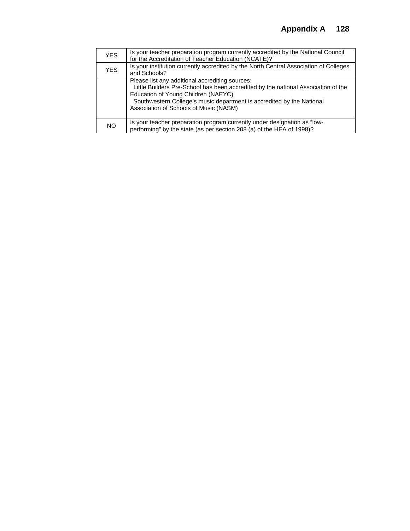| <b>YES</b> | Is your teacher preparation program currently accredited by the National Council<br>for the Accreditation of Teacher Education (NCATE)?                                                                                                                                                        |
|------------|------------------------------------------------------------------------------------------------------------------------------------------------------------------------------------------------------------------------------------------------------------------------------------------------|
| <b>YES</b> | Is your institution currently accredited by the North Central Association of Colleges<br>and Schools?                                                                                                                                                                                          |
|            | Please list any additional accrediting sources:<br>Little Builders Pre-School has been accredited by the national Association of the<br>Education of Young Children (NAEYC)<br>Southwestern College's music department is accredited by the National<br>Association of Schools of Music (NASM) |
| NO         | Is your teacher preparation program currently under designation as "low-<br>performing" by the state (as per section 208 (a) of the HEA of 1998)?                                                                                                                                              |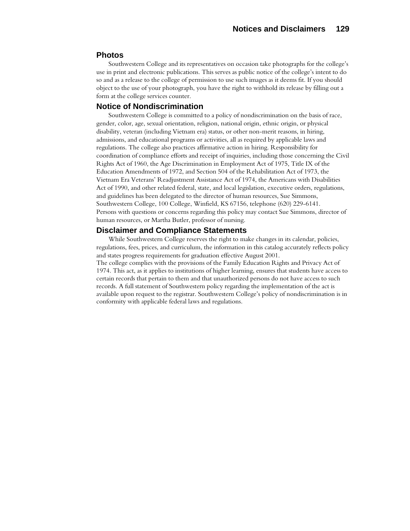#### **Photos**

Southwestern College and its representatives on occasion take photographs for the college's use in print and electronic publications. This serves as public notice of the college's intent to do so and as a release to the college of permission to use such images as it deems fit. If you should object to the use of your photograph, you have the right to withhold its release by filling out a form at the college services counter.

#### **Notice of Nondiscrimination**

Southwestern College is committed to a policy of nondiscrimination on the basis of race, gender, color, age, sexual orientation, religion, national origin, ethnic origin, or physical disability, veteran (including Vietnam era) status, or other non-merit reasons, in hiring, admissions, and educational programs or activities, all as required by applicable laws and regulations. The college also practices affirmative action in hiring. Responsibility for coordination of compliance efforts and receipt of inquiries, including those concerning the Civil Rights Act of 1960, the Age Discrimination in Employment Act of 1975, Title IX of the Education Amendments of 1972, and Section 504 of the Rehabilitation Act of 1973, the Vietnam Era Veterans' Readjustment Assistance Act of 1974, the Americans with Disabilities Act of 1990, and other related federal, state, and local legislation, executive orders, regulations, and guidelines has been delegated to the director of human resources, Sue Simmons, Southwestern College, 100 College, Winfield, KS 67156, telephone (620) 229-6141. Persons with questions or concerns regarding this policy may contact Sue Simmons, director of human resources, or Martha Butler, professor of nursing.

#### **Disclaimer and Compliance Statements**

While Southwestern College reserves the right to make changes in its calendar, policies, regulations, fees, prices, and curriculum, the information in this catalog accurately reflects policy and states progress requirements for graduation effective August 2001. The college complies with the provisions of the Family Education Rights and Privacy Act of 1974. This act, as it applies to institutions of higher learning, ensures that students have access to certain records that pertain to them and that unauthorized persons do not have access to such records. A full statement of Southwestern policy regarding the implementation of the act is available upon request to the registrar. Southwestern College's policy of nondiscrimination is in conformity with applicable federal laws and regulations.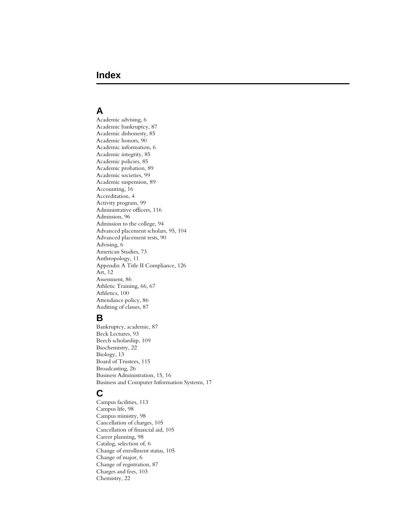# **Index**

## **A**

Academic advising, 6 Academic bankruptcy, 87 Academic dishonesty, 85 Academic honors, 90 Academic information, 6 Academic integrity, 85 Academic policies, 85 Academic probation, 89 Academic societies, 99 Academic suspension, 89 Accounting, 16 Accreditation, 4 Activity program, 99 Administrative officers, 116 Admission, 96 Admission to the college, 94 Advanced placement scholars, 95, 104 Advanced placement tests, 90 Advising, 6 American Studies, 73 Anthropology, 11 Appendix A Title II Compliance, 126 Art, 12 Assessment, 86 Athletic Training, 66, 67 Athletics, 100 Attendance policy, 86 Auditing of classes, 87

## **B**

Bankruptcy, academic, 87 Beck Lectures, 93 Beech scholarship, 109 Biochemistry, 22 Biology, 13 Board of Trustees, 115 Broadcasting, 26 Business Administration, 15, 16 Business and Computer Information Systems, 17

## **C**

Campus facilities, 113 Campus life, 98 Campus ministry, 98 Cancellation of charges, 105 Cancellation of financial aid, 105 Career planning, 98 Catalog, selection of, 6 Change of enrollment status, 105 Change of major, 6 Change of registration, 87 Charges and fees, 103 Chemistry, 22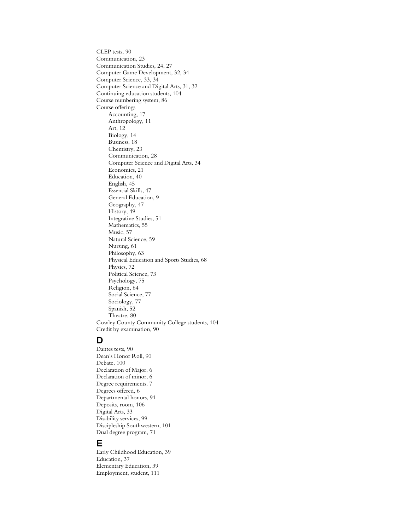CLEP tests, 90 Communication, 23 Communication Studies, 24, 27 Computer Game Development, 32, 34 Computer Science, 33, 34 Computer Science and Digital Arts, 31, 32 Continuing education students, 104 Course numbering system, 86 Course offerings Accounting, 17 Anthropology, 11 Art, 12 Biology, 14 Business, 18 Chemistry, 23 Communication, 28 Computer Science and Digital Arts, 34 Economics, 21 Education, 40 English, 45 Essential Skills, 47 General Education, 9 Geography, 47 History, 49 Integrative Studies, 51 Mathematics, 55 Music, 57 Natural Science, 59 Nursing, 61 Philosophy, 63 Physical Education and Sports Studies, 68 Physics, 72 Political Science, 73 Psychology, 75 Religion, 64 Social Science, 77 Sociology, 77 Spanish, 52 Theatre, 80 Cowley County Community College students, 104 Credit by examination, 90

## **D**

Dantes tests, 90 Dean's Honor Roll, 90 Debate, 100 Declaration of Major, 6 Declaration of minor, 6 Degree requirements, 7 Degrees offered, 6 Departmental honors, 91 Deposits, room, 106 Digital Arts, 33 Disability services, 99 Discipleship Southwestern, 101 Dual degree program, 71

## **E**

Early Childhood Education, 39 Education, 37 Elementary Education, 39 Employment, student, 111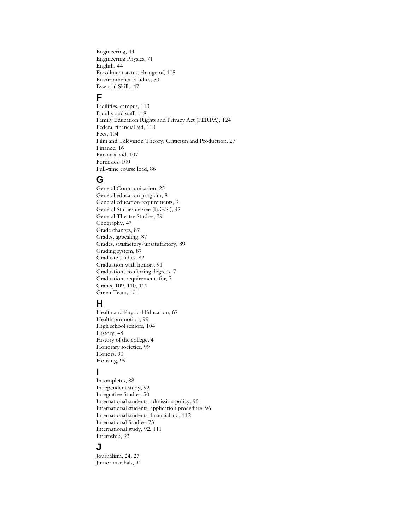Engineering, 44 Engineering Physics, 71 English, 44 Enrollment status, change of, 105 Environmental Studies, 50 Essential Skills, 47

# **F**

Facilities, campus, 113 Faculty and staff, 118 Family Education Rights and Privacy Act (FERPA), 124 Federal financial aid, 110 Fees, 104 Film and Television Theory, Criticism and Production, 27 Finance, 16 Financial aid, 107 Forensics, 100 Full-time course load, 86

## **G**

General Communication, 25 General education program, 8 General education requirements, 9 General Studies degree (B.G.S.), 47 General Theatre Studies, 79 Geography, 47 Grade changes, 87 Grades, appealing, 87 Grades, satisfactory/unsatisfactory, 89 Grading system, 87 Graduate studies, 82 Graduation with honors, 91 Graduation, conferring degrees, 7 Graduation, requirements for, 7 Grants, 109, 110, 111 Green Team, 101

## **H**

Health and Physical Education, 67 Health promotion, 99 High school seniors, 104 History, 48 History of the college, 4 Honorary societies, 99 Honors, 90 Housing, 99

# **I**

Incompletes, 88 Independent study, 92 Integrative Studies, 50 International students, admission policy, 95 International students, application procedure, 96 International students, financial aid, 112 International Studies, 73 International study, 92, 111 Internship, 93

#### **J**

Journalism, 24, 27 Junior marshals, 91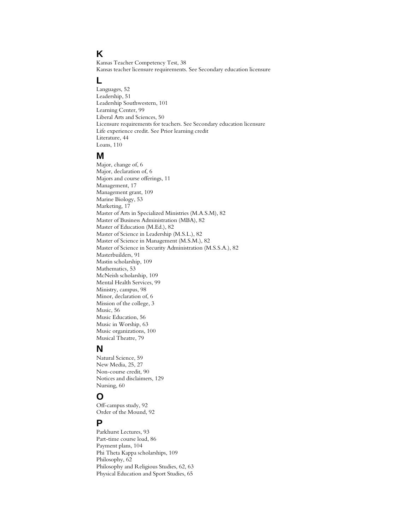# **K**

Kansas Teacher Competency Test, 38 Kansas teacher licensure requirements. See Secondary education licensure

## **L**

Languages, 52 Leadership, 51 Leadership Southwestern, 101 Learning Center, 99 Liberal Arts and Sciences, 50 Licensure requirements for teachers. See Secondary education licensure Life experience credit. See Prior learning credit Literature, 44 Loans, 110

### **M**

Major, change of, 6 Major, declaration of, 6 Majors and course offerings, 11 Management, 17 Management grant, 109 Marine Biology, 53 Marketing, 17 Master of Arts in Specialized Ministries (M.A.S.M), 82 Master of Business Administration (MBA), 82 Master of Education (M.Ed.), 82 Master of Science in Leadership (M.S.L.), 82 Master of Science in Management (M.S.M.), 82 Master of Science in Security Administration (M.S.S.A.), 82 Masterbuilders, 91 Mastin scholarship, 109 Mathematics, 53 McNeish scholarship, 109 Mental Health Services, 99 Ministry, campus, 98 Minor, declaration of, 6 Mission of the college, 3 Music, 56 Music Education, 56 Music in Worship, 63 Music organizations, 100 Musical Theatre, 79

## **N**

Natural Science, 59 New Media, 25, 27 Non-course credit, 90 Notices and disclaimers, 129 Nursing, 60

## **O**

Off-campus study, 92 Order of the Mound, 92

# **P**

Parkhurst Lectures, 93 Part-time course load, 86 Payment plans, 104 Phi Theta Kappa scholarships, 109 Philosophy, 62 Philosophy and Religious Studies, 62, 63 Physical Education and Sport Studies, 65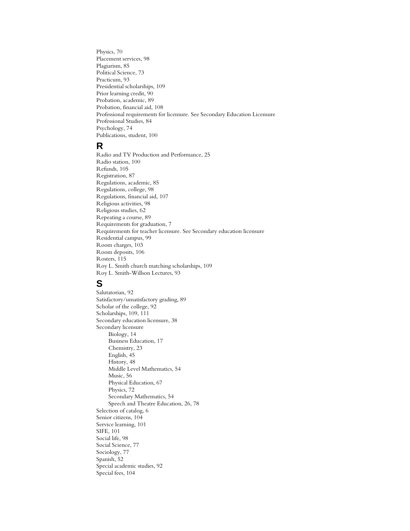Physics, 70 Placement services, 98 Plagiarism, 85 Political Science, 73 Practicum, 93 Presidential scholarships, 109 Prior learning credit, 90 Probation, academic, 89 Probation, financial aid, 108 Professional requirements for licensure. See Secondary Education Licensure Professional Studies, 84 Psychology, 74 Publications, student, 100

## **R**

Radio and TV Production and Performance, 25 Radio station, 100 Refunds, 105 Registration, 87 Regulations, academic, 85 Regulations, college, 98 Regulations, financial aid, 107 Religious activities, 98 Religious studies, 62 Repeating a course, 89 Requirements for graduation, 7 Requirements for teacher licensure. See Secondary education licensure Residential campus, 99 Room charges, 103 Room deposits, 106 Rosters, 115 Roy L. Smith church matching scholarships, 109 Roy L. Smith-Willson Lectures, 93

# **S**

Salutatorian, 92 Satisfactory/unsatisfactory grading, 89 Scholar of the college, 92 Scholarships, 109, 111 Secondary education licensure, 38 Secondary licensure Biology, 14 Business Education, 17 Chemistry, 23 English, 45 History, 48 Middle Level Mathematics, 54 Music, 56 Physical Education, 67 Physics, 72 Secondary Mathematics, 54 Speech and Theatre Education, 26, 78 Selection of catalog, 6 Senior citizens, 104 Service learning, 101 SIFE, 101 Social life, 98 Social Science, 77 Sociology, 77 Spanish, 52 Special academic studies, 92 Special fees, 104